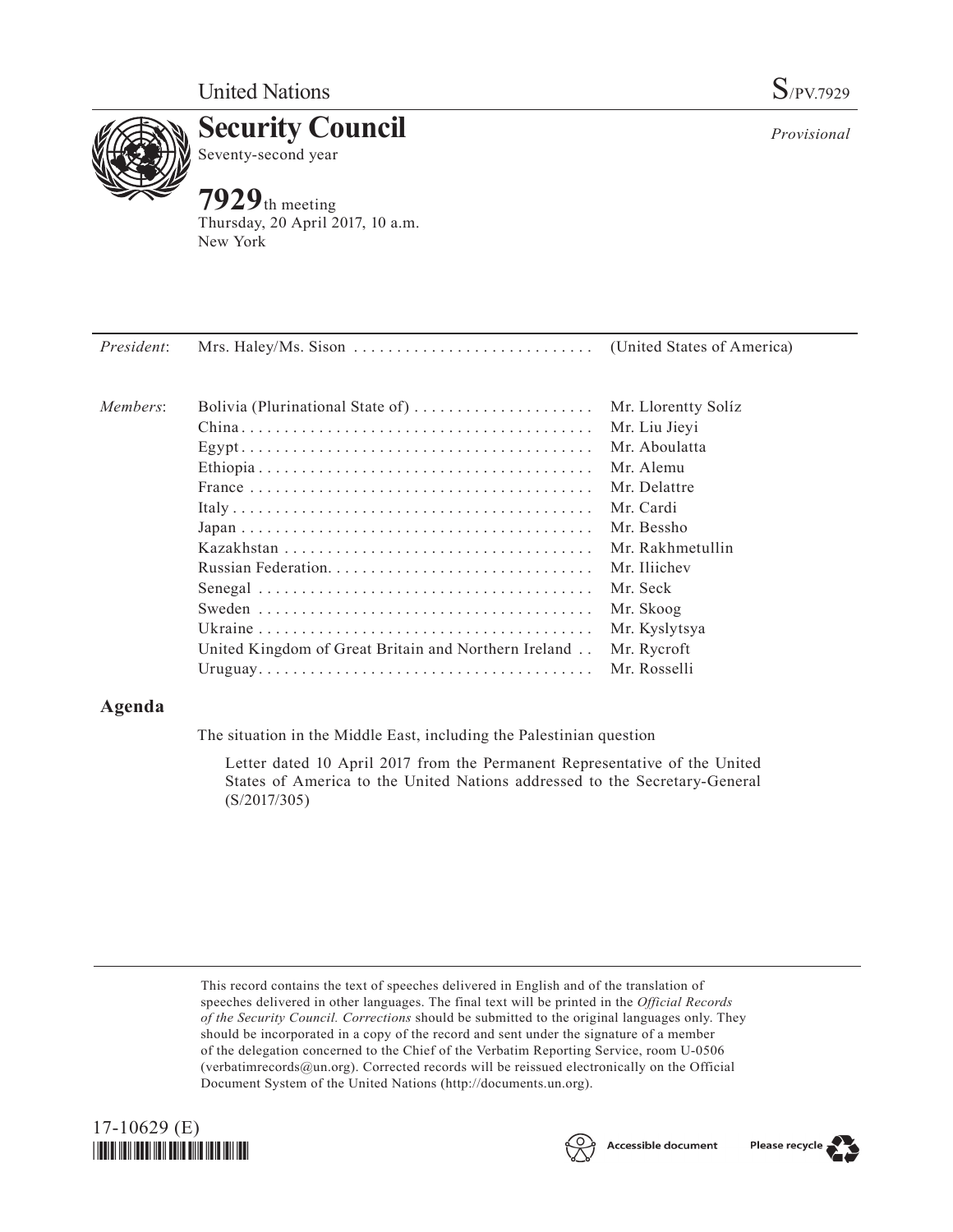

**Security Council** Seventy-second year

# **7929**th meeting

Thursday, 20 April 2017, 10 New York

| a.m. |  |  |  |
|------|--|--|--|
|      |  |  |  |
|      |  |  |  |

| <i>President:</i> |                                                      |                                      |
|-------------------|------------------------------------------------------|--------------------------------------|
| Members:          | Bolivia (Plurinational State of)                     | Mr. Llorentty Solíz<br>Mr. Liu Jieyi |
|                   |                                                      | Mr. Aboulatta                        |
|                   |                                                      | Mr. Alemu                            |
|                   |                                                      | Mr. Delattre                         |
|                   |                                                      | Mr. Cardi                            |
|                   |                                                      | Mr. Bessho                           |
|                   |                                                      | Mr. Rakhmetullin                     |
|                   |                                                      | Mr. Iliichev                         |
|                   |                                                      | Mr. Seck                             |
|                   |                                                      | Mr. Skoog                            |
|                   |                                                      | Mr. Kyslytsya                        |
|                   | United Kingdom of Great Britain and Northern Ireland | Mr. Rycroft                          |
|                   |                                                      | Mr. Rosselli                         |
|                   |                                                      |                                      |

## **Agenda**

The situation in the Middle East, including the Palestinian question

Letter dated 10 April 2017 from the Permanent Representative of the United States of America to the United Nations addressed to the Secretary-General (S/2017/305)

This record contains the text of speeches delivered in English and of the translation of speeches delivered in other languages. The final text will be printed in the *Official Records of the Security Council. Corrections* should be submitted to the original languages only. They should be incorporated in a copy of the record and sent under the signature of a member of the delegation concerned to the Chief of the Verbatim Reporting Service, room U-0506 (verbatimrecords $@un.org$ ). Corrected records will be reissued electronically on the Official Document System of the United Nations [\(http://documents.un.org\)](http://documents.un.org).







Please recycle

*Provisional*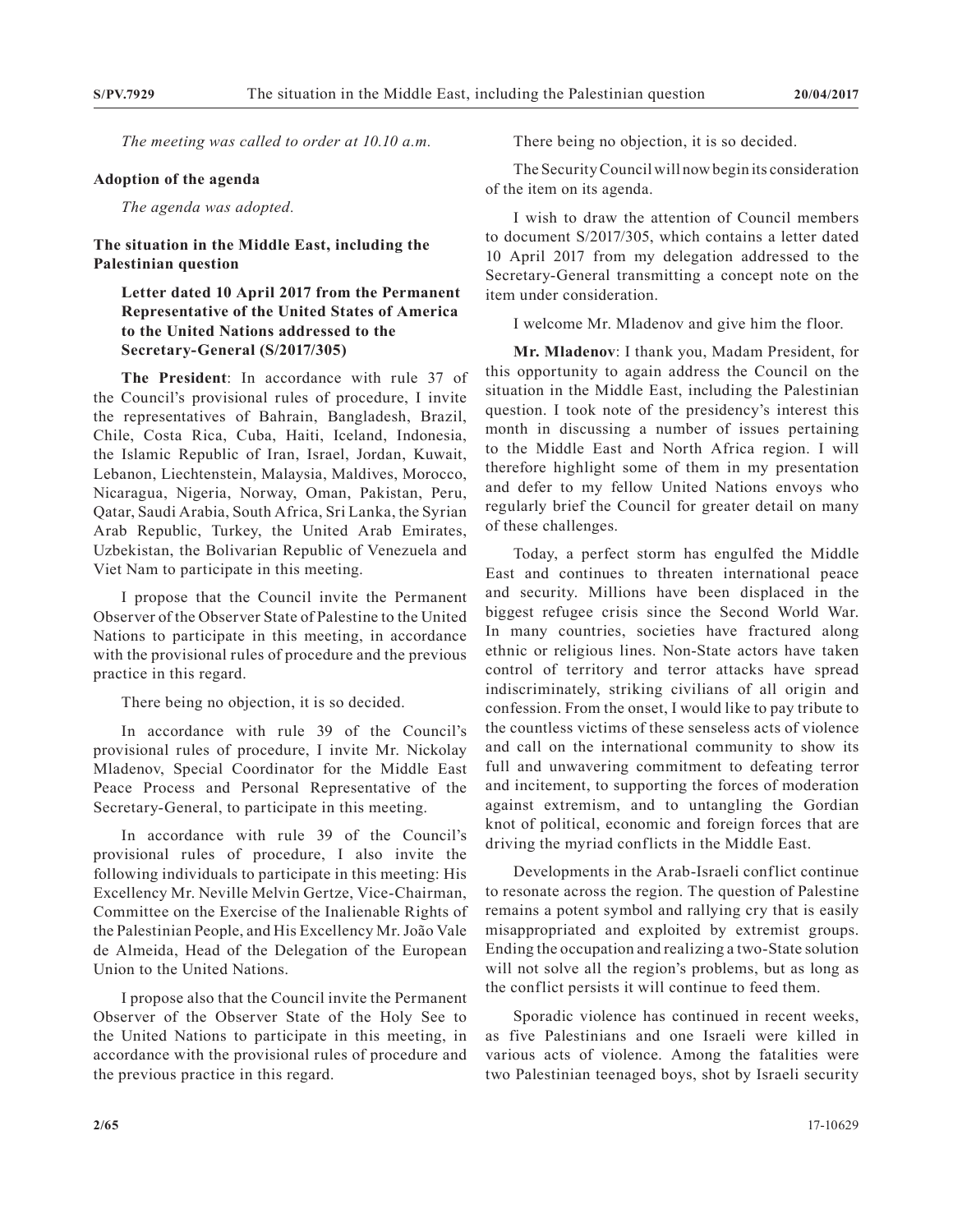*The meeting was called to order at 10.10 a.m.*

#### **Adoption of the agenda**

*The agenda was adopted.*

#### **The situation in the Middle East, including the Palestinian question**

### **Letter dated 10 April 2017 from the Permanent Representative of the United States of America to the United Nations addressed to the Secretary-General (S/2017/305)**

**The President**: In accordance with rule 37 of the Council's provisional rules of procedure, I invite the representatives of Bahrain, Bangladesh, Brazil, Chile, Costa Rica, Cuba, Haiti, Iceland, Indonesia, the Islamic Republic of Iran, Israel, Jordan, Kuwait, Lebanon, Liechtenstein, Malaysia, Maldives, Morocco, Nicaragua, Nigeria, Norway, Oman, Pakistan, Peru, Qatar, Saudi Arabia, South Africa, Sri Lanka, the Syrian Arab Republic, Turkey, the United Arab Emirates, Uzbekistan, the Bolivarian Republic of Venezuela and Viet Nam to participate in this meeting.

I propose that the Council invite the Permanent Observer of the Observer State of Palestine to the United Nations to participate in this meeting, in accordance with the provisional rules of procedure and the previous practice in this regard.

There being no objection, it is so decided.

In accordance with rule 39 of the Council's provisional rules of procedure, I invite Mr. Nickolay Mladenov, Special Coordinator for the Middle East Peace Process and Personal Representative of the Secretary-General, to participate in this meeting.

In accordance with rule 39 of the Council's provisional rules of procedure, I also invite the following individuals to participate in this meeting: His Excellency Mr. Neville Melvin Gertze, Vice-Chairman, Committee on the Exercise of the Inalienable Rights of the Palestinian People, and His Excellency Mr. João Vale de Almeida, Head of the Delegation of the European Union to the United Nations.

I propose also that the Council invite the Permanent Observer of the Observer State of the Holy See to the United Nations to participate in this meeting, in accordance with the provisional rules of procedure and the previous practice in this regard.

There being no objection, it is so decided.

The Security Council will now begin its consideration of the item on its agenda.

I wish to draw the attention of Council members to document S/2017/305, which contains a letter dated 10 April 2017 from my delegation addressed to the Secretary-General transmitting a concept note on the item under consideration.

I welcome Mr. Mladenov and give him the floor.

**Mr. Mladenov**: I thank you, Madam President, for this opportunity to again address the Council on the situation in the Middle East, including the Palestinian question. I took note of the presidency's interest this month in discussing a number of issues pertaining to the Middle East and North Africa region. I will therefore highlight some of them in my presentation and defer to my fellow United Nations envoys who regularly brief the Council for greater detail on many of these challenges.

Today, a perfect storm has engulfed the Middle East and continues to threaten international peace and security. Millions have been displaced in the biggest refugee crisis since the Second World War. In many countries, societies have fractured along ethnic or religious lines. Non-State actors have taken control of territory and terror attacks have spread indiscriminately, striking civilians of all origin and confession. From the onset, I would like to pay tribute to the countless victims of these senseless acts of violence and call on the international community to show its full and unwavering commitment to defeating terror and incitement, to supporting the forces of moderation against extremism, and to untangling the Gordian knot of political, economic and foreign forces that are driving the myriad conflicts in the Middle East.

Developments in the Arab-Israeli conflict continue to resonate across the region. The question of Palestine remains a potent symbol and rallying cry that is easily misappropriated and exploited by extremist groups. Ending the occupation and realizing a two-State solution will not solve all the region's problems, but as long as the conflict persists it will continue to feed them.

Sporadic violence has continued in recent weeks, as five Palestinians and one Israeli were killed in various acts of violence. Among the fatalities were two Palestinian teenaged boys, shot by Israeli security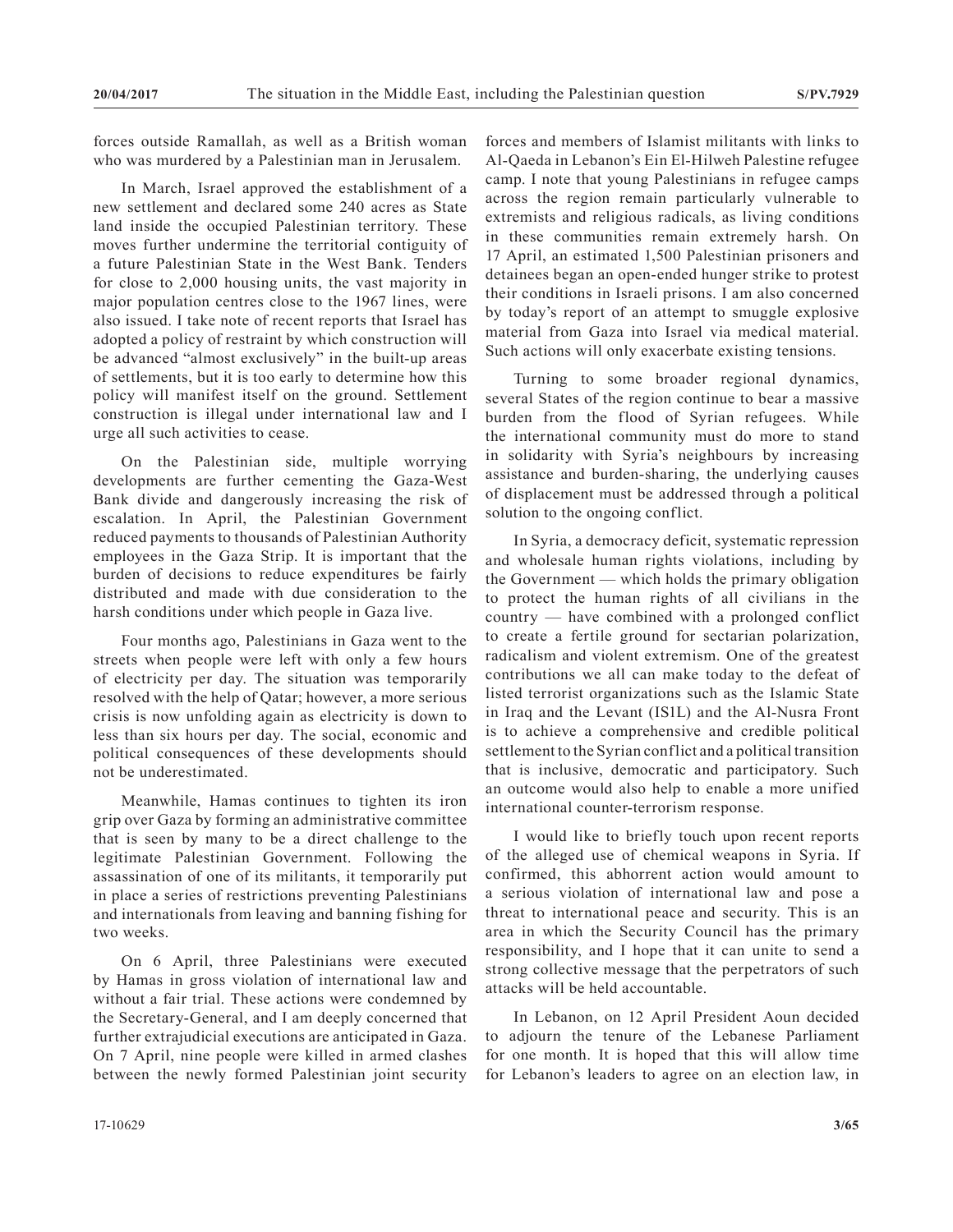forces outside Ramallah, as well as a British woman who was murdered by a Palestinian man in Jerusalem.

In March, Israel approved the establishment of a new settlement and declared some 240 acres as State land inside the occupied Palestinian territory. These moves further undermine the territorial contiguity of a future Palestinian State in the West Bank. Tenders for close to 2,000 housing units, the vast majority in major population centres close to the 1967 lines, were also issued. I take note of recent reports that Israel has adopted a policy of restraint by which construction will be advanced "almost exclusively" in the built-up areas of settlements, but it is too early to determine how this policy will manifest itself on the ground. Settlement construction is illegal under international law and I urge all such activities to cease.

On the Palestinian side, multiple worrying developments are further cementing the Gaza-West Bank divide and dangerously increasing the risk of escalation. In April, the Palestinian Government reduced payments to thousands of Palestinian Authority employees in the Gaza Strip. It is important that the burden of decisions to reduce expenditures be fairly distributed and made with due consideration to the harsh conditions under which people in Gaza live.

Four months ago, Palestinians in Gaza went to the streets when people were left with only a few hours of electricity per day. The situation was temporarily resolved with the help of Qatar; however, a more serious crisis is now unfolding again as electricity is down to less than six hours per day. The social, economic and political consequences of these developments should not be underestimated.

Meanwhile, Hamas continues to tighten its iron grip over Gaza by forming an administrative committee that is seen by many to be a direct challenge to the legitimate Palestinian Government. Following the assassination of one of its militants, it temporarily put in place a series of restrictions preventing Palestinians and internationals from leaving and banning fishing for two weeks.

On 6 April, three Palestinians were executed by Hamas in gross violation of international law and without a fair trial. These actions were condemned by the Secretary-General, and I am deeply concerned that further extrajudicial executions are anticipated in Gaza. On 7 April, nine people were killed in armed clashes between the newly formed Palestinian joint security

forces and members of Islamist militants with links to Al-Qaeda in Lebanon's Ein El-Hilweh Palestine refugee camp. I note that young Palestinians in refugee camps across the region remain particularly vulnerable to extremists and religious radicals, as living conditions in these communities remain extremely harsh. On 17 April, an estimated 1,500 Palestinian prisoners and detainees began an open-ended hunger strike to protest their conditions in Israeli prisons. I am also concerned by today's report of an attempt to smuggle explosive material from Gaza into Israel via medical material. Such actions will only exacerbate existing tensions.

Turning to some broader regional dynamics, several States of the region continue to bear a massive burden from the flood of Syrian refugees. While the international community must do more to stand in solidarity with Syria's neighbours by increasing assistance and burden-sharing, the underlying causes of displacement must be addressed through a political solution to the ongoing conflict.

In Syria, a democracy deficit, systematic repression and wholesale human rights violations, including by the Government — which holds the primary obligation to protect the human rights of all civilians in the country — have combined with a prolonged conflict to create a fertile ground for sectarian polarization, radicalism and violent extremism. One of the greatest contributions we all can make today to the defeat of listed terrorist organizations such as the Islamic State in Iraq and the Levant (IS1L) and the Al-Nusra Front is to achieve a comprehensive and credible political settlement to the Syrian conflict and a political transition that is inclusive, democratic and participatory. Such an outcome would also help to enable a more unified international counter-terrorism response.

I would like to briefly touch upon recent reports of the alleged use of chemical weapons in Syria. If confirmed, this abhorrent action would amount to a serious violation of international law and pose a threat to international peace and security. This is an area in which the Security Council has the primary responsibility, and I hope that it can unite to send a strong collective message that the perpetrators of such attacks will be held accountable.

In Lebanon, on 12 April President Aoun decided to adjourn the tenure of the Lebanese Parliament for one month. It is hoped that this will allow time for Lebanon's leaders to agree on an election law, in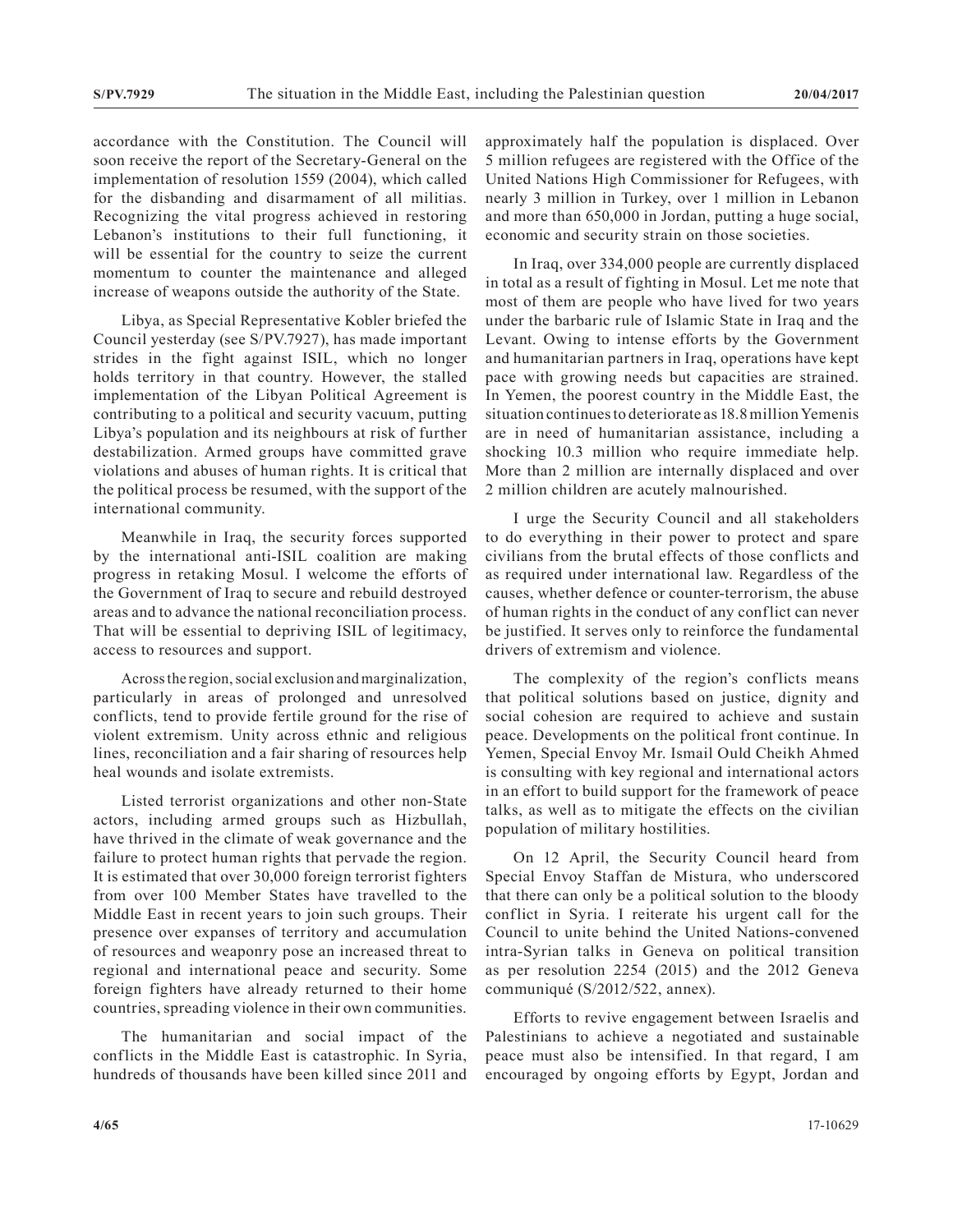accordance with the Constitution. The Council will soon receive the report of the Secretary-General on the implementation of resolution 1559 (2004), which called for the disbanding and disarmament of all militias. Recognizing the vital progress achieved in restoring Lebanon's institutions to their full functioning, it will be essential for the country to seize the current momentum to counter the maintenance and alleged increase of weapons outside the authority of the State.

Libya, as Special Representative Kobler briefed the Council yesterday (see S/PV.7927), has made important strides in the fight against ISIL, which no longer holds territory in that country. However, the stalled implementation of the Libyan Political Agreement is contributing to a political and security vacuum, putting Libya's population and its neighbours at risk of further destabilization. Armed groups have committed grave violations and abuses of human rights. It is critical that the political process be resumed, with the support of the international community.

Meanwhile in Iraq, the security forces supported by the international anti-ISIL coalition are making progress in retaking Mosul. I welcome the efforts of the Government of Iraq to secure and rebuild destroyed areas and to advance the national reconciliation process. That will be essential to depriving ISIL of legitimacy, access to resources and support.

Across the region, social exclusion and marginalization, particularly in areas of prolonged and unresolved conflicts, tend to provide fertile ground for the rise of violent extremism. Unity across ethnic and religious lines, reconciliation and a fair sharing of resources help heal wounds and isolate extremists.

Listed terrorist organizations and other non-State actors, including armed groups such as Hizbullah, have thrived in the climate of weak governance and the failure to protect human rights that pervade the region. It is estimated that over 30,000 foreign terrorist fighters from over 100 Member States have travelled to the Middle East in recent years to join such groups. Their presence over expanses of territory and accumulation of resources and weaponry pose an increased threat to regional and international peace and security. Some foreign fighters have already returned to their home countries, spreading violence in their own communities.

The humanitarian and social impact of the conflicts in the Middle East is catastrophic. In Syria, hundreds of thousands have been killed since 2011 and approximately half the population is displaced. Over 5 million refugees are registered with the Office of the United Nations High Commissioner for Refugees, with nearly 3 million in Turkey, over 1 million in Lebanon and more than 650,000 in Jordan, putting a huge social, economic and security strain on those societies.

In Iraq, over 334,000 people are currently displaced in total as a result of fighting in Mosul. Let me note that most of them are people who have lived for two years under the barbaric rule of Islamic State in Iraq and the Levant. Owing to intense efforts by the Government and humanitarian partners in Iraq, operations have kept pace with growing needs but capacities are strained. In Yemen, the poorest country in the Middle East, the situation continues to deteriorate as 18.8 million Yemenis are in need of humanitarian assistance, including a shocking 10.3 million who require immediate help. More than 2 million are internally displaced and over 2 million children are acutely malnourished.

I urge the Security Council and all stakeholders to do everything in their power to protect and spare civilians from the brutal effects of those conflicts and as required under international law. Regardless of the causes, whether defence or counter-terrorism, the abuse of human rights in the conduct of any conflict can never be justified. It serves only to reinforce the fundamental drivers of extremism and violence.

The complexity of the region's conflicts means that political solutions based on justice, dignity and social cohesion are required to achieve and sustain peace. Developments on the political front continue. In Yemen, Special Envoy Mr. Ismail Ould Cheikh Ahmed is consulting with key regional and international actors in an effort to build support for the framework of peace talks, as well as to mitigate the effects on the civilian population of military hostilities.

On 12 April, the Security Council heard from Special Envoy Staffan de Mistura, who underscored that there can only be a political solution to the bloody conflict in Syria. I reiterate his urgent call for the Council to unite behind the United Nations-convened intra-Syrian talks in Geneva on political transition as per resolution 2254 (2015) and the 2012 Geneva communiqué (S/2012/522, annex).

Efforts to revive engagement between Israelis and Palestinians to achieve a negotiated and sustainable peace must also be intensified. In that regard, I am encouraged by ongoing efforts by Egypt, Jordan and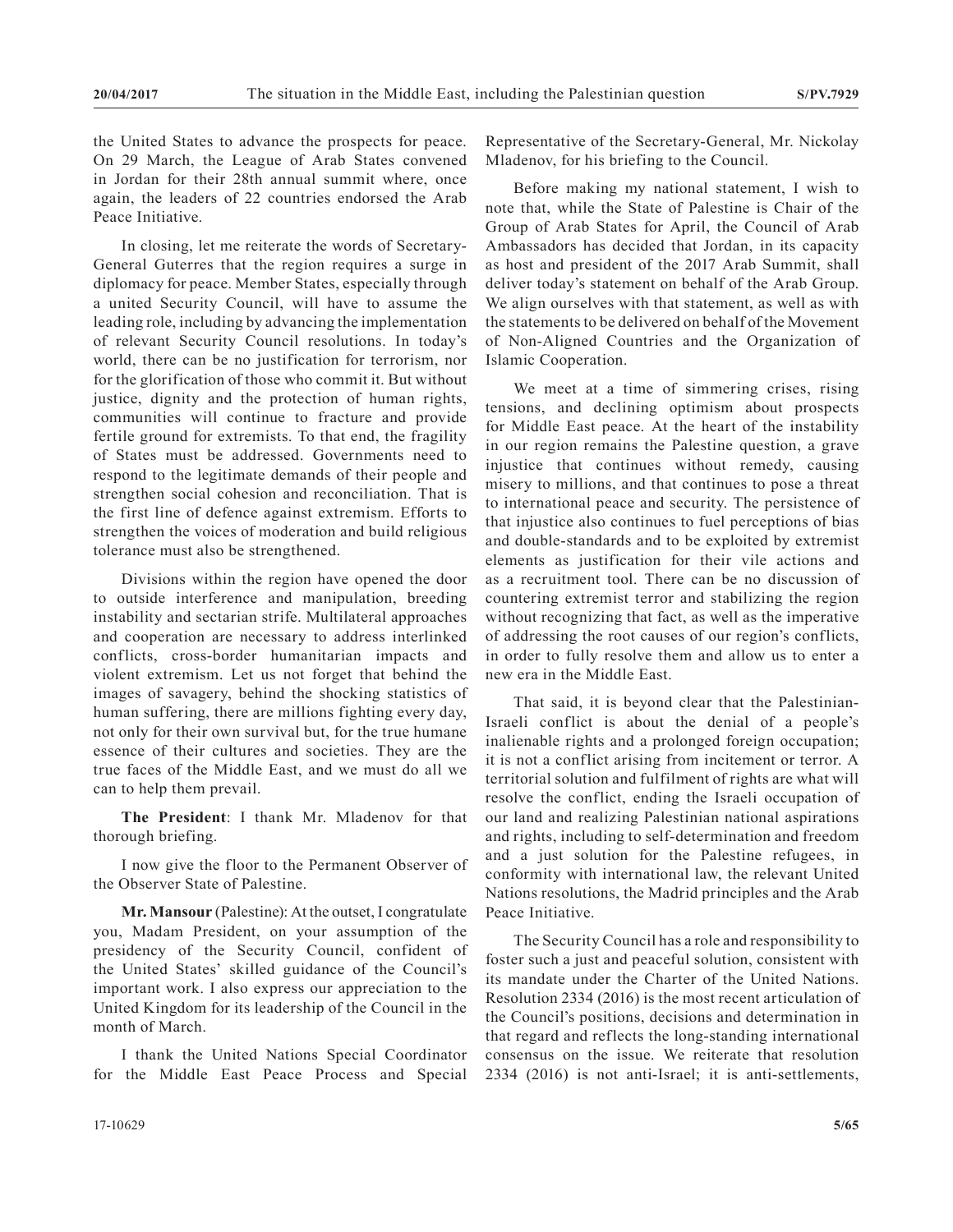the United States to advance the prospects for peace. On 29 March, the League of Arab States convened in Jordan for their 28th annual summit where, once again, the leaders of 22 countries endorsed the Arab Peace Initiative.

In closing, let me reiterate the words of Secretary-General Guterres that the region requires a surge in diplomacy for peace. Member States, especially through a united Security Council, will have to assume the leading role, including by advancing the implementation of relevant Security Council resolutions. In today's world, there can be no justification for terrorism, nor for the glorification of those who commit it. But without justice, dignity and the protection of human rights, communities will continue to fracture and provide fertile ground for extremists. To that end, the fragility of States must be addressed. Governments need to respond to the legitimate demands of their people and strengthen social cohesion and reconciliation. That is the first line of defence against extremism. Efforts to strengthen the voices of moderation and build religious tolerance must also be strengthened.

Divisions within the region have opened the door to outside interference and manipulation, breeding instability and sectarian strife. Multilateral approaches and cooperation are necessary to address interlinked conflicts, cross-border humanitarian impacts and violent extremism. Let us not forget that behind the images of savagery, behind the shocking statistics of human suffering, there are millions fighting every day, not only for their own survival but, for the true humane essence of their cultures and societies. They are the true faces of the Middle East, and we must do all we can to help them prevail.

**The President**: I thank Mr. Mladenov for that thorough briefing.

I now give the floor to the Permanent Observer of the Observer State of Palestine.

**Mr. Mansour** (Palestine): At the outset, I congratulate you, Madam President, on your assumption of the presidency of the Security Council, confident of the United States' skilled guidance of the Council's important work. I also express our appreciation to the United Kingdom for its leadership of the Council in the month of March.

I thank the United Nations Special Coordinator for the Middle East Peace Process and Special Representative of the Secretary-General, Mr. Nickolay Mladenov, for his briefing to the Council.

Before making my national statement, I wish to note that, while the State of Palestine is Chair of the Group of Arab States for April, the Council of Arab Ambassadors has decided that Jordan, in its capacity as host and president of the 2017 Arab Summit, shall deliver today's statement on behalf of the Arab Group. We align ourselves with that statement, as well as with the statements to be delivered on behalf of the Movement of Non-Aligned Countries and the Organization of Islamic Cooperation.

We meet at a time of simmering crises, rising tensions, and declining optimism about prospects for Middle East peace. At the heart of the instability in our region remains the Palestine question, a grave injustice that continues without remedy, causing misery to millions, and that continues to pose a threat to international peace and security. The persistence of that injustice also continues to fuel perceptions of bias and double-standards and to be exploited by extremist elements as justification for their vile actions and as a recruitment tool. There can be no discussion of countering extremist terror and stabilizing the region without recognizing that fact, as well as the imperative of addressing the root causes of our region's conflicts, in order to fully resolve them and allow us to enter a new era in the Middle East.

That said, it is beyond clear that the Palestinian-Israeli conflict is about the denial of a people's inalienable rights and a prolonged foreign occupation; it is not a conflict arising from incitement or terror. A territorial solution and fulfilment of rights are what will resolve the conflict, ending the Israeli occupation of our land and realizing Palestinian national aspirations and rights, including to self-determination and freedom and a just solution for the Palestine refugees, in conformity with international law, the relevant United Nations resolutions, the Madrid principles and the Arab Peace Initiative.

The Security Council has a role and responsibility to foster such a just and peaceful solution, consistent with its mandate under the Charter of the United Nations. Resolution 2334 (2016) is the most recent articulation of the Council's positions, decisions and determination in that regard and reflects the long-standing international consensus on the issue. We reiterate that resolution 2334 (2016) is not anti-Israel; it is anti-settlements,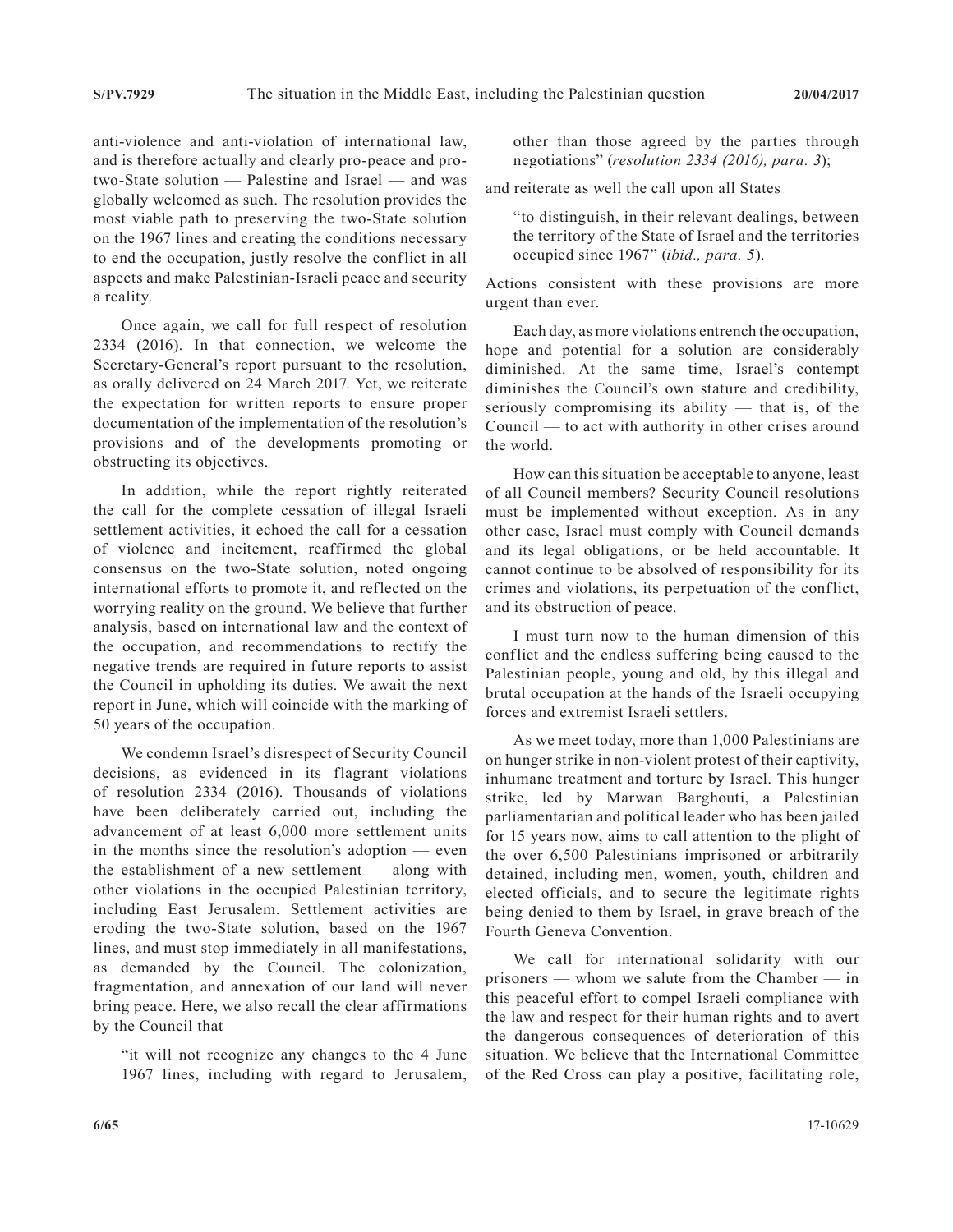anti-violence and anti-violation of international law, and is therefore actually and clearly pro-peace and protwo-State solution — Palestine and Israel — and was globally welcomed as such. The resolution provides the most viable path to preserving the two-State solution on the 1967 lines and creating the conditions necessary to end the occupation, justly resolve the conflict in all aspects and make Palestinian-Israeli peace and security a reality.

Once again, we call for full respect of resolution 2334 (2016). In that connection, we welcome the Secretary-General's report pursuant to the resolution, as orally delivered on 24 March 2017. Yet, we reiterate the expectation for written reports to ensure proper documentation of the implementation of the resolution's provisions and of the developments promoting or obstructing its objectives.

In addition, while the report rightly reiterated the call for the complete cessation of illegal Israeli settlement activities, it echoed the call for a cessation of violence and incitement, reaffirmed the global consensus on the two-State solution, noted ongoing international efforts to promote it, and reflected on the worrying reality on the ground. We believe that further analysis, based on international law and the context of the occupation, and recommendations to rectify the negative trends are required in future reports to assist the Council in upholding its duties. We await the next report in June, which will coincide with the marking of 50 years of the occupation.

We condemn Israel's disrespect of Security Council decisions, as evidenced in its flagrant violations of resolution 2334 (2016). Thousands of violations have been deliberately carried out, including the advancement of at least 6,000 more settlement units in the months since the resolution's adoption — even the establishment of a new settlement — along with other violations in the occupied Palestinian territory, including East Jerusalem. Settlement activities are eroding the two-State solution, based on the 1967 lines, and must stop immediately in all manifestations, as demanded by the Council. The colonization, fragmentation, and annexation of our land will never bring peace. Here, we also recall the clear affirmations by the Council that

"it will not recognize any changes to the 4 June 1967 lines, including with regard to Jerusalem, other than those agreed by the parties through negotiations" (*resolution 2334 (2016), para. 3*);

and reiterate as well the call upon all States

"to distinguish, in their relevant dealings, between the territory of the State of Israel and the territories occupied since 1967" (*ibid., para. 5*).

Actions consistent with these provisions are more urgent than ever.

Each day, as more violations entrench the occupation, hope and potential for a solution are considerably diminished. At the same time, Israel's contempt diminishes the Council's own stature and credibility, seriously compromising its ability — that is, of the Council — to act with authority in other crises around the world.

How can this situation be acceptable to anyone, least of all Council members? Security Council resolutions must be implemented without exception. As in any other case, Israel must comply with Council demands and its legal obligations, or be held accountable. It cannot continue to be absolved of responsibility for its crimes and violations, its perpetuation of the conflict, and its obstruction of peace.

I must turn now to the human dimension of this conflict and the endless suffering being caused to the Palestinian people, young and old, by this illegal and brutal occupation at the hands of the Israeli occupying forces and extremist Israeli settlers.

As we meet today, more than 1,000 Palestinians are on hunger strike in non-violent protest of their captivity, inhumane treatment and torture by Israel. This hunger strike, led by Marwan Barghouti, a Palestinian parliamentarian and political leader who has been jailed for 15 years now, aims to call attention to the plight of the over 6,500 Palestinians imprisoned or arbitrarily detained, including men, women, youth, children and elected officials, and to secure the legitimate rights being denied to them by Israel, in grave breach of the Fourth Geneva Convention.

We call for international solidarity with our prisoners — whom we salute from the Chamber — in this peaceful effort to compel Israeli compliance with the law and respect for their human rights and to avert the dangerous consequences of deterioration of this situation. We believe that the International Committee of the Red Cross can play a positive, facilitating role,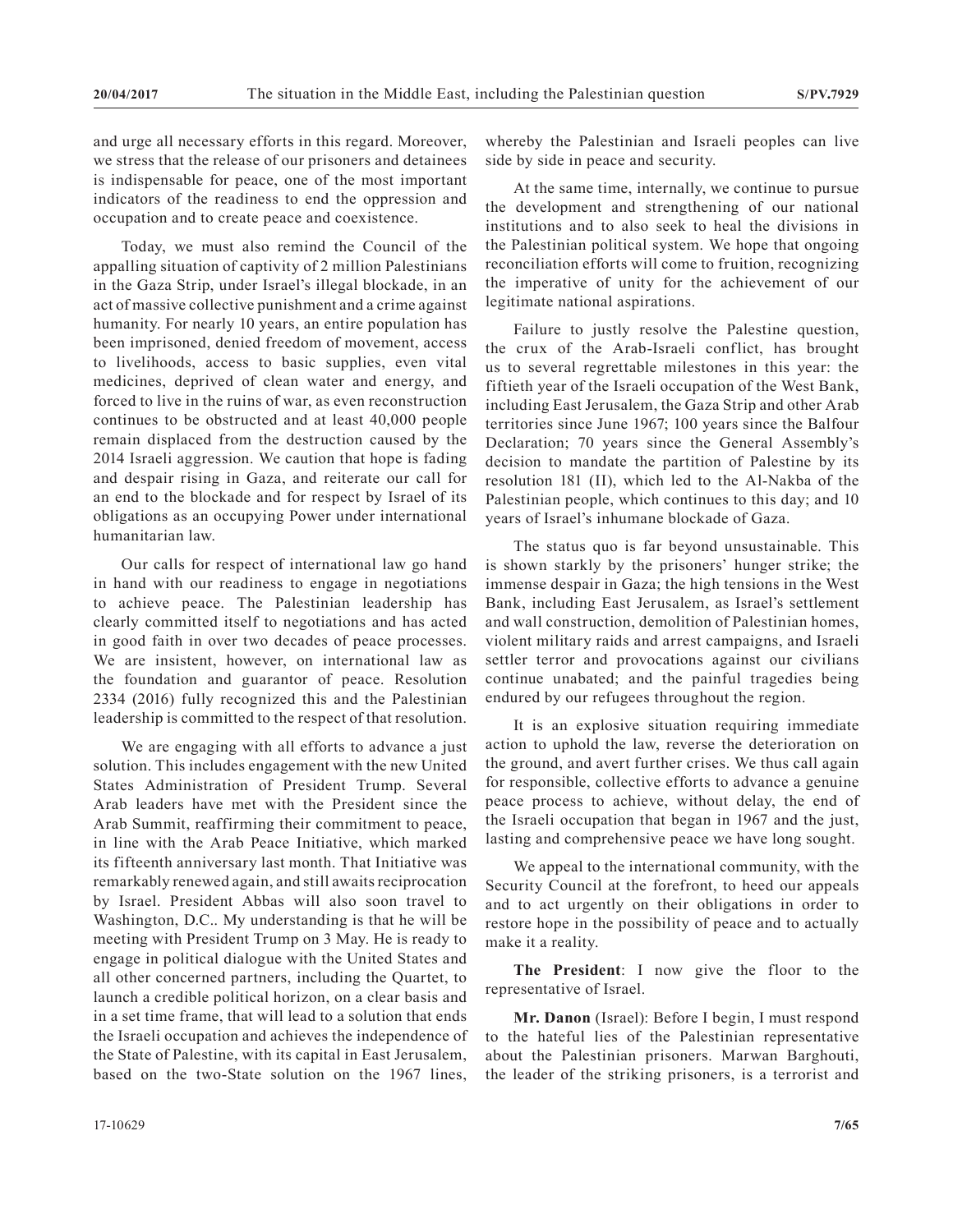and urge all necessary efforts in this regard. Moreover, we stress that the release of our prisoners and detainees is indispensable for peace, one of the most important indicators of the readiness to end the oppression and occupation and to create peace and coexistence.

Today, we must also remind the Council of the appalling situation of captivity of 2 million Palestinians in the Gaza Strip, under Israel's illegal blockade, in an act of massive collective punishment and a crime against humanity. For nearly 10 years, an entire population has been imprisoned, denied freedom of movement, access to livelihoods, access to basic supplies, even vital medicines, deprived of clean water and energy, and forced to live in the ruins of war, as even reconstruction continues to be obstructed and at least 40,000 people remain displaced from the destruction caused by the 2014 Israeli aggression. We caution that hope is fading and despair rising in Gaza, and reiterate our call for an end to the blockade and for respect by Israel of its obligations as an occupying Power under international humanitarian law.

Our calls for respect of international law go hand in hand with our readiness to engage in negotiations to achieve peace. The Palestinian leadership has clearly committed itself to negotiations and has acted in good faith in over two decades of peace processes. We are insistent, however, on international law as the foundation and guarantor of peace. Resolution 2334 (2016) fully recognized this and the Palestinian leadership is committed to the respect of that resolution.

We are engaging with all efforts to advance a just solution. This includes engagement with the new United States Administration of President Trump. Several Arab leaders have met with the President since the Arab Summit, reaffirming their commitment to peace, in line with the Arab Peace Initiative, which marked its fifteenth anniversary last month. That Initiative was remarkably renewed again, and still awaits reciprocation by Israel. President Abbas will also soon travel to Washington, D.C.. My understanding is that he will be meeting with President Trump on 3 May. He is ready to engage in political dialogue with the United States and all other concerned partners, including the Quartet, to launch a credible political horizon, on a clear basis and in a set time frame, that will lead to a solution that ends the Israeli occupation and achieves the independence of the State of Palestine, with its capital in East Jerusalem, based on the two-State solution on the 1967 lines,

whereby the Palestinian and Israeli peoples can live side by side in peace and security.

At the same time, internally, we continue to pursue the development and strengthening of our national institutions and to also seek to heal the divisions in the Palestinian political system. We hope that ongoing reconciliation efforts will come to fruition, recognizing the imperative of unity for the achievement of our legitimate national aspirations.

Failure to justly resolve the Palestine question, the crux of the Arab-Israeli conflict, has brought us to several regrettable milestones in this year: the fiftieth year of the Israeli occupation of the West Bank, including East Jerusalem, the Gaza Strip and other Arab territories since June 1967; 100 years since the Balfour Declaration; 70 years since the General Assembly's decision to mandate the partition of Palestine by its resolution 181 (II), which led to the Al-Nakba of the Palestinian people, which continues to this day; and 10 years of Israel's inhumane blockade of Gaza.

The status quo is far beyond unsustainable. This is shown starkly by the prisoners' hunger strike; the immense despair in Gaza; the high tensions in the West Bank, including East Jerusalem, as Israel's settlement and wall construction, demolition of Palestinian homes, violent military raids and arrest campaigns, and Israeli settler terror and provocations against our civilians continue unabated; and the painful tragedies being endured by our refugees throughout the region.

It is an explosive situation requiring immediate action to uphold the law, reverse the deterioration on the ground, and avert further crises. We thus call again for responsible, collective efforts to advance a genuine peace process to achieve, without delay, the end of the Israeli occupation that began in 1967 and the just, lasting and comprehensive peace we have long sought.

We appeal to the international community, with the Security Council at the forefront, to heed our appeals and to act urgently on their obligations in order to restore hope in the possibility of peace and to actually make it a reality.

**The President**: I now give the floor to the representative of Israel.

**Mr. Danon** (Israel): Before I begin, I must respond to the hateful lies of the Palestinian representative about the Palestinian prisoners. Marwan Barghouti, the leader of the striking prisoners, is a terrorist and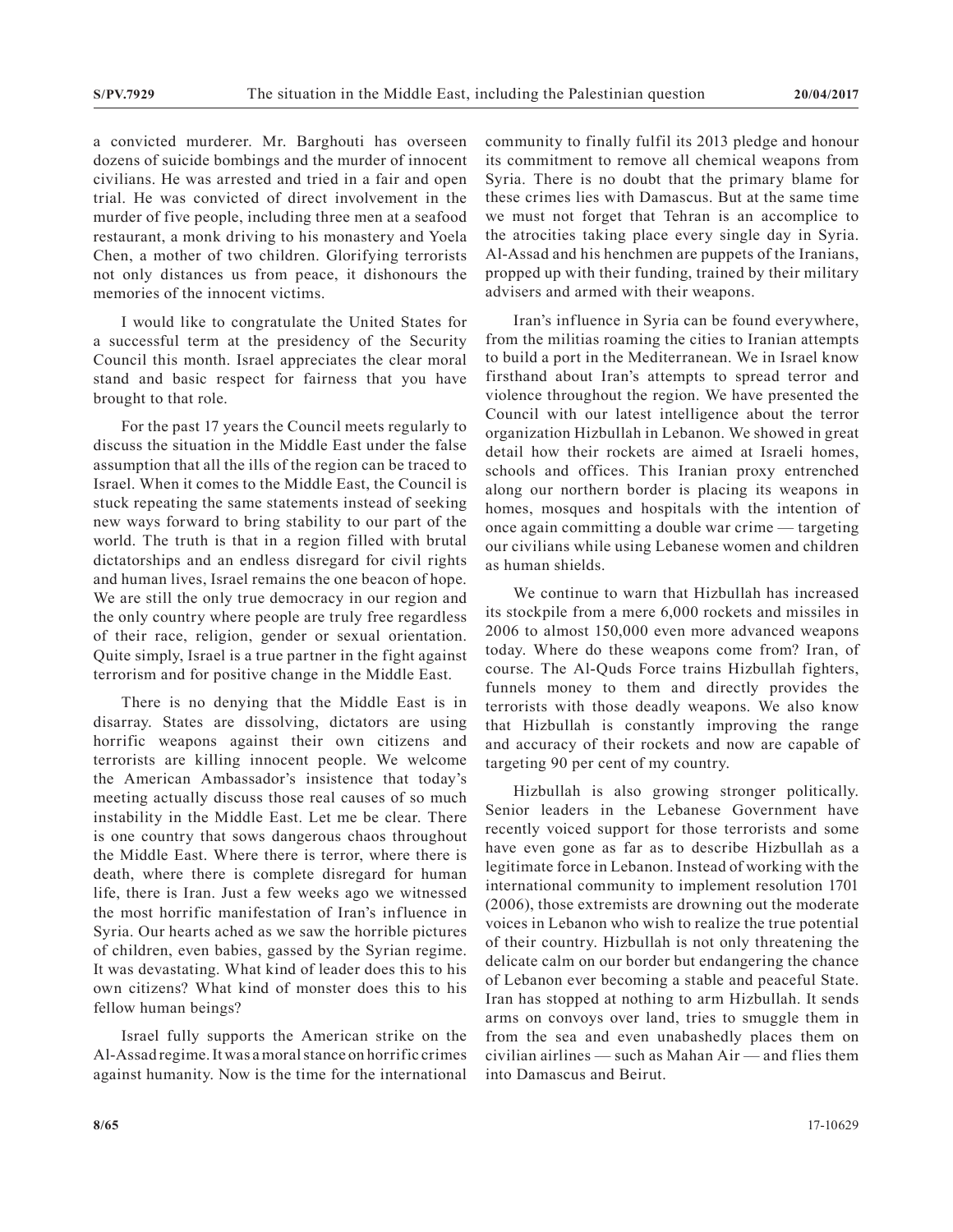a convicted murderer. Mr. Barghouti has overseen dozens of suicide bombings and the murder of innocent civilians. He was arrested and tried in a fair and open trial. He was convicted of direct involvement in the murder of five people, including three men at a seafood restaurant, a monk driving to his monastery and Yoela Chen, a mother of two children. Glorifying terrorists not only distances us from peace, it dishonours the memories of the innocent victims.

I would like to congratulate the United States for a successful term at the presidency of the Security Council this month. Israel appreciates the clear moral stand and basic respect for fairness that you have brought to that role.

For the past 17 years the Council meets regularly to discuss the situation in the Middle East under the false assumption that all the ills of the region can be traced to Israel. When it comes to the Middle East, the Council is stuck repeating the same statements instead of seeking new ways forward to bring stability to our part of the world. The truth is that in a region filled with brutal dictatorships and an endless disregard for civil rights and human lives, Israel remains the one beacon of hope. We are still the only true democracy in our region and the only country where people are truly free regardless of their race, religion, gender or sexual orientation. Quite simply, Israel is a true partner in the fight against terrorism and for positive change in the Middle East.

There is no denying that the Middle East is in disarray. States are dissolving, dictators are using horrific weapons against their own citizens and terrorists are killing innocent people. We welcome the American Ambassador's insistence that today's meeting actually discuss those real causes of so much instability in the Middle East. Let me be clear. There is one country that sows dangerous chaos throughout the Middle East. Where there is terror, where there is death, where there is complete disregard for human life, there is Iran. Just a few weeks ago we witnessed the most horrific manifestation of Iran's influence in Syria. Our hearts ached as we saw the horrible pictures of children, even babies, gassed by the Syrian regime. It was devastating. What kind of leader does this to his own citizens? What kind of monster does this to his fellow human beings?

Israel fully supports the American strike on the Al-Assad regime. It was a moral stance on horrific crimes against humanity. Now is the time for the international community to finally fulfil its 2013 pledge and honour its commitment to remove all chemical weapons from Syria. There is no doubt that the primary blame for these crimes lies with Damascus. But at the same time we must not forget that Tehran is an accomplice to the atrocities taking place every single day in Syria. Al-Assad and his henchmen are puppets of the Iranians, propped up with their funding, trained by their military advisers and armed with their weapons.

Iran's influence in Syria can be found everywhere, from the militias roaming the cities to Iranian attempts to build a port in the Mediterranean. We in Israel know firsthand about Iran's attempts to spread terror and violence throughout the region. We have presented the Council with our latest intelligence about the terror organization Hizbullah in Lebanon. We showed in great detail how their rockets are aimed at Israeli homes, schools and offices. This Iranian proxy entrenched along our northern border is placing its weapons in homes, mosques and hospitals with the intention of once again committing a double war crime — targeting our civilians while using Lebanese women and children as human shields.

We continue to warn that Hizbullah has increased its stockpile from a mere 6,000 rockets and missiles in 2006 to almost 150,000 even more advanced weapons today. Where do these weapons come from? Iran, of course. The Al-Quds Force trains Hizbullah fighters, funnels money to them and directly provides the terrorists with those deadly weapons. We also know that Hizbullah is constantly improving the range and accuracy of their rockets and now are capable of targeting 90 per cent of my country.

Hizbullah is also growing stronger politically. Senior leaders in the Lebanese Government have recently voiced support for those terrorists and some have even gone as far as to describe Hizbullah as a legitimate force in Lebanon. Instead of working with the international community to implement resolution 1701 (2006), those extremists are drowning out the moderate voices in Lebanon who wish to realize the true potential of their country. Hizbullah is not only threatening the delicate calm on our border but endangering the chance of Lebanon ever becoming a stable and peaceful State. Iran has stopped at nothing to arm Hizbullah. It sends arms on convoys over land, tries to smuggle them in from the sea and even unabashedly places them on civilian airlines — such as Mahan Air — and flies them into Damascus and Beirut.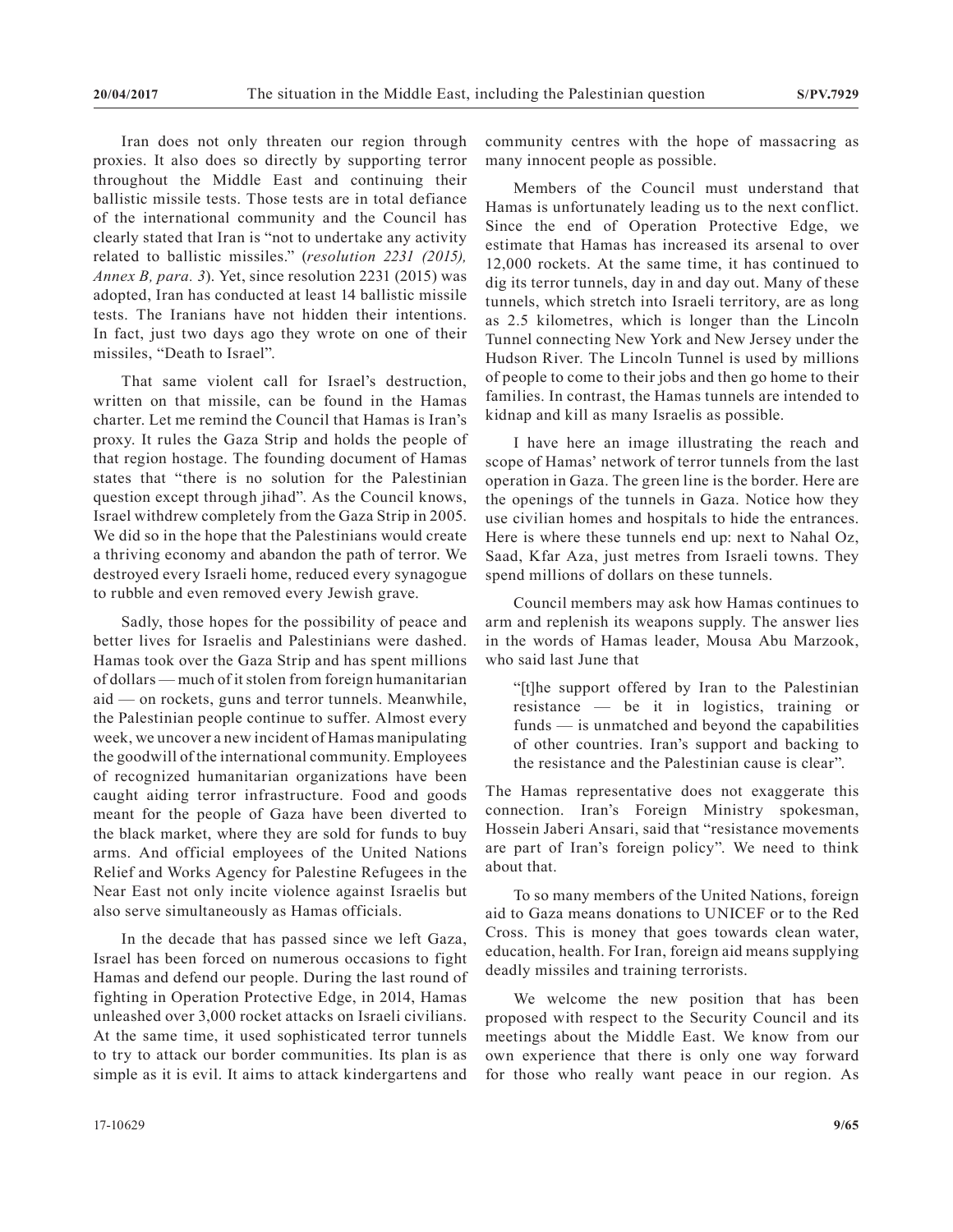Iran does not only threaten our region through proxies. It also does so directly by supporting terror throughout the Middle East and continuing their ballistic missile tests. Those tests are in total defiance of the international community and the Council has clearly stated that Iran is "not to undertake any activity related to ballistic missiles." (*resolution 2231 (2015), Annex B, para. 3*). Yet, since resolution 2231 (2015) was adopted, Iran has conducted at least 14 ballistic missile tests. The Iranians have not hidden their intentions. In fact, just two days ago they wrote on one of their missiles, "Death to Israel".

That same violent call for Israel's destruction, written on that missile, can be found in the Hamas charter. Let me remind the Council that Hamas is Iran's proxy. It rules the Gaza Strip and holds the people of that region hostage. The founding document of Hamas states that "there is no solution for the Palestinian question except through jihad". As the Council knows, Israel withdrew completely from the Gaza Strip in 2005. We did so in the hope that the Palestinians would create a thriving economy and abandon the path of terror. We destroyed every Israeli home, reduced every synagogue to rubble and even removed every Jewish grave.

Sadly, those hopes for the possibility of peace and better lives for Israelis and Palestinians were dashed. Hamas took over the Gaza Strip and has spent millions of dollars — much of it stolen from foreign humanitarian aid — on rockets, guns and terror tunnels. Meanwhile, the Palestinian people continue to suffer. Almost every week, we uncover a new incident of Hamas manipulating the goodwill of the international community. Employees of recognized humanitarian organizations have been caught aiding terror infrastructure. Food and goods meant for the people of Gaza have been diverted to the black market, where they are sold for funds to buy arms. And official employees of the United Nations Relief and Works Agency for Palestine Refugees in the Near East not only incite violence against Israelis but also serve simultaneously as Hamas officials.

In the decade that has passed since we left Gaza, Israel has been forced on numerous occasions to fight Hamas and defend our people. During the last round of fighting in Operation Protective Edge, in 2014, Hamas unleashed over 3,000 rocket attacks on Israeli civilians. At the same time, it used sophisticated terror tunnels to try to attack our border communities. Its plan is as simple as it is evil. It aims to attack kindergartens and

community centres with the hope of massacring as many innocent people as possible.

Members of the Council must understand that Hamas is unfortunately leading us to the next conflict. Since the end of Operation Protective Edge, we estimate that Hamas has increased its arsenal to over 12,000 rockets. At the same time, it has continued to dig its terror tunnels, day in and day out. Many of these tunnels, which stretch into Israeli territory, are as long as 2.5 kilometres, which is longer than the Lincoln Tunnel connecting New York and New Jersey under the Hudson River. The Lincoln Tunnel is used by millions of people to come to their jobs and then go home to their families. In contrast, the Hamas tunnels are intended to kidnap and kill as many Israelis as possible.

I have here an image illustrating the reach and scope of Hamas' network of terror tunnels from the last operation in Gaza. The green line is the border. Here are the openings of the tunnels in Gaza. Notice how they use civilian homes and hospitals to hide the entrances. Here is where these tunnels end up: next to Nahal Oz, Saad, Kfar Aza, just metres from Israeli towns. They spend millions of dollars on these tunnels.

Council members may ask how Hamas continues to arm and replenish its weapons supply. The answer lies in the words of Hamas leader, Mousa Abu Marzook, who said last June that

"[t]he support offered by Iran to the Palestinian resistance — be it in logistics, training or funds — is unmatched and beyond the capabilities of other countries. Iran's support and backing to the resistance and the Palestinian cause is clear".

The Hamas representative does not exaggerate this connection. Iran's Foreign Ministry spokesman, Hossein Jaberi Ansari, said that "resistance movements are part of Iran's foreign policy". We need to think about that.

To so many members of the United Nations, foreign aid to Gaza means donations to UNICEF or to the Red Cross. This is money that goes towards clean water, education, health. For Iran, foreign aid means supplying deadly missiles and training terrorists.

We welcome the new position that has been proposed with respect to the Security Council and its meetings about the Middle East. We know from our own experience that there is only one way forward for those who really want peace in our region. As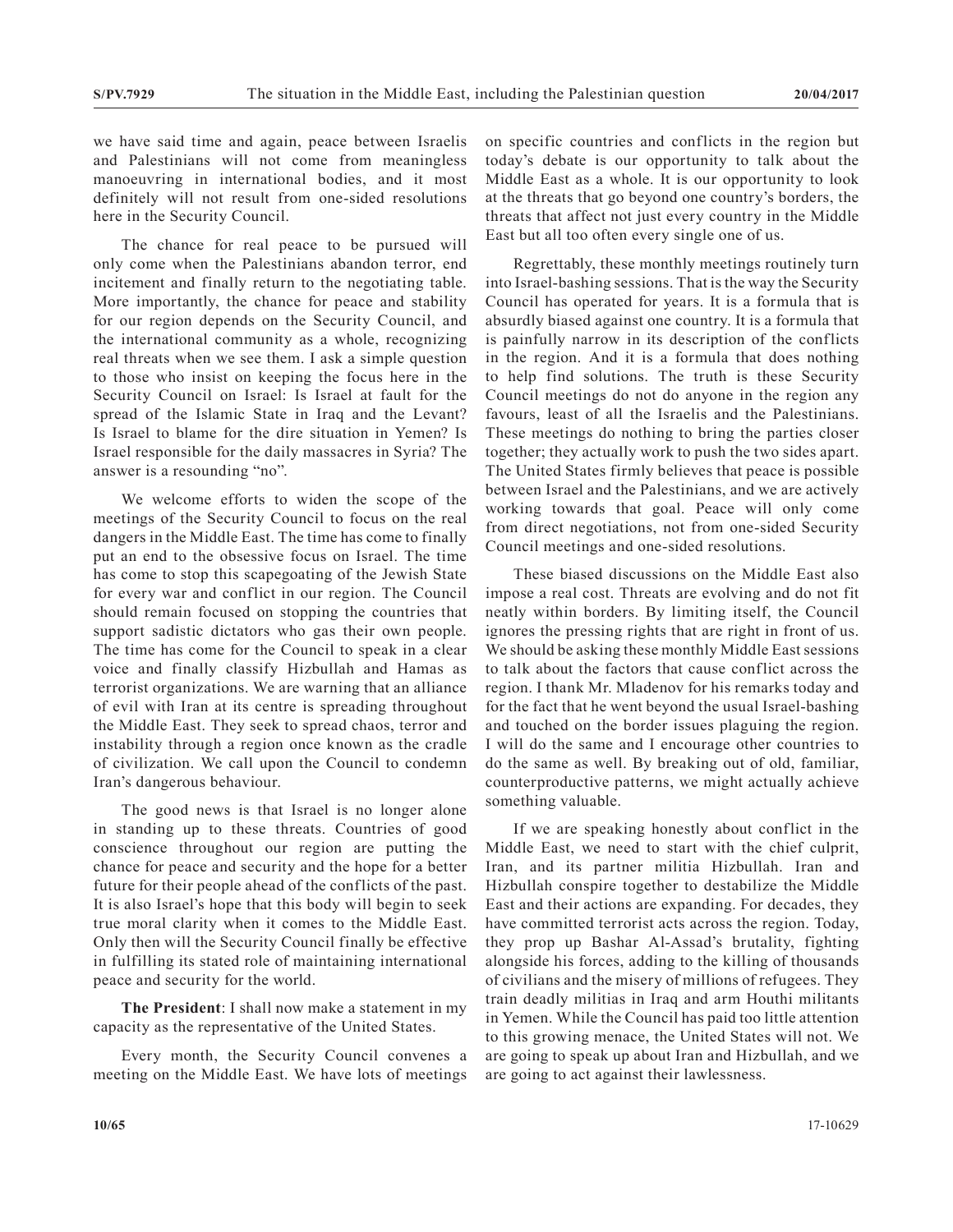we have said time and again, peace between Israelis and Palestinians will not come from meaningless manoeuvring in international bodies, and it most definitely will not result from one-sided resolutions here in the Security Council.

The chance for real peace to be pursued will only come when the Palestinians abandon terror, end incitement and finally return to the negotiating table. More importantly, the chance for peace and stability for our region depends on the Security Council, and the international community as a whole, recognizing real threats when we see them. I ask a simple question to those who insist on keeping the focus here in the Security Council on Israel: Is Israel at fault for the spread of the Islamic State in Iraq and the Levant? Is Israel to blame for the dire situation in Yemen? Is Israel responsible for the daily massacres in Syria? The answer is a resounding "no".

We welcome efforts to widen the scope of the meetings of the Security Council to focus on the real dangers in the Middle East. The time has come to finally put an end to the obsessive focus on Israel. The time has come to stop this scapegoating of the Jewish State for every war and conflict in our region. The Council should remain focused on stopping the countries that support sadistic dictators who gas their own people. The time has come for the Council to speak in a clear voice and finally classify Hizbullah and Hamas as terrorist organizations. We are warning that an alliance of evil with Iran at its centre is spreading throughout the Middle East. They seek to spread chaos, terror and instability through a region once known as the cradle of civilization. We call upon the Council to condemn Iran's dangerous behaviour.

The good news is that Israel is no longer alone in standing up to these threats. Countries of good conscience throughout our region are putting the chance for peace and security and the hope for a better future for their people ahead of the conflicts of the past. It is also Israel's hope that this body will begin to seek true moral clarity when it comes to the Middle East. Only then will the Security Council finally be effective in fulfilling its stated role of maintaining international peace and security for the world.

**The President**: I shall now make a statement in my capacity as the representative of the United States.

Every month, the Security Council convenes a meeting on the Middle East. We have lots of meetings on specific countries and conflicts in the region but today's debate is our opportunity to talk about the Middle East as a whole. It is our opportunity to look at the threats that go beyond one country's borders, the threats that affect not just every country in the Middle East but all too often every single one of us.

Regrettably, these monthly meetings routinely turn into Israel-bashing sessions. That is the way the Security Council has operated for years. It is a formula that is absurdly biased against one country. It is a formula that is painfully narrow in its description of the conflicts in the region. And it is a formula that does nothing to help find solutions. The truth is these Security Council meetings do not do anyone in the region any favours, least of all the Israelis and the Palestinians. These meetings do nothing to bring the parties closer together; they actually work to push the two sides apart. The United States firmly believes that peace is possible between Israel and the Palestinians, and we are actively working towards that goal. Peace will only come from direct negotiations, not from one-sided Security Council meetings and one-sided resolutions.

These biased discussions on the Middle East also impose a real cost. Threats are evolving and do not fit neatly within borders. By limiting itself, the Council ignores the pressing rights that are right in front of us. We should be asking these monthly Middle East sessions to talk about the factors that cause conflict across the region. I thank Mr. Mladenov for his remarks today and for the fact that he went beyond the usual Israel-bashing and touched on the border issues plaguing the region. I will do the same and I encourage other countries to do the same as well. By breaking out of old, familiar, counterproductive patterns, we might actually achieve something valuable.

If we are speaking honestly about conflict in the Middle East, we need to start with the chief culprit, Iran, and its partner militia Hizbullah. Iran and Hizbullah conspire together to destabilize the Middle East and their actions are expanding. For decades, they have committed terrorist acts across the region. Today, they prop up Bashar Al-Assad's brutality, fighting alongside his forces, adding to the killing of thousands of civilians and the misery of millions of refugees. They train deadly militias in Iraq and arm Houthi militants in Yemen. While the Council has paid too little attention to this growing menace, the United States will not. We are going to speak up about Iran and Hizbullah, and we are going to act against their lawlessness.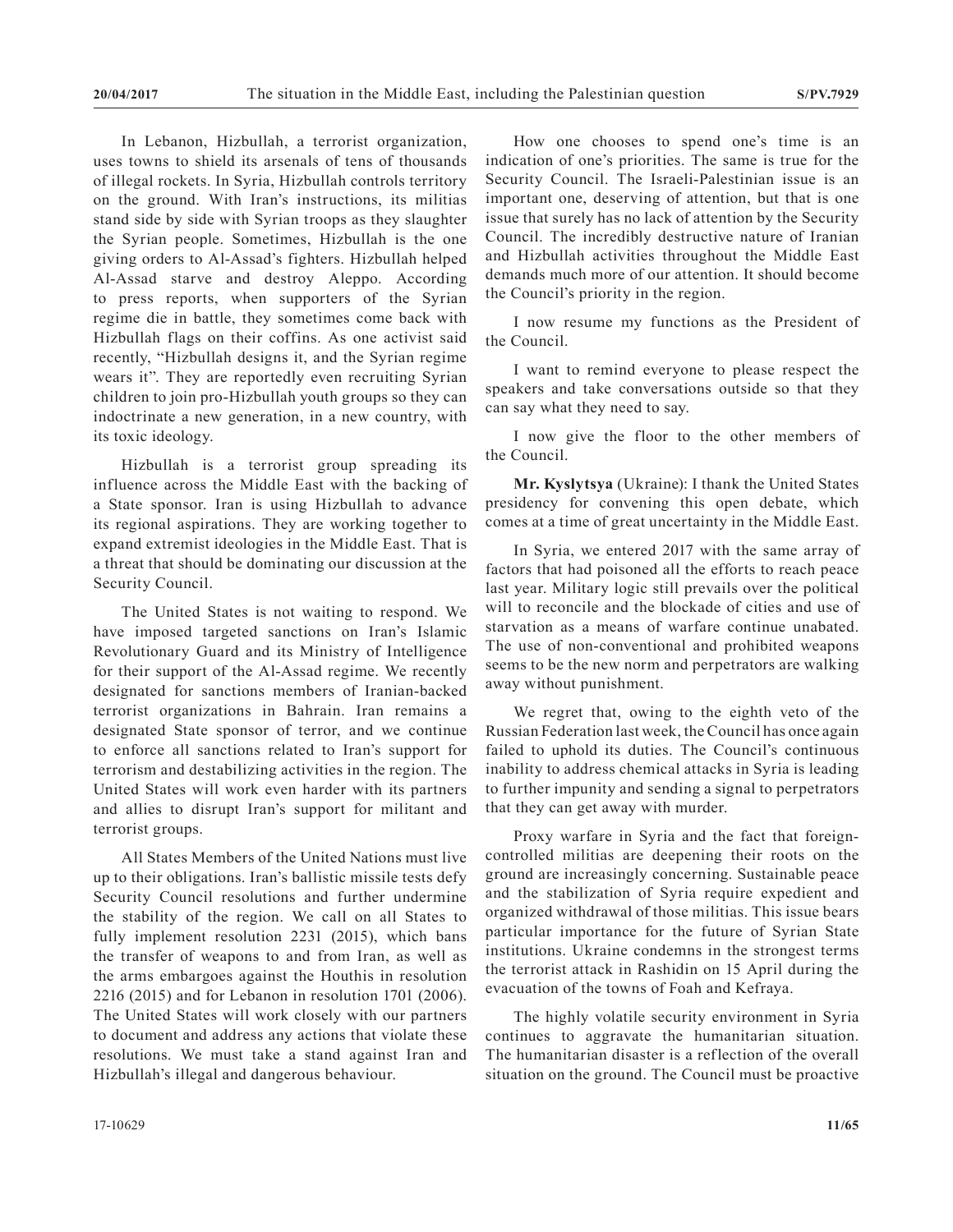In Lebanon, Hizbullah, a terrorist organization, uses towns to shield its arsenals of tens of thousands of illegal rockets. In Syria, Hizbullah controls territory on the ground. With Iran's instructions, its militias stand side by side with Syrian troops as they slaughter the Syrian people. Sometimes, Hizbullah is the one giving orders to Al-Assad's fighters. Hizbullah helped Al-Assad starve and destroy Aleppo. According to press reports, when supporters of the Syrian regime die in battle, they sometimes come back with Hizbullah flags on their coffins. As one activist said recently, "Hizbullah designs it, and the Syrian regime wears it". They are reportedly even recruiting Syrian children to join pro-Hizbullah youth groups so they can indoctrinate a new generation, in a new country, with its toxic ideology.

Hizbullah is a terrorist group spreading its influence across the Middle East with the backing of a State sponsor. Iran is using Hizbullah to advance its regional aspirations. They are working together to expand extremist ideologies in the Middle East. That is a threat that should be dominating our discussion at the Security Council.

The United States is not waiting to respond. We have imposed targeted sanctions on Iran's Islamic Revolutionary Guard and its Ministry of Intelligence for their support of the Al-Assad regime. We recently designated for sanctions members of Iranian-backed terrorist organizations in Bahrain. Iran remains a designated State sponsor of terror, and we continue to enforce all sanctions related to Iran's support for terrorism and destabilizing activities in the region. The United States will work even harder with its partners and allies to disrupt Iran's support for militant and terrorist groups.

All States Members of the United Nations must live up to their obligations. Iran's ballistic missile tests defy Security Council resolutions and further undermine the stability of the region. We call on all States to fully implement resolution 2231 (2015), which bans the transfer of weapons to and from Iran, as well as the arms embargoes against the Houthis in resolution 2216 (2015) and for Lebanon in resolution 1701 (2006). The United States will work closely with our partners to document and address any actions that violate these resolutions. We must take a stand against Iran and Hizbullah's illegal and dangerous behaviour.

How one chooses to spend one's time is an indication of one's priorities. The same is true for the Security Council. The Israeli-Palestinian issue is an important one, deserving of attention, but that is one issue that surely has no lack of attention by the Security Council. The incredibly destructive nature of Iranian and Hizbullah activities throughout the Middle East demands much more of our attention. It should become the Council's priority in the region.

I now resume my functions as the President of the Council.

I want to remind everyone to please respect the speakers and take conversations outside so that they can say what they need to say.

I now give the floor to the other members of the Council.

**Mr. Kyslytsya** (Ukraine): I thank the United States presidency for convening this open debate, which comes at a time of great uncertainty in the Middle East.

In Syria, we entered 2017 with the same array of factors that had poisoned all the efforts to reach peace last year. Military logic still prevails over the political will to reconcile and the blockade of cities and use of starvation as a means of warfare continue unabated. The use of non-conventional and prohibited weapons seems to be the new norm and perpetrators are walking away without punishment.

We regret that, owing to the eighth veto of the Russian Federation last week, the Council has once again failed to uphold its duties. The Council's continuous inability to address chemical attacks in Syria is leading to further impunity and sending a signal to perpetrators that they can get away with murder.

Proxy warfare in Syria and the fact that foreigncontrolled militias are deepening their roots on the ground are increasingly concerning. Sustainable peace and the stabilization of Syria require expedient and organized withdrawal of those militias. This issue bears particular importance for the future of Syrian State institutions. Ukraine condemns in the strongest terms the terrorist attack in Rashidin on 15 April during the evacuation of the towns of Foah and Kefraya.

The highly volatile security environment in Syria continues to aggravate the humanitarian situation. The humanitarian disaster is a reflection of the overall situation on the ground. The Council must be proactive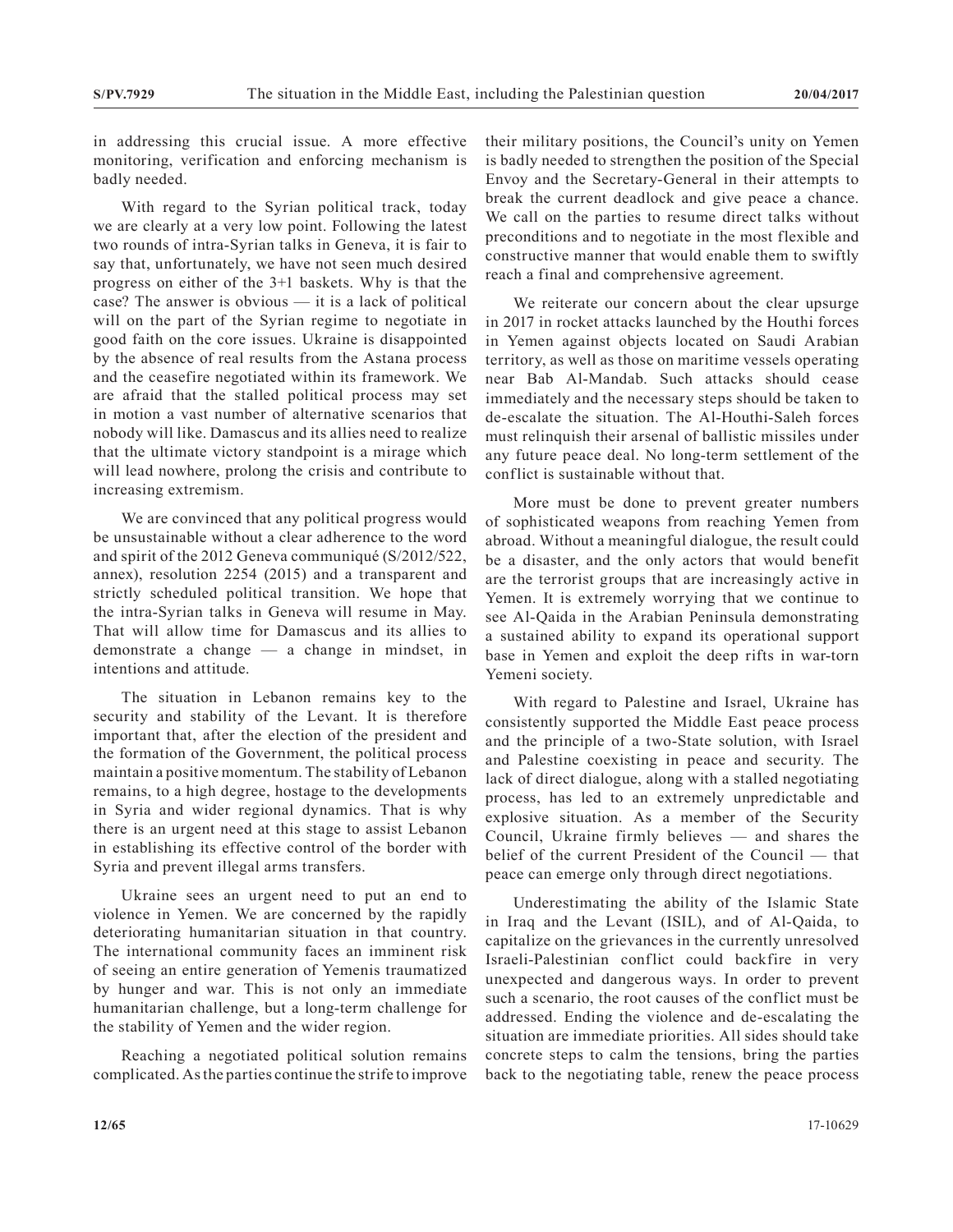in addressing this crucial issue. A more effective monitoring, verification and enforcing mechanism is badly needed.

With regard to the Syrian political track, today we are clearly at a very low point. Following the latest two rounds of intra-Syrian talks in Geneva, it is fair to say that, unfortunately, we have not seen much desired progress on either of the 3+1 baskets. Why is that the case? The answer is obvious — it is a lack of political will on the part of the Syrian regime to negotiate in good faith on the core issues. Ukraine is disappointed by the absence of real results from the Astana process and the ceasefire negotiated within its framework. We are afraid that the stalled political process may set in motion a vast number of alternative scenarios that nobody will like. Damascus and its allies need to realize that the ultimate victory standpoint is a mirage which will lead nowhere, prolong the crisis and contribute to increasing extremism.

We are convinced that any political progress would be unsustainable without a clear adherence to the word and spirit of the 2012 Geneva communiqué (S/2012/522, annex), resolution 2254 (2015) and a transparent and strictly scheduled political transition. We hope that the intra-Syrian talks in Geneva will resume in May. That will allow time for Damascus and its allies to demonstrate a change — a change in mindset, in intentions and attitude.

The situation in Lebanon remains key to the security and stability of the Levant. It is therefore important that, after the election of the president and the formation of the Government, the political process maintain a positive momentum. The stability of Lebanon remains, to a high degree, hostage to the developments in Syria and wider regional dynamics. That is why there is an urgent need at this stage to assist Lebanon in establishing its effective control of the border with Syria and prevent illegal arms transfers.

Ukraine sees an urgent need to put an end to violence in Yemen. We are concerned by the rapidly deteriorating humanitarian situation in that country. The international community faces an imminent risk of seeing an entire generation of Yemenis traumatized by hunger and war. This is not only an immediate humanitarian challenge, but a long-term challenge for the stability of Yemen and the wider region.

Reaching a negotiated political solution remains complicated. As the parties continue the strife to improve their military positions, the Council's unity on Yemen is badly needed to strengthen the position of the Special Envoy and the Secretary-General in their attempts to break the current deadlock and give peace a chance. We call on the parties to resume direct talks without preconditions and to negotiate in the most flexible and constructive manner that would enable them to swiftly reach a final and comprehensive agreement.

We reiterate our concern about the clear upsurge in 2017 in rocket attacks launched by the Houthi forces in Yemen against objects located on Saudi Arabian territory, as well as those on maritime vessels operating near Bab Al-Mandab. Such attacks should cease immediately and the necessary steps should be taken to de-escalate the situation. The Al-Houthi-Saleh forces must relinquish their arsenal of ballistic missiles under any future peace deal. No long-term settlement of the conflict is sustainable without that.

More must be done to prevent greater numbers of sophisticated weapons from reaching Yemen from abroad. Without a meaningful dialogue, the result could be a disaster, and the only actors that would benefit are the terrorist groups that are increasingly active in Yemen. It is extremely worrying that we continue to see Al-Qaida in the Arabian Peninsula demonstrating a sustained ability to expand its operational support base in Yemen and exploit the deep rifts in war-torn Yemeni society.

With regard to Palestine and Israel, Ukraine has consistently supported the Middle East peace process and the principle of a two-State solution, with Israel and Palestine coexisting in peace and security. The lack of direct dialogue, along with a stalled negotiating process, has led to an extremely unpredictable and explosive situation. As a member of the Security Council, Ukraine firmly believes — and shares the belief of the current President of the Council — that peace can emerge only through direct negotiations.

Underestimating the ability of the Islamic State in Iraq and the Levant (ISIL), and of Al-Qaida, to capitalize on the grievances in the currently unresolved Israeli-Palestinian conflict could backfire in very unexpected and dangerous ways. In order to prevent such a scenario, the root causes of the conflict must be addressed. Ending the violence and de-escalating the situation are immediate priorities. All sides should take concrete steps to calm the tensions, bring the parties back to the negotiating table, renew the peace process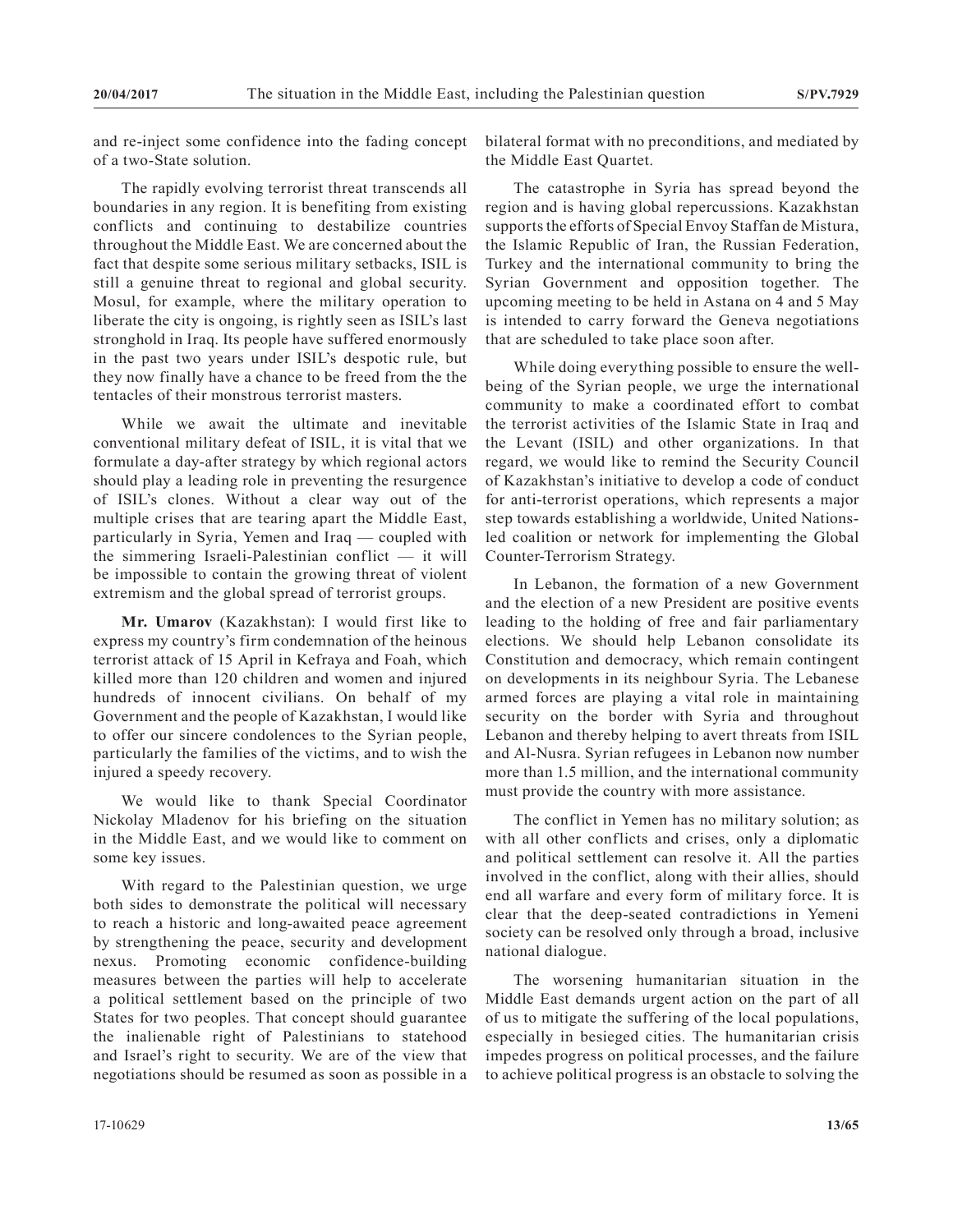and re-inject some confidence into the fading concept of a two-State solution.

The rapidly evolving terrorist threat transcends all boundaries in any region. It is benefiting from existing conflicts and continuing to destabilize countries throughout the Middle East. We are concerned about the fact that despite some serious military setbacks, ISIL is still a genuine threat to regional and global security. Mosul, for example, where the military operation to liberate the city is ongoing, is rightly seen as ISIL's last stronghold in Iraq. Its people have suffered enormously in the past two years under ISIL's despotic rule, but they now finally have a chance to be freed from the the tentacles of their monstrous terrorist masters.

While we await the ultimate and inevitable conventional military defeat of ISIL, it is vital that we formulate a day-after strategy by which regional actors should play a leading role in preventing the resurgence of ISIL's clones. Without a clear way out of the multiple crises that are tearing apart the Middle East, particularly in Syria, Yemen and Iraq — coupled with the simmering Israeli-Palestinian conflict — it will be impossible to contain the growing threat of violent extremism and the global spread of terrorist groups.

**Mr. Umarov** (Kazakhstan): I would first like to express my country's firm condemnation of the heinous terrorist attack of 15 April in Kefraya and Foah, which killed more than 120 children and women and injured hundreds of innocent civilians. On behalf of my Government and the people of Kazakhstan, I would like to offer our sincere condolences to the Syrian people, particularly the families of the victims, and to wish the injured a speedy recovery.

We would like to thank Special Coordinator Nickolay Mladenov for his briefing on the situation in the Middle East, and we would like to comment on some key issues.

With regard to the Palestinian question, we urge both sides to demonstrate the political will necessary to reach a historic and long-awaited peace agreement by strengthening the peace, security and development nexus. Promoting economic confidence-building measures between the parties will help to accelerate a political settlement based on the principle of two States for two peoples. That concept should guarantee the inalienable right of Palestinians to statehood and Israel's right to security. We are of the view that negotiations should be resumed as soon as possible in a

The catastrophe in Syria has spread beyond the region and is having global repercussions. Kazakhstan supports the efforts of Special Envoy Staffan de Mistura, the Islamic Republic of Iran, the Russian Federation, Turkey and the international community to bring the Syrian Government and opposition together. The upcoming meeting to be held in Astana on 4 and 5 May is intended to carry forward the Geneva negotiations that are scheduled to take place soon after.

While doing everything possible to ensure the wellbeing of the Syrian people, we urge the international community to make a coordinated effort to combat the terrorist activities of the Islamic State in Iraq and the Levant (ISIL) and other organizations. In that regard, we would like to remind the Security Council of Kazakhstan's initiative to develop a code of conduct for anti-terrorist operations, which represents a major step towards establishing a worldwide, United Nationsled coalition or network for implementing the Global Counter-Terrorism Strategy.

In Lebanon, the formation of a new Government and the election of a new President are positive events leading to the holding of free and fair parliamentary elections. We should help Lebanon consolidate its Constitution and democracy, which remain contingent on developments in its neighbour Syria. The Lebanese armed forces are playing a vital role in maintaining security on the border with Syria and throughout Lebanon and thereby helping to avert threats from ISIL and Al-Nusra. Syrian refugees in Lebanon now number more than 1.5 million, and the international community must provide the country with more assistance.

The conflict in Yemen has no military solution; as with all other conflicts and crises, only a diplomatic and political settlement can resolve it. All the parties involved in the conflict, along with their allies, should end all warfare and every form of military force. It is clear that the deep-seated contradictions in Yemeni society can be resolved only through a broad, inclusive national dialogue.

The worsening humanitarian situation in the Middle East demands urgent action on the part of all of us to mitigate the suffering of the local populations, especially in besieged cities. The humanitarian crisis impedes progress on political processes, and the failure to achieve political progress is an obstacle to solving the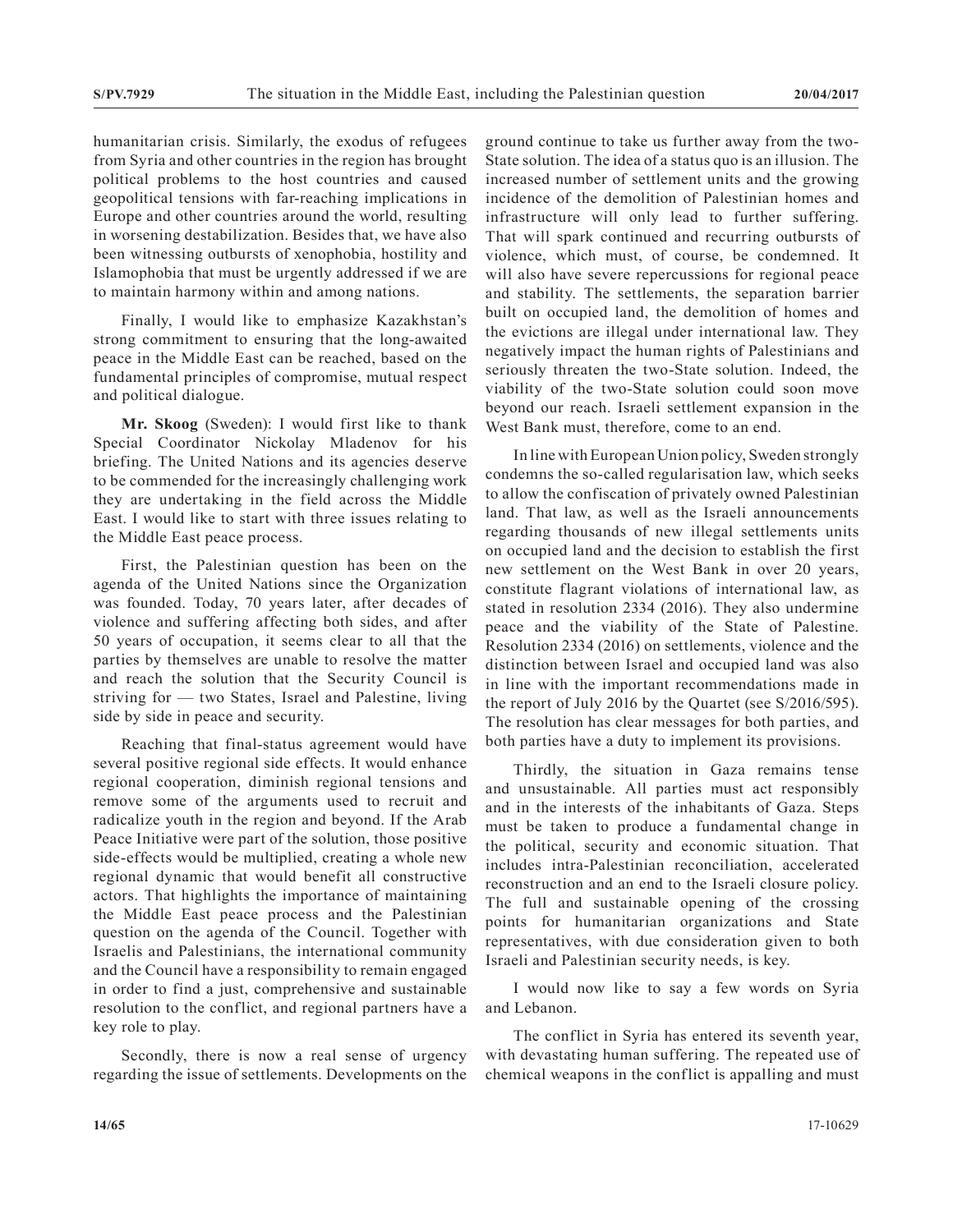humanitarian crisis. Similarly, the exodus of refugees from Syria and other countries in the region has brought political problems to the host countries and caused geopolitical tensions with far-reaching implications in Europe and other countries around the world, resulting in worsening destabilization. Besides that, we have also been witnessing outbursts of xenophobia, hostility and Islamophobia that must be urgently addressed if we are to maintain harmony within and among nations.

Finally, I would like to emphasize Kazakhstan's strong commitment to ensuring that the long-awaited peace in the Middle East can be reached, based on the fundamental principles of compromise, mutual respect and political dialogue.

**Mr. Skoog** (Sweden): I would first like to thank Special Coordinator Nickolay Mladenov for his briefing. The United Nations and its agencies deserve to be commended for the increasingly challenging work they are undertaking in the field across the Middle East. I would like to start with three issues relating to the Middle East peace process.

First, the Palestinian question has been on the agenda of the United Nations since the Organization was founded. Today, 70 years later, after decades of violence and suffering affecting both sides, and after 50 years of occupation, it seems clear to all that the parties by themselves are unable to resolve the matter and reach the solution that the Security Council is striving for — two States, Israel and Palestine, living side by side in peace and security.

Reaching that final-status agreement would have several positive regional side effects. It would enhance regional cooperation, diminish regional tensions and remove some of the arguments used to recruit and radicalize youth in the region and beyond. If the Arab Peace Initiative were part of the solution, those positive side-effects would be multiplied, creating a whole new regional dynamic that would benefit all constructive actors. That highlights the importance of maintaining the Middle East peace process and the Palestinian question on the agenda of the Council. Together with Israelis and Palestinians, the international community and the Council have a responsibility to remain engaged in order to find a just, comprehensive and sustainable resolution to the conflict, and regional partners have a key role to play.

Secondly, there is now a real sense of urgency regarding the issue of settlements. Developments on the ground continue to take us further away from the two-State solution. The idea of a status quo is an illusion. The increased number of settlement units and the growing incidence of the demolition of Palestinian homes and infrastructure will only lead to further suffering. That will spark continued and recurring outbursts of violence, which must, of course, be condemned. It will also have severe repercussions for regional peace and stability. The settlements, the separation barrier built on occupied land, the demolition of homes and the evictions are illegal under international law. They negatively impact the human rights of Palestinians and seriously threaten the two-State solution. Indeed, the viability of the two-State solution could soon move beyond our reach. Israeli settlement expansion in the West Bank must, therefore, come to an end.

In line with European Union policy, Sweden strongly condemns the so-called regularisation law, which seeks to allow the confiscation of privately owned Palestinian land. That law, as well as the Israeli announcements regarding thousands of new illegal settlements units on occupied land and the decision to establish the first new settlement on the West Bank in over 20 years, constitute flagrant violations of international law, as stated in resolution 2334 (2016). They also undermine peace and the viability of the State of Palestine. Resolution 2334 (2016) on settlements, violence and the distinction between Israel and occupied land was also in line with the important recommendations made in the report of July 2016 by the Quartet (see S/2016/595). The resolution has clear messages for both parties, and both parties have a duty to implement its provisions.

Thirdly, the situation in Gaza remains tense and unsustainable. All parties must act responsibly and in the interests of the inhabitants of Gaza. Steps must be taken to produce a fundamental change in the political, security and economic situation. That includes intra-Palestinian reconciliation, accelerated reconstruction and an end to the Israeli closure policy. The full and sustainable opening of the crossing points for humanitarian organizations and State representatives, with due consideration given to both Israeli and Palestinian security needs, is key.

I would now like to say a few words on Syria and Lebanon.

The conflict in Syria has entered its seventh year, with devastating human suffering. The repeated use of chemical weapons in the conflict is appalling and must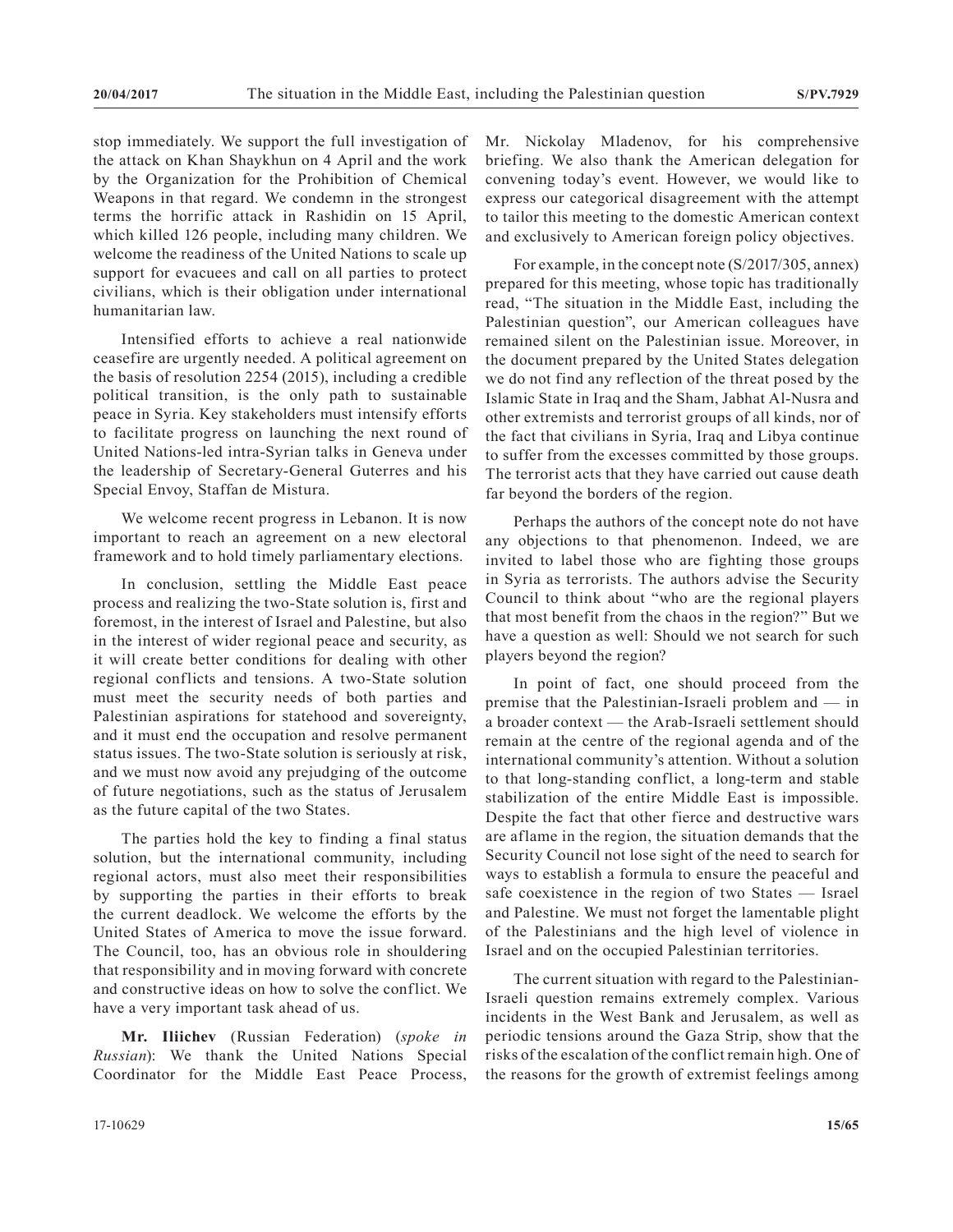stop immediately. We support the full investigation of the attack on Khan Shaykhun on 4 April and the work by the Organization for the Prohibition of Chemical Weapons in that regard. We condemn in the strongest terms the horrific attack in Rashidin on 15 April, which killed 126 people, including many children. We welcome the readiness of the United Nations to scale up support for evacuees and call on all parties to protect civilians, which is their obligation under international humanitarian law.

Intensified efforts to achieve a real nationwide ceasefire are urgently needed. A political agreement on the basis of resolution 2254 (2015), including a credible political transition, is the only path to sustainable peace in Syria. Key stakeholders must intensify efforts to facilitate progress on launching the next round of United Nations-led intra-Syrian talks in Geneva under the leadership of Secretary-General Guterres and his Special Envoy, Staffan de Mistura.

We welcome recent progress in Lebanon. It is now important to reach an agreement on a new electoral framework and to hold timely parliamentary elections.

In conclusion, settling the Middle East peace process and realizing the two-State solution is, first and foremost, in the interest of Israel and Palestine, but also in the interest of wider regional peace and security, as it will create better conditions for dealing with other regional conflicts and tensions. A two-State solution must meet the security needs of both parties and Palestinian aspirations for statehood and sovereignty, and it must end the occupation and resolve permanent status issues. The two-State solution is seriously at risk, and we must now avoid any prejudging of the outcome of future negotiations, such as the status of Jerusalem as the future capital of the two States.

The parties hold the key to finding a final status solution, but the international community, including regional actors, must also meet their responsibilities by supporting the parties in their efforts to break the current deadlock. We welcome the efforts by the United States of America to move the issue forward. The Council, too, has an obvious role in shouldering that responsibility and in moving forward with concrete and constructive ideas on how to solve the conflict. We have a very important task ahead of us.

**Mr. Iliichev** (Russian Federation) (*spoke in Russian*): We thank the United Nations Special Coordinator for the Middle East Peace Process, Mr. Nickolay Mladenov, for his comprehensive briefing. We also thank the American delegation for convening today's event. However, we would like to express our categorical disagreement with the attempt to tailor this meeting to the domestic American context and exclusively to American foreign policy objectives.

For example, in the concept note (S/2017/305, annex) prepared for this meeting, whose topic has traditionally read, "The situation in the Middle East, including the Palestinian question", our American colleagues have remained silent on the Palestinian issue. Moreover, in the document prepared by the United States delegation we do not find any reflection of the threat posed by the Islamic State in Iraq and the Sham, Jabhat Al-Nusra and other extremists and terrorist groups of all kinds, nor of the fact that civilians in Syria, Iraq and Libya continue to suffer from the excesses committed by those groups. The terrorist acts that they have carried out cause death far beyond the borders of the region.

Perhaps the authors of the concept note do not have any objections to that phenomenon. Indeed, we are invited to label those who are fighting those groups in Syria as terrorists. The authors advise the Security Council to think about "who are the regional players that most benefit from the chaos in the region?" But we have a question as well: Should we not search for such players beyond the region?

In point of fact, one should proceed from the premise that the Palestinian-Israeli problem and — in a broader context — the Arab-Israeli settlement should remain at the centre of the regional agenda and of the international community's attention. Without a solution to that long-standing conflict, a long-term and stable stabilization of the entire Middle East is impossible. Despite the fact that other fierce and destructive wars are aflame in the region, the situation demands that the Security Council not lose sight of the need to search for ways to establish a formula to ensure the peaceful and safe coexistence in the region of two States — Israel and Palestine. We must not forget the lamentable plight of the Palestinians and the high level of violence in Israel and on the occupied Palestinian territories.

The current situation with regard to the Palestinian-Israeli question remains extremely complex. Various incidents in the West Bank and Jerusalem, as well as periodic tensions around the Gaza Strip, show that the risks of the escalation of the conflict remain high. One of the reasons for the growth of extremist feelings among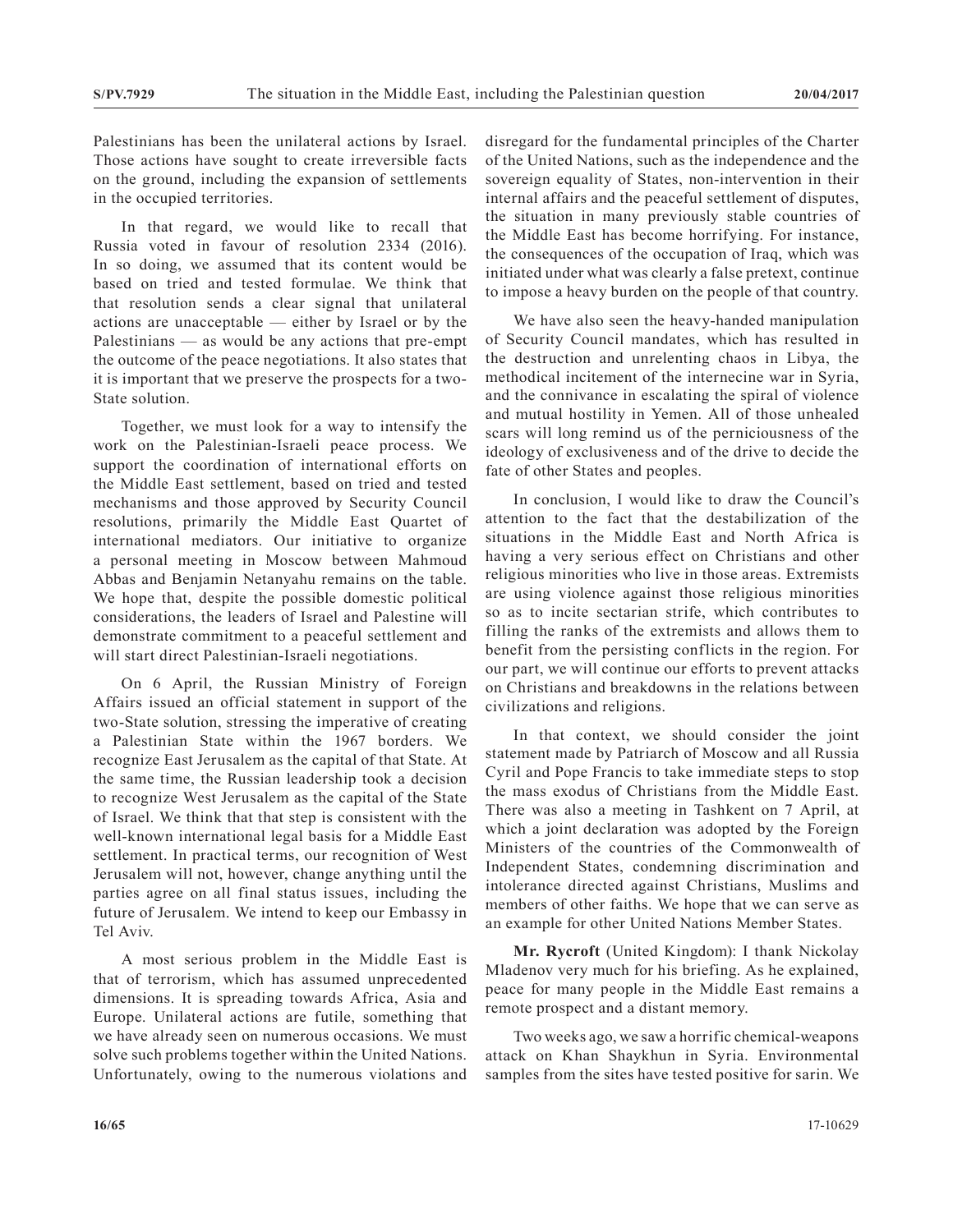Palestinians has been the unilateral actions by Israel. Those actions have sought to create irreversible facts on the ground, including the expansion of settlements in the occupied territories.

In that regard, we would like to recall that Russia voted in favour of resolution 2334 (2016). In so doing, we assumed that its content would be based on tried and tested formulae. We think that that resolution sends a clear signal that unilateral actions are unacceptable — either by Israel or by the Palestinians — as would be any actions that pre-empt the outcome of the peace negotiations. It also states that it is important that we preserve the prospects for a two-State solution.

Together, we must look for a way to intensify the work on the Palestinian-Israeli peace process. We support the coordination of international efforts on the Middle East settlement, based on tried and tested mechanisms and those approved by Security Council resolutions, primarily the Middle East Quartet of international mediators. Our initiative to organize a personal meeting in Moscow between Mahmoud Abbas and Benjamin Netanyahu remains on the table. We hope that, despite the possible domestic political considerations, the leaders of Israel and Palestine will demonstrate commitment to a peaceful settlement and will start direct Palestinian-Israeli negotiations.

On 6 April, the Russian Ministry of Foreign Affairs issued an official statement in support of the two-State solution, stressing the imperative of creating a Palestinian State within the 1967 borders. We recognize East Jerusalem as the capital of that State. At the same time, the Russian leadership took a decision to recognize West Jerusalem as the capital of the State of Israel. We think that that step is consistent with the well-known international legal basis for a Middle East settlement. In practical terms, our recognition of West Jerusalem will not, however, change anything until the parties agree on all final status issues, including the future of Jerusalem. We intend to keep our Embassy in Tel Aviv.

A most serious problem in the Middle East is that of terrorism, which has assumed unprecedented dimensions. It is spreading towards Africa, Asia and Europe. Unilateral actions are futile, something that we have already seen on numerous occasions. We must solve such problems together within the United Nations. Unfortunately, owing to the numerous violations and

disregard for the fundamental principles of the Charter of the United Nations, such as the independence and the sovereign equality of States, non-intervention in their internal affairs and the peaceful settlement of disputes, the situation in many previously stable countries of the Middle East has become horrifying. For instance, the consequences of the occupation of Iraq, which was initiated under what was clearly a false pretext, continue to impose a heavy burden on the people of that country.

We have also seen the heavy-handed manipulation of Security Council mandates, which has resulted in the destruction and unrelenting chaos in Libya, the methodical incitement of the internecine war in Syria, and the connivance in escalating the spiral of violence and mutual hostility in Yemen. All of those unhealed scars will long remind us of the perniciousness of the ideology of exclusiveness and of the drive to decide the fate of other States and peoples.

In conclusion, I would like to draw the Council's attention to the fact that the destabilization of the situations in the Middle East and North Africa is having a very serious effect on Christians and other religious minorities who live in those areas. Extremists are using violence against those religious minorities so as to incite sectarian strife, which contributes to filling the ranks of the extremists and allows them to benefit from the persisting conflicts in the region. For our part, we will continue our efforts to prevent attacks on Christians and breakdowns in the relations between civilizations and religions.

In that context, we should consider the joint statement made by Patriarch of Moscow and all Russia Cyril and Pope Francis to take immediate steps to stop the mass exodus of Christians from the Middle East. There was also a meeting in Tashkent on 7 April, at which a joint declaration was adopted by the Foreign Ministers of the countries of the Commonwealth of Independent States, condemning discrimination and intolerance directed against Christians, Muslims and members of other faiths. We hope that we can serve as an example for other United Nations Member States.

**Mr. Rycroft** (United Kingdom): I thank Nickolay Mladenov very much for his briefing. As he explained, peace for many people in the Middle East remains a remote prospect and a distant memory.

Two weeks ago, we saw a horrific chemical-weapons attack on Khan Shaykhun in Syria. Environmental samples from the sites have tested positive for sarin. We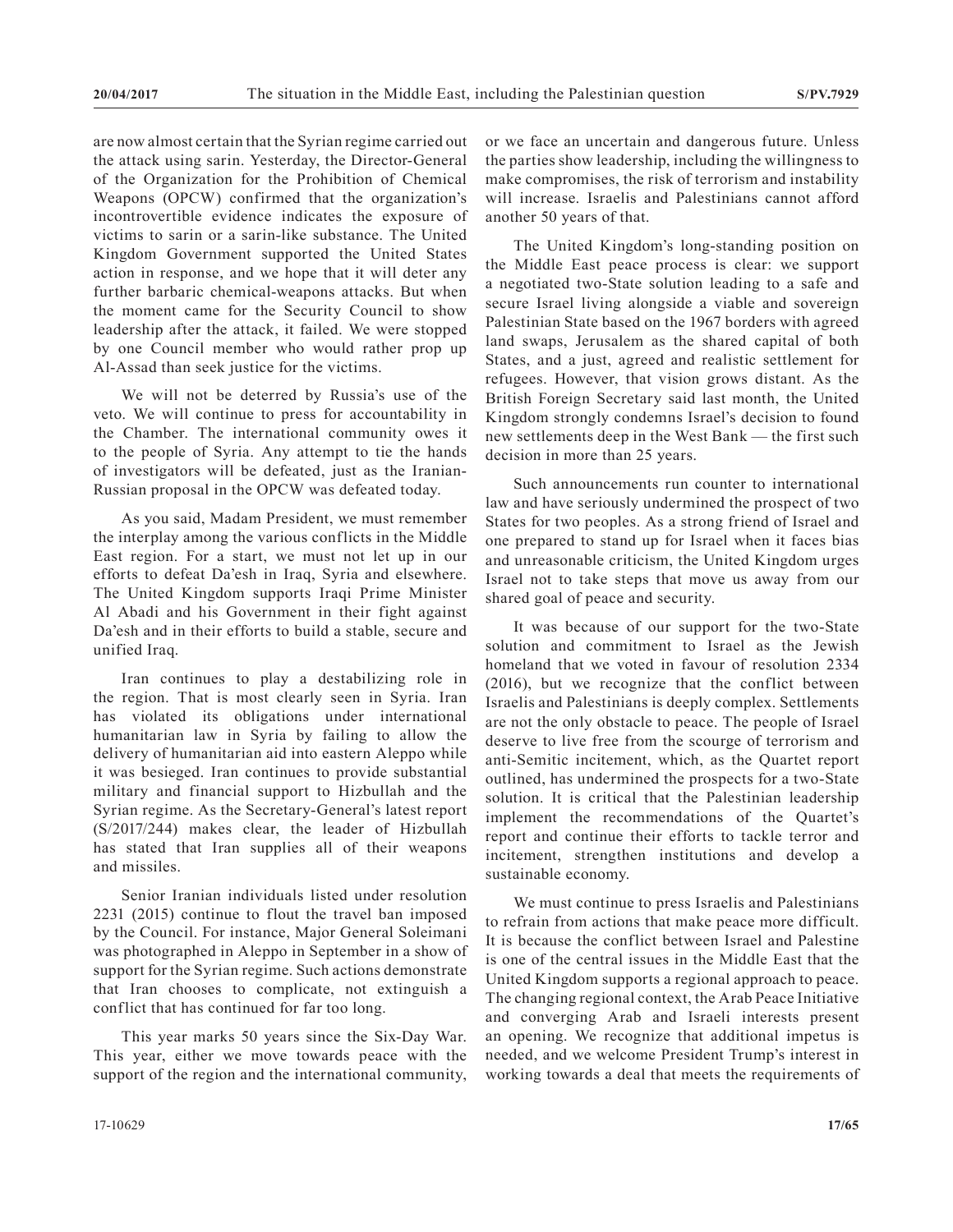are now almost certain that the Syrian regime carried out the attack using sarin. Yesterday, the Director-General of the Organization for the Prohibition of Chemical Weapons (OPCW) confirmed that the organization's incontrovertible evidence indicates the exposure of victims to sarin or a sarin-like substance. The United Kingdom Government supported the United States action in response, and we hope that it will deter any further barbaric chemical-weapons attacks. But when the moment came for the Security Council to show leadership after the attack, it failed. We were stopped by one Council member who would rather prop up Al-Assad than seek justice for the victims.

We will not be deterred by Russia's use of the veto. We will continue to press for accountability in the Chamber. The international community owes it to the people of Syria. Any attempt to tie the hands of investigators will be defeated, just as the Iranian-Russian proposal in the OPCW was defeated today.

As you said, Madam President, we must remember the interplay among the various conflicts in the Middle East region. For a start, we must not let up in our efforts to defeat Da'esh in Iraq, Syria and elsewhere. The United Kingdom supports Iraqi Prime Minister Al Abadi and his Government in their fight against Da'esh and in their efforts to build a stable, secure and unified Iraq.

Iran continues to play a destabilizing role in the region. That is most clearly seen in Syria. Iran has violated its obligations under international humanitarian law in Syria by failing to allow the delivery of humanitarian aid into eastern Aleppo while it was besieged. Iran continues to provide substantial military and financial support to Hizbullah and the Syrian regime. As the Secretary-General's latest report (S/2017/244) makes clear, the leader of Hizbullah has stated that Iran supplies all of their weapons and missiles.

Senior Iranian individuals listed under resolution 2231 (2015) continue to flout the travel ban imposed by the Council. For instance, Major General Soleimani was photographed in Aleppo in September in a show of support for the Syrian regime. Such actions demonstrate that Iran chooses to complicate, not extinguish a conflict that has continued for far too long.

This year marks 50 years since the Six-Day War. This year, either we move towards peace with the support of the region and the international community,

The United Kingdom's long-standing position on the Middle East peace process is clear: we support a negotiated two-State solution leading to a safe and secure Israel living alongside a viable and sovereign Palestinian State based on the 1967 borders with agreed land swaps, Jerusalem as the shared capital of both States, and a just, agreed and realistic settlement for refugees. However, that vision grows distant. As the British Foreign Secretary said last month, the United Kingdom strongly condemns Israel's decision to found new settlements deep in the West Bank — the first such decision in more than 25 years.

Such announcements run counter to international law and have seriously undermined the prospect of two States for two peoples. As a strong friend of Israel and one prepared to stand up for Israel when it faces bias and unreasonable criticism, the United Kingdom urges Israel not to take steps that move us away from our shared goal of peace and security.

It was because of our support for the two-State solution and commitment to Israel as the Jewish homeland that we voted in favour of resolution 2334 (2016), but we recognize that the conflict between Israelis and Palestinians is deeply complex. Settlements are not the only obstacle to peace. The people of Israel deserve to live free from the scourge of terrorism and anti-Semitic incitement, which, as the Quartet report outlined, has undermined the prospects for a two-State solution. It is critical that the Palestinian leadership implement the recommendations of the Quartet's report and continue their efforts to tackle terror and incitement, strengthen institutions and develop a sustainable economy.

We must continue to press Israelis and Palestinians to refrain from actions that make peace more difficult. It is because the conflict between Israel and Palestine is one of the central issues in the Middle East that the United Kingdom supports a regional approach to peace. The changing regional context, the Arab Peace Initiative and converging Arab and Israeli interests present an opening. We recognize that additional impetus is needed, and we welcome President Trump's interest in working towards a deal that meets the requirements of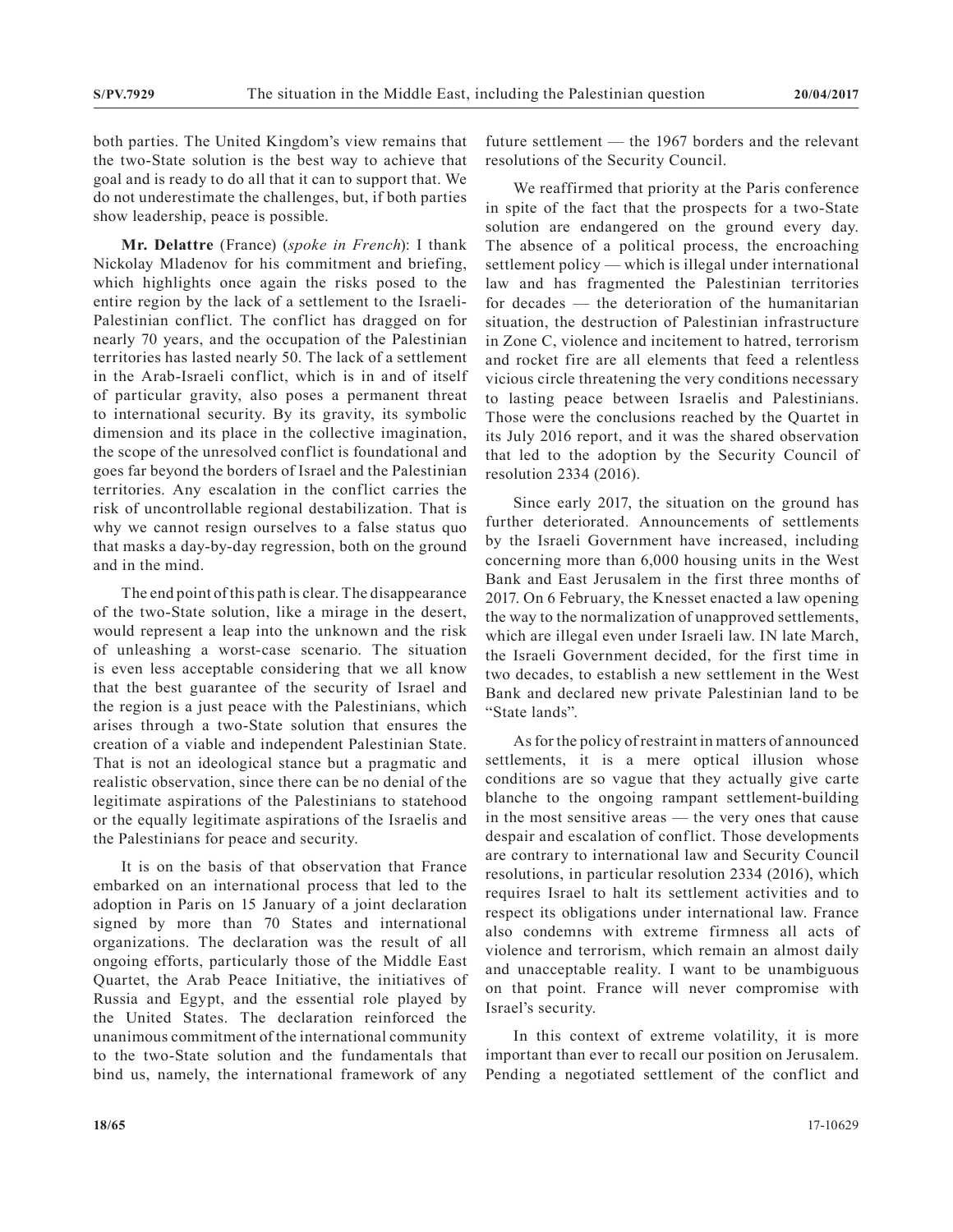both parties. The United Kingdom's view remains that the two-State solution is the best way to achieve that goal and is ready to do all that it can to support that. We do not underestimate the challenges, but, if both parties show leadership, peace is possible.

**Mr. Delattre** (France) (*spoke in French*): I thank Nickolay Mladenov for his commitment and briefing, which highlights once again the risks posed to the entire region by the lack of a settlement to the Israeli-Palestinian conflict. The conflict has dragged on for nearly 70 years, and the occupation of the Palestinian territories has lasted nearly 50. The lack of a settlement in the Arab-Israeli conflict, which is in and of itself of particular gravity, also poses a permanent threat to international security. By its gravity, its symbolic dimension and its place in the collective imagination, the scope of the unresolved conflict is foundational and goes far beyond the borders of Israel and the Palestinian territories. Any escalation in the conflict carries the risk of uncontrollable regional destabilization. That is why we cannot resign ourselves to a false status quo that masks a day-by-day regression, both on the ground and in the mind.

The end point of this path is clear. The disappearance of the two-State solution, like a mirage in the desert, would represent a leap into the unknown and the risk of unleashing a worst-case scenario. The situation is even less acceptable considering that we all know that the best guarantee of the security of Israel and the region is a just peace with the Palestinians, which arises through a two-State solution that ensures the creation of a viable and independent Palestinian State. That is not an ideological stance but a pragmatic and realistic observation, since there can be no denial of the legitimate aspirations of the Palestinians to statehood or the equally legitimate aspirations of the Israelis and the Palestinians for peace and security.

It is on the basis of that observation that France embarked on an international process that led to the adoption in Paris on 15 January of a joint declaration signed by more than 70 States and international organizations. The declaration was the result of all ongoing efforts, particularly those of the Middle East Quartet, the Arab Peace Initiative, the initiatives of Russia and Egypt, and the essential role played by the United States. The declaration reinforced the unanimous commitment of the international community to the two-State solution and the fundamentals that bind us, namely, the international framework of any

future settlement — the 1967 borders and the relevant resolutions of the Security Council.

We reaffirmed that priority at the Paris conference in spite of the fact that the prospects for a two-State solution are endangered on the ground every day. The absence of a political process, the encroaching settlement policy — which is illegal under international law and has fragmented the Palestinian territories for decades — the deterioration of the humanitarian situation, the destruction of Palestinian infrastructure in Zone C, violence and incitement to hatred, terrorism and rocket fire are all elements that feed a relentless vicious circle threatening the very conditions necessary to lasting peace between Israelis and Palestinians. Those were the conclusions reached by the Quartet in its July 2016 report, and it was the shared observation that led to the adoption by the Security Council of resolution 2334 (2016).

Since early 2017, the situation on the ground has further deteriorated. Announcements of settlements by the Israeli Government have increased, including concerning more than 6,000 housing units in the West Bank and East Jerusalem in the first three months of 2017. On 6 February, the Knesset enacted a law opening the way to the normalization of unapproved settlements, which are illegal even under Israeli law. IN late March, the Israeli Government decided, for the first time in two decades, to establish a new settlement in the West Bank and declared new private Palestinian land to be "State lands".

As for the policy of restraint in matters of announced settlements, it is a mere optical illusion whose conditions are so vague that they actually give carte blanche to the ongoing rampant settlement-building in the most sensitive areas — the very ones that cause despair and escalation of conflict. Those developments are contrary to international law and Security Council resolutions, in particular resolution 2334 (2016), which requires Israel to halt its settlement activities and to respect its obligations under international law. France also condemns with extreme firmness all acts of violence and terrorism, which remain an almost daily and unacceptable reality. I want to be unambiguous on that point. France will never compromise with Israel's security.

In this context of extreme volatility, it is more important than ever to recall our position on Jerusalem. Pending a negotiated settlement of the conflict and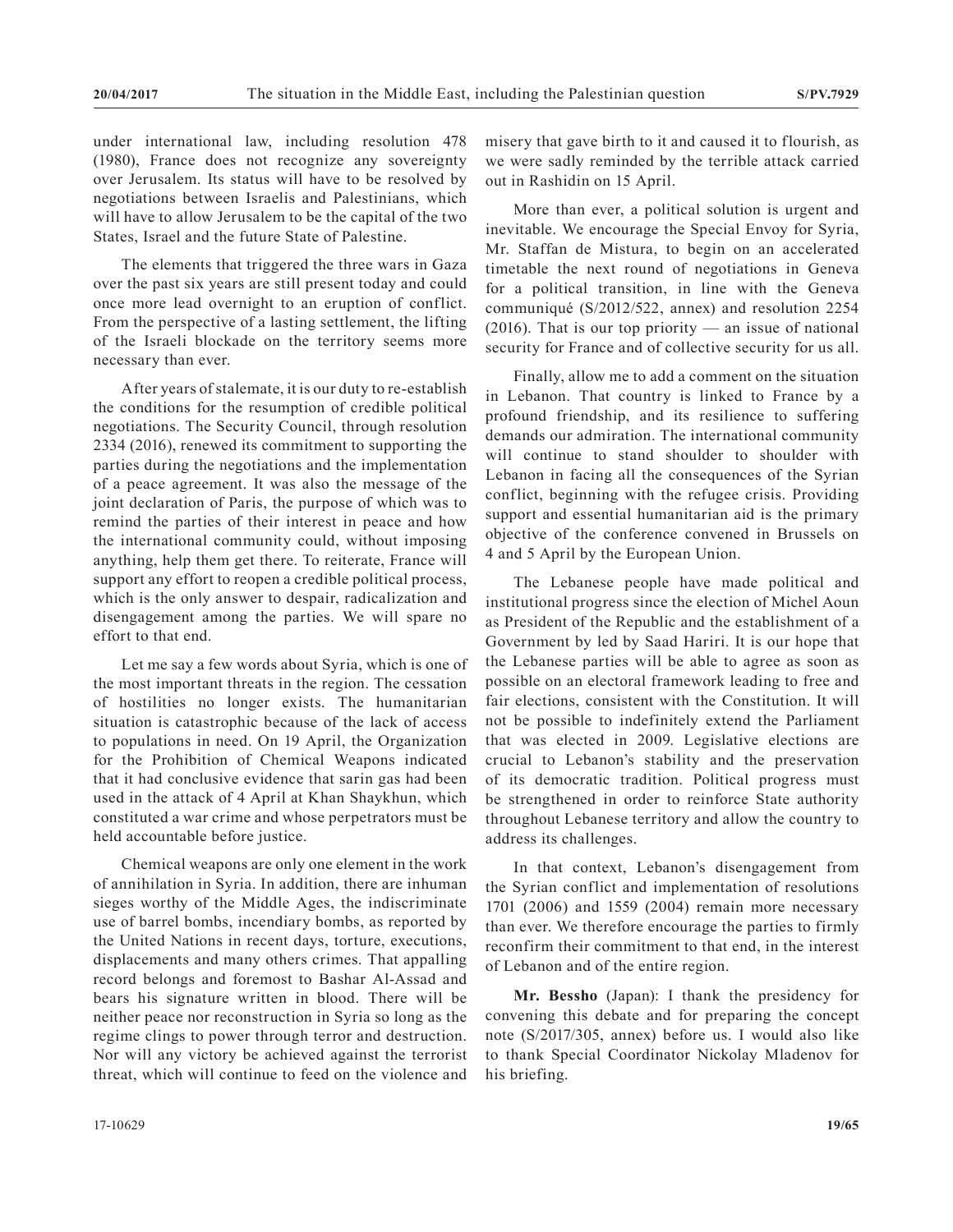under international law, including resolution 478 (1980), France does not recognize any sovereignty over Jerusalem. Its status will have to be resolved by negotiations between Israelis and Palestinians, which will have to allow Jerusalem to be the capital of the two States, Israel and the future State of Palestine.

The elements that triggered the three wars in Gaza over the past six years are still present today and could once more lead overnight to an eruption of conflict. From the perspective of a lasting settlement, the lifting of the Israeli blockade on the territory seems more necessary than ever.

After years of stalemate, it is our duty to re-establish the conditions for the resumption of credible political negotiations. The Security Council, through resolution 2334 (2016), renewed its commitment to supporting the parties during the negotiations and the implementation of a peace agreement. It was also the message of the joint declaration of Paris, the purpose of which was to remind the parties of their interest in peace and how the international community could, without imposing anything, help them get there. To reiterate, France will support any effort to reopen a credible political process, which is the only answer to despair, radicalization and disengagement among the parties. We will spare no effort to that end.

Let me say a few words about Syria, which is one of the most important threats in the region. The cessation of hostilities no longer exists. The humanitarian situation is catastrophic because of the lack of access to populations in need. On 19 April, the Organization for the Prohibition of Chemical Weapons indicated that it had conclusive evidence that sarin gas had been used in the attack of 4 April at Khan Shaykhun, which constituted a war crime and whose perpetrators must be held accountable before justice.

Chemical weapons are only one element in the work of annihilation in Syria. In addition, there are inhuman sieges worthy of the Middle Ages, the indiscriminate use of barrel bombs, incendiary bombs, as reported by the United Nations in recent days, torture, executions, displacements and many others crimes. That appalling record belongs and foremost to Bashar Al-Assad and bears his signature written in blood. There will be neither peace nor reconstruction in Syria so long as the regime clings to power through terror and destruction. Nor will any victory be achieved against the terrorist threat, which will continue to feed on the violence and

misery that gave birth to it and caused it to flourish, as we were sadly reminded by the terrible attack carried out in Rashidin on 15 April.

More than ever, a political solution is urgent and inevitable. We encourage the Special Envoy for Syria, Mr. Staffan de Mistura, to begin on an accelerated timetable the next round of negotiations in Geneva for a political transition, in line with the Geneva communiqué (S/2012/522, annex) and resolution 2254  $(2016)$ . That is our top priority — an issue of national security for France and of collective security for us all.

Finally, allow me to add a comment on the situation in Lebanon. That country is linked to France by a profound friendship, and its resilience to suffering demands our admiration. The international community will continue to stand shoulder to shoulder with Lebanon in facing all the consequences of the Syrian conflict, beginning with the refugee crisis. Providing support and essential humanitarian aid is the primary objective of the conference convened in Brussels on 4 and 5 April by the European Union.

The Lebanese people have made political and institutional progress since the election of Michel Aoun as President of the Republic and the establishment of a Government by led by Saad Hariri. It is our hope that the Lebanese parties will be able to agree as soon as possible on an electoral framework leading to free and fair elections, consistent with the Constitution. It will not be possible to indefinitely extend the Parliament that was elected in 2009. Legislative elections are crucial to Lebanon's stability and the preservation of its democratic tradition. Political progress must be strengthened in order to reinforce State authority throughout Lebanese territory and allow the country to address its challenges.

In that context, Lebanon's disengagement from the Syrian conflict and implementation of resolutions 1701 (2006) and 1559 (2004) remain more necessary than ever. We therefore encourage the parties to firmly reconfirm their commitment to that end, in the interest of Lebanon and of the entire region.

**Mr. Bessho** (Japan): I thank the presidency for convening this debate and for preparing the concept note (S/2017/305, annex) before us. I would also like to thank Special Coordinator Nickolay Mladenov for his briefing.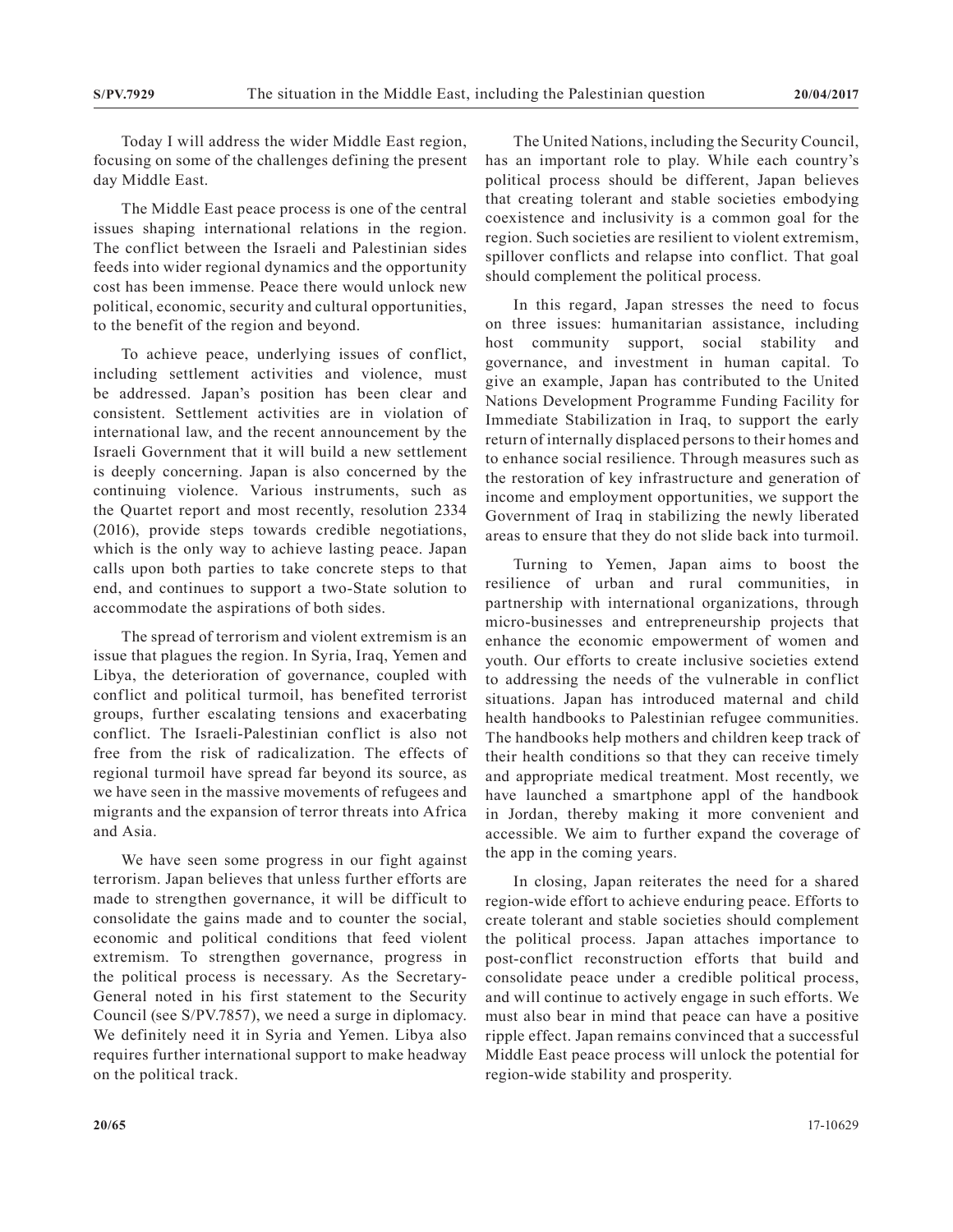Today I will address the wider Middle East region, focusing on some of the challenges defining the present day Middle East.

The Middle East peace process is one of the central issues shaping international relations in the region. The conflict between the Israeli and Palestinian sides feeds into wider regional dynamics and the opportunity cost has been immense. Peace there would unlock new political, economic, security and cultural opportunities, to the benefit of the region and beyond.

To achieve peace, underlying issues of conflict, including settlement activities and violence, must be addressed. Japan's position has been clear and consistent. Settlement activities are in violation of international law, and the recent announcement by the Israeli Government that it will build a new settlement is deeply concerning. Japan is also concerned by the continuing violence. Various instruments, such as the Quartet report and most recently, resolution 2334 (2016), provide steps towards credible negotiations, which is the only way to achieve lasting peace. Japan calls upon both parties to take concrete steps to that end, and continues to support a two-State solution to accommodate the aspirations of both sides.

The spread of terrorism and violent extremism is an issue that plagues the region. In Syria, Iraq, Yemen and Libya, the deterioration of governance, coupled with conflict and political turmoil, has benefited terrorist groups, further escalating tensions and exacerbating conflict. The Israeli-Palestinian conflict is also not free from the risk of radicalization. The effects of regional turmoil have spread far beyond its source, as we have seen in the massive movements of refugees and migrants and the expansion of terror threats into Africa and Asia.

We have seen some progress in our fight against terrorism. Japan believes that unless further efforts are made to strengthen governance, it will be difficult to consolidate the gains made and to counter the social, economic and political conditions that feed violent extremism. To strengthen governance, progress in the political process is necessary. As the Secretary-General noted in his first statement to the Security Council (see S/PV.7857), we need a surge in diplomacy. We definitely need it in Syria and Yemen. Libya also requires further international support to make headway on the political track.

The United Nations, including the Security Council, has an important role to play. While each country's political process should be different, Japan believes that creating tolerant and stable societies embodying coexistence and inclusivity is a common goal for the region. Such societies are resilient to violent extremism, spillover conflicts and relapse into conflict. That goal should complement the political process.

In this regard, Japan stresses the need to focus on three issues: humanitarian assistance, including host community support, social stability and governance, and investment in human capital. To give an example, Japan has contributed to the United Nations Development Programme Funding Facility for Immediate Stabilization in Iraq, to support the early return of internally displaced persons to their homes and to enhance social resilience. Through measures such as the restoration of key infrastructure and generation of income and employment opportunities, we support the Government of Iraq in stabilizing the newly liberated areas to ensure that they do not slide back into turmoil.

Turning to Yemen, Japan aims to boost the resilience of urban and rural communities, in partnership with international organizations, through micro-businesses and entrepreneurship projects that enhance the economic empowerment of women and youth. Our efforts to create inclusive societies extend to addressing the needs of the vulnerable in conflict situations. Japan has introduced maternal and child health handbooks to Palestinian refugee communities. The handbooks help mothers and children keep track of their health conditions so that they can receive timely and appropriate medical treatment. Most recently, we have launched a smartphone appl of the handbook in Jordan, thereby making it more convenient and accessible. We aim to further expand the coverage of the app in the coming years.

In closing, Japan reiterates the need for a shared region-wide effort to achieve enduring peace. Efforts to create tolerant and stable societies should complement the political process. Japan attaches importance to post-conflict reconstruction efforts that build and consolidate peace under a credible political process, and will continue to actively engage in such efforts. We must also bear in mind that peace can have a positive ripple effect. Japan remains convinced that a successful Middle East peace process will unlock the potential for region-wide stability and prosperity.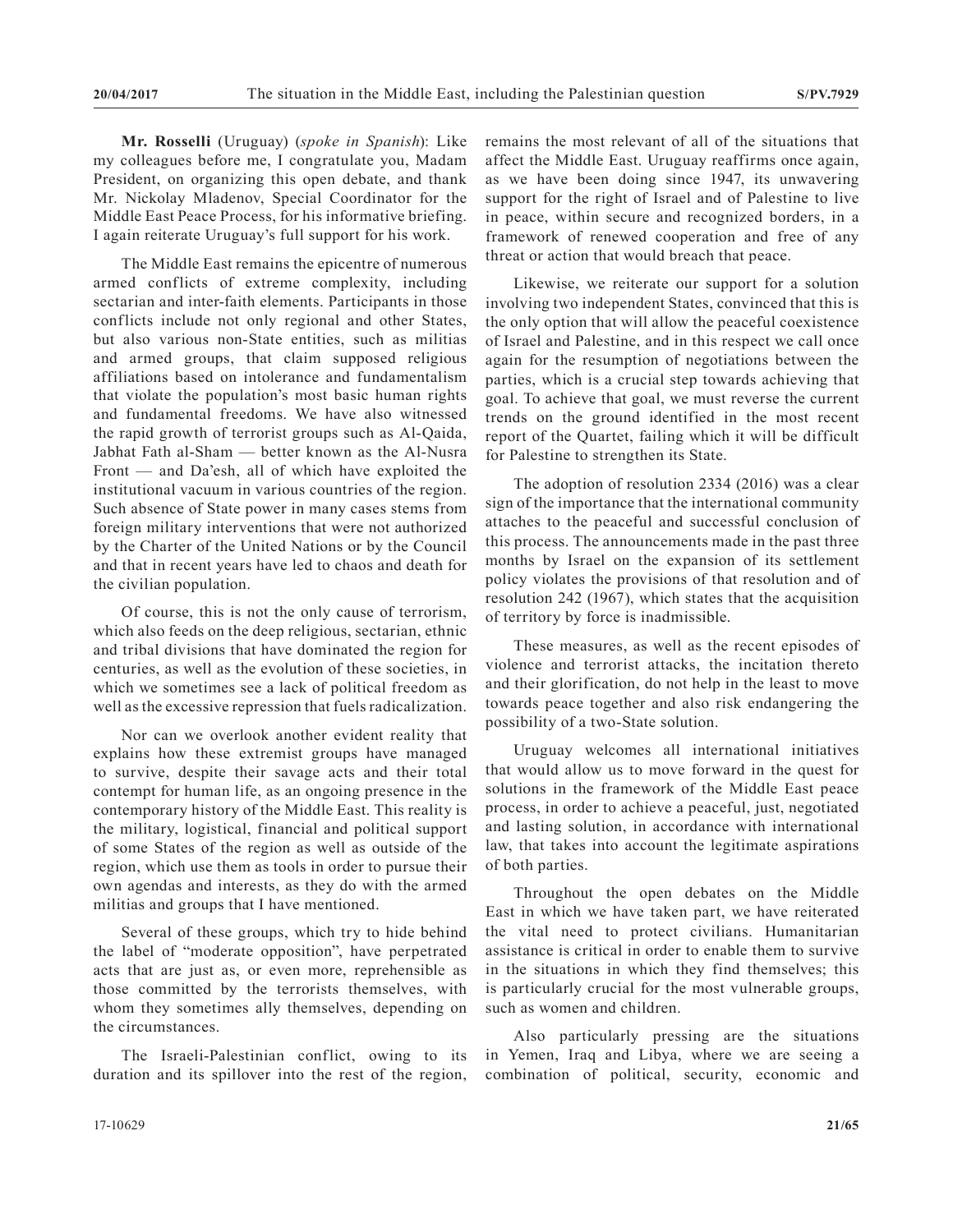**Mr. Rosselli** (Uruguay) (*spoke in Spanish*): Like my colleagues before me, I congratulate you, Madam President, on organizing this open debate, and thank Mr. Nickolay Mladenov, Special Coordinator for the Middle East Peace Process, for his informative briefing. I again reiterate Uruguay's full support for his work.

The Middle East remains the epicentre of numerous armed conflicts of extreme complexity, including sectarian and inter-faith elements. Participants in those conflicts include not only regional and other States, but also various non-State entities, such as militias and armed groups, that claim supposed religious affiliations based on intolerance and fundamentalism that violate the population's most basic human rights and fundamental freedoms. We have also witnessed the rapid growth of terrorist groups such as Al-Qaida, Jabhat Fath al-Sham — better known as the Al-Nusra Front — and Da'esh, all of which have exploited the institutional vacuum in various countries of the region. Such absence of State power in many cases stems from foreign military interventions that were not authorized by the Charter of the United Nations or by the Council and that in recent years have led to chaos and death for the civilian population.

Of course, this is not the only cause of terrorism, which also feeds on the deep religious, sectarian, ethnic and tribal divisions that have dominated the region for centuries, as well as the evolution of these societies, in which we sometimes see a lack of political freedom as well as the excessive repression that fuels radicalization.

Nor can we overlook another evident reality that explains how these extremist groups have managed to survive, despite their savage acts and their total contempt for human life, as an ongoing presence in the contemporary history of the Middle East. This reality is the military, logistical, financial and political support of some States of the region as well as outside of the region, which use them as tools in order to pursue their own agendas and interests, as they do with the armed militias and groups that I have mentioned.

Several of these groups, which try to hide behind the label of "moderate opposition", have perpetrated acts that are just as, or even more, reprehensible as those committed by the terrorists themselves, with whom they sometimes ally themselves, depending on the circumstances.

The Israeli-Palestinian conflict, owing to its duration and its spillover into the rest of the region, remains the most relevant of all of the situations that affect the Middle East. Uruguay reaffirms once again, as we have been doing since 1947, its unwavering support for the right of Israel and of Palestine to live in peace, within secure and recognized borders, in a framework of renewed cooperation and free of any threat or action that would breach that peace.

Likewise, we reiterate our support for a solution involving two independent States, convinced that this is the only option that will allow the peaceful coexistence of Israel and Palestine, and in this respect we call once again for the resumption of negotiations between the parties, which is a crucial step towards achieving that goal. To achieve that goal, we must reverse the current trends on the ground identified in the most recent report of the Quartet, failing which it will be difficult for Palestine to strengthen its State.

The adoption of resolution 2334 (2016) was a clear sign of the importance that the international community attaches to the peaceful and successful conclusion of this process. The announcements made in the past three months by Israel on the expansion of its settlement policy violates the provisions of that resolution and of resolution 242 (1967), which states that the acquisition of territory by force is inadmissible.

These measures, as well as the recent episodes of violence and terrorist attacks, the incitation thereto and their glorification, do not help in the least to move towards peace together and also risk endangering the possibility of a two-State solution.

Uruguay welcomes all international initiatives that would allow us to move forward in the quest for solutions in the framework of the Middle East peace process, in order to achieve a peaceful, just, negotiated and lasting solution, in accordance with international law, that takes into account the legitimate aspirations of both parties.

Throughout the open debates on the Middle East in which we have taken part, we have reiterated the vital need to protect civilians. Humanitarian assistance is critical in order to enable them to survive in the situations in which they find themselves; this is particularly crucial for the most vulnerable groups, such as women and children.

Also particularly pressing are the situations in Yemen, Iraq and Libya, where we are seeing a combination of political, security, economic and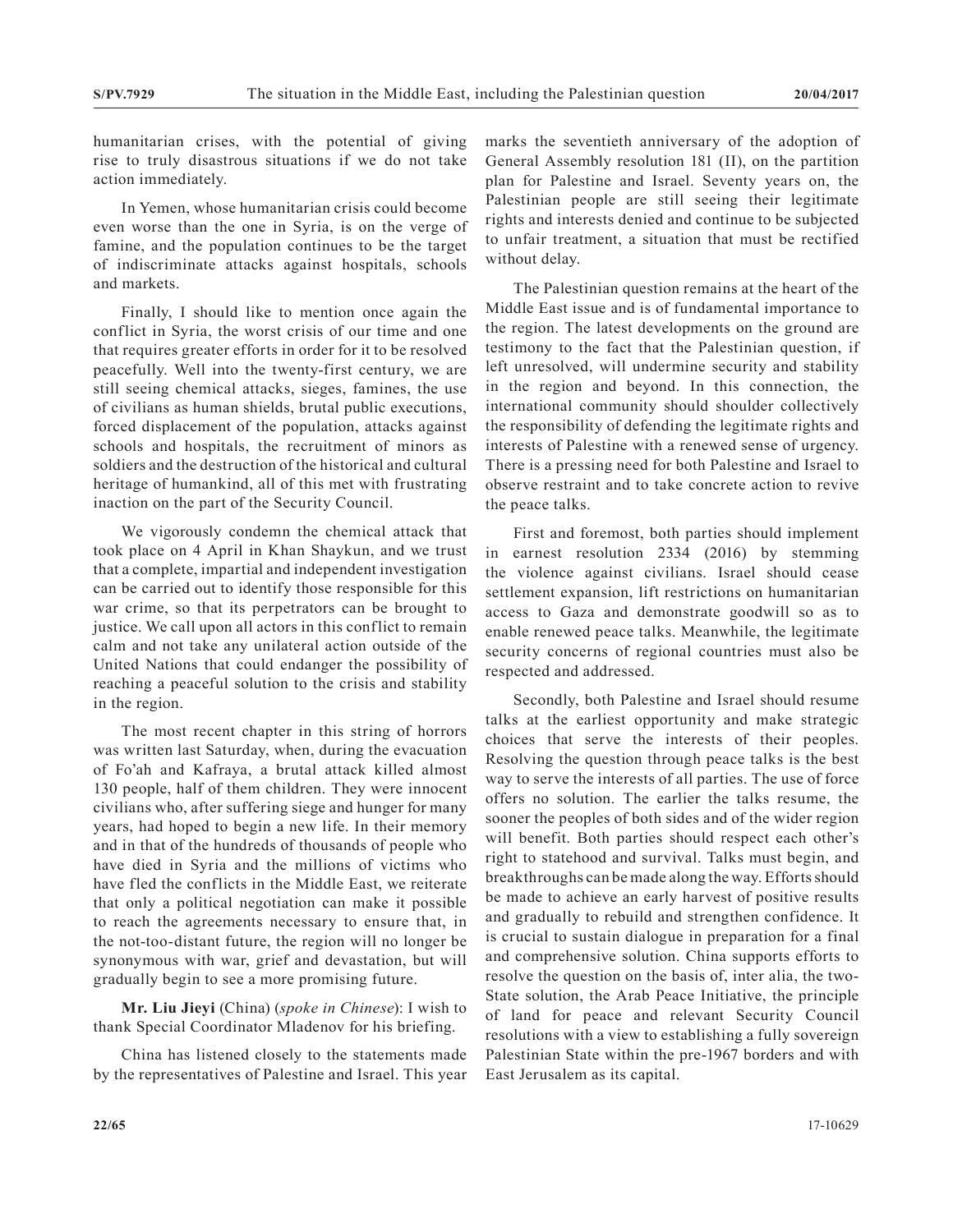humanitarian crises, with the potential of giving rise to truly disastrous situations if we do not take action immediately.

In Yemen, whose humanitarian crisis could become even worse than the one in Syria, is on the verge of famine, and the population continues to be the target of indiscriminate attacks against hospitals, schools and markets.

Finally, I should like to mention once again the conflict in Syria, the worst crisis of our time and one that requires greater efforts in order for it to be resolved peacefully. Well into the twenty-first century, we are still seeing chemical attacks, sieges, famines, the use of civilians as human shields, brutal public executions, forced displacement of the population, attacks against schools and hospitals, the recruitment of minors as soldiers and the destruction of the historical and cultural heritage of humankind, all of this met with frustrating inaction on the part of the Security Council.

We vigorously condemn the chemical attack that took place on 4 April in Khan Shaykun, and we trust that a complete, impartial and independent investigation can be carried out to identify those responsible for this war crime, so that its perpetrators can be brought to justice. We call upon all actors in this conflict to remain calm and not take any unilateral action outside of the United Nations that could endanger the possibility of reaching a peaceful solution to the crisis and stability in the region.

The most recent chapter in this string of horrors was written last Saturday, when, during the evacuation of Fo'ah and Kafraya, a brutal attack killed almost 130 people, half of them children. They were innocent civilians who, after suffering siege and hunger for many years, had hoped to begin a new life. In their memory and in that of the hundreds of thousands of people who have died in Syria and the millions of victims who have fled the conflicts in the Middle East, we reiterate that only a political negotiation can make it possible to reach the agreements necessary to ensure that, in the not-too-distant future, the region will no longer be synonymous with war, grief and devastation, but will gradually begin to see a more promising future.

**Mr. Liu Jieyi** (China) (*spoke in Chinese*): I wish to thank Special Coordinator Mladenov for his briefing.

China has listened closely to the statements made by the representatives of Palestine and Israel. This year marks the seventieth anniversary of the adoption of General Assembly resolution 181 (II), on the partition plan for Palestine and Israel. Seventy years on, the Palestinian people are still seeing their legitimate rights and interests denied and continue to be subjected to unfair treatment, a situation that must be rectified without delay.

The Palestinian question remains at the heart of the Middle East issue and is of fundamental importance to the region. The latest developments on the ground are testimony to the fact that the Palestinian question, if left unresolved, will undermine security and stability in the region and beyond. In this connection, the international community should shoulder collectively the responsibility of defending the legitimate rights and interests of Palestine with a renewed sense of urgency. There is a pressing need for both Palestine and Israel to observe restraint and to take concrete action to revive the peace talks.

First and foremost, both parties should implement in earnest resolution 2334 (2016) by stemming the violence against civilians. Israel should cease settlement expansion, lift restrictions on humanitarian access to Gaza and demonstrate goodwill so as to enable renewed peace talks. Meanwhile, the legitimate security concerns of regional countries must also be respected and addressed.

Secondly, both Palestine and Israel should resume talks at the earliest opportunity and make strategic choices that serve the interests of their peoples. Resolving the question through peace talks is the best way to serve the interests of all parties. The use of force offers no solution. The earlier the talks resume, the sooner the peoples of both sides and of the wider region will benefit. Both parties should respect each other's right to statehood and survival. Talks must begin, and breakthroughs can be made along the way. Efforts should be made to achieve an early harvest of positive results and gradually to rebuild and strengthen confidence. It is crucial to sustain dialogue in preparation for a final and comprehensive solution. China supports efforts to resolve the question on the basis of, inter alia, the two-State solution, the Arab Peace Initiative, the principle of land for peace and relevant Security Council resolutions with a view to establishing a fully sovereign Palestinian State within the pre-1967 borders and with East Jerusalem as its capital.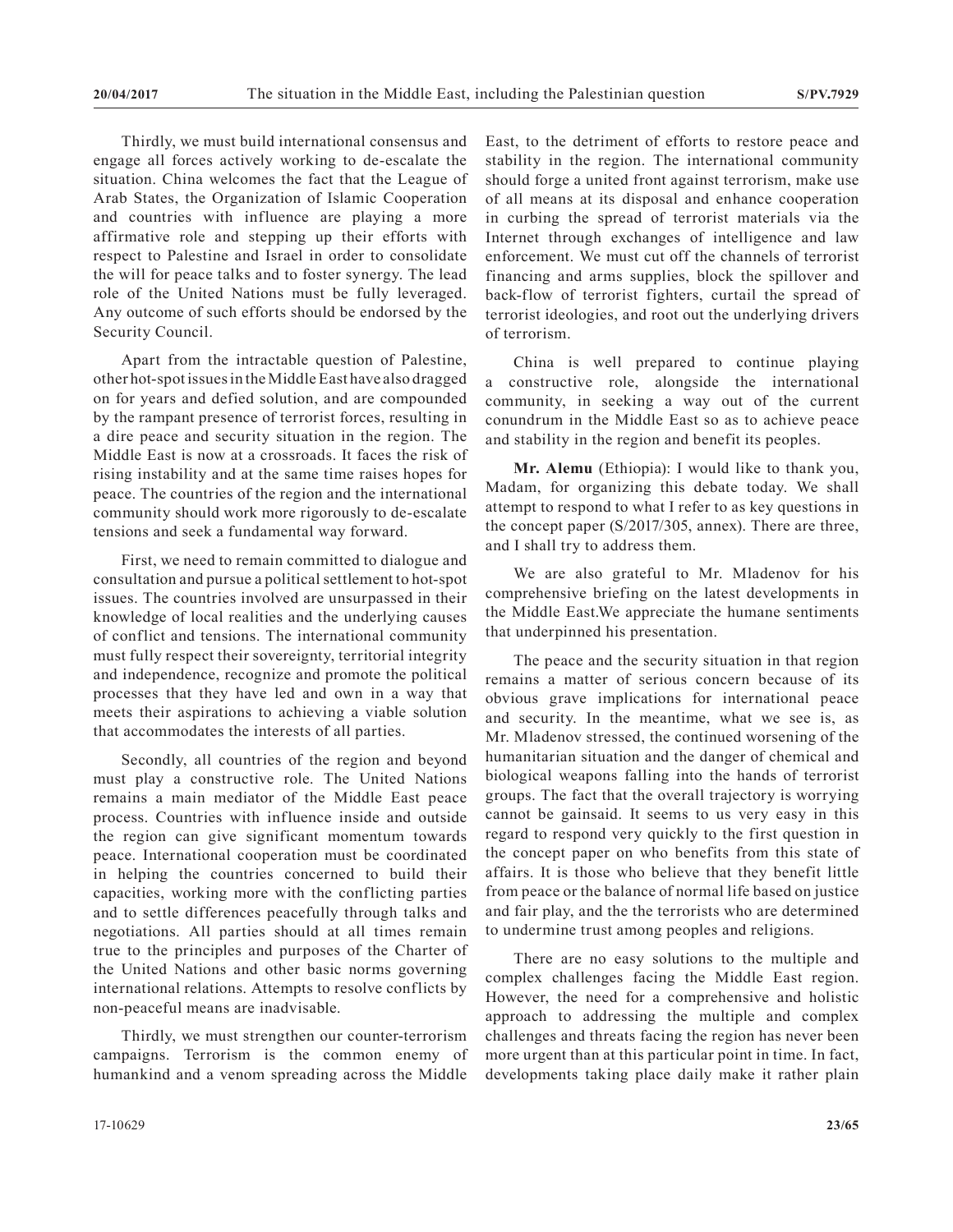Thirdly, we must build international consensus and engage all forces actively working to de-escalate the situation. China welcomes the fact that the League of Arab States, the Organization of Islamic Cooperation and countries with influence are playing a more affirmative role and stepping up their efforts with respect to Palestine and Israel in order to consolidate the will for peace talks and to foster synergy. The lead role of the United Nations must be fully leveraged. Any outcome of such efforts should be endorsed by the Security Council.

Apart from the intractable question of Palestine, other hot-spot issues in the Middle East have also dragged on for years and defied solution, and are compounded by the rampant presence of terrorist forces, resulting in a dire peace and security situation in the region. The Middle East is now at a crossroads. It faces the risk of rising instability and at the same time raises hopes for peace. The countries of the region and the international community should work more rigorously to de-escalate tensions and seek a fundamental way forward.

First, we need to remain committed to dialogue and consultation and pursue a political settlement to hot-spot issues. The countries involved are unsurpassed in their knowledge of local realities and the underlying causes of conflict and tensions. The international community must fully respect their sovereignty, territorial integrity and independence, recognize and promote the political processes that they have led and own in a way that meets their aspirations to achieving a viable solution that accommodates the interests of all parties.

Secondly, all countries of the region and beyond must play a constructive role. The United Nations remains a main mediator of the Middle East peace process. Countries with influence inside and outside the region can give significant momentum towards peace. International cooperation must be coordinated in helping the countries concerned to build their capacities, working more with the conflicting parties and to settle differences peacefully through talks and negotiations. All parties should at all times remain true to the principles and purposes of the Charter of the United Nations and other basic norms governing international relations. Attempts to resolve conflicts by non-peaceful means are inadvisable.

Thirdly, we must strengthen our counter-terrorism campaigns. Terrorism is the common enemy of humankind and a venom spreading across the Middle East, to the detriment of efforts to restore peace and stability in the region. The international community should forge a united front against terrorism, make use of all means at its disposal and enhance cooperation in curbing the spread of terrorist materials via the Internet through exchanges of intelligence and law enforcement. We must cut off the channels of terrorist financing and arms supplies, block the spillover and back-flow of terrorist fighters, curtail the spread of terrorist ideologies, and root out the underlying drivers of terrorism.

China is well prepared to continue playing a constructive role, alongside the international community, in seeking a way out of the current conundrum in the Middle East so as to achieve peace and stability in the region and benefit its peoples.

**Mr. Alemu** (Ethiopia): I would like to thank you, Madam, for organizing this debate today. We shall attempt to respond to what I refer to as key questions in the concept paper (S/2017/305, annex). There are three, and I shall try to address them.

We are also grateful to Mr. Mladenov for his comprehensive briefing on the latest developments in the Middle East.We appreciate the humane sentiments that underpinned his presentation.

The peace and the security situation in that region remains a matter of serious concern because of its obvious grave implications for international peace and security. In the meantime, what we see is, as Mr. Mladenov stressed, the continued worsening of the humanitarian situation and the danger of chemical and biological weapons falling into the hands of terrorist groups. The fact that the overall trajectory is worrying cannot be gainsaid. It seems to us very easy in this regard to respond very quickly to the first question in the concept paper on who benefits from this state of affairs. It is those who believe that they benefit little from peace or the balance of normal life based on justice and fair play, and the the terrorists who are determined to undermine trust among peoples and religions.

There are no easy solutions to the multiple and complex challenges facing the Middle East region. However, the need for a comprehensive and holistic approach to addressing the multiple and complex challenges and threats facing the region has never been more urgent than at this particular point in time. In fact, developments taking place daily make it rather plain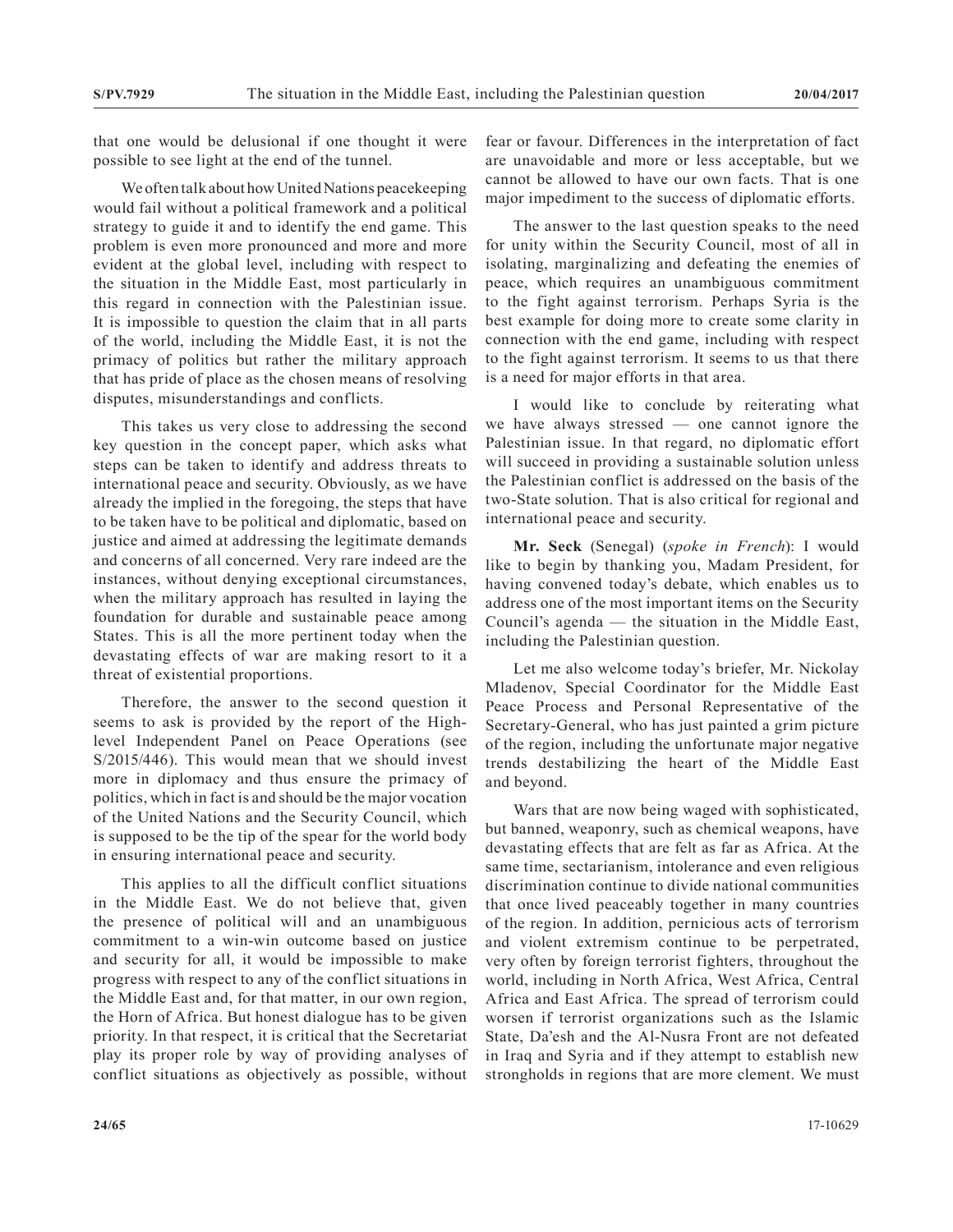that one would be delusional if one thought it were possible to see light at the end of the tunnel.

We often talk about how United Nations peacekeeping would fail without a political framework and a political strategy to guide it and to identify the end game. This problem is even more pronounced and more and more evident at the global level, including with respect to the situation in the Middle East, most particularly in this regard in connection with the Palestinian issue. It is impossible to question the claim that in all parts of the world, including the Middle East, it is not the primacy of politics but rather the military approach that has pride of place as the chosen means of resolving disputes, misunderstandings and conflicts.

This takes us very close to addressing the second key question in the concept paper, which asks what steps can be taken to identify and address threats to international peace and security. Obviously, as we have already the implied in the foregoing, the steps that have to be taken have to be political and diplomatic, based on justice and aimed at addressing the legitimate demands and concerns of all concerned. Very rare indeed are the instances, without denying exceptional circumstances, when the military approach has resulted in laying the foundation for durable and sustainable peace among States. This is all the more pertinent today when the devastating effects of war are making resort to it a threat of existential proportions.

Therefore, the answer to the second question it seems to ask is provided by the report of the Highlevel Independent Panel on Peace Operations (see S/2015/446). This would mean that we should invest more in diplomacy and thus ensure the primacy of politics, which in fact is and should be the major vocation of the United Nations and the Security Council, which is supposed to be the tip of the spear for the world body in ensuring international peace and security.

This applies to all the difficult conflict situations in the Middle East. We do not believe that, given the presence of political will and an unambiguous commitment to a win-win outcome based on justice and security for all, it would be impossible to make progress with respect to any of the conflict situations in the Middle East and, for that matter, in our own region, the Horn of Africa. But honest dialogue has to be given priority. In that respect, it is critical that the Secretariat play its proper role by way of providing analyses of conflict situations as objectively as possible, without fear or favour. Differences in the interpretation of fact are unavoidable and more or less acceptable, but we cannot be allowed to have our own facts. That is one major impediment to the success of diplomatic efforts.

The answer to the last question speaks to the need for unity within the Security Council, most of all in isolating, marginalizing and defeating the enemies of peace, which requires an unambiguous commitment to the fight against terrorism. Perhaps Syria is the best example for doing more to create some clarity in connection with the end game, including with respect to the fight against terrorism. It seems to us that there is a need for major efforts in that area.

I would like to conclude by reiterating what we have always stressed — one cannot ignore the Palestinian issue. In that regard, no diplomatic effort will succeed in providing a sustainable solution unless the Palestinian conflict is addressed on the basis of the two-State solution. That is also critical for regional and international peace and security.

**Mr. Seck** (Senegal) (*spoke in French*): I would like to begin by thanking you, Madam President, for having convened today's debate, which enables us to address one of the most important items on the Security Council's agenda — the situation in the Middle East, including the Palestinian question.

Let me also welcome today's briefer, Mr. Nickolay Mladenov, Special Coordinator for the Middle East Peace Process and Personal Representative of the Secretary-General, who has just painted a grim picture of the region, including the unfortunate major negative trends destabilizing the heart of the Middle East and beyond.

Wars that are now being waged with sophisticated, but banned, weaponry, such as chemical weapons, have devastating effects that are felt as far as Africa. At the same time, sectarianism, intolerance and even religious discrimination continue to divide national communities that once lived peaceably together in many countries of the region. In addition, pernicious acts of terrorism and violent extremism continue to be perpetrated, very often by foreign terrorist fighters, throughout the world, including in North Africa, West Africa, Central Africa and East Africa. The spread of terrorism could worsen if terrorist organizations such as the Islamic State, Da'esh and the Al-Nusra Front are not defeated in Iraq and Syria and if they attempt to establish new strongholds in regions that are more clement. We must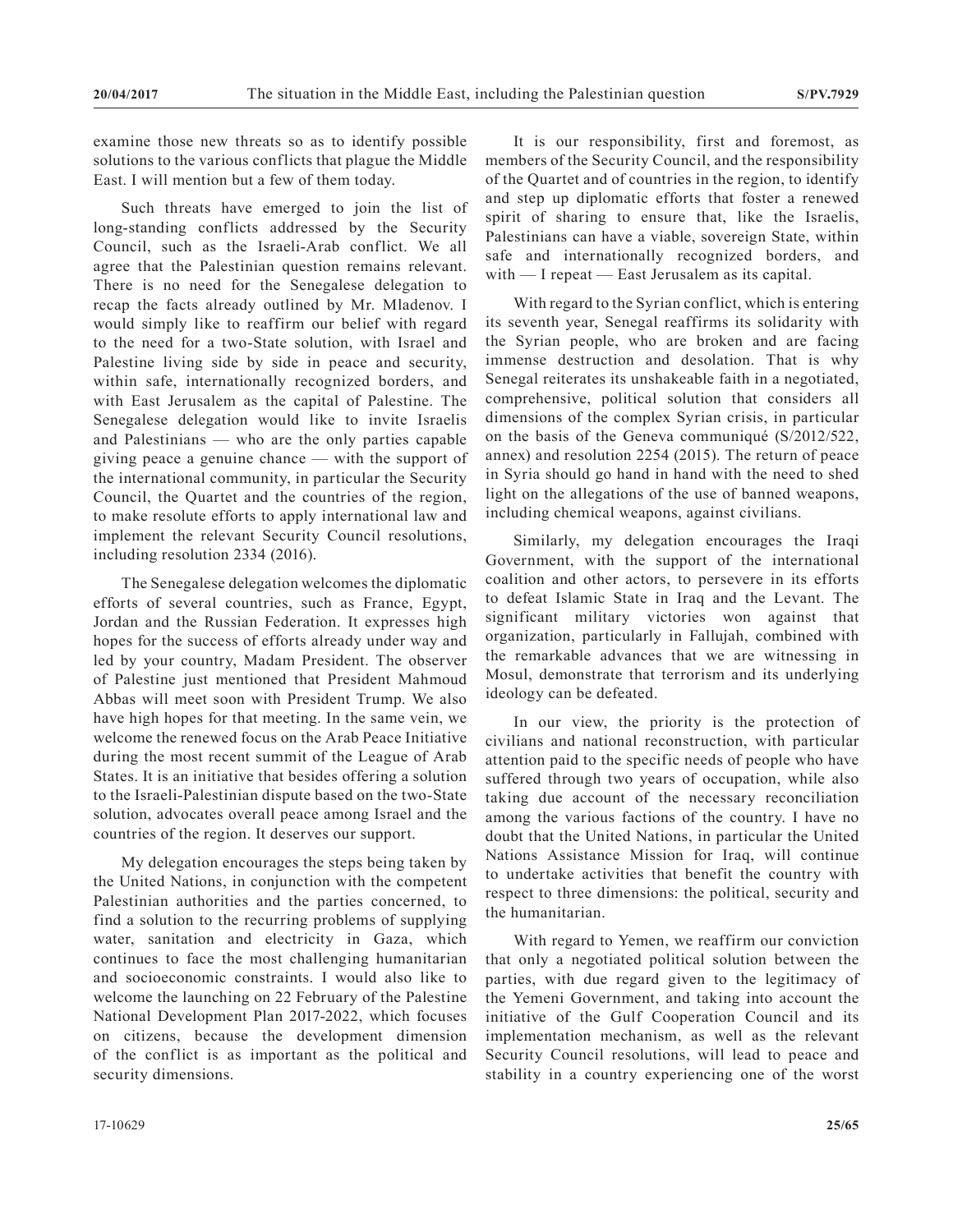examine those new threats so as to identify possible solutions to the various conflicts that plague the Middle East. I will mention but a few of them today.

Such threats have emerged to join the list of long-standing conflicts addressed by the Security Council, such as the Israeli-Arab conflict. We all agree that the Palestinian question remains relevant. There is no need for the Senegalese delegation to recap the facts already outlined by Mr. Mladenov. I would simply like to reaffirm our belief with regard to the need for a two-State solution, with Israel and Palestine living side by side in peace and security, within safe, internationally recognized borders, and with East Jerusalem as the capital of Palestine. The Senegalese delegation would like to invite Israelis and Palestinians — who are the only parties capable giving peace a genuine chance — with the support of the international community, in particular the Security Council, the Quartet and the countries of the region, to make resolute efforts to apply international law and implement the relevant Security Council resolutions, including resolution 2334 (2016).

The Senegalese delegation welcomes the diplomatic efforts of several countries, such as France, Egypt, Jordan and the Russian Federation. It expresses high hopes for the success of efforts already under way and led by your country, Madam President. The observer of Palestine just mentioned that President Mahmoud Abbas will meet soon with President Trump. We also have high hopes for that meeting. In the same vein, we welcome the renewed focus on the Arab Peace Initiative during the most recent summit of the League of Arab States. It is an initiative that besides offering a solution to the Israeli-Palestinian dispute based on the two-State solution, advocates overall peace among Israel and the countries of the region. It deserves our support.

My delegation encourages the steps being taken by the United Nations, in conjunction with the competent Palestinian authorities and the parties concerned, to find a solution to the recurring problems of supplying water, sanitation and electricity in Gaza, which continues to face the most challenging humanitarian and socioeconomic constraints. I would also like to welcome the launching on 22 February of the Palestine National Development Plan 2017-2022, which focuses on citizens, because the development dimension of the conflict is as important as the political and security dimensions.

It is our responsibility, first and foremost, as members of the Security Council, and the responsibility of the Quartet and of countries in the region, to identify and step up diplomatic efforts that foster a renewed spirit of sharing to ensure that, like the Israelis, Palestinians can have a viable, sovereign State, within safe and internationally recognized borders, and with — I repeat — East Jerusalem as its capital.

With regard to the Syrian conflict, which is entering its seventh year, Senegal reaffirms its solidarity with the Syrian people, who are broken and are facing immense destruction and desolation. That is why Senegal reiterates its unshakeable faith in a negotiated, comprehensive, political solution that considers all dimensions of the complex Syrian crisis, in particular on the basis of the Geneva communiqué (S/2012/522, annex) and resolution 2254 (2015). The return of peace in Syria should go hand in hand with the need to shed light on the allegations of the use of banned weapons, including chemical weapons, against civilians.

Similarly, my delegation encourages the Iraqi Government, with the support of the international coalition and other actors, to persevere in its efforts to defeat Islamic State in Iraq and the Levant. The significant military victories won against that organization, particularly in Fallujah, combined with the remarkable advances that we are witnessing in Mosul, demonstrate that terrorism and its underlying ideology can be defeated.

In our view, the priority is the protection of civilians and national reconstruction, with particular attention paid to the specific needs of people who have suffered through two years of occupation, while also taking due account of the necessary reconciliation among the various factions of the country. I have no doubt that the United Nations, in particular the United Nations Assistance Mission for Iraq, will continue to undertake activities that benefit the country with respect to three dimensions: the political, security and the humanitarian.

With regard to Yemen, we reaffirm our conviction that only a negotiated political solution between the parties, with due regard given to the legitimacy of the Yemeni Government, and taking into account the initiative of the Gulf Cooperation Council and its implementation mechanism, as well as the relevant Security Council resolutions, will lead to peace and stability in a country experiencing one of the worst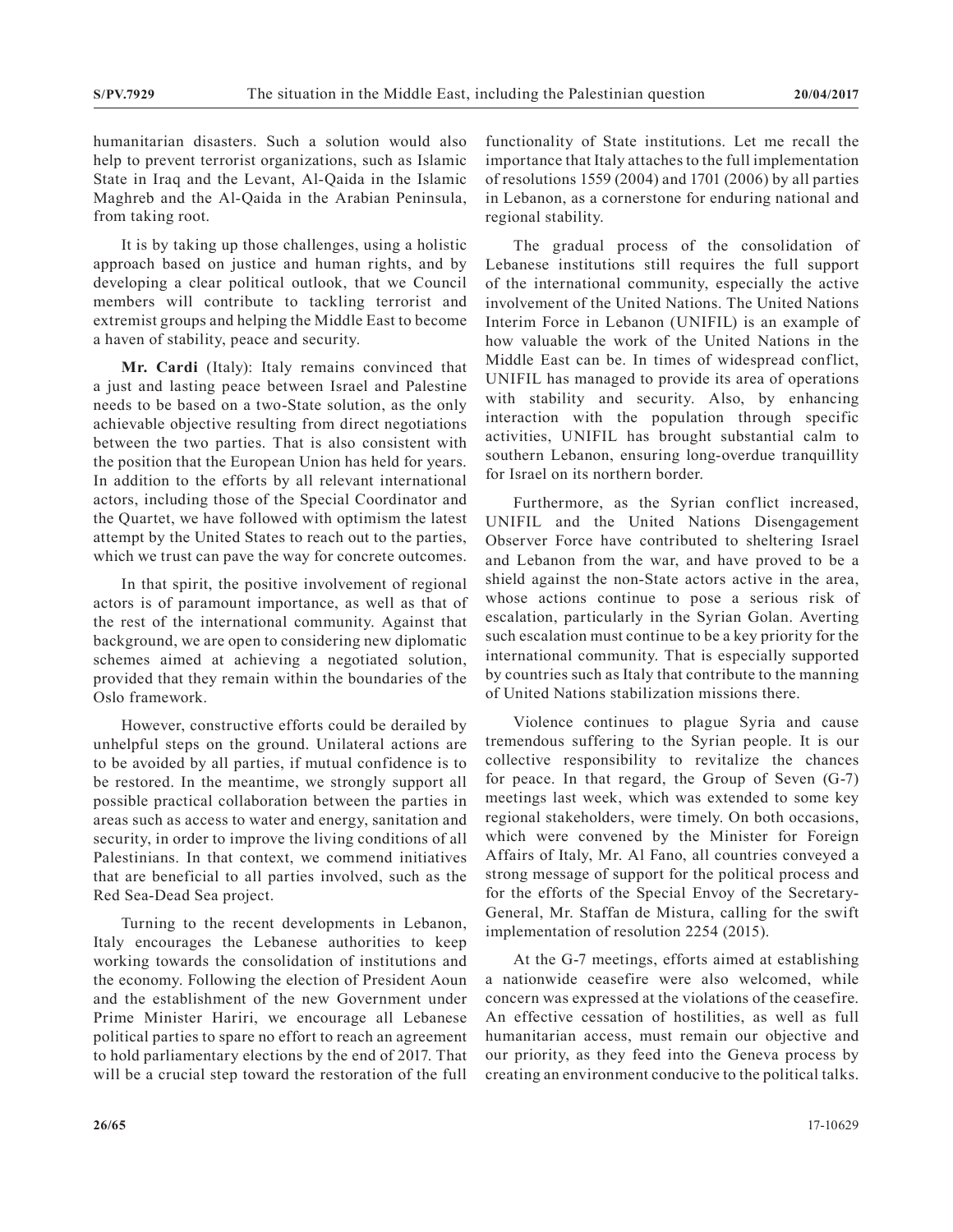humanitarian disasters. Such a solution would also help to prevent terrorist organizations, such as Islamic State in Iraq and the Levant, Al-Qaida in the Islamic Maghreb and the Al-Qaida in the Arabian Peninsula, from taking root.

It is by taking up those challenges, using a holistic approach based on justice and human rights, and by developing a clear political outlook, that we Council members will contribute to tackling terrorist and extremist groups and helping the Middle East to become a haven of stability, peace and security.

**Mr. Cardi** (Italy): Italy remains convinced that a just and lasting peace between Israel and Palestine needs to be based on a two-State solution, as the only achievable objective resulting from direct negotiations between the two parties. That is also consistent with the position that the European Union has held for years. In addition to the efforts by all relevant international actors, including those of the Special Coordinator and the Quartet, we have followed with optimism the latest attempt by the United States to reach out to the parties, which we trust can pave the way for concrete outcomes.

In that spirit, the positive involvement of regional actors is of paramount importance, as well as that of the rest of the international community. Against that background, we are open to considering new diplomatic schemes aimed at achieving a negotiated solution, provided that they remain within the boundaries of the Oslo framework.

However, constructive efforts could be derailed by unhelpful steps on the ground. Unilateral actions are to be avoided by all parties, if mutual confidence is to be restored. In the meantime, we strongly support all possible practical collaboration between the parties in areas such as access to water and energy, sanitation and security, in order to improve the living conditions of all Palestinians. In that context, we commend initiatives that are beneficial to all parties involved, such as the Red Sea-Dead Sea project.

Turning to the recent developments in Lebanon, Italy encourages the Lebanese authorities to keep working towards the consolidation of institutions and the economy. Following the election of President Aoun and the establishment of the new Government under Prime Minister Hariri, we encourage all Lebanese political parties to spare no effort to reach an agreement to hold parliamentary elections by the end of 2017. That will be a crucial step toward the restoration of the full

functionality of State institutions. Let me recall the importance that Italy attaches to the full implementation of resolutions 1559 (2004) and 1701 (2006) by all parties in Lebanon, as a cornerstone for enduring national and regional stability.

The gradual process of the consolidation of Lebanese institutions still requires the full support of the international community, especially the active involvement of the United Nations. The United Nations Interim Force in Lebanon (UNIFIL) is an example of how valuable the work of the United Nations in the Middle East can be. In times of widespread conflict, UNIFIL has managed to provide its area of operations with stability and security. Also, by enhancing interaction with the population through specific activities, UNIFIL has brought substantial calm to southern Lebanon, ensuring long-overdue tranquillity for Israel on its northern border.

Furthermore, as the Syrian conflict increased, UNIFIL and the United Nations Disengagement Observer Force have contributed to sheltering Israel and Lebanon from the war, and have proved to be a shield against the non-State actors active in the area, whose actions continue to pose a serious risk of escalation, particularly in the Syrian Golan. Averting such escalation must continue to be a key priority for the international community. That is especially supported by countries such as Italy that contribute to the manning of United Nations stabilization missions there.

Violence continues to plague Syria and cause tremendous suffering to the Syrian people. It is our collective responsibility to revitalize the chances for peace. In that regard, the Group of Seven (G-7) meetings last week, which was extended to some key regional stakeholders, were timely. On both occasions, which were convened by the Minister for Foreign Affairs of Italy, Mr. Al Fano, all countries conveyed a strong message of support for the political process and for the efforts of the Special Envoy of the Secretary-General, Mr. Staffan de Mistura, calling for the swift implementation of resolution 2254 (2015).

At the G-7 meetings, efforts aimed at establishing a nationwide ceasefire were also welcomed, while concern was expressed at the violations of the ceasefire. An effective cessation of hostilities, as well as full humanitarian access, must remain our objective and our priority, as they feed into the Geneva process by creating an environment conducive to the political talks.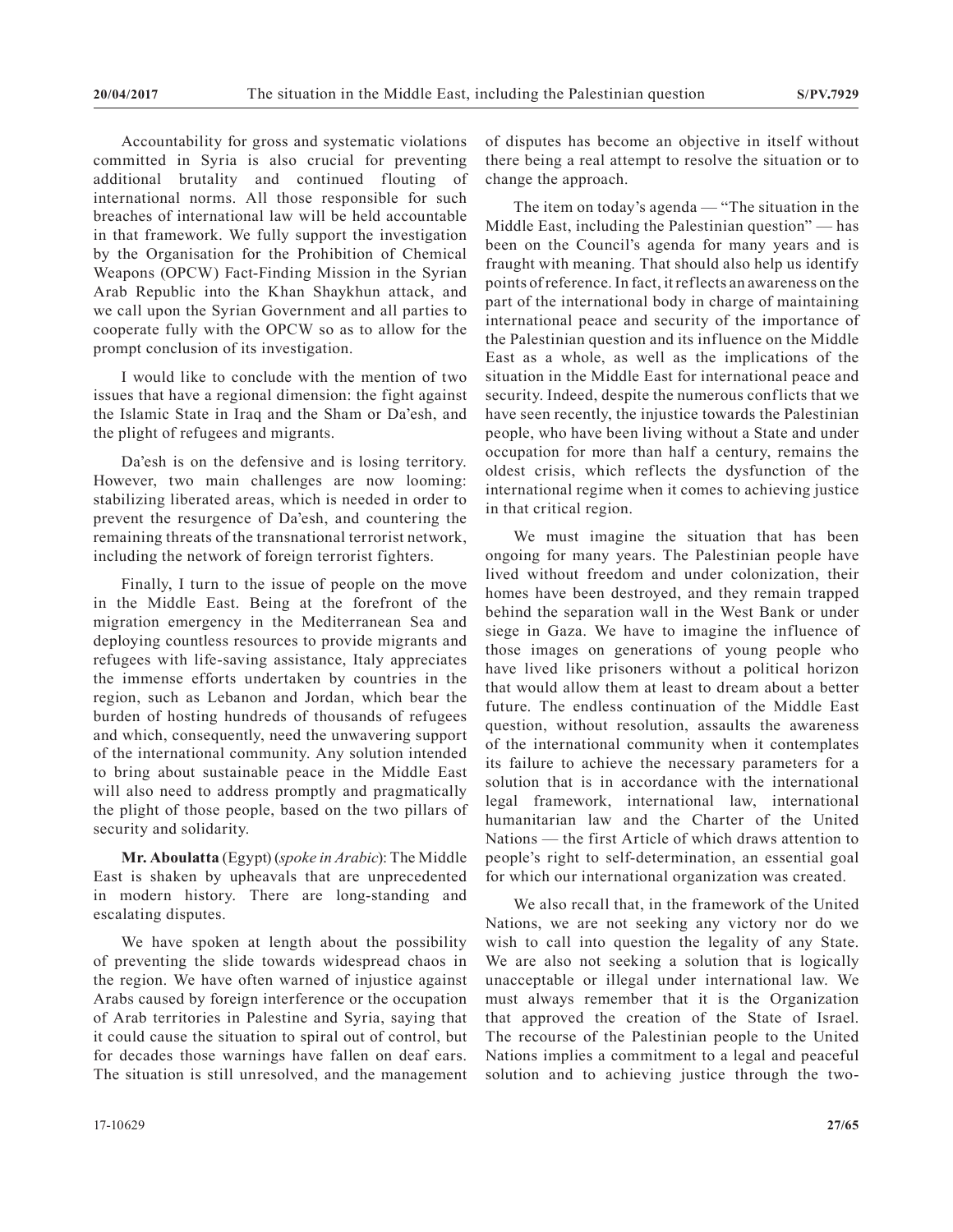Accountability for gross and systematic violations committed in Syria is also crucial for preventing additional brutality and continued flouting of international norms. All those responsible for such breaches of international law will be held accountable in that framework. We fully support the investigation by the Organisation for the Prohibition of Chemical Weapons (OPCW) Fact-Finding Mission in the Syrian Arab Republic into the Khan Shaykhun attack, and we call upon the Syrian Government and all parties to cooperate fully with the OPCW so as to allow for the prompt conclusion of its investigation.

I would like to conclude with the mention of two issues that have a regional dimension: the fight against the Islamic State in Iraq and the Sham or Da'esh, and the plight of refugees and migrants.

Da'esh is on the defensive and is losing territory. However, two main challenges are now looming: stabilizing liberated areas, which is needed in order to prevent the resurgence of Da'esh, and countering the remaining threats of the transnational terrorist network, including the network of foreign terrorist fighters.

Finally, I turn to the issue of people on the move in the Middle East. Being at the forefront of the migration emergency in the Mediterranean Sea and deploying countless resources to provide migrants and refugees with life-saving assistance, Italy appreciates the immense efforts undertaken by countries in the region, such as Lebanon and Jordan, which bear the burden of hosting hundreds of thousands of refugees and which, consequently, need the unwavering support of the international community. Any solution intended to bring about sustainable peace in the Middle East will also need to address promptly and pragmatically the plight of those people, based on the two pillars of security and solidarity.

**Mr. Aboulatta** (Egypt) (*spoke in Arabic*): The Middle East is shaken by upheavals that are unprecedented in modern history. There are long-standing and escalating disputes.

We have spoken at length about the possibility of preventing the slide towards widespread chaos in the region. We have often warned of injustice against Arabs caused by foreign interference or the occupation of Arab territories in Palestine and Syria, saying that it could cause the situation to spiral out of control, but for decades those warnings have fallen on deaf ears. The situation is still unresolved, and the management

of disputes has become an objective in itself without there being a real attempt to resolve the situation or to change the approach.

The item on today's agenda — "The situation in the Middle East, including the Palestinian question" — has been on the Council's agenda for many years and is fraught with meaning. That should also help us identify points of reference. In fact, it reflects an awareness on the part of the international body in charge of maintaining international peace and security of the importance of the Palestinian question and its influence on the Middle East as a whole, as well as the implications of the situation in the Middle East for international peace and security. Indeed, despite the numerous conflicts that we have seen recently, the injustice towards the Palestinian people, who have been living without a State and under occupation for more than half a century, remains the oldest crisis, which reflects the dysfunction of the international regime when it comes to achieving justice in that critical region.

We must imagine the situation that has been ongoing for many years. The Palestinian people have lived without freedom and under colonization, their homes have been destroyed, and they remain trapped behind the separation wall in the West Bank or under siege in Gaza. We have to imagine the influence of those images on generations of young people who have lived like prisoners without a political horizon that would allow them at least to dream about a better future. The endless continuation of the Middle East question, without resolution, assaults the awareness of the international community when it contemplates its failure to achieve the necessary parameters for a solution that is in accordance with the international legal framework, international law, international humanitarian law and the Charter of the United Nations — the first Article of which draws attention to people's right to self-determination, an essential goal for which our international organization was created.

We also recall that, in the framework of the United Nations, we are not seeking any victory nor do we wish to call into question the legality of any State. We are also not seeking a solution that is logically unacceptable or illegal under international law. We must always remember that it is the Organization that approved the creation of the State of Israel. The recourse of the Palestinian people to the United Nations implies a commitment to a legal and peaceful solution and to achieving justice through the two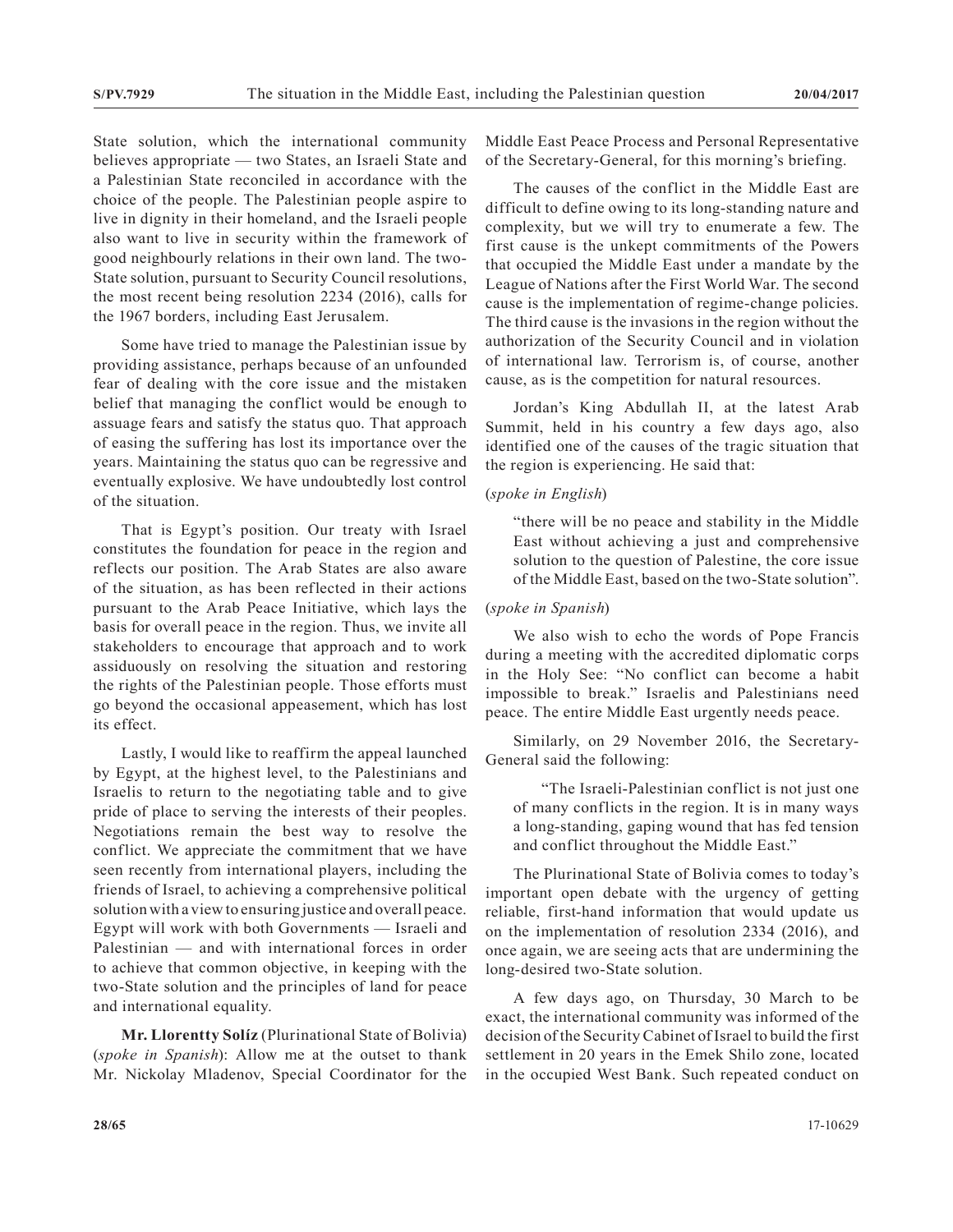State solution, which the international community believes appropriate — two States, an Israeli State and a Palestinian State reconciled in accordance with the choice of the people. The Palestinian people aspire to live in dignity in their homeland, and the Israeli people also want to live in security within the framework of good neighbourly relations in their own land. The two-State solution, pursuant to Security Council resolutions, the most recent being resolution 2234 (2016), calls for the 1967 borders, including East Jerusalem.

Some have tried to manage the Palestinian issue by providing assistance, perhaps because of an unfounded fear of dealing with the core issue and the mistaken belief that managing the conflict would be enough to assuage fears and satisfy the status quo. That approach of easing the suffering has lost its importance over the years. Maintaining the status quo can be regressive and eventually explosive. We have undoubtedly lost control of the situation.

That is Egypt's position. Our treaty with Israel constitutes the foundation for peace in the region and reflects our position. The Arab States are also aware of the situation, as has been reflected in their actions pursuant to the Arab Peace Initiative, which lays the basis for overall peace in the region. Thus, we invite all stakeholders to encourage that approach and to work assiduously on resolving the situation and restoring the rights of the Palestinian people. Those efforts must go beyond the occasional appeasement, which has lost its effect.

Lastly, I would like to reaffirm the appeal launched by Egypt, at the highest level, to the Palestinians and Israelis to return to the negotiating table and to give pride of place to serving the interests of their peoples. Negotiations remain the best way to resolve the conflict. We appreciate the commitment that we have seen recently from international players, including the friends of Israel, to achieving a comprehensive political solution with a view to ensuring justice and overall peace. Egypt will work with both Governments — Israeli and Palestinian — and with international forces in order to achieve that common objective, in keeping with the two-State solution and the principles of land for peace and international equality.

**Mr. Llorentty Solíz** (Plurinational State of Bolivia) (*spoke in Spanish*): Allow me at the outset to thank Mr. Nickolay Mladenov, Special Coordinator for the Middle East Peace Process and Personal Representative of the Secretary-General, for this morning's briefing.

The causes of the conflict in the Middle East are difficult to define owing to its long-standing nature and complexity, but we will try to enumerate a few. The first cause is the unkept commitments of the Powers that occupied the Middle East under a mandate by the League of Nations after the First World War. The second cause is the implementation of regime-change policies. The third cause is the invasions in the region without the authorization of the Security Council and in violation of international law. Terrorism is, of course, another cause, as is the competition for natural resources.

Jordan's King Abdullah II, at the latest Arab Summit, held in his country a few days ago, also identified one of the causes of the tragic situation that the region is experiencing. He said that:

#### (*spoke in English*)

"there will be no peace and stability in the Middle East without achieving a just and comprehensive solution to the question of Palestine, the core issue of the Middle East, based on the two-State solution".

#### (*spoke in Spanish*)

We also wish to echo the words of Pope Francis during a meeting with the accredited diplomatic corps in the Holy See: "No conflict can become a habit impossible to break." Israelis and Palestinians need peace. The entire Middle East urgently needs peace.

Similarly, on 29 November 2016, the Secretary-General said the following:

"The Israeli-Palestinian conflict is not just one of many conflicts in the region. It is in many ways a long-standing, gaping wound that has fed tension and conflict throughout the Middle East."

The Plurinational State of Bolivia comes to today's important open debate with the urgency of getting reliable, first-hand information that would update us on the implementation of resolution 2334 (2016), and once again, we are seeing acts that are undermining the long-desired two-State solution.

A few days ago, on Thursday, 30 March to be exact, the international community was informed of the decision of the Security Cabinet of Israel to build the first settlement in 20 years in the Emek Shilo zone, located in the occupied West Bank. Such repeated conduct on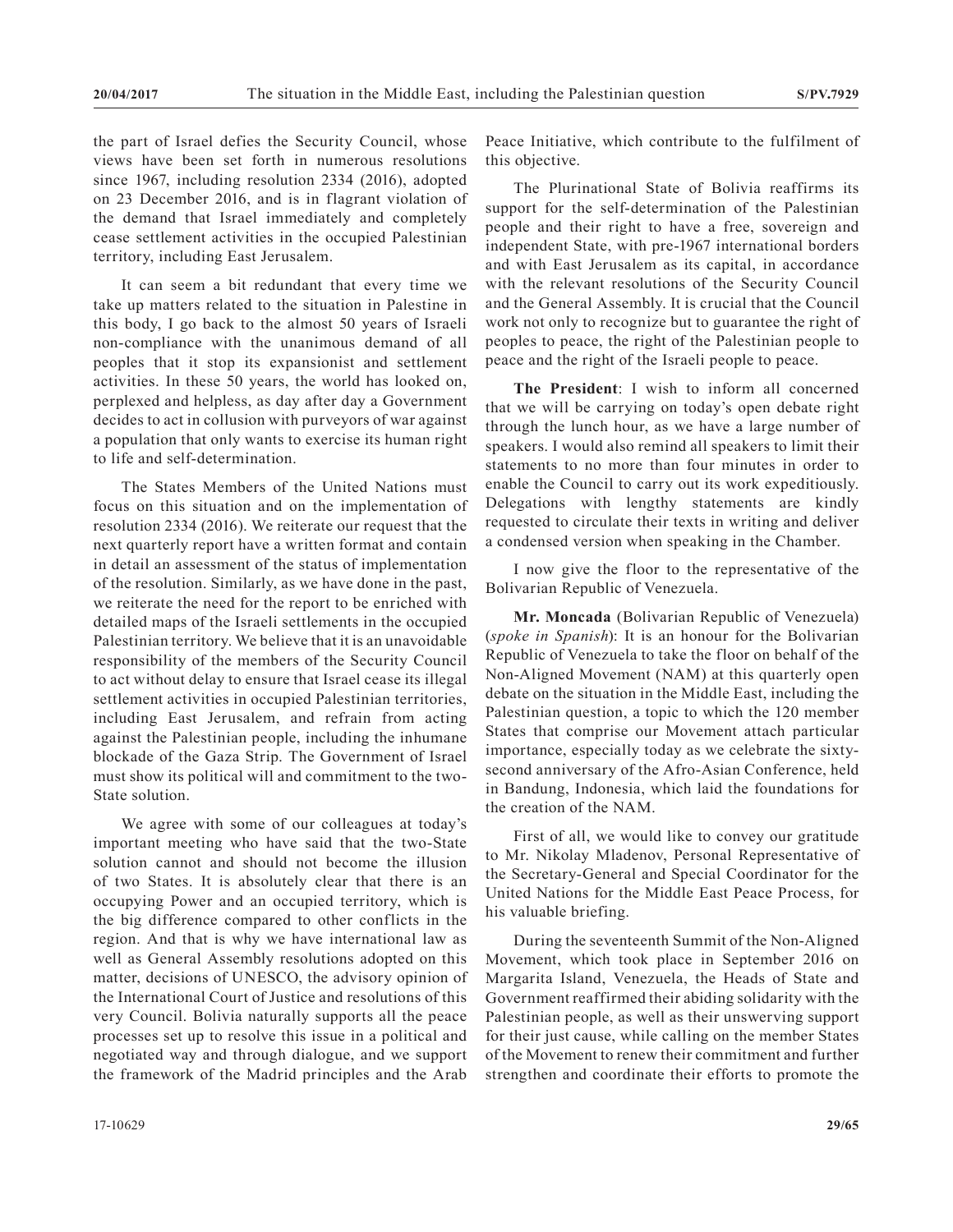the part of Israel defies the Security Council, whose views have been set forth in numerous resolutions since 1967, including resolution 2334 (2016), adopted on 23 December 2016, and is in flagrant violation of the demand that Israel immediately and completely cease settlement activities in the occupied Palestinian territory, including East Jerusalem.

It can seem a bit redundant that every time we take up matters related to the situation in Palestine in this body, I go back to the almost 50 years of Israeli non-compliance with the unanimous demand of all peoples that it stop its expansionist and settlement activities. In these 50 years, the world has looked on, perplexed and helpless, as day after day a Government decides to act in collusion with purveyors of war against a population that only wants to exercise its human right to life and self-determination.

The States Members of the United Nations must focus on this situation and on the implementation of resolution 2334 (2016). We reiterate our request that the next quarterly report have a written format and contain in detail an assessment of the status of implementation of the resolution. Similarly, as we have done in the past, we reiterate the need for the report to be enriched with detailed maps of the Israeli settlements in the occupied Palestinian territory. We believe that it is an unavoidable responsibility of the members of the Security Council to act without delay to ensure that Israel cease its illegal settlement activities in occupied Palestinian territories, including East Jerusalem, and refrain from acting against the Palestinian people, including the inhumane blockade of the Gaza Strip. The Government of Israel must show its political will and commitment to the two-State solution.

We agree with some of our colleagues at today's important meeting who have said that the two-State solution cannot and should not become the illusion of two States. It is absolutely clear that there is an occupying Power and an occupied territory, which is the big difference compared to other conflicts in the region. And that is why we have international law as well as General Assembly resolutions adopted on this matter, decisions of UNESCO, the advisory opinion of the International Court of Justice and resolutions of this very Council. Bolivia naturally supports all the peace processes set up to resolve this issue in a political and negotiated way and through dialogue, and we support the framework of the Madrid principles and the Arab

Peace Initiative, which contribute to the fulfilment of this objective.

The Plurinational State of Bolivia reaffirms its support for the self-determination of the Palestinian people and their right to have a free, sovereign and independent State, with pre-1967 international borders and with East Jerusalem as its capital, in accordance with the relevant resolutions of the Security Council and the General Assembly. It is crucial that the Council work not only to recognize but to guarantee the right of peoples to peace, the right of the Palestinian people to peace and the right of the Israeli people to peace.

**The President**: I wish to inform all concerned that we will be carrying on today's open debate right through the lunch hour, as we have a large number of speakers. I would also remind all speakers to limit their statements to no more than four minutes in order to enable the Council to carry out its work expeditiously. Delegations with lengthy statements are kindly requested to circulate their texts in writing and deliver a condensed version when speaking in the Chamber.

I now give the floor to the representative of the Bolivarian Republic of Venezuela.

**Mr. Moncada** (Bolivarian Republic of Venezuela) (*spoke in Spanish*): It is an honour for the Bolivarian Republic of Venezuela to take the floor on behalf of the Non-Aligned Movement (NAM) at this quarterly open debate on the situation in the Middle East, including the Palestinian question, a topic to which the 120 member States that comprise our Movement attach particular importance, especially today as we celebrate the sixtysecond anniversary of the Afro-Asian Conference, held in Bandung, Indonesia, which laid the foundations for the creation of the NAM.

First of all, we would like to convey our gratitude to Mr. Nikolay Mladenov, Personal Representative of the Secretary-General and Special Coordinator for the United Nations for the Middle East Peace Process, for his valuable briefing.

During the seventeenth Summit of the Non-Aligned Movement, which took place in September 2016 on Margarita Island, Venezuela, the Heads of State and Government reaffirmed their abiding solidarity with the Palestinian people, as well as their unswerving support for their just cause, while calling on the member States of the Movement to renew their commitment and further strengthen and coordinate their efforts to promote the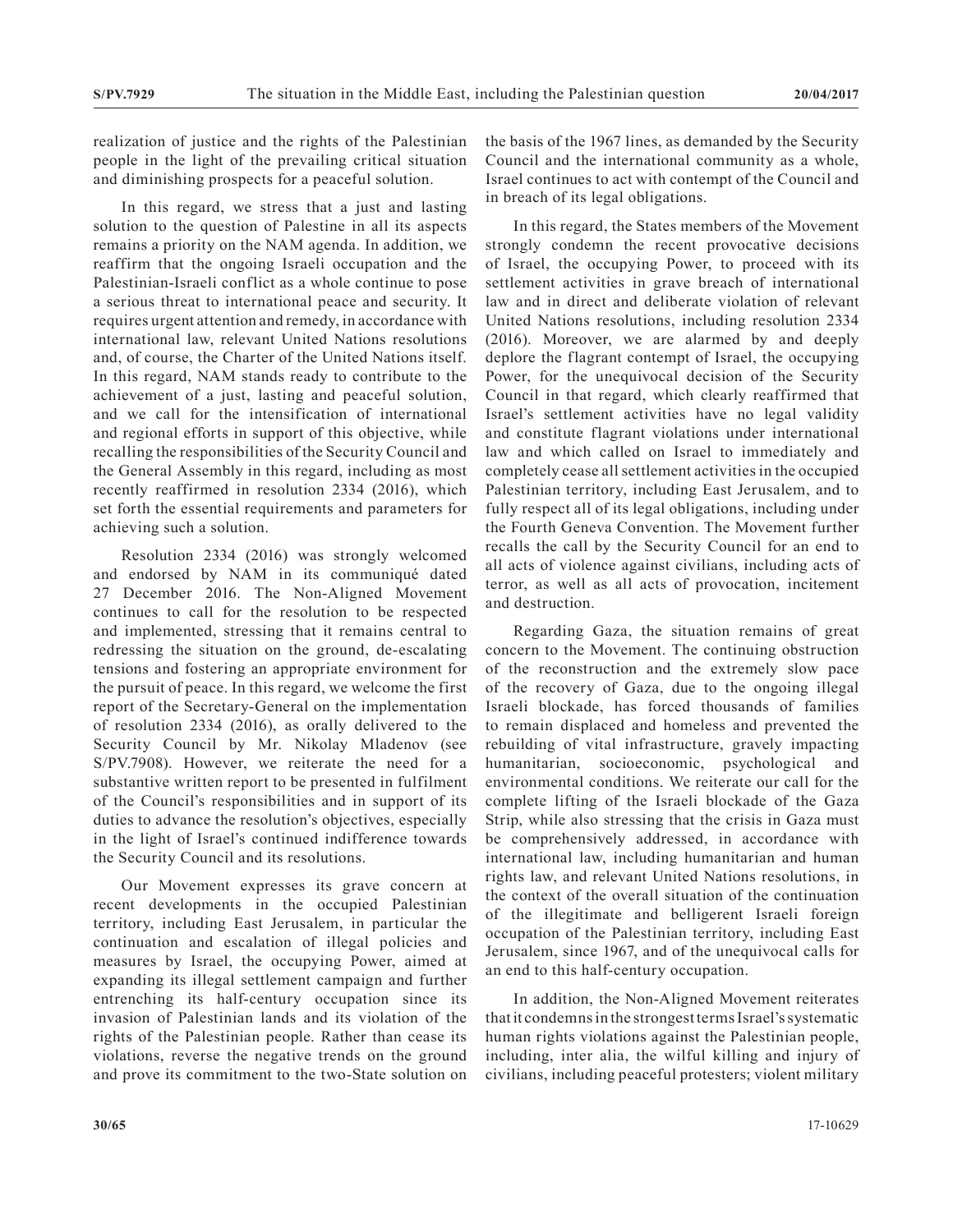realization of justice and the rights of the Palestinian people in the light of the prevailing critical situation and diminishing prospects for a peaceful solution.

In this regard, we stress that a just and lasting solution to the question of Palestine in all its aspects remains a priority on the NAM agenda. In addition, we reaffirm that the ongoing Israeli occupation and the Palestinian-Israeli conflict as a whole continue to pose a serious threat to international peace and security. It requires urgent attention and remedy, in accordance with international law, relevant United Nations resolutions and, of course, the Charter of the United Nations itself. In this regard, NAM stands ready to contribute to the achievement of a just, lasting and peaceful solution, and we call for the intensification of international and regional efforts in support of this objective, while recalling the responsibilities of the Security Council and the General Assembly in this regard, including as most recently reaffirmed in resolution 2334 (2016), which set forth the essential requirements and parameters for achieving such a solution.

Resolution 2334 (2016) was strongly welcomed and endorsed by NAM in its communiqué dated 27 December 2016. The Non-Aligned Movement continues to call for the resolution to be respected and implemented, stressing that it remains central to redressing the situation on the ground, de-escalating tensions and fostering an appropriate environment for the pursuit of peace. In this regard, we welcome the first report of the Secretary-General on the implementation of resolution 2334 (2016), as orally delivered to the Security Council by Mr. Nikolay Mladenov (see S/PV.7908). However, we reiterate the need for a substantive written report to be presented in fulfilment of the Council's responsibilities and in support of its duties to advance the resolution's objectives, especially in the light of Israel's continued indifference towards the Security Council and its resolutions.

Our Movement expresses its grave concern at recent developments in the occupied Palestinian territory, including East Jerusalem, in particular the continuation and escalation of illegal policies and measures by Israel, the occupying Power, aimed at expanding its illegal settlement campaign and further entrenching its half-century occupation since its invasion of Palestinian lands and its violation of the rights of the Palestinian people. Rather than cease its violations, reverse the negative trends on the ground and prove its commitment to the two-State solution on

the basis of the 1967 lines, as demanded by the Security Council and the international community as a whole, Israel continues to act with contempt of the Council and in breach of its legal obligations.

In this regard, the States members of the Movement strongly condemn the recent provocative decisions of Israel, the occupying Power, to proceed with its settlement activities in grave breach of international law and in direct and deliberate violation of relevant United Nations resolutions, including resolution 2334 (2016). Moreover, we are alarmed by and deeply deplore the flagrant contempt of Israel, the occupying Power, for the unequivocal decision of the Security Council in that regard, which clearly reaffirmed that Israel's settlement activities have no legal validity and constitute flagrant violations under international law and which called on Israel to immediately and completely cease all settlement activities in the occupied Palestinian territory, including East Jerusalem, and to fully respect all of its legal obligations, including under the Fourth Geneva Convention. The Movement further recalls the call by the Security Council for an end to all acts of violence against civilians, including acts of terror, as well as all acts of provocation, incitement and destruction.

Regarding Gaza, the situation remains of great concern to the Movement. The continuing obstruction of the reconstruction and the extremely slow pace of the recovery of Gaza, due to the ongoing illegal Israeli blockade, has forced thousands of families to remain displaced and homeless and prevented the rebuilding of vital infrastructure, gravely impacting humanitarian, socioeconomic, psychological and environmental conditions. We reiterate our call for the complete lifting of the Israeli blockade of the Gaza Strip, while also stressing that the crisis in Gaza must be comprehensively addressed, in accordance with international law, including humanitarian and human rights law, and relevant United Nations resolutions, in the context of the overall situation of the continuation of the illegitimate and belligerent Israeli foreign occupation of the Palestinian territory, including East Jerusalem, since 1967, and of the unequivocal calls for an end to this half-century occupation.

In addition, the Non-Aligned Movement reiterates that it condemns in the strongest terms Israel's systematic human rights violations against the Palestinian people, including, inter alia, the wilful killing and injury of civilians, including peaceful protesters; violent military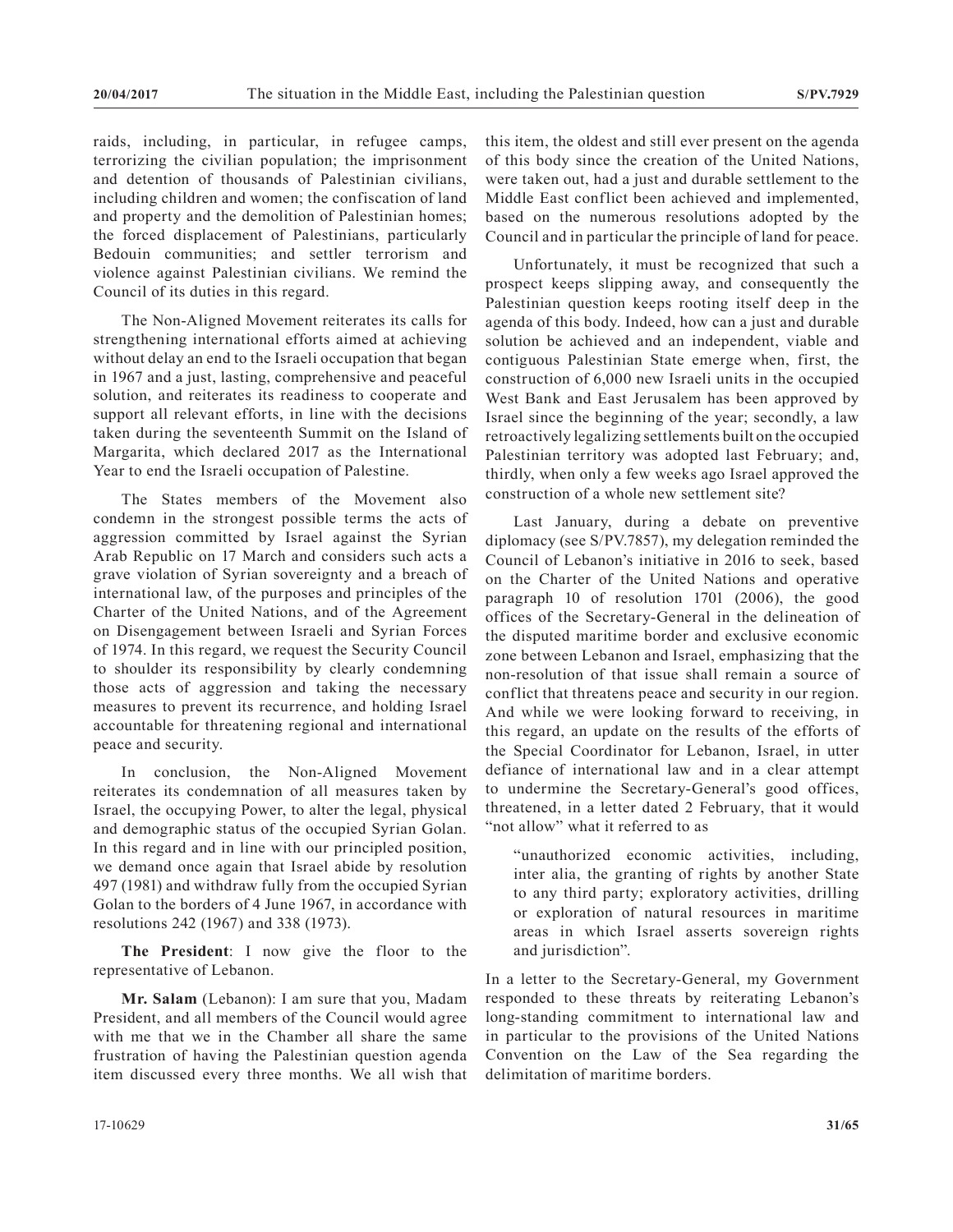raids, including, in particular, in refugee camps, terrorizing the civilian population; the imprisonment and detention of thousands of Palestinian civilians, including children and women; the confiscation of land and property and the demolition of Palestinian homes; the forced displacement of Palestinians, particularly Bedouin communities; and settler terrorism and violence against Palestinian civilians. We remind the Council of its duties in this regard.

The Non-Aligned Movement reiterates its calls for strengthening international efforts aimed at achieving without delay an end to the Israeli occupation that began in 1967 and a just, lasting, comprehensive and peaceful solution, and reiterates its readiness to cooperate and support all relevant efforts, in line with the decisions taken during the seventeenth Summit on the Island of Margarita, which declared 2017 as the International Year to end the Israeli occupation of Palestine.

The States members of the Movement also condemn in the strongest possible terms the acts of aggression committed by Israel against the Syrian Arab Republic on 17 March and considers such acts a grave violation of Syrian sovereignty and a breach of international law, of the purposes and principles of the Charter of the United Nations, and of the Agreement on Disengagement between Israeli and Syrian Forces of 1974. In this regard, we request the Security Council to shoulder its responsibility by clearly condemning those acts of aggression and taking the necessary measures to prevent its recurrence, and holding Israel accountable for threatening regional and international peace and security.

In conclusion, the Non-Aligned Movement reiterates its condemnation of all measures taken by Israel, the occupying Power, to alter the legal, physical and demographic status of the occupied Syrian Golan. In this regard and in line with our principled position, we demand once again that Israel abide by resolution 497 (1981) and withdraw fully from the occupied Syrian Golan to the borders of 4 June 1967, in accordance with resolutions 242 (1967) and 338 (1973).

**The President**: I now give the floor to the representative of Lebanon.

**Mr. Salam** (Lebanon): I am sure that you, Madam President, and all members of the Council would agree with me that we in the Chamber all share the same frustration of having the Palestinian question agenda item discussed every three months. We all wish that this item, the oldest and still ever present on the agenda of this body since the creation of the United Nations, were taken out, had a just and durable settlement to the Middle East conflict been achieved and implemented, based on the numerous resolutions adopted by the Council and in particular the principle of land for peace.

Unfortunately, it must be recognized that such a prospect keeps slipping away, and consequently the Palestinian question keeps rooting itself deep in the agenda of this body. Indeed, how can a just and durable solution be achieved and an independent, viable and contiguous Palestinian State emerge when, first, the construction of 6,000 new Israeli units in the occupied West Bank and East Jerusalem has been approved by Israel since the beginning of the year; secondly, a law retroactively legalizing settlements built on the occupied Palestinian territory was adopted last February; and, thirdly, when only a few weeks ago Israel approved the construction of a whole new settlement site?

Last January, during a debate on preventive diplomacy (see S/PV.7857), my delegation reminded the Council of Lebanon's initiative in 2016 to seek, based on the Charter of the United Nations and operative paragraph 10 of resolution 1701 (2006), the good offices of the Secretary-General in the delineation of the disputed maritime border and exclusive economic zone between Lebanon and Israel, emphasizing that the non-resolution of that issue shall remain a source of conflict that threatens peace and security in our region. And while we were looking forward to receiving, in this regard, an update on the results of the efforts of the Special Coordinator for Lebanon, Israel, in utter defiance of international law and in a clear attempt to undermine the Secretary-General's good offices, threatened, in a letter dated 2 February, that it would "not allow" what it referred to as

"unauthorized economic activities, including, inter alia, the granting of rights by another State to any third party; exploratory activities, drilling or exploration of natural resources in maritime areas in which Israel asserts sovereign rights and jurisdiction".

In a letter to the Secretary-General, my Government responded to these threats by reiterating Lebanon's long-standing commitment to international law and in particular to the provisions of the United Nations Convention on the Law of the Sea regarding the delimitation of maritime borders.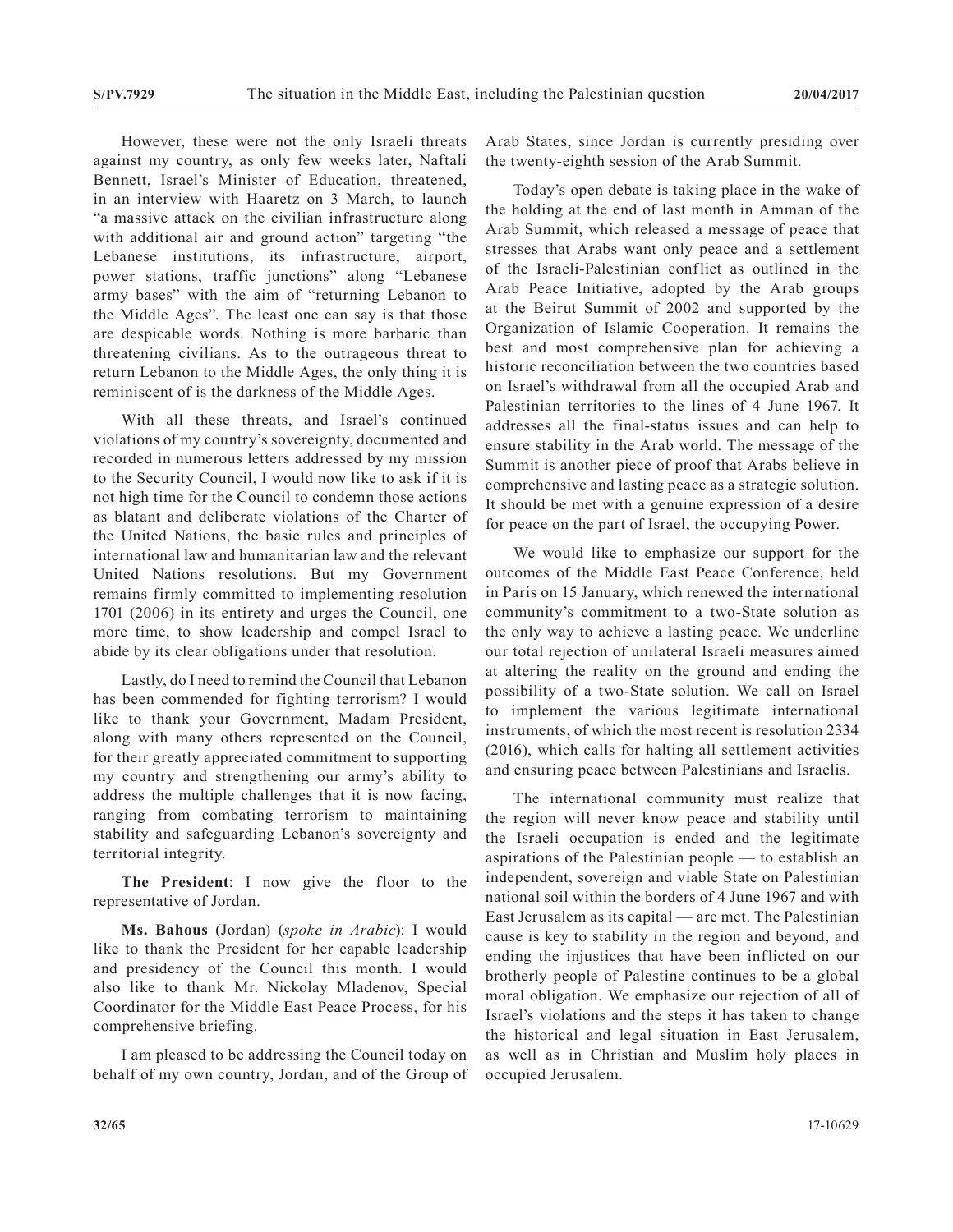However, these were not the only Israeli threats against my country, as only few weeks later, Naftali Bennett, Israel's Minister of Education, threatened, in an interview with Haaretz on 3 March, to launch "a massive attack on the civilian infrastructure along with additional air and ground action" targeting "the Lebanese institutions, its infrastructure, airport, power stations, traffic junctions" along "Lebanese army bases" with the aim of "returning Lebanon to the Middle Ages". The least one can say is that those are despicable words. Nothing is more barbaric than threatening civilians. As to the outrageous threat to return Lebanon to the Middle Ages, the only thing it is reminiscent of is the darkness of the Middle Ages.

With all these threats, and Israel's continued violations of my country's sovereignty, documented and recorded in numerous letters addressed by my mission to the Security Council, I would now like to ask if it is not high time for the Council to condemn those actions as blatant and deliberate violations of the Charter of the United Nations, the basic rules and principles of international law and humanitarian law and the relevant United Nations resolutions. But my Government remains firmly committed to implementing resolution 1701 (2006) in its entirety and urges the Council, one more time, to show leadership and compel Israel to abide by its clear obligations under that resolution.

Lastly, do I need to remind the Council that Lebanon has been commended for fighting terrorism? I would like to thank your Government, Madam President, along with many others represented on the Council, for their greatly appreciated commitment to supporting my country and strengthening our army's ability to address the multiple challenges that it is now facing, ranging from combating terrorism to maintaining stability and safeguarding Lebanon's sovereignty and territorial integrity.

**The President**: I now give the floor to the representative of Jordan.

**Ms. Bahous** (Jordan) (*spoke in Arabic*): I would like to thank the President for her capable leadership and presidency of the Council this month. I would also like to thank Mr. Nickolay Mladenov, Special Coordinator for the Middle East Peace Process, for his comprehensive briefing.

I am pleased to be addressing the Council today on behalf of my own country, Jordan, and of the Group of Arab States, since Jordan is currently presiding over the twenty-eighth session of the Arab Summit.

Today's open debate is taking place in the wake of the holding at the end of last month in Amman of the Arab Summit, which released a message of peace that stresses that Arabs want only peace and a settlement of the Israeli-Palestinian conflict as outlined in the Arab Peace Initiative, adopted by the Arab groups at the Beirut Summit of 2002 and supported by the Organization of Islamic Cooperation. It remains the best and most comprehensive plan for achieving a historic reconciliation between the two countries based on Israel's withdrawal from all the occupied Arab and Palestinian territories to the lines of 4 June 1967. It addresses all the final-status issues and can help to ensure stability in the Arab world. The message of the Summit is another piece of proof that Arabs believe in comprehensive and lasting peace as a strategic solution. It should be met with a genuine expression of a desire for peace on the part of Israel, the occupying Power.

We would like to emphasize our support for the outcomes of the Middle East Peace Conference, held in Paris on 15 January, which renewed the international community's commitment to a two-State solution as the only way to achieve a lasting peace. We underline our total rejection of unilateral Israeli measures aimed at altering the reality on the ground and ending the possibility of a two-State solution. We call on Israel to implement the various legitimate international instruments, of which the most recent is resolution 2334 (2016), which calls for halting all settlement activities and ensuring peace between Palestinians and Israelis.

The international community must realize that the region will never know peace and stability until the Israeli occupation is ended and the legitimate aspirations of the Palestinian people — to establish an independent, sovereign and viable State on Palestinian national soil within the borders of 4 June 1967 and with East Jerusalem as its capital — are met. The Palestinian cause is key to stability in the region and beyond, and ending the injustices that have been inflicted on our brotherly people of Palestine continues to be a global moral obligation. We emphasize our rejection of all of Israel's violations and the steps it has taken to change the historical and legal situation in East Jerusalem, as well as in Christian and Muslim holy places in occupied Jerusalem.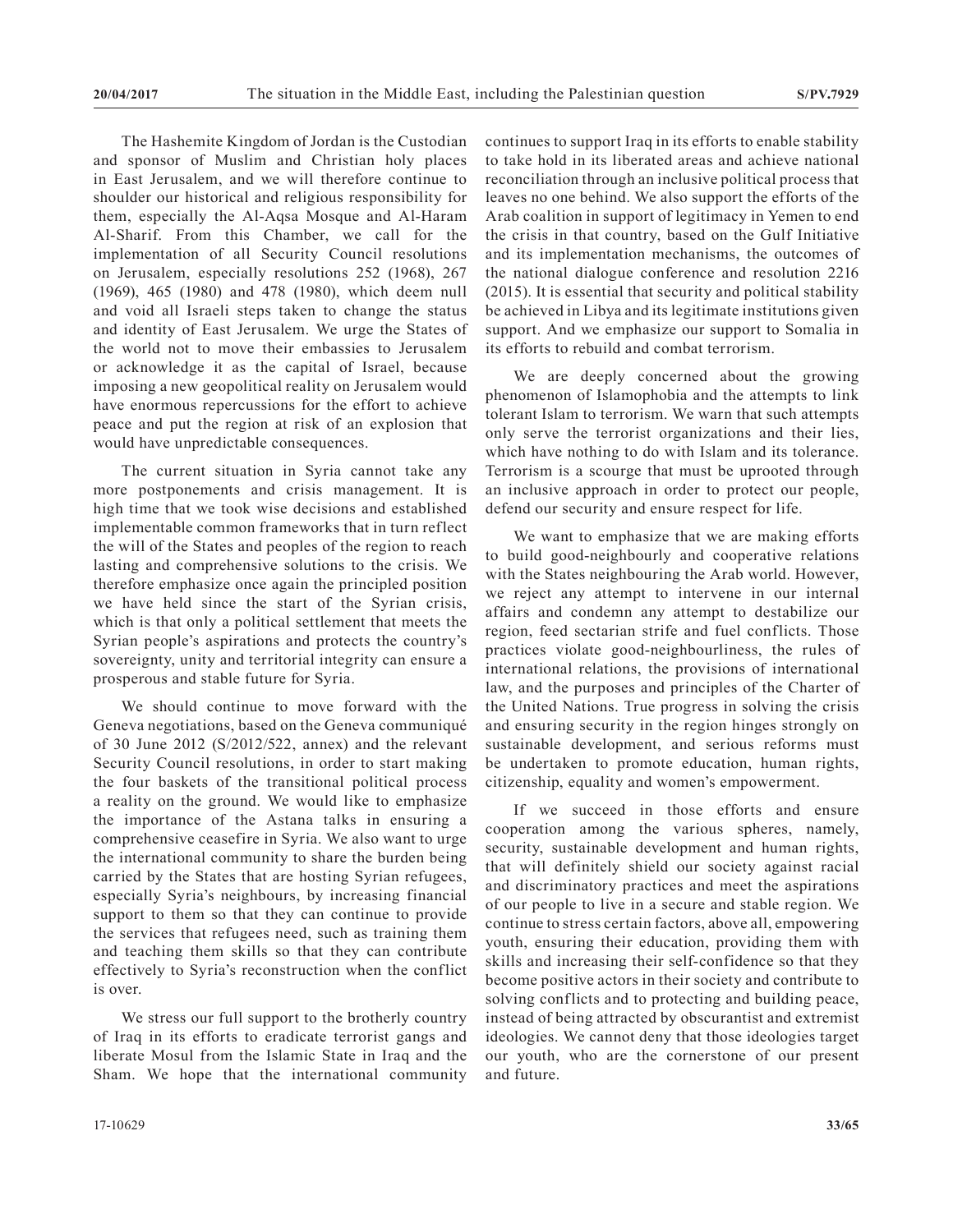The Hashemite Kingdom of Jordan is the Custodian and sponsor of Muslim and Christian holy places in East Jerusalem, and we will therefore continue to shoulder our historical and religious responsibility for them, especially the Al-Aqsa Mosque and Al-Haram Al-Sharif. From this Chamber, we call for the implementation of all Security Council resolutions on Jerusalem, especially resolutions 252 (1968), 267 (1969), 465 (1980) and 478 (1980), which deem null and void all Israeli steps taken to change the status and identity of East Jerusalem. We urge the States of the world not to move their embassies to Jerusalem or acknowledge it as the capital of Israel, because imposing a new geopolitical reality on Jerusalem would have enormous repercussions for the effort to achieve peace and put the region at risk of an explosion that would have unpredictable consequences.

The current situation in Syria cannot take any more postponements and crisis management. It is high time that we took wise decisions and established implementable common frameworks that in turn reflect the will of the States and peoples of the region to reach lasting and comprehensive solutions to the crisis. We therefore emphasize once again the principled position we have held since the start of the Syrian crisis, which is that only a political settlement that meets the Syrian people's aspirations and protects the country's sovereignty, unity and territorial integrity can ensure a prosperous and stable future for Syria.

We should continue to move forward with the Geneva negotiations, based on the Geneva communiqué of 30 June 2012 (S/2012/522, annex) and the relevant Security Council resolutions, in order to start making the four baskets of the transitional political process a reality on the ground. We would like to emphasize the importance of the Astana talks in ensuring a comprehensive ceasefire in Syria. We also want to urge the international community to share the burden being carried by the States that are hosting Syrian refugees, especially Syria's neighbours, by increasing financial support to them so that they can continue to provide the services that refugees need, such as training them and teaching them skills so that they can contribute effectively to Syria's reconstruction when the conflict is over.

We stress our full support to the brotherly country of Iraq in its efforts to eradicate terrorist gangs and liberate Mosul from the Islamic State in Iraq and the Sham. We hope that the international community continues to support Iraq in its efforts to enable stability to take hold in its liberated areas and achieve national reconciliation through an inclusive political process that leaves no one behind. We also support the efforts of the Arab coalition in support of legitimacy in Yemen to end the crisis in that country, based on the Gulf Initiative and its implementation mechanisms, the outcomes of the national dialogue conference and resolution 2216 (2015). It is essential that security and political stability be achieved in Libya and its legitimate institutions given support. And we emphasize our support to Somalia in its efforts to rebuild and combat terrorism.

We are deeply concerned about the growing phenomenon of Islamophobia and the attempts to link tolerant Islam to terrorism. We warn that such attempts only serve the terrorist organizations and their lies, which have nothing to do with Islam and its tolerance. Terrorism is a scourge that must be uprooted through an inclusive approach in order to protect our people, defend our security and ensure respect for life.

We want to emphasize that we are making efforts to build good-neighbourly and cooperative relations with the States neighbouring the Arab world. However, we reject any attempt to intervene in our internal affairs and condemn any attempt to destabilize our region, feed sectarian strife and fuel conflicts. Those practices violate good-neighbourliness, the rules of international relations, the provisions of international law, and the purposes and principles of the Charter of the United Nations. True progress in solving the crisis and ensuring security in the region hinges strongly on sustainable development, and serious reforms must be undertaken to promote education, human rights, citizenship, equality and women's empowerment.

If we succeed in those efforts and ensure cooperation among the various spheres, namely, security, sustainable development and human rights, that will definitely shield our society against racial and discriminatory practices and meet the aspirations of our people to live in a secure and stable region. We continue to stress certain factors, above all, empowering youth, ensuring their education, providing them with skills and increasing their self-confidence so that they become positive actors in their society and contribute to solving conflicts and to protecting and building peace, instead of being attracted by obscurantist and extremist ideologies. We cannot deny that those ideologies target our youth, who are the cornerstone of our present and future.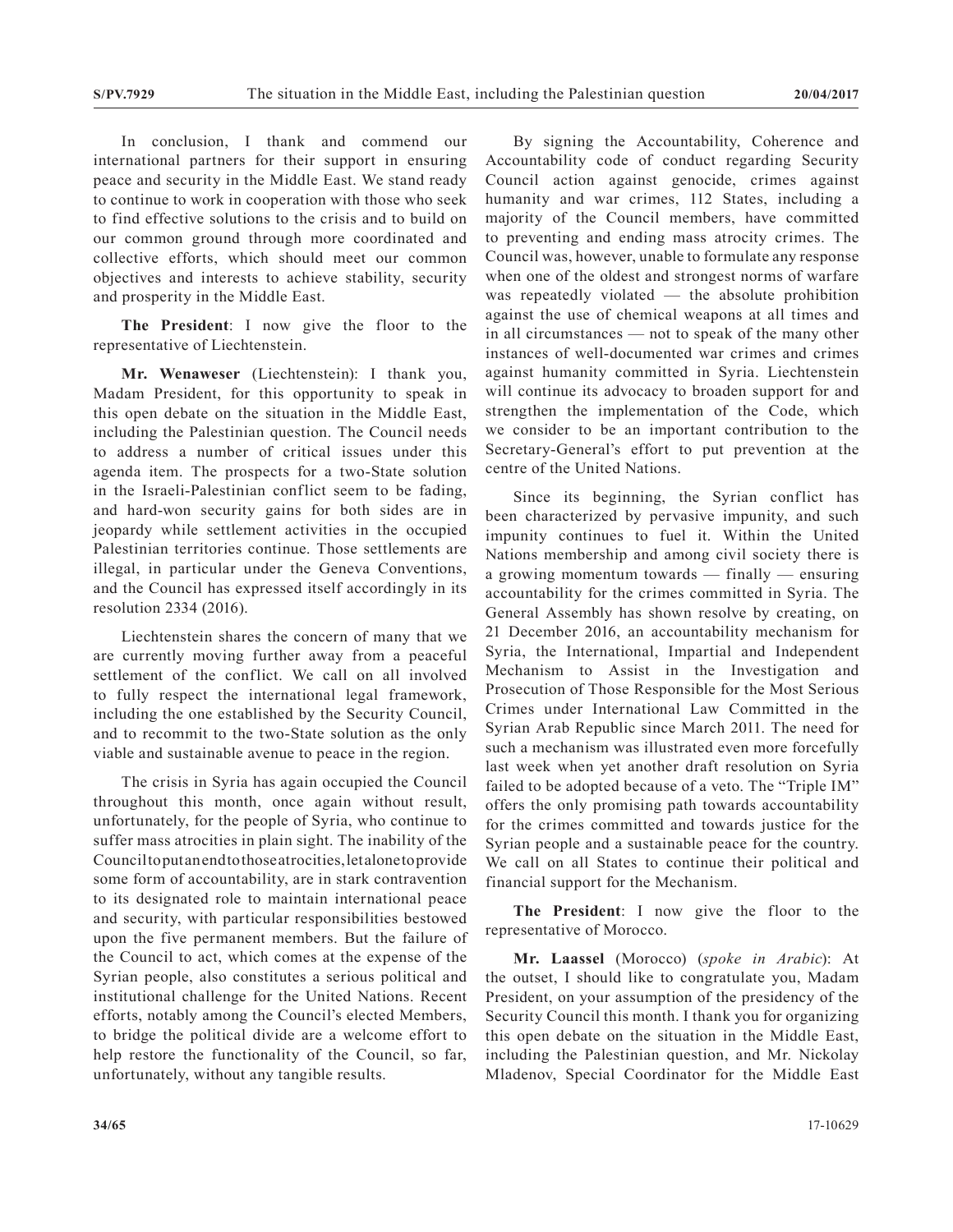In conclusion, I thank and commend our international partners for their support in ensuring peace and security in the Middle East. We stand ready to continue to work in cooperation with those who seek to find effective solutions to the crisis and to build on our common ground through more coordinated and collective efforts, which should meet our common objectives and interests to achieve stability, security and prosperity in the Middle East.

**The President**: I now give the floor to the representative of Liechtenstein.

**Mr. Wenaweser** (Liechtenstein): I thank you, Madam President, for this opportunity to speak in this open debate on the situation in the Middle East, including the Palestinian question. The Council needs to address a number of critical issues under this agenda item. The prospects for a two-State solution in the Israeli-Palestinian conflict seem to be fading, and hard-won security gains for both sides are in jeopardy while settlement activities in the occupied Palestinian territories continue. Those settlements are illegal, in particular under the Geneva Conventions, and the Council has expressed itself accordingly in its resolution 2334 (2016).

Liechtenstein shares the concern of many that we are currently moving further away from a peaceful settlement of the conflict. We call on all involved to fully respect the international legal framework, including the one established by the Security Council, and to recommit to the two-State solution as the only viable and sustainable avenue to peace in the region.

The crisis in Syria has again occupied the Council throughout this month, once again without result, unfortunately, for the people of Syria, who continue to suffer mass atrocities in plain sight. The inability of the Council to put an end to those atrocities, let alone to provide some form of accountability, are in stark contravention to its designated role to maintain international peace and security, with particular responsibilities bestowed upon the five permanent members. But the failure of the Council to act, which comes at the expense of the Syrian people, also constitutes a serious political and institutional challenge for the United Nations. Recent efforts, notably among the Council's elected Members, to bridge the political divide are a welcome effort to help restore the functionality of the Council, so far, unfortunately, without any tangible results.

By signing the Accountability, Coherence and Accountability code of conduct regarding Security Council action against genocide, crimes against humanity and war crimes, 112 States, including a majority of the Council members, have committed to preventing and ending mass atrocity crimes. The Council was, however, unable to formulate any response when one of the oldest and strongest norms of warfare was repeatedly violated — the absolute prohibition against the use of chemical weapons at all times and in all circumstances — not to speak of the many other instances of well-documented war crimes and crimes against humanity committed in Syria. Liechtenstein will continue its advocacy to broaden support for and strengthen the implementation of the Code, which we consider to be an important contribution to the Secretary-General's effort to put prevention at the centre of the United Nations.

Since its beginning, the Syrian conflict has been characterized by pervasive impunity, and such impunity continues to fuel it. Within the United Nations membership and among civil society there is a growing momentum towards — finally — ensuring accountability for the crimes committed in Syria. The General Assembly has shown resolve by creating, on 21 December 2016, an accountability mechanism for Syria, the International, Impartial and Independent Mechanism to Assist in the Investigation and Prosecution of Those Responsible for the Most Serious Crimes under International Law Committed in the Syrian Arab Republic since March 2011. The need for such a mechanism was illustrated even more forcefully last week when yet another draft resolution on Syria failed to be adopted because of a veto. The "Triple IM" offers the only promising path towards accountability for the crimes committed and towards justice for the Syrian people and a sustainable peace for the country. We call on all States to continue their political and financial support for the Mechanism.

**The President**: I now give the floor to the representative of Morocco.

**Mr. Laassel** (Morocco) (*spoke in Arabic*): At the outset, I should like to congratulate you, Madam President, on your assumption of the presidency of the Security Council this month. I thank you for organizing this open debate on the situation in the Middle East, including the Palestinian question, and Mr. Nickolay Mladenov, Special Coordinator for the Middle East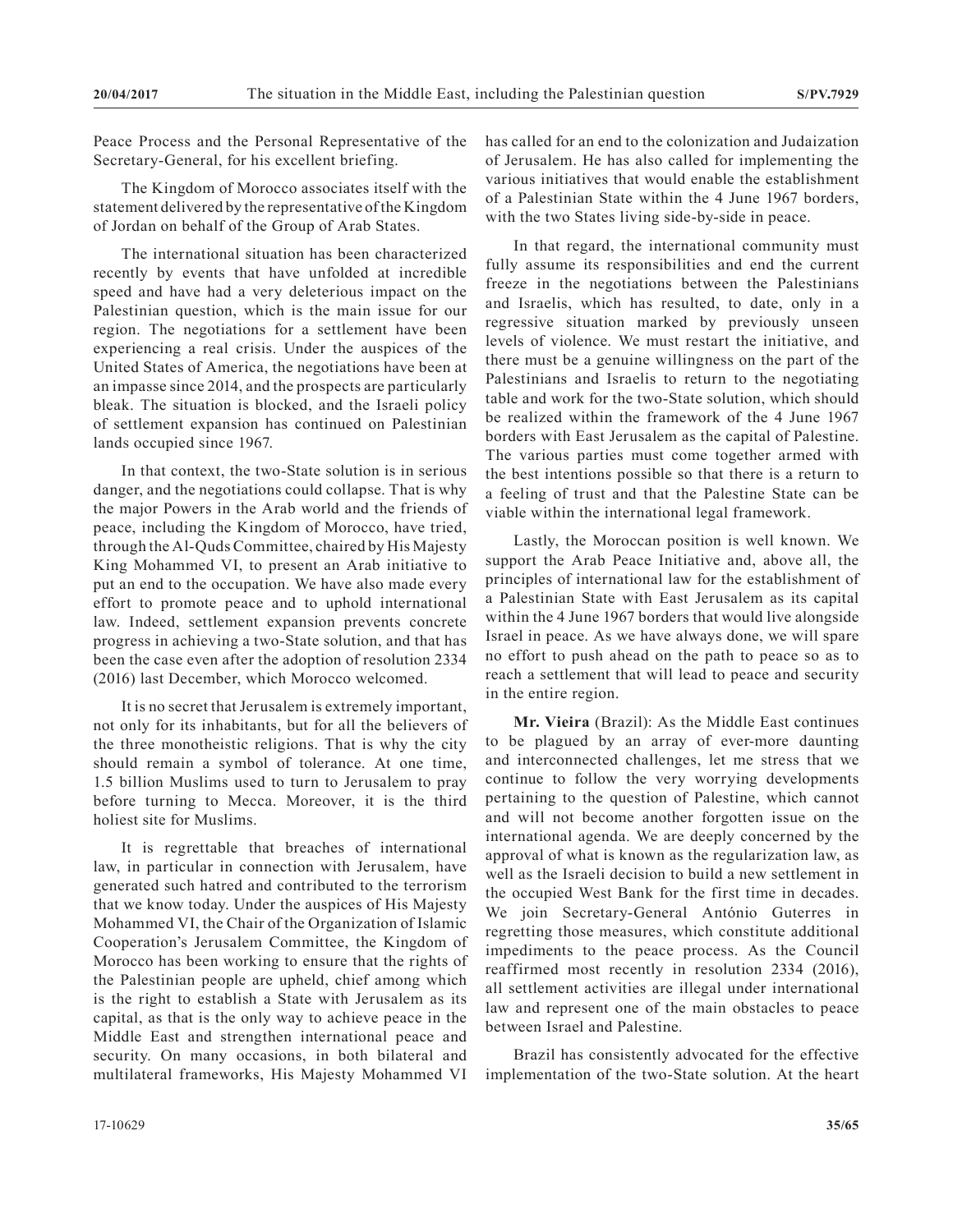Peace Process and the Personal Representative of the Secretary-General, for his excellent briefing.

The Kingdom of Morocco associates itself with the statement delivered by the representative of the Kingdom of Jordan on behalf of the Group of Arab States.

The international situation has been characterized recently by events that have unfolded at incredible speed and have had a very deleterious impact on the Palestinian question, which is the main issue for our region. The negotiations for a settlement have been experiencing a real crisis. Under the auspices of the United States of America, the negotiations have been at an impasse since 2014, and the prospects are particularly bleak. The situation is blocked, and the Israeli policy of settlement expansion has continued on Palestinian lands occupied since 1967.

In that context, the two-State solution is in serious danger, and the negotiations could collapse. That is why the major Powers in the Arab world and the friends of peace, including the Kingdom of Morocco, have tried, through the Al-Quds Committee, chaired by His Majesty King Mohammed VI, to present an Arab initiative to put an end to the occupation. We have also made every effort to promote peace and to uphold international law. Indeed, settlement expansion prevents concrete progress in achieving a two-State solution, and that has been the case even after the adoption of resolution 2334 (2016) last December, which Morocco welcomed.

It is no secret that Jerusalem is extremely important, not only for its inhabitants, but for all the believers of the three monotheistic religions. That is why the city should remain a symbol of tolerance. At one time, 1.5 billion Muslims used to turn to Jerusalem to pray before turning to Mecca. Moreover, it is the third holiest site for Muslims.

It is regrettable that breaches of international law, in particular in connection with Jerusalem, have generated such hatred and contributed to the terrorism that we know today. Under the auspices of His Majesty Mohammed VI, the Chair of the Organization of Islamic Cooperation's Jerusalem Committee, the Kingdom of Morocco has been working to ensure that the rights of the Palestinian people are upheld, chief among which is the right to establish a State with Jerusalem as its capital, as that is the only way to achieve peace in the Middle East and strengthen international peace and security. On many occasions, in both bilateral and multilateral frameworks, His Majesty Mohammed VI

has called for an end to the colonization and Judaization of Jerusalem. He has also called for implementing the various initiatives that would enable the establishment of a Palestinian State within the 4 June 1967 borders, with the two States living side-by-side in peace.

In that regard, the international community must fully assume its responsibilities and end the current freeze in the negotiations between the Palestinians and Israelis, which has resulted, to date, only in a regressive situation marked by previously unseen levels of violence. We must restart the initiative, and there must be a genuine willingness on the part of the Palestinians and Israelis to return to the negotiating table and work for the two-State solution, which should be realized within the framework of the 4 June 1967 borders with East Jerusalem as the capital of Palestine. The various parties must come together armed with the best intentions possible so that there is a return to a feeling of trust and that the Palestine State can be viable within the international legal framework.

Lastly, the Moroccan position is well known. We support the Arab Peace Initiative and, above all, the principles of international law for the establishment of a Palestinian State with East Jerusalem as its capital within the 4 June 1967 borders that would live alongside Israel in peace. As we have always done, we will spare no effort to push ahead on the path to peace so as to reach a settlement that will lead to peace and security in the entire region.

**Mr. Vieira** (Brazil): As the Middle East continues to be plagued by an array of ever-more daunting and interconnected challenges, let me stress that we continue to follow the very worrying developments pertaining to the question of Palestine, which cannot and will not become another forgotten issue on the international agenda. We are deeply concerned by the approval of what is known as the regularization law, as well as the Israeli decision to build a new settlement in the occupied West Bank for the first time in decades. We join Secretary-General António Guterres in regretting those measures, which constitute additional impediments to the peace process. As the Council reaffirmed most recently in resolution 2334 (2016), all settlement activities are illegal under international law and represent one of the main obstacles to peace between Israel and Palestine.

Brazil has consistently advocated for the effective implementation of the two-State solution. At the heart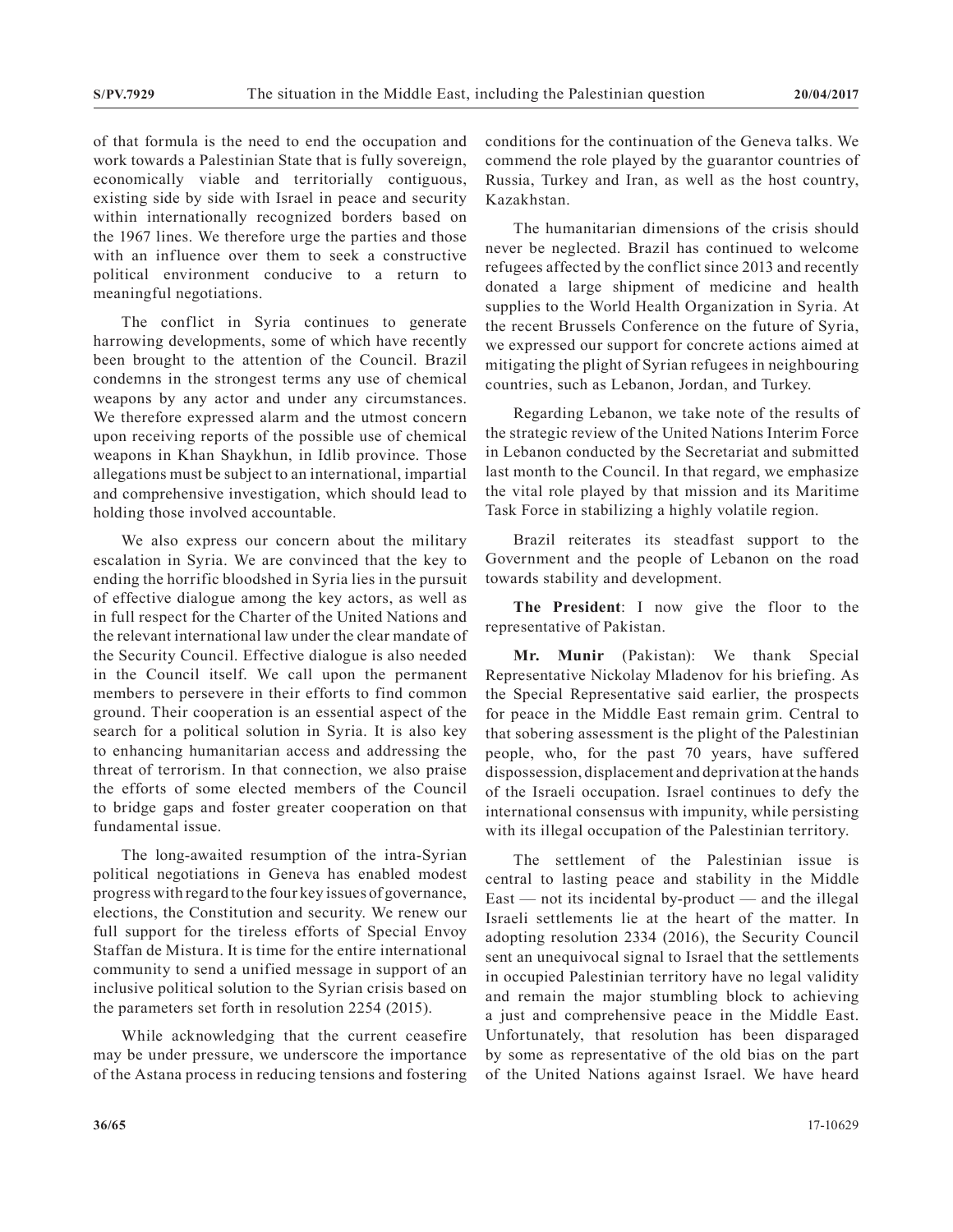of that formula is the need to end the occupation and work towards a Palestinian State that is fully sovereign, economically viable and territorially contiguous, existing side by side with Israel in peace and security within internationally recognized borders based on the 1967 lines. We therefore urge the parties and those with an influence over them to seek a constructive political environment conducive to a return to meaningful negotiations.

The conflict in Syria continues to generate harrowing developments, some of which have recently been brought to the attention of the Council. Brazil condemns in the strongest terms any use of chemical weapons by any actor and under any circumstances. We therefore expressed alarm and the utmost concern upon receiving reports of the possible use of chemical weapons in Khan Shaykhun, in Idlib province. Those allegations must be subject to an international, impartial and comprehensive investigation, which should lead to holding those involved accountable.

We also express our concern about the military escalation in Syria. We are convinced that the key to ending the horrific bloodshed in Syria lies in the pursuit of effective dialogue among the key actors, as well as in full respect for the Charter of the United Nations and the relevant international law under the clear mandate of the Security Council. Effective dialogue is also needed in the Council itself. We call upon the permanent members to persevere in their efforts to find common ground. Their cooperation is an essential aspect of the search for a political solution in Syria. It is also key to enhancing humanitarian access and addressing the threat of terrorism. In that connection, we also praise the efforts of some elected members of the Council to bridge gaps and foster greater cooperation on that fundamental issue.

The long-awaited resumption of the intra-Syrian political negotiations in Geneva has enabled modest progress with regard to the four key issues of governance, elections, the Constitution and security. We renew our full support for the tireless efforts of Special Envoy Staffan de Mistura. It is time for the entire international community to send a unified message in support of an inclusive political solution to the Syrian crisis based on the parameters set forth in resolution 2254 (2015).

While acknowledging that the current ceasefire may be under pressure, we underscore the importance of the Astana process in reducing tensions and fostering conditions for the continuation of the Geneva talks. We commend the role played by the guarantor countries of Russia, Turkey and Iran, as well as the host country, Kazakhstan.

The humanitarian dimensions of the crisis should never be neglected. Brazil has continued to welcome refugees affected by the conflict since 2013 and recently donated a large shipment of medicine and health supplies to the World Health Organization in Syria. At the recent Brussels Conference on the future of Syria, we expressed our support for concrete actions aimed at mitigating the plight of Syrian refugees in neighbouring countries, such as Lebanon, Jordan, and Turkey.

Regarding Lebanon, we take note of the results of the strategic review of the United Nations Interim Force in Lebanon conducted by the Secretariat and submitted last month to the Council. In that regard, we emphasize the vital role played by that mission and its Maritime Task Force in stabilizing a highly volatile region.

Brazil reiterates its steadfast support to the Government and the people of Lebanon on the road towards stability and development.

**The President**: I now give the floor to the representative of Pakistan.

**Mr. Munir** (Pakistan): We thank Special Representative Nickolay Mladenov for his briefing. As the Special Representative said earlier, the prospects for peace in the Middle East remain grim. Central to that sobering assessment is the plight of the Palestinian people, who, for the past 70 years, have suffered dispossession, displacement and deprivation at the hands of the Israeli occupation. Israel continues to defy the international consensus with impunity, while persisting with its illegal occupation of the Palestinian territory.

The settlement of the Palestinian issue is central to lasting peace and stability in the Middle East — not its incidental by-product — and the illegal Israeli settlements lie at the heart of the matter. In adopting resolution 2334 (2016), the Security Council sent an unequivocal signal to Israel that the settlements in occupied Palestinian territory have no legal validity and remain the major stumbling block to achieving a just and comprehensive peace in the Middle East. Unfortunately, that resolution has been disparaged by some as representative of the old bias on the part of the United Nations against Israel. We have heard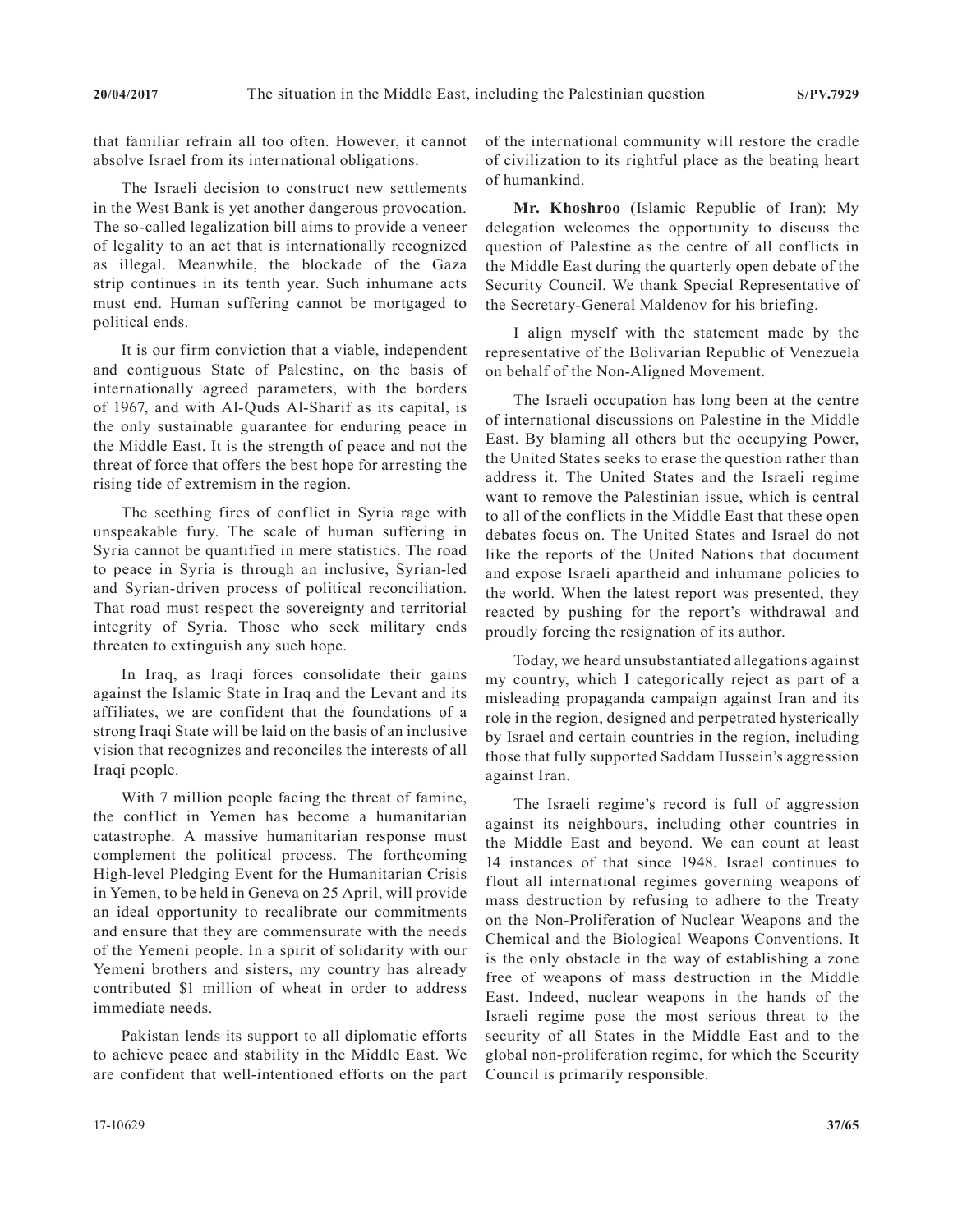that familiar refrain all too often. However, it cannot absolve Israel from its international obligations.

The Israeli decision to construct new settlements in the West Bank is yet another dangerous provocation. The so-called legalization bill aims to provide a veneer of legality to an act that is internationally recognized as illegal. Meanwhile, the blockade of the Gaza strip continues in its tenth year. Such inhumane acts must end. Human suffering cannot be mortgaged to political ends.

It is our firm conviction that a viable, independent and contiguous State of Palestine, on the basis of internationally agreed parameters, with the borders of 1967, and with Al-Quds Al-Sharif as its capital, is the only sustainable guarantee for enduring peace in the Middle East. It is the strength of peace and not the threat of force that offers the best hope for arresting the rising tide of extremism in the region.

The seething fires of conflict in Syria rage with unspeakable fury. The scale of human suffering in Syria cannot be quantified in mere statistics. The road to peace in Syria is through an inclusive, Syrian-led and Syrian-driven process of political reconciliation. That road must respect the sovereignty and territorial integrity of Syria. Those who seek military ends threaten to extinguish any such hope.

In Iraq, as Iraqi forces consolidate their gains against the Islamic State in Iraq and the Levant and its affiliates, we are confident that the foundations of a strong Iraqi State will be laid on the basis of an inclusive vision that recognizes and reconciles the interests of all Iraqi people.

With 7 million people facing the threat of famine, the conflict in Yemen has become a humanitarian catastrophe. A massive humanitarian response must complement the political process. The forthcoming High-level Pledging Event for the Humanitarian Crisis in Yemen, to be held in Geneva on 25 April, will provide an ideal opportunity to recalibrate our commitments and ensure that they are commensurate with the needs of the Yemeni people. In a spirit of solidarity with our Yemeni brothers and sisters, my country has already contributed \$1 million of wheat in order to address immediate needs.

Pakistan lends its support to all diplomatic efforts to achieve peace and stability in the Middle East. We are confident that well-intentioned efforts on the part of the international community will restore the cradle of civilization to its rightful place as the beating heart of humankind.

**Mr. Khoshroo** (Islamic Republic of Iran): My delegation welcomes the opportunity to discuss the question of Palestine as the centre of all conflicts in the Middle East during the quarterly open debate of the Security Council. We thank Special Representative of the Secretary-General Maldenov for his briefing.

I align myself with the statement made by the representative of the Bolivarian Republic of Venezuela on behalf of the Non-Aligned Movement.

The Israeli occupation has long been at the centre of international discussions on Palestine in the Middle East. By blaming all others but the occupying Power, the United States seeks to erase the question rather than address it. The United States and the Israeli regime want to remove the Palestinian issue, which is central to all of the conflicts in the Middle East that these open debates focus on. The United States and Israel do not like the reports of the United Nations that document and expose Israeli apartheid and inhumane policies to the world. When the latest report was presented, they reacted by pushing for the report's withdrawal and proudly forcing the resignation of its author.

Today, we heard unsubstantiated allegations against my country, which I categorically reject as part of a misleading propaganda campaign against Iran and its role in the region, designed and perpetrated hysterically by Israel and certain countries in the region, including those that fully supported Saddam Hussein's aggression against Iran.

The Israeli regime's record is full of aggression against its neighbours, including other countries in the Middle East and beyond. We can count at least 14 instances of that since 1948. Israel continues to flout all international regimes governing weapons of mass destruction by refusing to adhere to the Treaty on the Non-Proliferation of Nuclear Weapons and the Chemical and the Biological Weapons Conventions. It is the only obstacle in the way of establishing a zone free of weapons of mass destruction in the Middle East. Indeed, nuclear weapons in the hands of the Israeli regime pose the most serious threat to the security of all States in the Middle East and to the global non-proliferation regime, for which the Security Council is primarily responsible.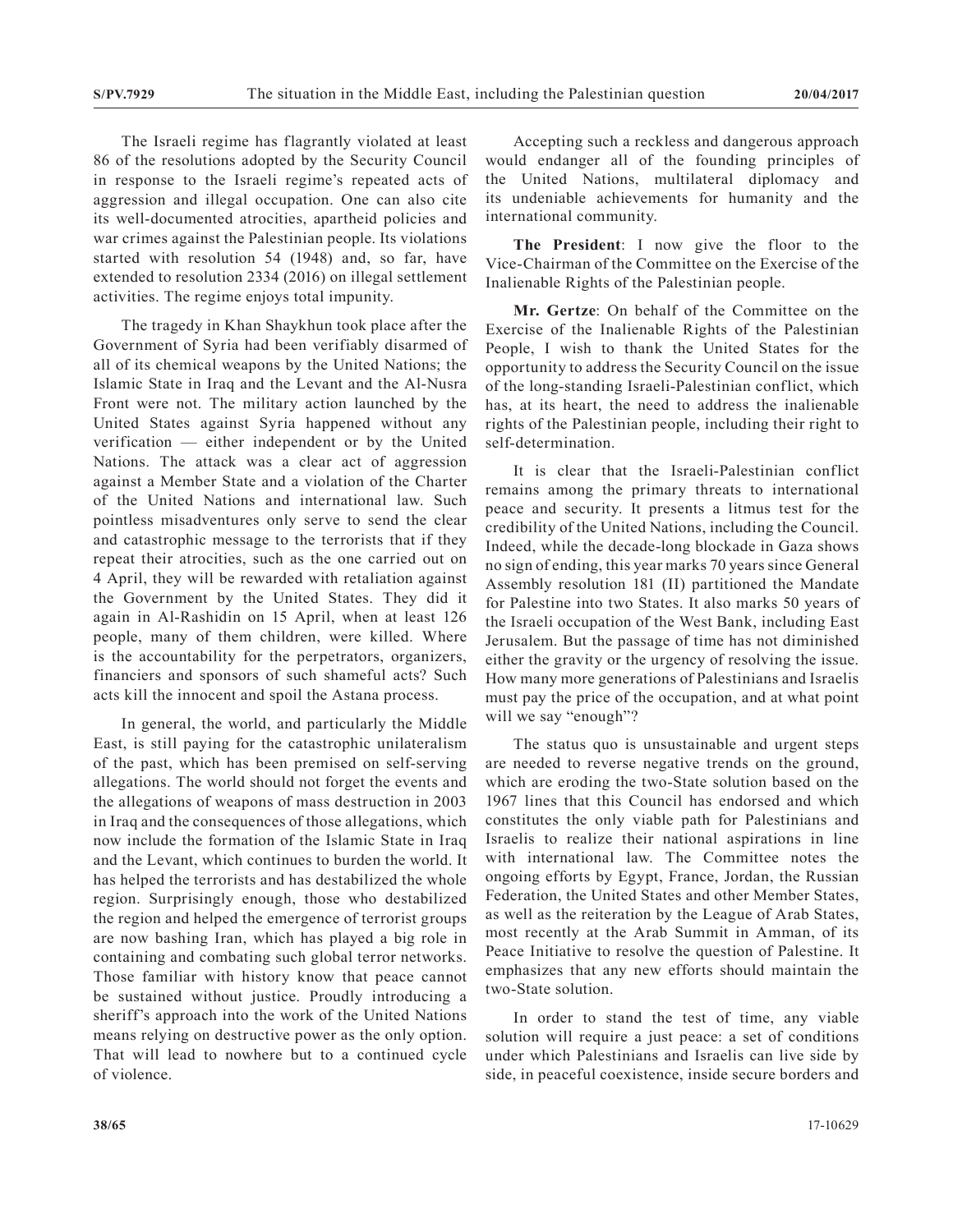The Israeli regime has flagrantly violated at least 86 of the resolutions adopted by the Security Council in response to the Israeli regime's repeated acts of aggression and illegal occupation. One can also cite its well-documented atrocities, apartheid policies and war crimes against the Palestinian people. Its violations started with resolution 54 (1948) and, so far, have extended to resolution 2334 (2016) on illegal settlement activities. The regime enjoys total impunity.

The tragedy in Khan Shaykhun took place after the Government of Syria had been verifiably disarmed of all of its chemical weapons by the United Nations; the Islamic State in Iraq and the Levant and the Al-Nusra Front were not. The military action launched by the United States against Syria happened without any verification — either independent or by the United Nations. The attack was a clear act of aggression against a Member State and a violation of the Charter of the United Nations and international law. Such pointless misadventures only serve to send the clear and catastrophic message to the terrorists that if they repeat their atrocities, such as the one carried out on 4 April, they will be rewarded with retaliation against the Government by the United States. They did it again in Al-Rashidin on 15 April, when at least 126 people, many of them children, were killed. Where is the accountability for the perpetrators, organizers, financiers and sponsors of such shameful acts? Such acts kill the innocent and spoil the Astana process.

In general, the world, and particularly the Middle East, is still paying for the catastrophic unilateralism of the past, which has been premised on self-serving allegations. The world should not forget the events and the allegations of weapons of mass destruction in 2003 in Iraq and the consequences of those allegations, which now include the formation of the Islamic State in Iraq and the Levant, which continues to burden the world. It has helped the terrorists and has destabilized the whole region. Surprisingly enough, those who destabilized the region and helped the emergence of terrorist groups are now bashing Iran, which has played a big role in containing and combating such global terror networks. Those familiar with history know that peace cannot be sustained without justice. Proudly introducing a sheriff's approach into the work of the United Nations means relying on destructive power as the only option. That will lead to nowhere but to a continued cycle of violence.

Accepting such a reckless and dangerous approach would endanger all of the founding principles of the United Nations, multilateral diplomacy and its undeniable achievements for humanity and the international community.

**The President**: I now give the floor to the Vice-Chairman of the Committee on the Exercise of the Inalienable Rights of the Palestinian people.

**Mr. Gertze**: On behalf of the Committee on the Exercise of the Inalienable Rights of the Palestinian People, I wish to thank the United States for the opportunity to address the Security Council on the issue of the long-standing Israeli-Palestinian conflict, which has, at its heart, the need to address the inalienable rights of the Palestinian people, including their right to self-determination.

It is clear that the Israeli-Palestinian conflict remains among the primary threats to international peace and security. It presents a litmus test for the credibility of the United Nations, including the Council. Indeed, while the decade-long blockade in Gaza shows no sign of ending, this year marks 70 years since General Assembly resolution 181 (II) partitioned the Mandate for Palestine into two States. It also marks 50 years of the Israeli occupation of the West Bank, including East Jerusalem. But the passage of time has not diminished either the gravity or the urgency of resolving the issue. How many more generations of Palestinians and Israelis must pay the price of the occupation, and at what point will we say "enough"?

The status quo is unsustainable and urgent steps are needed to reverse negative trends on the ground, which are eroding the two-State solution based on the 1967 lines that this Council has endorsed and which constitutes the only viable path for Palestinians and Israelis to realize their national aspirations in line with international law. The Committee notes the ongoing efforts by Egypt, France, Jordan, the Russian Federation, the United States and other Member States, as well as the reiteration by the League of Arab States, most recently at the Arab Summit in Amman, of its Peace Initiative to resolve the question of Palestine. It emphasizes that any new efforts should maintain the two-State solution.

In order to stand the test of time, any viable solution will require a just peace: a set of conditions under which Palestinians and Israelis can live side by side, in peaceful coexistence, inside secure borders and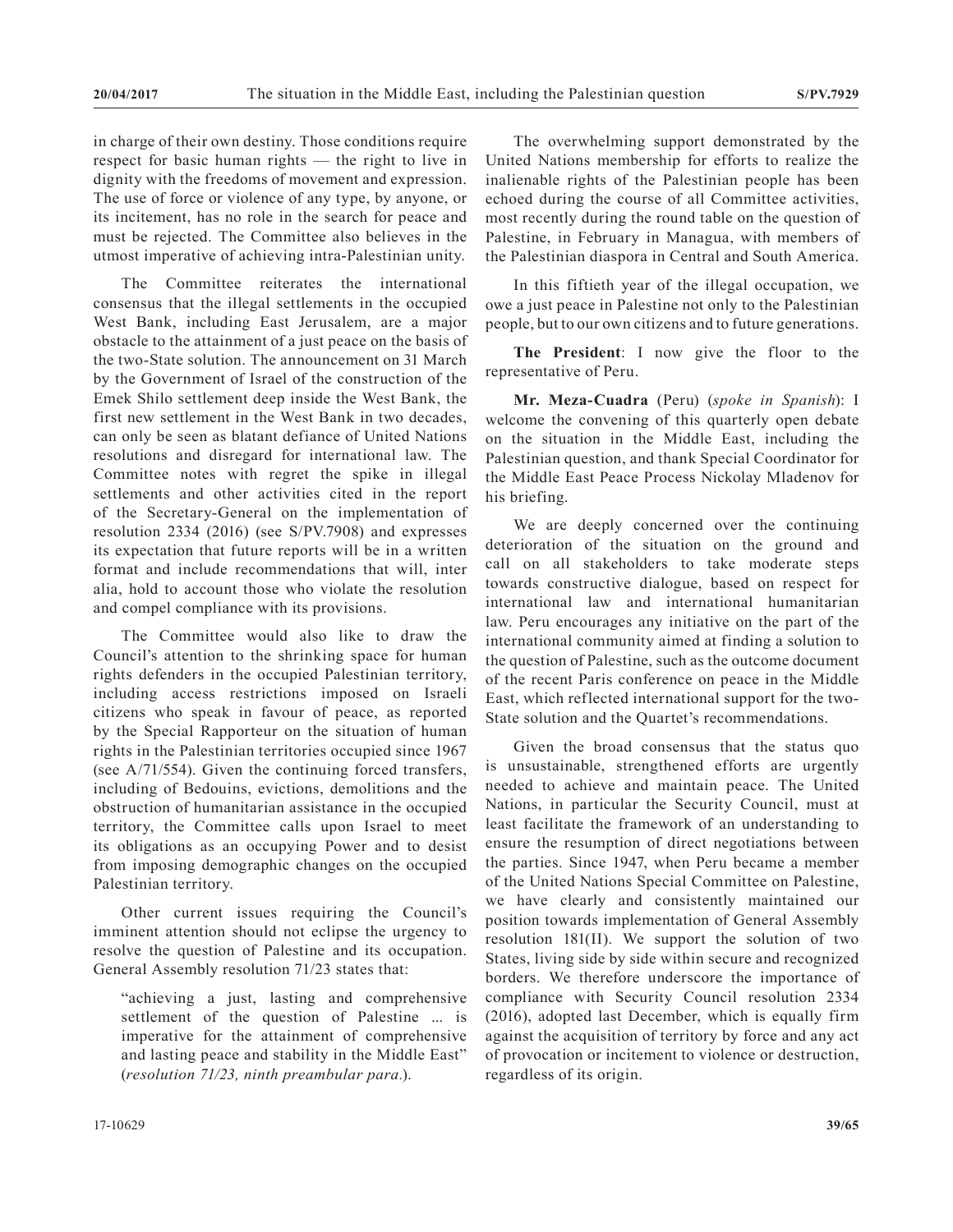in charge of their own destiny. Those conditions require respect for basic human rights — the right to live in dignity with the freedoms of movement and expression. The use of force or violence of any type, by anyone, or its incitement, has no role in the search for peace and must be rejected. The Committee also believes in the utmost imperative of achieving intra-Palestinian unity.

The Committee reiterates the international consensus that the illegal settlements in the occupied West Bank, including East Jerusalem, are a major obstacle to the attainment of a just peace on the basis of the two-State solution. The announcement on 31 March by the Government of Israel of the construction of the Emek Shilo settlement deep inside the West Bank, the first new settlement in the West Bank in two decades, can only be seen as blatant defiance of United Nations resolutions and disregard for international law. The Committee notes with regret the spike in illegal settlements and other activities cited in the report of the Secretary-General on the implementation of resolution 2334 (2016) (see S/PV.7908) and expresses its expectation that future reports will be in a written format and include recommendations that will, inter alia, hold to account those who violate the resolution and compel compliance with its provisions.

The Committee would also like to draw the Council's attention to the shrinking space for human rights defenders in the occupied Palestinian territory, including access restrictions imposed on Israeli citizens who speak in favour of peace, as reported by the Special Rapporteur on the situation of human rights in the Palestinian territories occupied since 1967 (see A/71/554). Given the continuing forced transfers, including of Bedouins, evictions, demolitions and the obstruction of humanitarian assistance in the occupied territory, the Committee calls upon Israel to meet its obligations as an occupying Power and to desist from imposing demographic changes on the occupied Palestinian territory.

Other current issues requiring the Council's imminent attention should not eclipse the urgency to resolve the question of Palestine and its occupation. General Assembly resolution 71/23 states that:

"achieving a just, lasting and comprehensive settlement of the question of Palestine ... is imperative for the attainment of comprehensive and lasting peace and stability in the Middle East" (*resolution 71/23, ninth preambular para.*).

The overwhelming support demonstrated by the United Nations membership for efforts to realize the inalienable rights of the Palestinian people has been echoed during the course of all Committee activities, most recently during the round table on the question of Palestine, in February in Managua, with members of the Palestinian diaspora in Central and South America.

In this fiftieth year of the illegal occupation, we owe a just peace in Palestine not only to the Palestinian people, but to our own citizens and to future generations.

**The President**: I now give the floor to the representative of Peru.

**Mr. Meza-Cuadra** (Peru) (*spoke in Spanish*): I welcome the convening of this quarterly open debate on the situation in the Middle East, including the Palestinian question, and thank Special Coordinator for the Middle East Peace Process Nickolay Mladenov for his briefing.

We are deeply concerned over the continuing deterioration of the situation on the ground and call on all stakeholders to take moderate steps towards constructive dialogue, based on respect for international law and international humanitarian law. Peru encourages any initiative on the part of the international community aimed at finding a solution to the question of Palestine, such as the outcome document of the recent Paris conference on peace in the Middle East, which reflected international support for the two-State solution and the Quartet's recommendations.

Given the broad consensus that the status quo is unsustainable, strengthened efforts are urgently needed to achieve and maintain peace. The United Nations, in particular the Security Council, must at least facilitate the framework of an understanding to ensure the resumption of direct negotiations between the parties. Since 1947, when Peru became a member of the United Nations Special Committee on Palestine, we have clearly and consistently maintained our position towards implementation of General Assembly resolution 181(II). We support the solution of two States, living side by side within secure and recognized borders. We therefore underscore the importance of compliance with Security Council resolution 2334 (2016), adopted last December, which is equally firm against the acquisition of territory by force and any act of provocation or incitement to violence or destruction, regardless of its origin.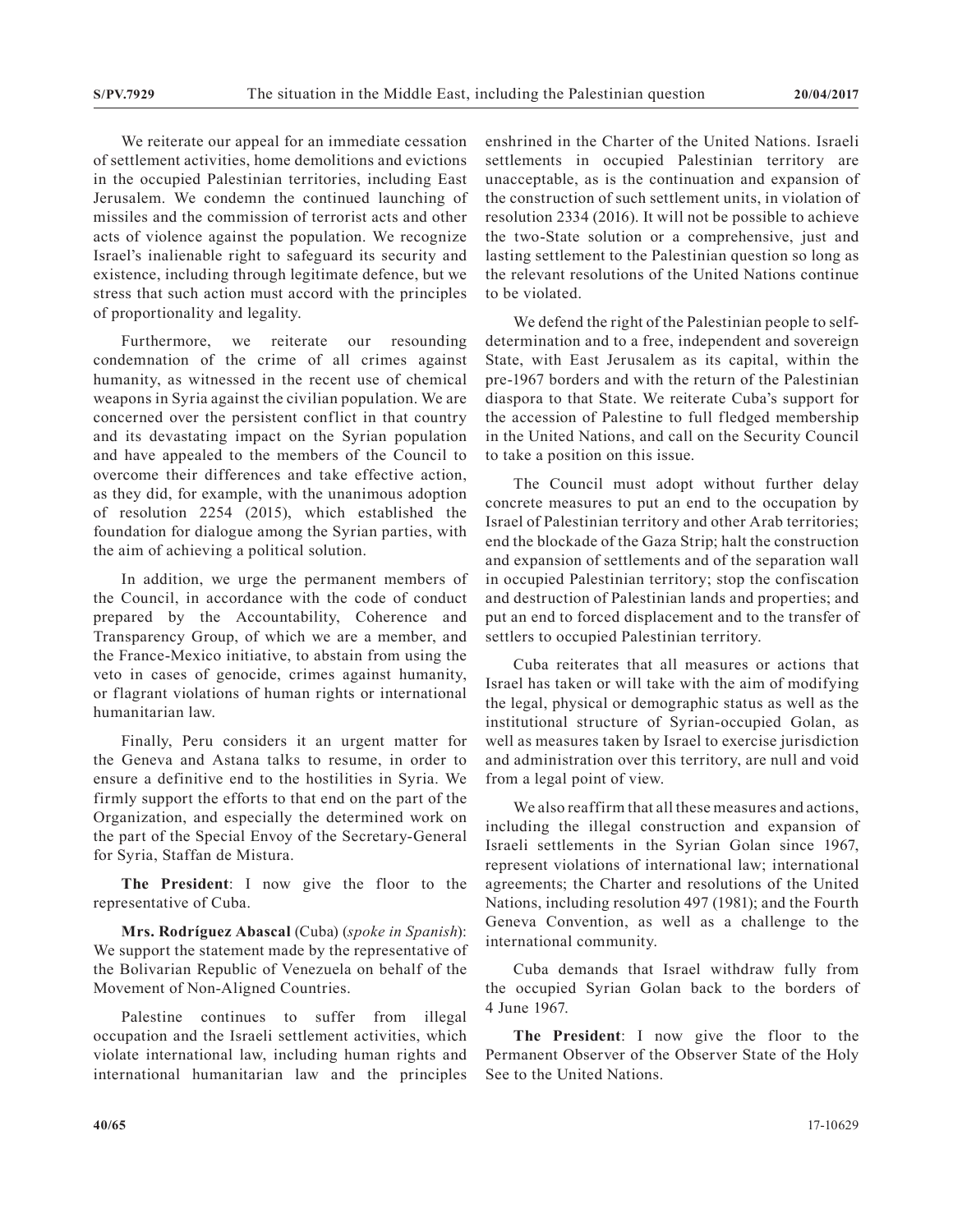We reiterate our appeal for an immediate cessation of settlement activities, home demolitions and evictions in the occupied Palestinian territories, including East Jerusalem. We condemn the continued launching of missiles and the commission of terrorist acts and other acts of violence against the population. We recognize Israel's inalienable right to safeguard its security and existence, including through legitimate defence, but we stress that such action must accord with the principles of proportionality and legality.

Furthermore, we reiterate our resounding condemnation of the crime of all crimes against humanity, as witnessed in the recent use of chemical weapons in Syria against the civilian population. We are concerned over the persistent conflict in that country and its devastating impact on the Syrian population and have appealed to the members of the Council to overcome their differences and take effective action, as they did, for example, with the unanimous adoption of resolution 2254 (2015), which established the foundation for dialogue among the Syrian parties, with the aim of achieving a political solution.

In addition, we urge the permanent members of the Council, in accordance with the code of conduct prepared by the Accountability, Coherence and Transparency Group, of which we are a member, and the France-Mexico initiative, to abstain from using the veto in cases of genocide, crimes against humanity, or flagrant violations of human rights or international humanitarian law.

Finally, Peru considers it an urgent matter for the Geneva and Astana talks to resume, in order to ensure a definitive end to the hostilities in Syria. We firmly support the efforts to that end on the part of the Organization, and especially the determined work on the part of the Special Envoy of the Secretary-General for Syria, Staffan de Mistura.

**The President**: I now give the floor to the representative of Cuba.

**Mrs. Rodríguez Abascal** (Cuba) (*spoke in Spanish*): We support the statement made by the representative of the Bolivarian Republic of Venezuela on behalf of the Movement of Non-Aligned Countries.

Palestine continues to suffer from illegal occupation and the Israeli settlement activities, which violate international law, including human rights and international humanitarian law and the principles enshrined in the Charter of the United Nations. Israeli settlements in occupied Palestinian territory are unacceptable, as is the continuation and expansion of the construction of such settlement units, in violation of resolution 2334 (2016). It will not be possible to achieve the two-State solution or a comprehensive, just and lasting settlement to the Palestinian question so long as the relevant resolutions of the United Nations continue to be violated.

We defend the right of the Palestinian people to selfdetermination and to a free, independent and sovereign State, with East Jerusalem as its capital, within the pre-1967 borders and with the return of the Palestinian diaspora to that State. We reiterate Cuba's support for the accession of Palestine to full fledged membership in the United Nations, and call on the Security Council to take a position on this issue.

The Council must adopt without further delay concrete measures to put an end to the occupation by Israel of Palestinian territory and other Arab territories; end the blockade of the Gaza Strip; halt the construction and expansion of settlements and of the separation wall in occupied Palestinian territory; stop the confiscation and destruction of Palestinian lands and properties; and put an end to forced displacement and to the transfer of settlers to occupied Palestinian territory.

Cuba reiterates that all measures or actions that Israel has taken or will take with the aim of modifying the legal, physical or demographic status as well as the institutional structure of Syrian-occupied Golan, as well as measures taken by Israel to exercise jurisdiction and administration over this territory, are null and void from a legal point of view.

We also reaffirm that all these measures and actions, including the illegal construction and expansion of Israeli settlements in the Syrian Golan since 1967, represent violations of international law; international agreements; the Charter and resolutions of the United Nations, including resolution 497 (1981); and the Fourth Geneva Convention, as well as a challenge to the international community.

Cuba demands that Israel withdraw fully from the occupied Syrian Golan back to the borders of 4 June 1967.

**The President**: I now give the floor to the Permanent Observer of the Observer State of the Holy See to the United Nations.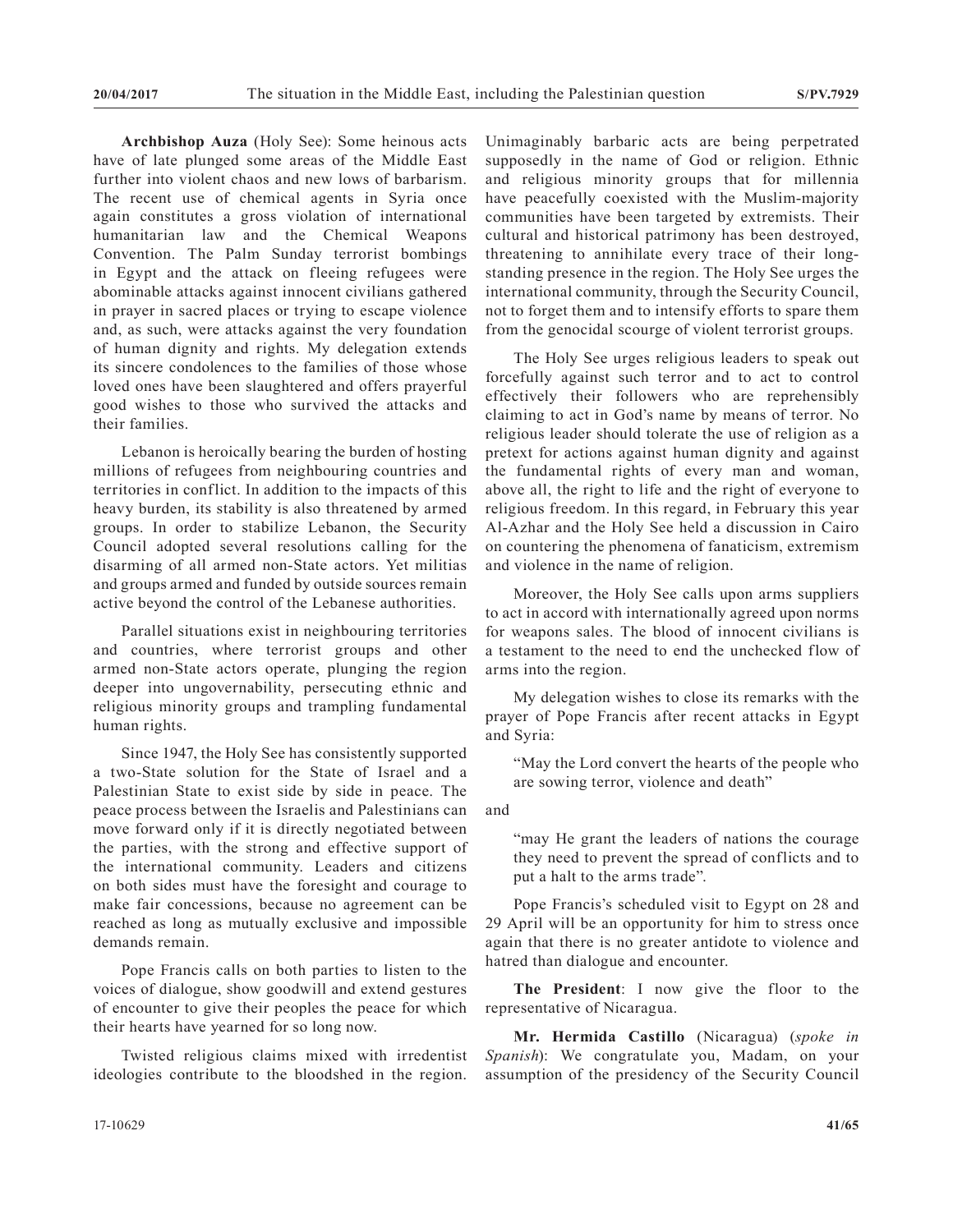**Archbishop Auza** (Holy See): Some heinous acts have of late plunged some areas of the Middle East further into violent chaos and new lows of barbarism. The recent use of chemical agents in Syria once again constitutes a gross violation of international humanitarian law and the Chemical Weapons Convention. The Palm Sunday terrorist bombings in Egypt and the attack on fleeing refugees were abominable attacks against innocent civilians gathered in prayer in sacred places or trying to escape violence and, as such, were attacks against the very foundation of human dignity and rights. My delegation extends its sincere condolences to the families of those whose loved ones have been slaughtered and offers prayerful good wishes to those who survived the attacks and their families.

Lebanon is heroically bearing the burden of hosting millions of refugees from neighbouring countries and territories in conflict. In addition to the impacts of this heavy burden, its stability is also threatened by armed groups. In order to stabilize Lebanon, the Security Council adopted several resolutions calling for the disarming of all armed non-State actors. Yet militias and groups armed and funded by outside sources remain active beyond the control of the Lebanese authorities.

Parallel situations exist in neighbouring territories and countries, where terrorist groups and other armed non-State actors operate, plunging the region deeper into ungovernability, persecuting ethnic and religious minority groups and trampling fundamental human rights.

Since 1947, the Holy See has consistently supported a two-State solution for the State of Israel and a Palestinian State to exist side by side in peace. The peace process between the Israelis and Palestinians can move forward only if it is directly negotiated between the parties, with the strong and effective support of the international community. Leaders and citizens on both sides must have the foresight and courage to make fair concessions, because no agreement can be reached as long as mutually exclusive and impossible demands remain.

Pope Francis calls on both parties to listen to the voices of dialogue, show goodwill and extend gestures of encounter to give their peoples the peace for which their hearts have yearned for so long now.

Twisted religious claims mixed with irredentist ideologies contribute to the bloodshed in the region. Unimaginably barbaric acts are being perpetrated supposedly in the name of God or religion. Ethnic and religious minority groups that for millennia have peacefully coexisted with the Muslim-majority communities have been targeted by extremists. Their cultural and historical patrimony has been destroyed, threatening to annihilate every trace of their longstanding presence in the region. The Holy See urges the international community, through the Security Council, not to forget them and to intensify efforts to spare them from the genocidal scourge of violent terrorist groups.

The Holy See urges religious leaders to speak out forcefully against such terror and to act to control effectively their followers who are reprehensibly claiming to act in God's name by means of terror. No religious leader should tolerate the use of religion as a pretext for actions against human dignity and against the fundamental rights of every man and woman, above all, the right to life and the right of everyone to religious freedom. In this regard, in February this year Al-Azhar and the Holy See held a discussion in Cairo on countering the phenomena of fanaticism, extremism and violence in the name of religion.

Moreover, the Holy See calls upon arms suppliers to act in accord with internationally agreed upon norms for weapons sales. The blood of innocent civilians is a testament to the need to end the unchecked flow of arms into the region.

My delegation wishes to close its remarks with the prayer of Pope Francis after recent attacks in Egypt and Syria:

"May the Lord convert the hearts of the people who are sowing terror, violence and death"

and

"may He grant the leaders of nations the courage they need to prevent the spread of conflicts and to put a halt to the arms trade".

Pope Francis's scheduled visit to Egypt on 28 and 29 April will be an opportunity for him to stress once again that there is no greater antidote to violence and hatred than dialogue and encounter.

**The President**: I now give the floor to the representative of Nicaragua.

**Mr. Hermida Castillo** (Nicaragua) (*spoke in Spanish*): We congratulate you, Madam, on your assumption of the presidency of the Security Council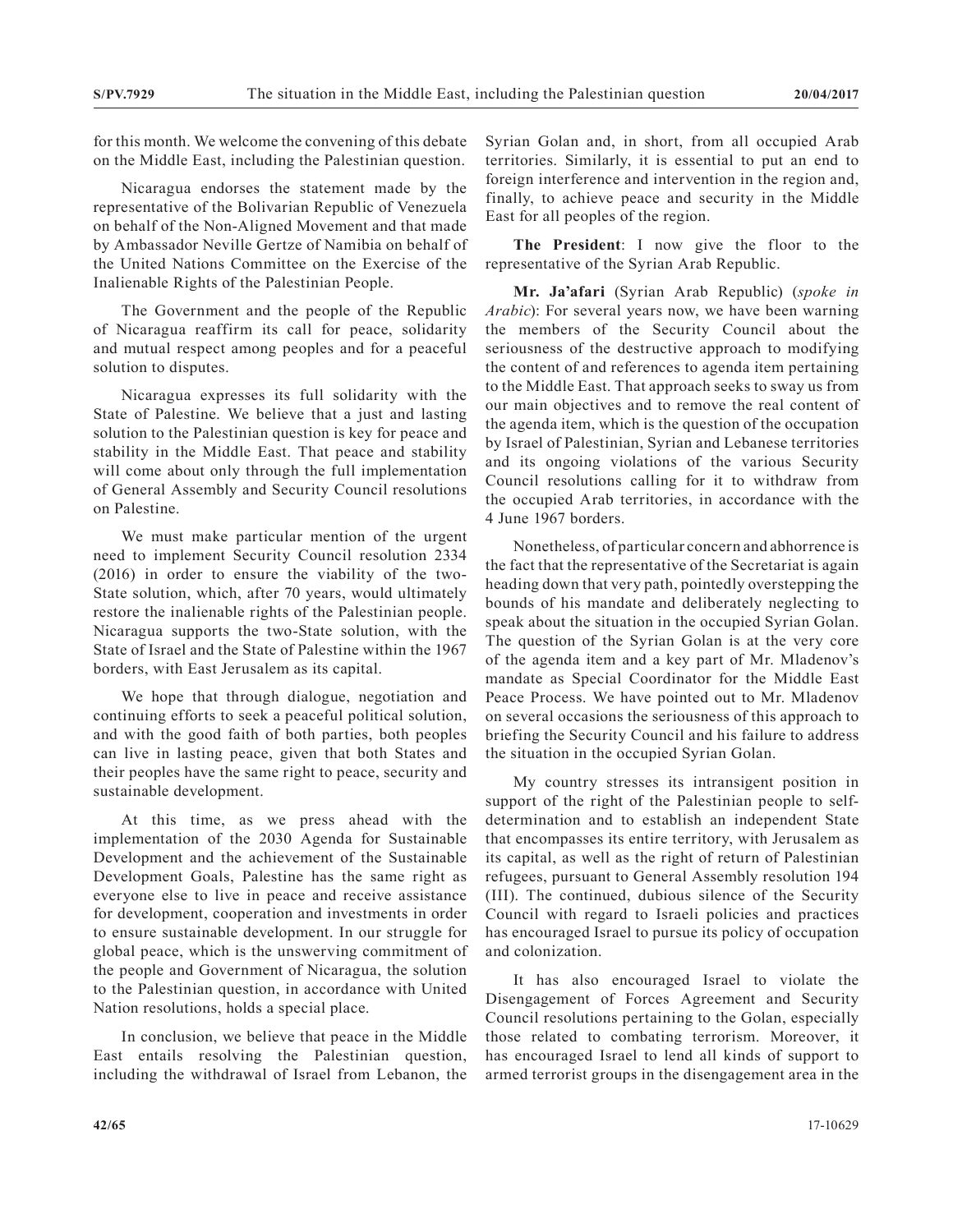for this month. We welcome the convening of this debate on the Middle East, including the Palestinian question.

Nicaragua endorses the statement made by the representative of the Bolivarian Republic of Venezuela on behalf of the Non-Aligned Movement and that made by Ambassador Neville Gertze of Namibia on behalf of the United Nations Committee on the Exercise of the Inalienable Rights of the Palestinian People.

The Government and the people of the Republic of Nicaragua reaffirm its call for peace, solidarity and mutual respect among peoples and for a peaceful solution to disputes.

Nicaragua expresses its full solidarity with the State of Palestine. We believe that a just and lasting solution to the Palestinian question is key for peace and stability in the Middle East. That peace and stability will come about only through the full implementation of General Assembly and Security Council resolutions on Palestine.

We must make particular mention of the urgent need to implement Security Council resolution 2334 (2016) in order to ensure the viability of the two-State solution, which, after 70 years, would ultimately restore the inalienable rights of the Palestinian people. Nicaragua supports the two-State solution, with the State of Israel and the State of Palestine within the 1967 borders, with East Jerusalem as its capital.

We hope that through dialogue, negotiation and continuing efforts to seek a peaceful political solution, and with the good faith of both parties, both peoples can live in lasting peace, given that both States and their peoples have the same right to peace, security and sustainable development.

At this time, as we press ahead with the implementation of the 2030 Agenda for Sustainable Development and the achievement of the Sustainable Development Goals, Palestine has the same right as everyone else to live in peace and receive assistance for development, cooperation and investments in order to ensure sustainable development. In our struggle for global peace, which is the unswerving commitment of the people and Government of Nicaragua, the solution to the Palestinian question, in accordance with United Nation resolutions, holds a special place.

In conclusion, we believe that peace in the Middle East entails resolving the Palestinian question, including the withdrawal of Israel from Lebanon, the Syrian Golan and, in short, from all occupied Arab territories. Similarly, it is essential to put an end to foreign interference and intervention in the region and, finally, to achieve peace and security in the Middle East for all peoples of the region.

**The President**: I now give the floor to the representative of the Syrian Arab Republic.

**Mr. Ja'afari** (Syrian Arab Republic) (*spoke in Arabic*): For several years now, we have been warning the members of the Security Council about the seriousness of the destructive approach to modifying the content of and references to agenda item pertaining to the Middle East. That approach seeks to sway us from our main objectives and to remove the real content of the agenda item, which is the question of the occupation by Israel of Palestinian, Syrian and Lebanese territories and its ongoing violations of the various Security Council resolutions calling for it to withdraw from the occupied Arab territories, in accordance with the 4 June 1967 borders.

Nonetheless, of particular concern and abhorrence is the fact that the representative of the Secretariat is again heading down that very path, pointedly overstepping the bounds of his mandate and deliberately neglecting to speak about the situation in the occupied Syrian Golan. The question of the Syrian Golan is at the very core of the agenda item and a key part of Mr. Mladenov's mandate as Special Coordinator for the Middle East Peace Process. We have pointed out to Mr. Mladenov on several occasions the seriousness of this approach to briefing the Security Council and his failure to address the situation in the occupied Syrian Golan.

My country stresses its intransigent position in support of the right of the Palestinian people to selfdetermination and to establish an independent State that encompasses its entire territory, with Jerusalem as its capital, as well as the right of return of Palestinian refugees, pursuant to General Assembly resolution 194 (III). The continued, dubious silence of the Security Council with regard to Israeli policies and practices has encouraged Israel to pursue its policy of occupation and colonization.

It has also encouraged Israel to violate the Disengagement of Forces Agreement and Security Council resolutions pertaining to the Golan, especially those related to combating terrorism. Moreover, it has encouraged Israel to lend all kinds of support to armed terrorist groups in the disengagement area in the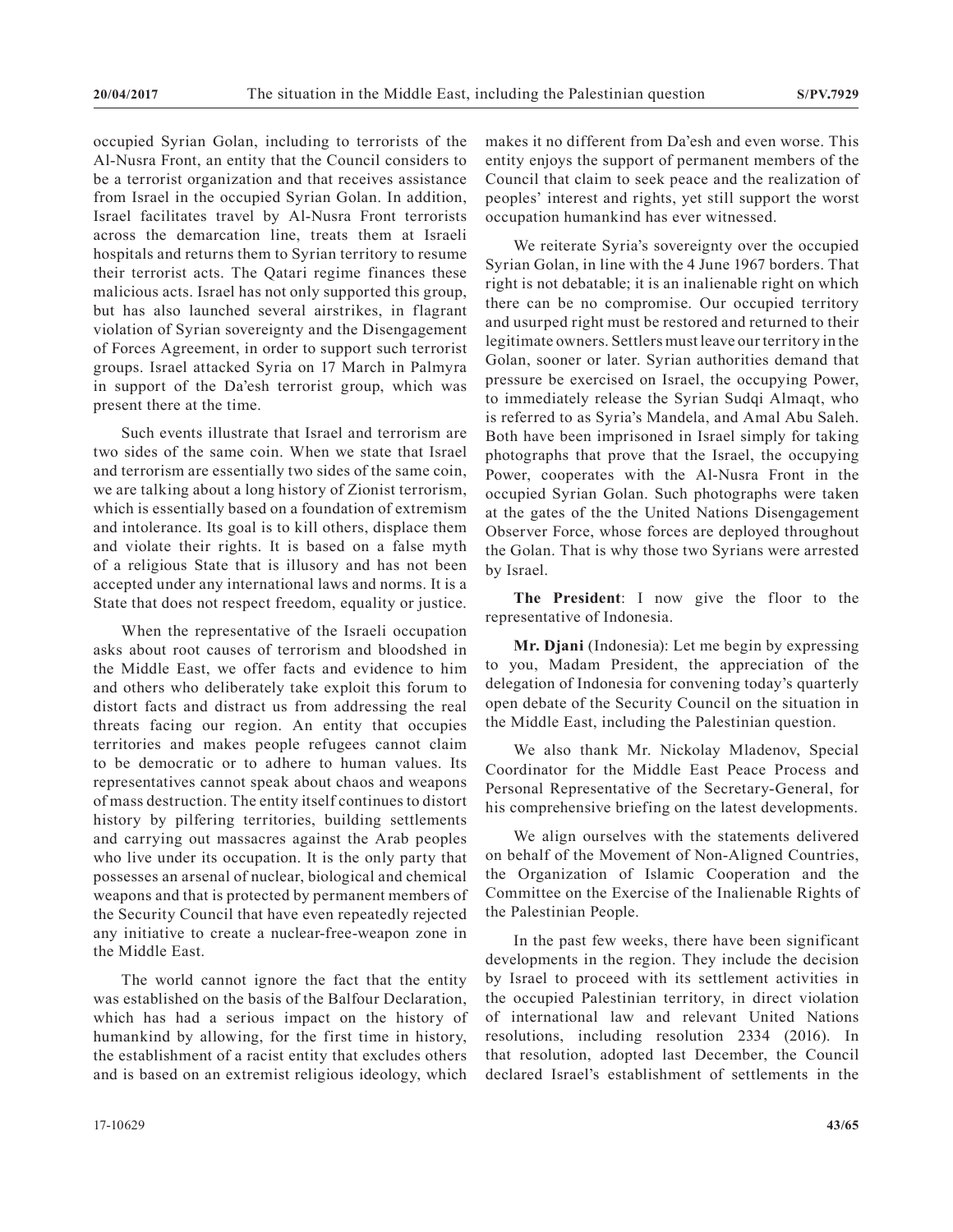occupied Syrian Golan, including to terrorists of the Al-Nusra Front, an entity that the Council considers to be a terrorist organization and that receives assistance from Israel in the occupied Syrian Golan. In addition, Israel facilitates travel by Al-Nusra Front terrorists across the demarcation line, treats them at Israeli hospitals and returns them to Syrian territory to resume their terrorist acts. The Qatari regime finances these malicious acts. Israel has not only supported this group, but has also launched several airstrikes, in flagrant violation of Syrian sovereignty and the Disengagement of Forces Agreement, in order to support such terrorist groups. Israel attacked Syria on 17 March in Palmyra in support of the Da'esh terrorist group, which was present there at the time.

Such events illustrate that Israel and terrorism are two sides of the same coin. When we state that Israel and terrorism are essentially two sides of the same coin, we are talking about a long history of Zionist terrorism, which is essentially based on a foundation of extremism and intolerance. Its goal is to kill others, displace them and violate their rights. It is based on a false myth of a religious State that is illusory and has not been accepted under any international laws and norms. It is a State that does not respect freedom, equality or justice.

When the representative of the Israeli occupation asks about root causes of terrorism and bloodshed in the Middle East, we offer facts and evidence to him and others who deliberately take exploit this forum to distort facts and distract us from addressing the real threats facing our region. An entity that occupies territories and makes people refugees cannot claim to be democratic or to adhere to human values. Its representatives cannot speak about chaos and weapons of mass destruction. The entity itself continues to distort history by pilfering territories, building settlements and carrying out massacres against the Arab peoples who live under its occupation. It is the only party that possesses an arsenal of nuclear, biological and chemical weapons and that is protected by permanent members of the Security Council that have even repeatedly rejected any initiative to create a nuclear-free-weapon zone in the Middle East.

The world cannot ignore the fact that the entity was established on the basis of the Balfour Declaration, which has had a serious impact on the history of humankind by allowing, for the first time in history, the establishment of a racist entity that excludes others and is based on an extremist religious ideology, which

makes it no different from Da'esh and even worse. This entity enjoys the support of permanent members of the Council that claim to seek peace and the realization of peoples' interest and rights, yet still support the worst occupation humankind has ever witnessed.

We reiterate Syria's sovereignty over the occupied Syrian Golan, in line with the 4 June 1967 borders. That right is not debatable; it is an inalienable right on which there can be no compromise. Our occupied territory and usurped right must be restored and returned to their legitimate owners. Settlers must leave our territory in the Golan, sooner or later. Syrian authorities demand that pressure be exercised on Israel, the occupying Power, to immediately release the Syrian Sudqi Almaqt, who is referred to as Syria's Mandela, and Amal Abu Saleh. Both have been imprisoned in Israel simply for taking photographs that prove that the Israel, the occupying Power, cooperates with the Al-Nusra Front in the occupied Syrian Golan. Such photographs were taken at the gates of the the United Nations Disengagement Observer Force, whose forces are deployed throughout the Golan. That is why those two Syrians were arrested by Israel.

**The President**: I now give the floor to the representative of Indonesia.

**Mr. Djani** (Indonesia): Let me begin by expressing to you, Madam President, the appreciation of the delegation of Indonesia for convening today's quarterly open debate of the Security Council on the situation in the Middle East, including the Palestinian question.

We also thank Mr. Nickolay Mladenov, Special Coordinator for the Middle East Peace Process and Personal Representative of the Secretary-General, for his comprehensive briefing on the latest developments.

We align ourselves with the statements delivered on behalf of the Movement of Non-Aligned Countries, the Organization of Islamic Cooperation and the Committee on the Exercise of the Inalienable Rights of the Palestinian People.

In the past few weeks, there have been significant developments in the region. They include the decision by Israel to proceed with its settlement activities in the occupied Palestinian territory, in direct violation of international law and relevant United Nations resolutions, including resolution 2334 (2016). In that resolution, adopted last December, the Council declared Israel's establishment of settlements in the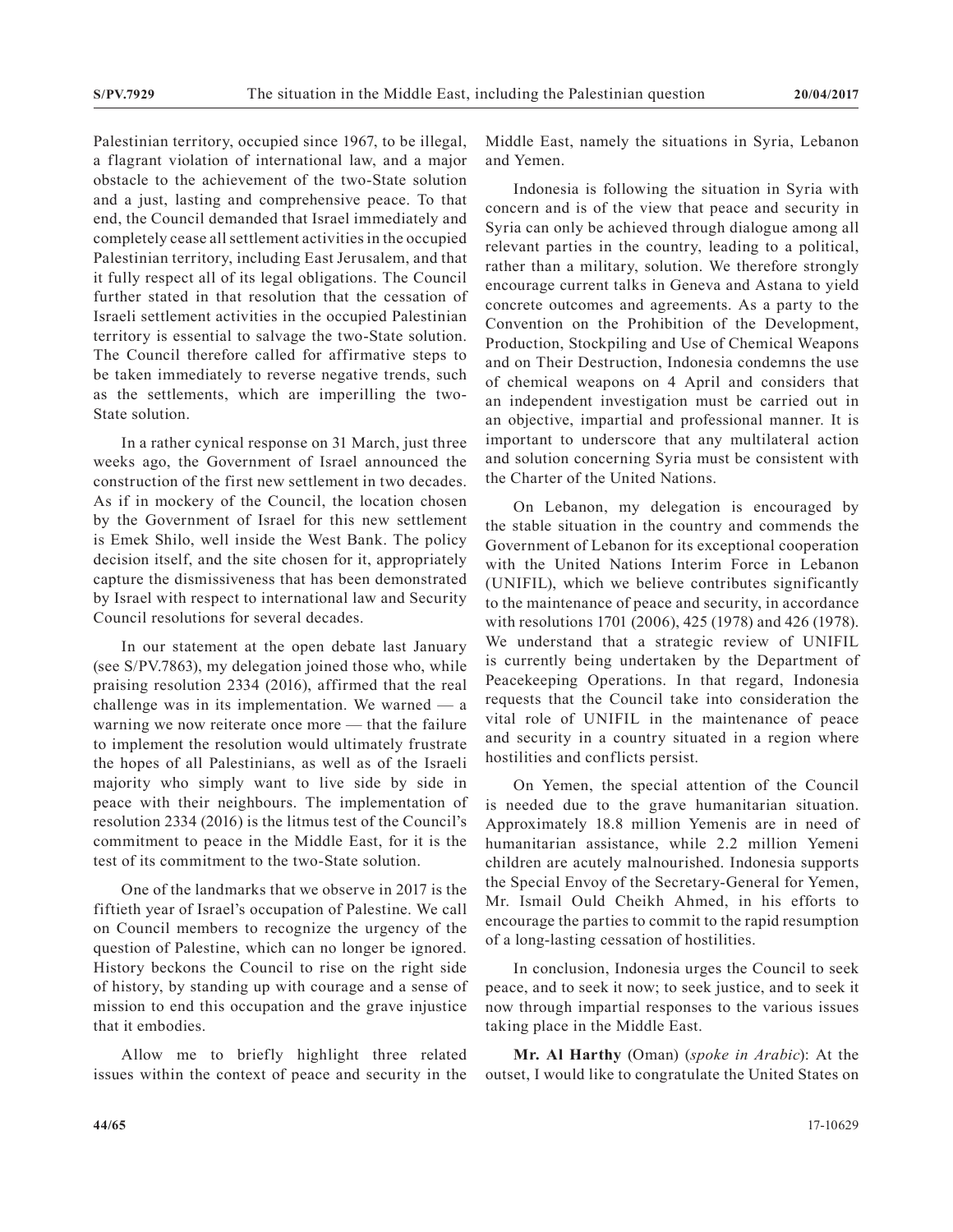Palestinian territory, occupied since 1967, to be illegal, a flagrant violation of international law, and a major obstacle to the achievement of the two-State solution and a just, lasting and comprehensive peace. To that end, the Council demanded that Israel immediately and completely cease all settlement activities in the occupied Palestinian territory, including East Jerusalem, and that it fully respect all of its legal obligations. The Council further stated in that resolution that the cessation of Israeli settlement activities in the occupied Palestinian territory is essential to salvage the two-State solution. The Council therefore called for affirmative steps to be taken immediately to reverse negative trends, such as the settlements, which are imperilling the two-State solution.

In a rather cynical response on 31 March, just three weeks ago, the Government of Israel announced the construction of the first new settlement in two decades. As if in mockery of the Council, the location chosen by the Government of Israel for this new settlement is Emek Shilo, well inside the West Bank. The policy decision itself, and the site chosen for it, appropriately capture the dismissiveness that has been demonstrated by Israel with respect to international law and Security Council resolutions for several decades.

In our statement at the open debate last January (see S/PV.7863), my delegation joined those who, while praising resolution 2334 (2016), affirmed that the real challenge was in its implementation. We warned — a warning we now reiterate once more — that the failure to implement the resolution would ultimately frustrate the hopes of all Palestinians, as well as of the Israeli majority who simply want to live side by side in peace with their neighbours. The implementation of resolution 2334 (2016) is the litmus test of the Council's commitment to peace in the Middle East, for it is the test of its commitment to the two-State solution.

One of the landmarks that we observe in 2017 is the fiftieth year of Israel's occupation of Palestine. We call on Council members to recognize the urgency of the question of Palestine, which can no longer be ignored. History beckons the Council to rise on the right side of history, by standing up with courage and a sense of mission to end this occupation and the grave injustice that it embodies.

Allow me to briefly highlight three related issues within the context of peace and security in the Middle East, namely the situations in Syria, Lebanon and Yemen.

Indonesia is following the situation in Syria with concern and is of the view that peace and security in Syria can only be achieved through dialogue among all relevant parties in the country, leading to a political, rather than a military, solution. We therefore strongly encourage current talks in Geneva and Astana to yield concrete outcomes and agreements. As a party to the Convention on the Prohibition of the Development, Production, Stockpiling and Use of Chemical Weapons and on Their Destruction, Indonesia condemns the use of chemical weapons on 4 April and considers that an independent investigation must be carried out in an objective, impartial and professional manner. It is important to underscore that any multilateral action and solution concerning Syria must be consistent with the Charter of the United Nations.

On Lebanon, my delegation is encouraged by the stable situation in the country and commends the Government of Lebanon for its exceptional cooperation with the United Nations Interim Force in Lebanon (UNIFIL), which we believe contributes significantly to the maintenance of peace and security, in accordance with resolutions 1701 (2006), 425 (1978) and 426 (1978). We understand that a strategic review of UNIFIL is currently being undertaken by the Department of Peacekeeping Operations. In that regard, Indonesia requests that the Council take into consideration the vital role of UNIFIL in the maintenance of peace and security in a country situated in a region where hostilities and conflicts persist.

On Yemen, the special attention of the Council is needed due to the grave humanitarian situation. Approximately 18.8 million Yemenis are in need of humanitarian assistance, while 2.2 million Yemeni children are acutely malnourished. Indonesia supports the Special Envoy of the Secretary-General for Yemen, Mr. Ismail Ould Cheikh Ahmed, in his efforts to encourage the parties to commit to the rapid resumption of a long-lasting cessation of hostilities.

In conclusion, Indonesia urges the Council to seek peace, and to seek it now; to seek justice, and to seek it now through impartial responses to the various issues taking place in the Middle East.

**Mr. Al Harthy** (Oman) (*spoke in Arabic*): At the outset, I would like to congratulate the United States on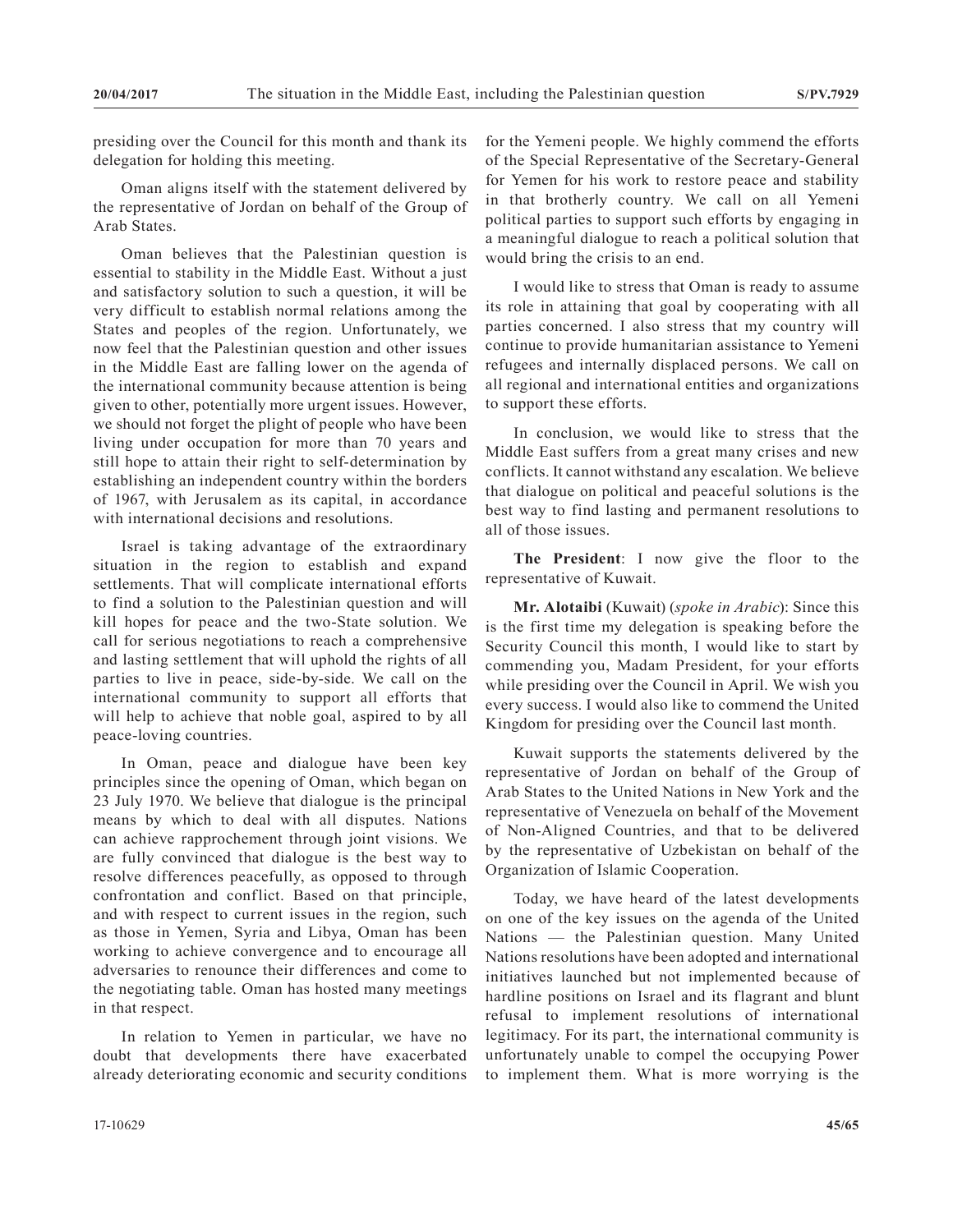presiding over the Council for this month and thank its delegation for holding this meeting.

Oman aligns itself with the statement delivered by the representative of Jordan on behalf of the Group of Arab States.

Oman believes that the Palestinian question is essential to stability in the Middle East. Without a just and satisfactory solution to such a question, it will be very difficult to establish normal relations among the States and peoples of the region. Unfortunately, we now feel that the Palestinian question and other issues in the Middle East are falling lower on the agenda of the international community because attention is being given to other, potentially more urgent issues. However, we should not forget the plight of people who have been living under occupation for more than 70 years and still hope to attain their right to self-determination by establishing an independent country within the borders of 1967, with Jerusalem as its capital, in accordance with international decisions and resolutions.

Israel is taking advantage of the extraordinary situation in the region to establish and expand settlements. That will complicate international efforts to find a solution to the Palestinian question and will kill hopes for peace and the two-State solution. We call for serious negotiations to reach a comprehensive and lasting settlement that will uphold the rights of all parties to live in peace, side-by-side. We call on the international community to support all efforts that will help to achieve that noble goal, aspired to by all peace-loving countries.

In Oman, peace and dialogue have been key principles since the opening of Oman, which began on 23 July 1970. We believe that dialogue is the principal means by which to deal with all disputes. Nations can achieve rapprochement through joint visions. We are fully convinced that dialogue is the best way to resolve differences peacefully, as opposed to through confrontation and conflict. Based on that principle, and with respect to current issues in the region, such as those in Yemen, Syria and Libya, Oman has been working to achieve convergence and to encourage all adversaries to renounce their differences and come to the negotiating table. Oman has hosted many meetings in that respect.

In relation to Yemen in particular, we have no doubt that developments there have exacerbated already deteriorating economic and security conditions for the Yemeni people. We highly commend the efforts of the Special Representative of the Secretary-General for Yemen for his work to restore peace and stability in that brotherly country. We call on all Yemeni political parties to support such efforts by engaging in a meaningful dialogue to reach a political solution that would bring the crisis to an end.

I would like to stress that Oman is ready to assume its role in attaining that goal by cooperating with all parties concerned. I also stress that my country will continue to provide humanitarian assistance to Yemeni refugees and internally displaced persons. We call on all regional and international entities and organizations to support these efforts.

In conclusion, we would like to stress that the Middle East suffers from a great many crises and new conflicts. It cannot withstand any escalation. We believe that dialogue on political and peaceful solutions is the best way to find lasting and permanent resolutions to all of those issues.

**The President**: I now give the floor to the representative of Kuwait.

**Mr. Alotaibi** (Kuwait) (*spoke in Arabic*): Since this is the first time my delegation is speaking before the Security Council this month, I would like to start by commending you, Madam President, for your efforts while presiding over the Council in April. We wish you every success. I would also like to commend the United Kingdom for presiding over the Council last month.

Kuwait supports the statements delivered by the representative of Jordan on behalf of the Group of Arab States to the United Nations in New York and the representative of Venezuela on behalf of the Movement of Non-Aligned Countries, and that to be delivered by the representative of Uzbekistan on behalf of the Organization of Islamic Cooperation.

Today, we have heard of the latest developments on one of the key issues on the agenda of the United Nations — the Palestinian question. Many United Nations resolutions have been adopted and international initiatives launched but not implemented because of hardline positions on Israel and its flagrant and blunt refusal to implement resolutions of international legitimacy. For its part, the international community is unfortunately unable to compel the occupying Power to implement them. What is more worrying is the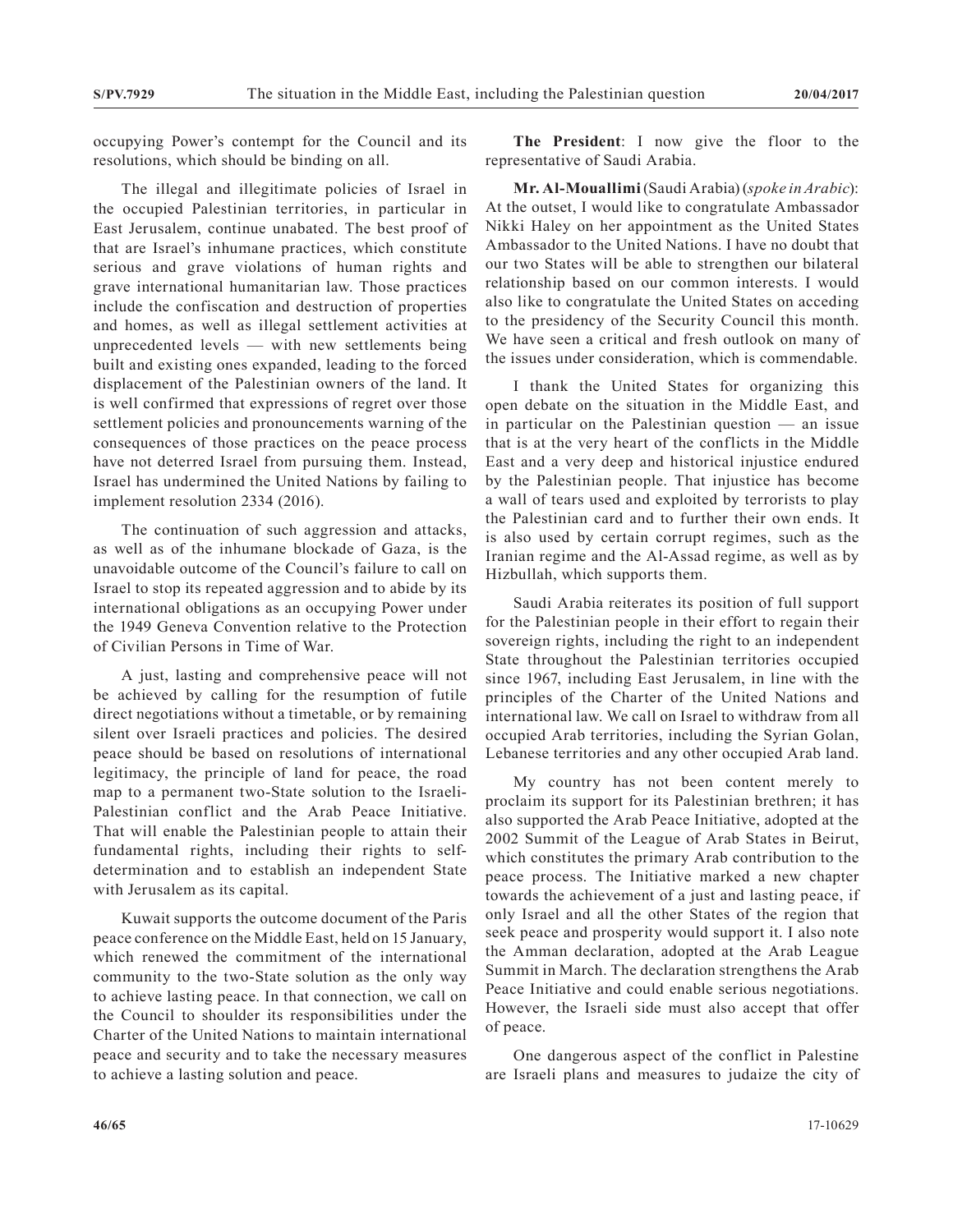occupying Power's contempt for the Council and its resolutions, which should be binding on all.

The illegal and illegitimate policies of Israel in the occupied Palestinian territories, in particular in East Jerusalem, continue unabated. The best proof of that are Israel's inhumane practices, which constitute serious and grave violations of human rights and grave international humanitarian law. Those practices include the confiscation and destruction of properties and homes, as well as illegal settlement activities at unprecedented levels — with new settlements being built and existing ones expanded, leading to the forced displacement of the Palestinian owners of the land. It is well confirmed that expressions of regret over those settlement policies and pronouncements warning of the consequences of those practices on the peace process have not deterred Israel from pursuing them. Instead, Israel has undermined the United Nations by failing to implement resolution 2334 (2016).

The continuation of such aggression and attacks, as well as of the inhumane blockade of Gaza, is the unavoidable outcome of the Council's failure to call on Israel to stop its repeated aggression and to abide by its international obligations as an occupying Power under the 1949 Geneva Convention relative to the Protection of Civilian Persons in Time of War.

A just, lasting and comprehensive peace will not be achieved by calling for the resumption of futile direct negotiations without a timetable, or by remaining silent over Israeli practices and policies. The desired peace should be based on resolutions of international legitimacy, the principle of land for peace, the road map to a permanent two-State solution to the Israeli-Palestinian conflict and the Arab Peace Initiative. That will enable the Palestinian people to attain their fundamental rights, including their rights to selfdetermination and to establish an independent State with Jerusalem as its capital.

Kuwait supports the outcome document of the Paris peace conference on the Middle East, held on 15 January, which renewed the commitment of the international community to the two-State solution as the only way to achieve lasting peace. In that connection, we call on the Council to shoulder its responsibilities under the Charter of the United Nations to maintain international peace and security and to take the necessary measures to achieve a lasting solution and peace.

**The President**: I now give the floor to the representative of Saudi Arabia.

**Mr. Al-Mouallimi** (Saudi Arabia) (*spoke in Arabic*): At the outset, I would like to congratulate Ambassador Nikki Haley on her appointment as the United States Ambassador to the United Nations. I have no doubt that our two States will be able to strengthen our bilateral relationship based on our common interests. I would also like to congratulate the United States on acceding to the presidency of the Security Council this month. We have seen a critical and fresh outlook on many of the issues under consideration, which is commendable.

I thank the United States for organizing this open debate on the situation in the Middle East, and in particular on the Palestinian question — an issue that is at the very heart of the conflicts in the Middle East and a very deep and historical injustice endured by the Palestinian people. That injustice has become a wall of tears used and exploited by terrorists to play the Palestinian card and to further their own ends. It is also used by certain corrupt regimes, such as the Iranian regime and the Al-Assad regime, as well as by Hizbullah, which supports them.

Saudi Arabia reiterates its position of full support for the Palestinian people in their effort to regain their sovereign rights, including the right to an independent State throughout the Palestinian territories occupied since 1967, including East Jerusalem, in line with the principles of the Charter of the United Nations and international law. We call on Israel to withdraw from all occupied Arab territories, including the Syrian Golan, Lebanese territories and any other occupied Arab land.

My country has not been content merely to proclaim its support for its Palestinian brethren; it has also supported the Arab Peace Initiative, adopted at the 2002 Summit of the League of Arab States in Beirut, which constitutes the primary Arab contribution to the peace process. The Initiative marked a new chapter towards the achievement of a just and lasting peace, if only Israel and all the other States of the region that seek peace and prosperity would support it. I also note the Amman declaration, adopted at the Arab League Summit in March. The declaration strengthens the Arab Peace Initiative and could enable serious negotiations. However, the Israeli side must also accept that offer of peace.

One dangerous aspect of the conflict in Palestine are Israeli plans and measures to judaize the city of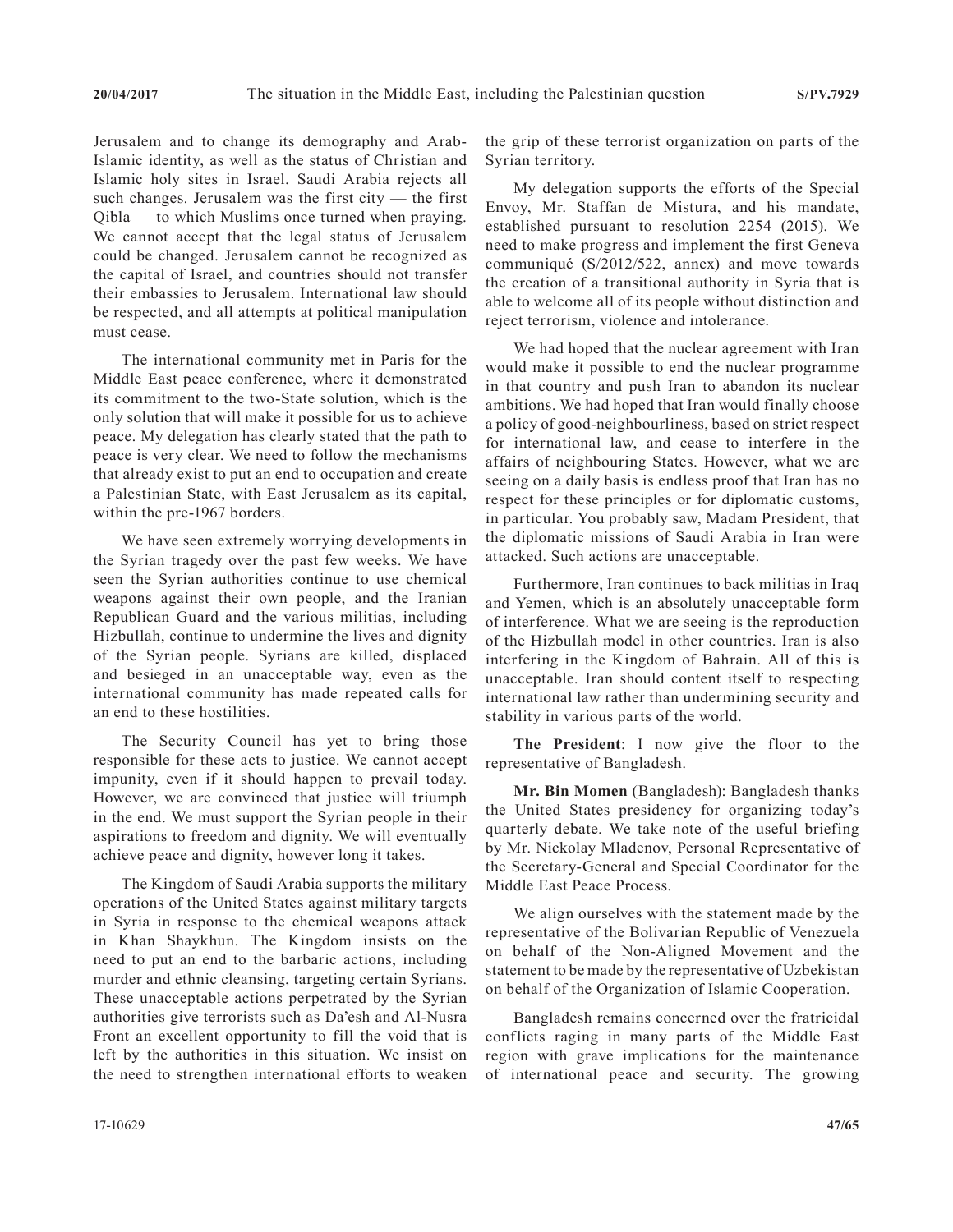Jerusalem and to change its demography and Arab-Islamic identity, as well as the status of Christian and Islamic holy sites in Israel. Saudi Arabia rejects all such changes. Jerusalem was the first city — the first Qibla — to which Muslims once turned when praying. We cannot accept that the legal status of Jerusalem could be changed. Jerusalem cannot be recognized as the capital of Israel, and countries should not transfer their embassies to Jerusalem. International law should be respected, and all attempts at political manipulation must cease.

The international community met in Paris for the Middle East peace conference, where it demonstrated its commitment to the two-State solution, which is the only solution that will make it possible for us to achieve peace. My delegation has clearly stated that the path to peace is very clear. We need to follow the mechanisms that already exist to put an end to occupation and create a Palestinian State, with East Jerusalem as its capital, within the pre-1967 borders.

We have seen extremely worrying developments in the Syrian tragedy over the past few weeks. We have seen the Syrian authorities continue to use chemical weapons against their own people, and the Iranian Republican Guard and the various militias, including Hizbullah, continue to undermine the lives and dignity of the Syrian people. Syrians are killed, displaced and besieged in an unacceptable way, even as the international community has made repeated calls for an end to these hostilities.

The Security Council has yet to bring those responsible for these acts to justice. We cannot accept impunity, even if it should happen to prevail today. However, we are convinced that justice will triumph in the end. We must support the Syrian people in their aspirations to freedom and dignity. We will eventually achieve peace and dignity, however long it takes.

The Kingdom of Saudi Arabia supports the military operations of the United States against military targets in Syria in response to the chemical weapons attack in Khan Shaykhun. The Kingdom insists on the need to put an end to the barbaric actions, including murder and ethnic cleansing, targeting certain Syrians. These unacceptable actions perpetrated by the Syrian authorities give terrorists such as Da'esh and Al-Nusra Front an excellent opportunity to fill the void that is left by the authorities in this situation. We insist on the need to strengthen international efforts to weaken the grip of these terrorist organization on parts of the Syrian territory.

My delegation supports the efforts of the Special Envoy, Mr. Staffan de Mistura, and his mandate, established pursuant to resolution 2254 (2015). We need to make progress and implement the first Geneva communiqué (S/2012/522, annex) and move towards the creation of a transitional authority in Syria that is able to welcome all of its people without distinction and reject terrorism, violence and intolerance.

We had hoped that the nuclear agreement with Iran would make it possible to end the nuclear programme in that country and push Iran to abandon its nuclear ambitions. We had hoped that Iran would finally choose a policy of good-neighbourliness, based on strict respect for international law, and cease to interfere in the affairs of neighbouring States. However, what we are seeing on a daily basis is endless proof that Iran has no respect for these principles or for diplomatic customs, in particular. You probably saw, Madam President, that the diplomatic missions of Saudi Arabia in Iran were attacked. Such actions are unacceptable.

Furthermore, Iran continues to back militias in Iraq and Yemen, which is an absolutely unacceptable form of interference. What we are seeing is the reproduction of the Hizbullah model in other countries. Iran is also interfering in the Kingdom of Bahrain. All of this is unacceptable. Iran should content itself to respecting international law rather than undermining security and stability in various parts of the world.

**The President**: I now give the floor to the representative of Bangladesh.

**Mr. Bin Momen** (Bangladesh): Bangladesh thanks the United States presidency for organizing today's quarterly debate. We take note of the useful briefing by Mr. Nickolay Mladenov, Personal Representative of the Secretary-General and Special Coordinator for the Middle East Peace Process.

We align ourselves with the statement made by the representative of the Bolivarian Republic of Venezuela on behalf of the Non-Aligned Movement and the statement to be made by the representative of Uzbekistan on behalf of the Organization of Islamic Cooperation.

Bangladesh remains concerned over the fratricidal conflicts raging in many parts of the Middle East region with grave implications for the maintenance of international peace and security. The growing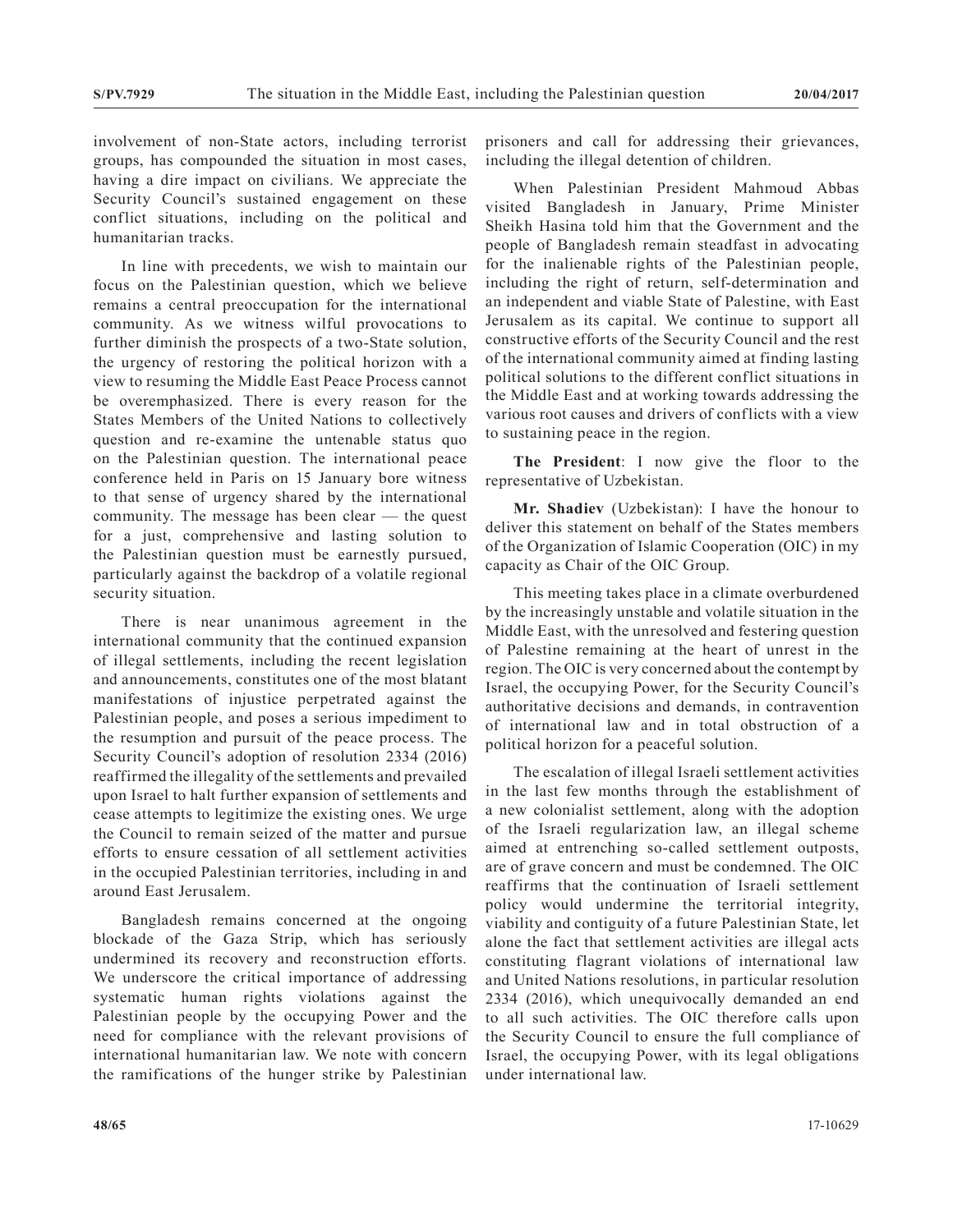involvement of non-State actors, including terrorist groups, has compounded the situation in most cases, having a dire impact on civilians. We appreciate the Security Council's sustained engagement on these conflict situations, including on the political and humanitarian tracks.

In line with precedents, we wish to maintain our focus on the Palestinian question, which we believe remains a central preoccupation for the international community. As we witness wilful provocations to further diminish the prospects of a two-State solution, the urgency of restoring the political horizon with a view to resuming the Middle East Peace Process cannot be overemphasized. There is every reason for the States Members of the United Nations to collectively question and re-examine the untenable status quo on the Palestinian question. The international peace conference held in Paris on 15 January bore witness to that sense of urgency shared by the international community. The message has been clear — the quest for a just, comprehensive and lasting solution to the Palestinian question must be earnestly pursued, particularly against the backdrop of a volatile regional security situation.

There is near unanimous agreement in the international community that the continued expansion of illegal settlements, including the recent legislation and announcements, constitutes one of the most blatant manifestations of injustice perpetrated against the Palestinian people, and poses a serious impediment to the resumption and pursuit of the peace process. The Security Council's adoption of resolution 2334 (2016) reaffirmed the illegality of the settlements and prevailed upon Israel to halt further expansion of settlements and cease attempts to legitimize the existing ones. We urge the Council to remain seized of the matter and pursue efforts to ensure cessation of all settlement activities in the occupied Palestinian territories, including in and around East Jerusalem.

Bangladesh remains concerned at the ongoing blockade of the Gaza Strip, which has seriously undermined its recovery and reconstruction efforts. We underscore the critical importance of addressing systematic human rights violations against the Palestinian people by the occupying Power and the need for compliance with the relevant provisions of international humanitarian law. We note with concern the ramifications of the hunger strike by Palestinian

prisoners and call for addressing their grievances, including the illegal detention of children.

When Palestinian President Mahmoud Abbas visited Bangladesh in January, Prime Minister Sheikh Hasina told him that the Government and the people of Bangladesh remain steadfast in advocating for the inalienable rights of the Palestinian people, including the right of return, self-determination and an independent and viable State of Palestine, with East Jerusalem as its capital. We continue to support all constructive efforts of the Security Council and the rest of the international community aimed at finding lasting political solutions to the different conflict situations in the Middle East and at working towards addressing the various root causes and drivers of conflicts with a view to sustaining peace in the region.

**The President**: I now give the floor to the representative of Uzbekistan.

**Mr. Shadiev** (Uzbekistan): I have the honour to deliver this statement on behalf of the States members of the Organization of Islamic Cooperation (OIC) in my capacity as Chair of the OIC Group.

This meeting takes place in a climate overburdened by the increasingly unstable and volatile situation in the Middle East, with the unresolved and festering question of Palestine remaining at the heart of unrest in the region. The OIC is very concerned about the contempt by Israel, the occupying Power, for the Security Council's authoritative decisions and demands, in contravention of international law and in total obstruction of a political horizon for a peaceful solution.

The escalation of illegal Israeli settlement activities in the last few months through the establishment of a new colonialist settlement, along with the adoption of the Israeli regularization law, an illegal scheme aimed at entrenching so-called settlement outposts, are of grave concern and must be condemned. The OIC reaffirms that the continuation of Israeli settlement policy would undermine the territorial integrity, viability and contiguity of a future Palestinian State, let alone the fact that settlement activities are illegal acts constituting flagrant violations of international law and United Nations resolutions, in particular resolution 2334 (2016), which unequivocally demanded an end to all such activities. The OIC therefore calls upon the Security Council to ensure the full compliance of Israel, the occupying Power, with its legal obligations under international law.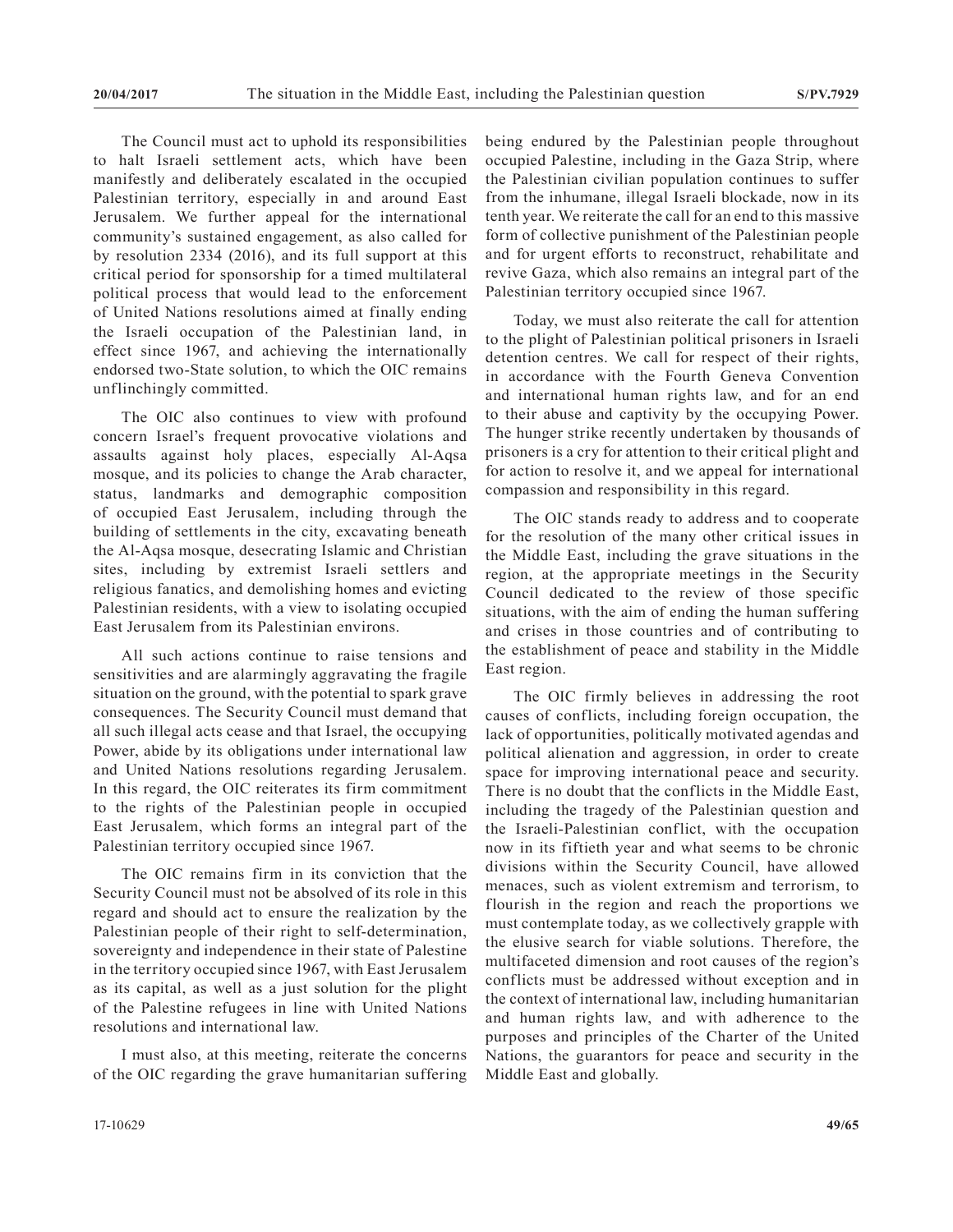The Council must act to uphold its responsibilities to halt Israeli settlement acts, which have been manifestly and deliberately escalated in the occupied Palestinian territory, especially in and around East Jerusalem. We further appeal for the international community's sustained engagement, as also called for by resolution 2334 (2016), and its full support at this critical period for sponsorship for a timed multilateral political process that would lead to the enforcement of United Nations resolutions aimed at finally ending the Israeli occupation of the Palestinian land, in effect since 1967, and achieving the internationally endorsed two-State solution, to which the OIC remains unflinchingly committed.

The OIC also continues to view with profound concern Israel's frequent provocative violations and assaults against holy places, especially Al-Aqsa mosque, and its policies to change the Arab character, status, landmarks and demographic composition of occupied East Jerusalem, including through the building of settlements in the city, excavating beneath the Al-Aqsa mosque, desecrating Islamic and Christian sites, including by extremist Israeli settlers and religious fanatics, and demolishing homes and evicting Palestinian residents, with a view to isolating occupied East Jerusalem from its Palestinian environs.

All such actions continue to raise tensions and sensitivities and are alarmingly aggravating the fragile situation on the ground, with the potential to spark grave consequences. The Security Council must demand that all such illegal acts cease and that Israel, the occupying Power, abide by its obligations under international law and United Nations resolutions regarding Jerusalem. In this regard, the OIC reiterates its firm commitment to the rights of the Palestinian people in occupied East Jerusalem, which forms an integral part of the Palestinian territory occupied since 1967.

The OIC remains firm in its conviction that the Security Council must not be absolved of its role in this regard and should act to ensure the realization by the Palestinian people of their right to self-determination, sovereignty and independence in their state of Palestine in the territory occupied since 1967, with East Jerusalem as its capital, as well as a just solution for the plight of the Palestine refugees in line with United Nations resolutions and international law.

I must also, at this meeting, reiterate the concerns of the OIC regarding the grave humanitarian suffering being endured by the Palestinian people throughout occupied Palestine, including in the Gaza Strip, where the Palestinian civilian population continues to suffer from the inhumane, illegal Israeli blockade, now in its tenth year. We reiterate the call for an end to this massive form of collective punishment of the Palestinian people and for urgent efforts to reconstruct, rehabilitate and revive Gaza, which also remains an integral part of the Palestinian territory occupied since 1967.

Today, we must also reiterate the call for attention to the plight of Palestinian political prisoners in Israeli detention centres. We call for respect of their rights, in accordance with the Fourth Geneva Convention and international human rights law, and for an end to their abuse and captivity by the occupying Power. The hunger strike recently undertaken by thousands of prisoners is a cry for attention to their critical plight and for action to resolve it, and we appeal for international compassion and responsibility in this regard.

The OIC stands ready to address and to cooperate for the resolution of the many other critical issues in the Middle East, including the grave situations in the region, at the appropriate meetings in the Security Council dedicated to the review of those specific situations, with the aim of ending the human suffering and crises in those countries and of contributing to the establishment of peace and stability in the Middle East region.

The OIC firmly believes in addressing the root causes of conflicts, including foreign occupation, the lack of opportunities, politically motivated agendas and political alienation and aggression, in order to create space for improving international peace and security. There is no doubt that the conflicts in the Middle East, including the tragedy of the Palestinian question and the Israeli-Palestinian conflict, with the occupation now in its fiftieth year and what seems to be chronic divisions within the Security Council, have allowed menaces, such as violent extremism and terrorism, to flourish in the region and reach the proportions we must contemplate today, as we collectively grapple with the elusive search for viable solutions. Therefore, the multifaceted dimension and root causes of the region's conflicts must be addressed without exception and in the context of international law, including humanitarian and human rights law, and with adherence to the purposes and principles of the Charter of the United Nations, the guarantors for peace and security in the Middle East and globally.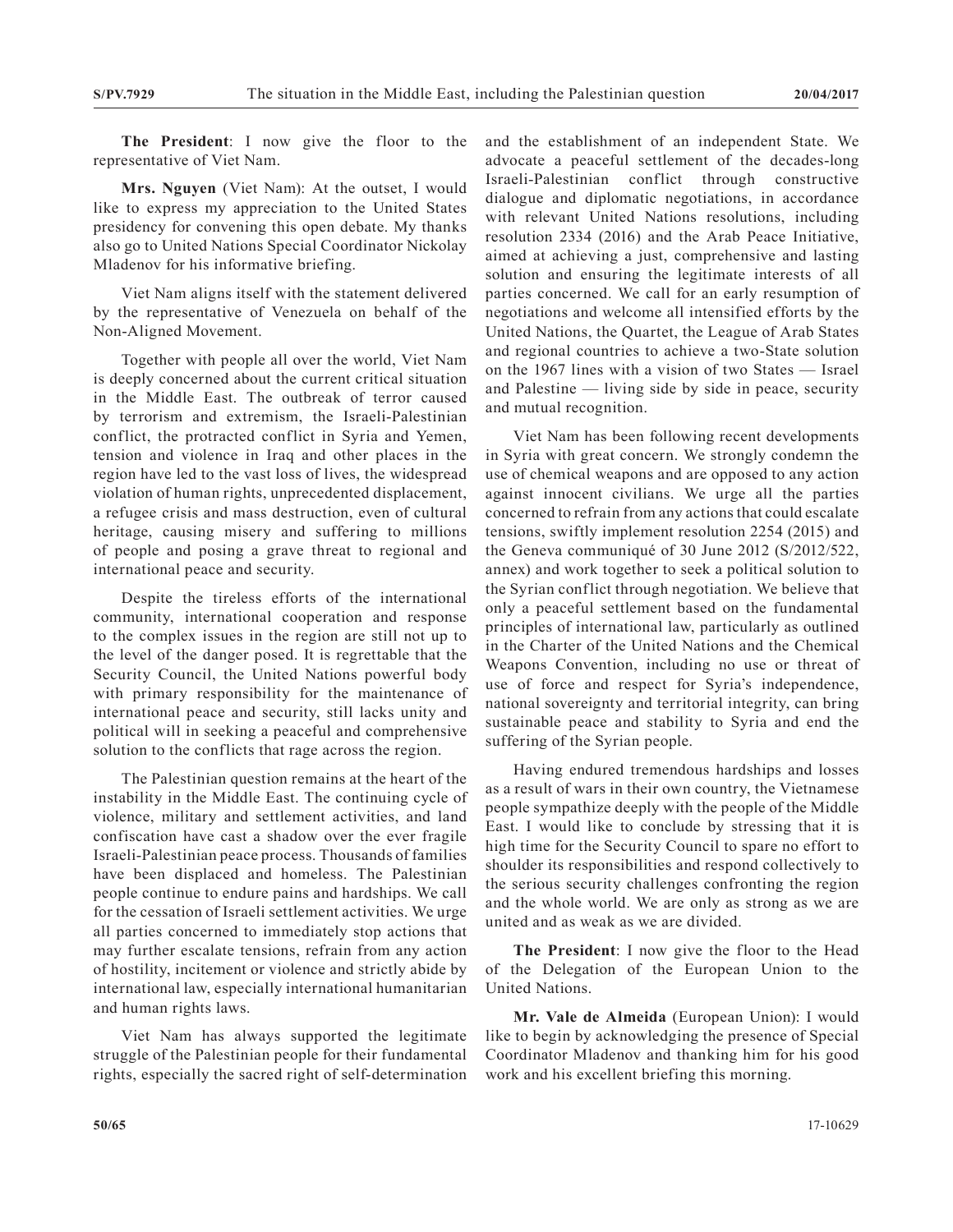**The President**: I now give the floor to the representative of Viet Nam.

**Mrs. Nguyen** (Viet Nam): At the outset, I would like to express my appreciation to the United States presidency for convening this open debate. My thanks also go to United Nations Special Coordinator Nickolay Mladenov for his informative briefing.

Viet Nam aligns itself with the statement delivered by the representative of Venezuela on behalf of the Non-Aligned Movement.

Together with people all over the world, Viet Nam is deeply concerned about the current critical situation in the Middle East. The outbreak of terror caused by terrorism and extremism, the Israeli-Palestinian conflict, the protracted conflict in Syria and Yemen, tension and violence in Iraq and other places in the region have led to the vast loss of lives, the widespread violation of human rights, unprecedented displacement, a refugee crisis and mass destruction, even of cultural heritage, causing misery and suffering to millions of people and posing a grave threat to regional and international peace and security.

Despite the tireless efforts of the international community, international cooperation and response to the complex issues in the region are still not up to the level of the danger posed. It is regrettable that the Security Council, the United Nations powerful body with primary responsibility for the maintenance of international peace and security, still lacks unity and political will in seeking a peaceful and comprehensive solution to the conflicts that rage across the region.

The Palestinian question remains at the heart of the instability in the Middle East. The continuing cycle of violence, military and settlement activities, and land confiscation have cast a shadow over the ever fragile Israeli-Palestinian peace process. Thousands of families have been displaced and homeless. The Palestinian people continue to endure pains and hardships. We call for the cessation of Israeli settlement activities. We urge all parties concerned to immediately stop actions that may further escalate tensions, refrain from any action of hostility, incitement or violence and strictly abide by international law, especially international humanitarian and human rights laws.

Viet Nam has always supported the legitimate struggle of the Palestinian people for their fundamental rights, especially the sacred right of self-determination and the establishment of an independent State. We advocate a peaceful settlement of the decades-long Israeli-Palestinian conflict through constructive dialogue and diplomatic negotiations, in accordance with relevant United Nations resolutions, including resolution 2334 (2016) and the Arab Peace Initiative, aimed at achieving a just, comprehensive and lasting solution and ensuring the legitimate interests of all parties concerned. We call for an early resumption of negotiations and welcome all intensified efforts by the United Nations, the Quartet, the League of Arab States and regional countries to achieve a two-State solution on the 1967 lines with a vision of two States — Israel and Palestine — living side by side in peace, security and mutual recognition.

Viet Nam has been following recent developments in Syria with great concern. We strongly condemn the use of chemical weapons and are opposed to any action against innocent civilians. We urge all the parties concerned to refrain from any actions that could escalate tensions, swiftly implement resolution 2254 (2015) and the Geneva communiqué of 30 June 2012 (S/2012/522, annex) and work together to seek a political solution to the Syrian conflict through negotiation. We believe that only a peaceful settlement based on the fundamental principles of international law, particularly as outlined in the Charter of the United Nations and the Chemical Weapons Convention, including no use or threat of use of force and respect for Syria's independence, national sovereignty and territorial integrity, can bring sustainable peace and stability to Syria and end the suffering of the Syrian people.

Having endured tremendous hardships and losses as a result of wars in their own country, the Vietnamese people sympathize deeply with the people of the Middle East. I would like to conclude by stressing that it is high time for the Security Council to spare no effort to shoulder its responsibilities and respond collectively to the serious security challenges confronting the region and the whole world. We are only as strong as we are united and as weak as we are divided.

**The President**: I now give the floor to the Head of the Delegation of the European Union to the United Nations.

**Mr. Vale de Almeida** (European Union): I would like to begin by acknowledging the presence of Special Coordinator Mladenov and thanking him for his good work and his excellent briefing this morning.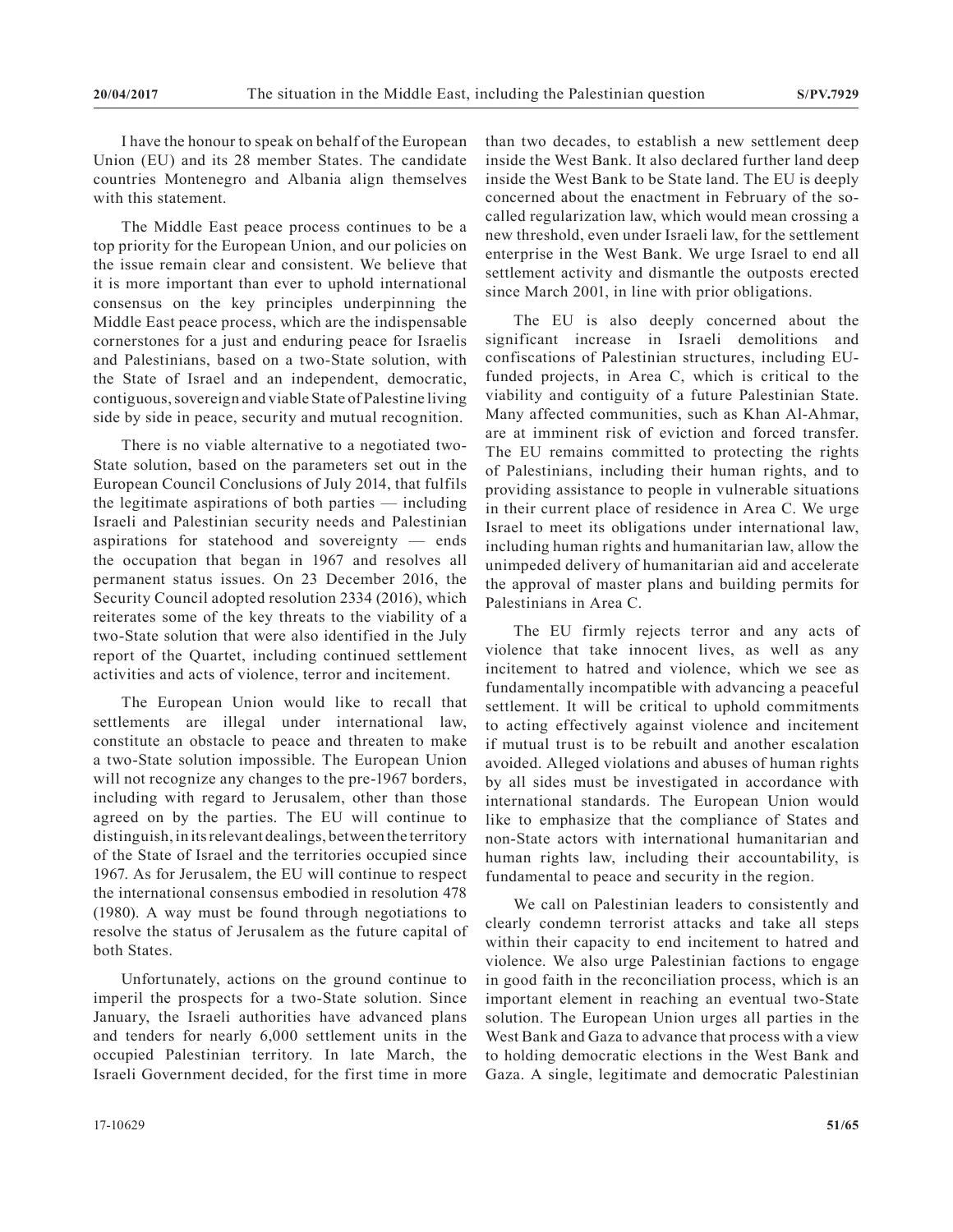I have the honour to speak on behalf of the European Union (EU) and its 28 member States. The candidate countries Montenegro and Albania align themselves with this statement.

The Middle East peace process continues to be a top priority for the European Union, and our policies on the issue remain clear and consistent. We believe that it is more important than ever to uphold international consensus on the key principles underpinning the Middle East peace process, which are the indispensable cornerstones for a just and enduring peace for Israelis and Palestinians, based on a two-State solution, with the State of Israel and an independent, democratic, contiguous, sovereign and viable State of Palestine living side by side in peace, security and mutual recognition.

There is no viable alternative to a negotiated two-State solution, based on the parameters set out in the European Council Conclusions of July 2014, that fulfils the legitimate aspirations of both parties — including Israeli and Palestinian security needs and Palestinian aspirations for statehood and sovereignty — ends the occupation that began in 1967 and resolves all permanent status issues. On 23 December 2016, the Security Council adopted resolution 2334 (2016), which reiterates some of the key threats to the viability of a two-State solution that were also identified in the July report of the Quartet, including continued settlement activities and acts of violence, terror and incitement.

The European Union would like to recall that settlements are illegal under international law, constitute an obstacle to peace and threaten to make a two-State solution impossible. The European Union will not recognize any changes to the pre-1967 borders, including with regard to Jerusalem, other than those agreed on by the parties. The EU will continue to distinguish, in its relevant dealings, between the territory of the State of Israel and the territories occupied since 1967. As for Jerusalem, the EU will continue to respect the international consensus embodied in resolution 478 (1980). A way must be found through negotiations to resolve the status of Jerusalem as the future capital of both States.

Unfortunately, actions on the ground continue to imperil the prospects for a two-State solution. Since January, the Israeli authorities have advanced plans and tenders for nearly 6,000 settlement units in the occupied Palestinian territory. In late March, the Israeli Government decided, for the first time in more than two decades, to establish a new settlement deep inside the West Bank. It also declared further land deep inside the West Bank to be State land. The EU is deeply concerned about the enactment in February of the socalled regularization law, which would mean crossing a new threshold, even under Israeli law, for the settlement enterprise in the West Bank. We urge Israel to end all settlement activity and dismantle the outposts erected since March 2001, in line with prior obligations.

The EU is also deeply concerned about the significant increase in Israeli demolitions and confiscations of Palestinian structures, including EUfunded projects, in Area C, which is critical to the viability and contiguity of a future Palestinian State. Many affected communities, such as Khan Al-Ahmar, are at imminent risk of eviction and forced transfer. The EU remains committed to protecting the rights of Palestinians, including their human rights, and to providing assistance to people in vulnerable situations in their current place of residence in Area C. We urge Israel to meet its obligations under international law, including human rights and humanitarian law, allow the unimpeded delivery of humanitarian aid and accelerate the approval of master plans and building permits for Palestinians in Area C.

The EU firmly rejects terror and any acts of violence that take innocent lives, as well as any incitement to hatred and violence, which we see as fundamentally incompatible with advancing a peaceful settlement. It will be critical to uphold commitments to acting effectively against violence and incitement if mutual trust is to be rebuilt and another escalation avoided. Alleged violations and abuses of human rights by all sides must be investigated in accordance with international standards. The European Union would like to emphasize that the compliance of States and non-State actors with international humanitarian and human rights law, including their accountability, is fundamental to peace and security in the region.

We call on Palestinian leaders to consistently and clearly condemn terrorist attacks and take all steps within their capacity to end incitement to hatred and violence. We also urge Palestinian factions to engage in good faith in the reconciliation process, which is an important element in reaching an eventual two-State solution. The European Union urges all parties in the West Bank and Gaza to advance that process with a view to holding democratic elections in the West Bank and Gaza. A single, legitimate and democratic Palestinian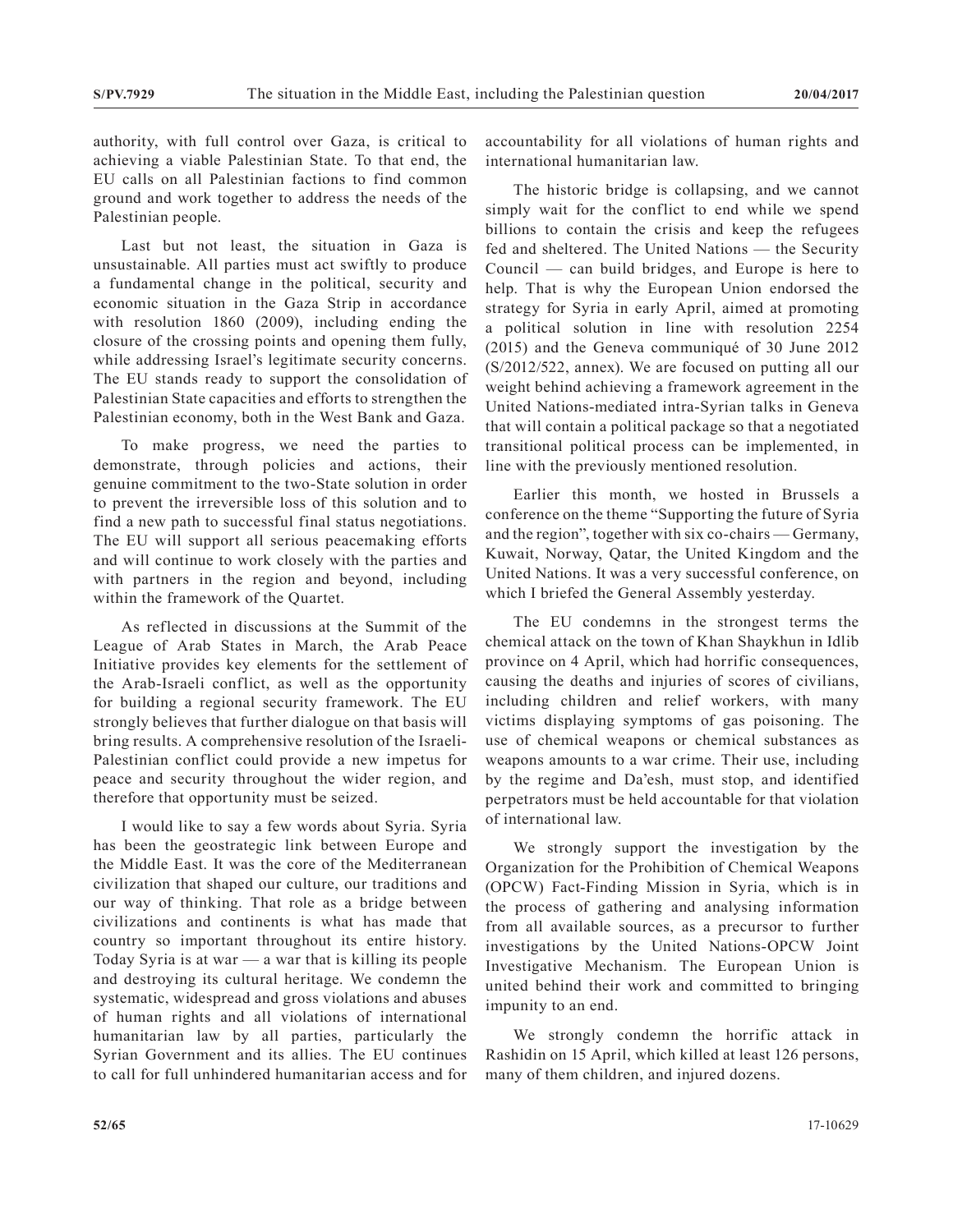authority, with full control over Gaza, is critical to achieving a viable Palestinian State. To that end, the EU calls on all Palestinian factions to find common ground and work together to address the needs of the Palestinian people.

Last but not least, the situation in Gaza is unsustainable. All parties must act swiftly to produce a fundamental change in the political, security and economic situation in the Gaza Strip in accordance with resolution 1860 (2009), including ending the closure of the crossing points and opening them fully, while addressing Israel's legitimate security concerns. The EU stands ready to support the consolidation of Palestinian State capacities and efforts to strengthen the Palestinian economy, both in the West Bank and Gaza.

To make progress, we need the parties to demonstrate, through policies and actions, their genuine commitment to the two-State solution in order to prevent the irreversible loss of this solution and to find a new path to successful final status negotiations. The EU will support all serious peacemaking efforts and will continue to work closely with the parties and with partners in the region and beyond, including within the framework of the Quartet.

As reflected in discussions at the Summit of the League of Arab States in March, the Arab Peace Initiative provides key elements for the settlement of the Arab-Israeli conflict, as well as the opportunity for building a regional security framework. The EU strongly believes that further dialogue on that basis will bring results. A comprehensive resolution of the Israeli-Palestinian conflict could provide a new impetus for peace and security throughout the wider region, and therefore that opportunity must be seized.

I would like to say a few words about Syria. Syria has been the geostrategic link between Europe and the Middle East. It was the core of the Mediterranean civilization that shaped our culture, our traditions and our way of thinking. That role as a bridge between civilizations and continents is what has made that country so important throughout its entire history. Today Syria is at war  $\frac{a}{b}$  a war that is killing its people and destroying its cultural heritage. We condemn the systematic, widespread and gross violations and abuses of human rights and all violations of international humanitarian law by all parties, particularly the Syrian Government and its allies. The EU continues to call for full unhindered humanitarian access and for

accountability for all violations of human rights and international humanitarian law.

The historic bridge is collapsing, and we cannot simply wait for the conflict to end while we spend billions to contain the crisis and keep the refugees fed and sheltered. The United Nations — the Security Council — can build bridges, and Europe is here to help. That is why the European Union endorsed the strategy for Syria in early April, aimed at promoting a political solution in line with resolution 2254 (2015) and the Geneva communiqué of 30 June 2012 (S/2012/522, annex). We are focused on putting all our weight behind achieving a framework agreement in the United Nations-mediated intra-Syrian talks in Geneva that will contain a political package so that a negotiated transitional political process can be implemented, in line with the previously mentioned resolution.

Earlier this month, we hosted in Brussels a conference on the theme "Supporting the future of Syria and the region", together with six co-chairs — Germany, Kuwait, Norway, Qatar, the United Kingdom and the United Nations. It was a very successful conference, on which I briefed the General Assembly yesterday.

The EU condemns in the strongest terms the chemical attack on the town of Khan Shaykhun in Idlib province on 4 April, which had horrific consequences, causing the deaths and injuries of scores of civilians, including children and relief workers, with many victims displaying symptoms of gas poisoning. The use of chemical weapons or chemical substances as weapons amounts to a war crime. Their use, including by the regime and Da'esh, must stop, and identified perpetrators must be held accountable for that violation of international law.

We strongly support the investigation by the Organization for the Prohibition of Chemical Weapons (OPCW) Fact-Finding Mission in Syria, which is in the process of gathering and analysing information from all available sources, as a precursor to further investigations by the United Nations-OPCW Joint Investigative Mechanism. The European Union is united behind their work and committed to bringing impunity to an end.

We strongly condemn the horrific attack in Rashidin on 15 April, which killed at least 126 persons, many of them children, and injured dozens.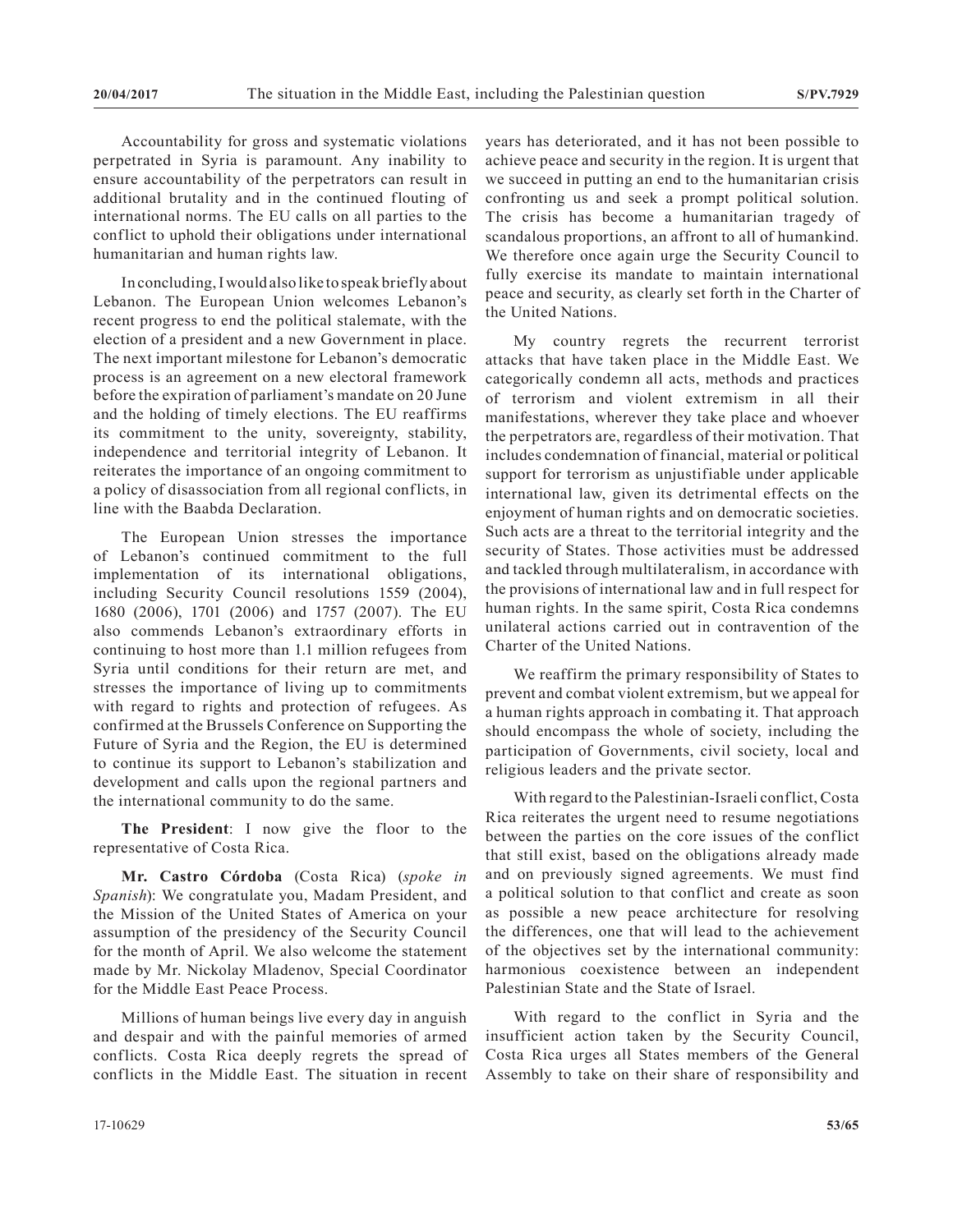Accountability for gross and systematic violations perpetrated in Syria is paramount. Any inability to ensure accountability of the perpetrators can result in additional brutality and in the continued flouting of international norms. The EU calls on all parties to the conflict to uphold their obligations under international humanitarian and human rights law.

In concluding, I would also like to speak briefly about Lebanon. The European Union welcomes Lebanon's recent progress to end the political stalemate, with the election of a president and a new Government in place. The next important milestone for Lebanon's democratic process is an agreement on a new electoral framework before the expiration of parliament's mandate on 20 June and the holding of timely elections. The EU reaffirms its commitment to the unity, sovereignty, stability, independence and territorial integrity of Lebanon. It reiterates the importance of an ongoing commitment to a policy of disassociation from all regional conflicts, in line with the Baabda Declaration.

The European Union stresses the importance of Lebanon's continued commitment to the full implementation of its international obligations, including Security Council resolutions 1559 (2004), 1680 (2006), 1701 (2006) and 1757 (2007). The EU also commends Lebanon's extraordinary efforts in continuing to host more than 1.1 million refugees from Syria until conditions for their return are met, and stresses the importance of living up to commitments with regard to rights and protection of refugees. As confirmed at the Brussels Conference on Supporting the Future of Syria and the Region, the EU is determined to continue its support to Lebanon's stabilization and development and calls upon the regional partners and the international community to do the same.

**The President**: I now give the floor to the representative of Costa Rica.

**Mr. Castro Córdoba** (Costa Rica) (*spoke in Spanish*): We congratulate you, Madam President, and the Mission of the United States of America on your assumption of the presidency of the Security Council for the month of April. We also welcome the statement made by Mr. Nickolay Mladenov, Special Coordinator for the Middle East Peace Process.

Millions of human beings live every day in anguish and despair and with the painful memories of armed conflicts. Costa Rica deeply regrets the spread of conflicts in the Middle East. The situation in recent

years has deteriorated, and it has not been possible to achieve peace and security in the region. It is urgent that we succeed in putting an end to the humanitarian crisis confronting us and seek a prompt political solution. The crisis has become a humanitarian tragedy of scandalous proportions, an affront to all of humankind. We therefore once again urge the Security Council to fully exercise its mandate to maintain international peace and security, as clearly set forth in the Charter of the United Nations.

My country regrets the recurrent terrorist attacks that have taken place in the Middle East. We categorically condemn all acts, methods and practices of terrorism and violent extremism in all their manifestations, wherever they take place and whoever the perpetrators are, regardless of their motivation. That includes condemnation of financial, material or political support for terrorism as unjustifiable under applicable international law, given its detrimental effects on the enjoyment of human rights and on democratic societies. Such acts are a threat to the territorial integrity and the security of States. Those activities must be addressed and tackled through multilateralism, in accordance with the provisions of international law and in full respect for human rights. In the same spirit, Costa Rica condemns unilateral actions carried out in contravention of the Charter of the United Nations.

We reaffirm the primary responsibility of States to prevent and combat violent extremism, but we appeal for a human rights approach in combating it. That approach should encompass the whole of society, including the participation of Governments, civil society, local and religious leaders and the private sector.

With regard to the Palestinian-Israeli conflict, Costa Rica reiterates the urgent need to resume negotiations between the parties on the core issues of the conflict that still exist, based on the obligations already made and on previously signed agreements. We must find a political solution to that conflict and create as soon as possible a new peace architecture for resolving the differences, one that will lead to the achievement of the objectives set by the international community: harmonious coexistence between an independent Palestinian State and the State of Israel.

With regard to the conflict in Syria and the insufficient action taken by the Security Council, Costa Rica urges all States members of the General Assembly to take on their share of responsibility and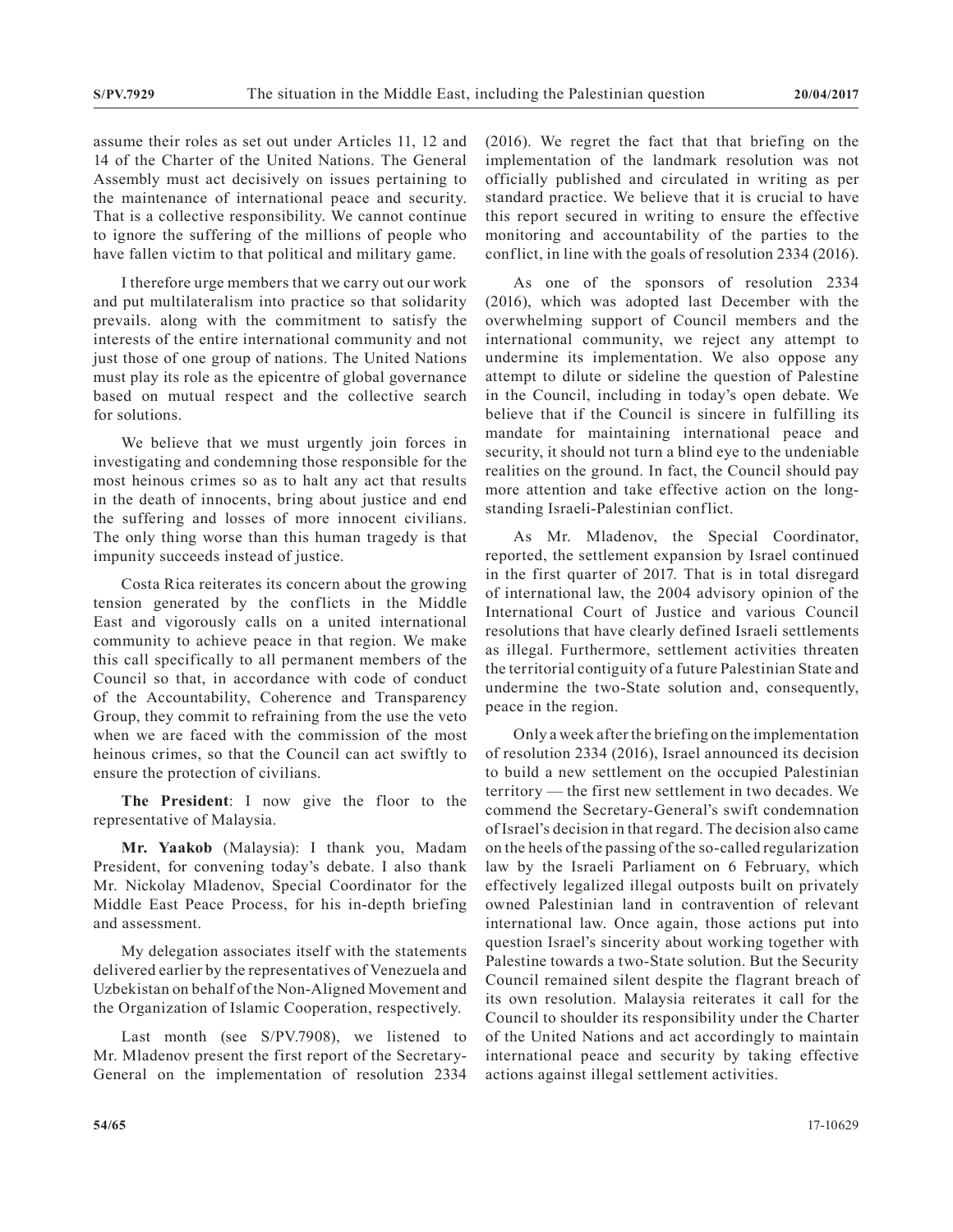assume their roles as set out under Articles 11, 12 and 14 of the Charter of the United Nations. The General Assembly must act decisively on issues pertaining to the maintenance of international peace and security. That is a collective responsibility. We cannot continue to ignore the suffering of the millions of people who have fallen victim to that political and military game.

I therefore urge members that we carry out our work and put multilateralism into practice so that solidarity prevails. along with the commitment to satisfy the interests of the entire international community and not just those of one group of nations. The United Nations must play its role as the epicentre of global governance based on mutual respect and the collective search for solutions.

We believe that we must urgently join forces in investigating and condemning those responsible for the most heinous crimes so as to halt any act that results in the death of innocents, bring about justice and end the suffering and losses of more innocent civilians. The only thing worse than this human tragedy is that impunity succeeds instead of justice.

Costa Rica reiterates its concern about the growing tension generated by the conflicts in the Middle East and vigorously calls on a united international community to achieve peace in that region. We make this call specifically to all permanent members of the Council so that, in accordance with code of conduct of the Accountability, Coherence and Transparency Group, they commit to refraining from the use the veto when we are faced with the commission of the most heinous crimes, so that the Council can act swiftly to ensure the protection of civilians.

**The President**: I now give the floor to the representative of Malaysia.

**Mr. Yaakob** (Malaysia): I thank you, Madam President, for convening today's debate. I also thank Mr. Nickolay Mladenov, Special Coordinator for the Middle East Peace Process, for his in-depth briefing and assessment.

My delegation associates itself with the statements delivered earlier by the representatives of Venezuela and Uzbekistan on behalf of the Non-Aligned Movement and the Organization of Islamic Cooperation, respectively.

Last month (see S/PV.7908), we listened to Mr. Mladenov present the first report of the Secretary-General on the implementation of resolution 2334 (2016). We regret the fact that that briefing on the implementation of the landmark resolution was not officially published and circulated in writing as per standard practice. We believe that it is crucial to have this report secured in writing to ensure the effective monitoring and accountability of the parties to the conflict, in line with the goals of resolution 2334 (2016).

As one of the sponsors of resolution 2334 (2016), which was adopted last December with the overwhelming support of Council members and the international community, we reject any attempt to undermine its implementation. We also oppose any attempt to dilute or sideline the question of Palestine in the Council, including in today's open debate. We believe that if the Council is sincere in fulfilling its mandate for maintaining international peace and security, it should not turn a blind eye to the undeniable realities on the ground. In fact, the Council should pay more attention and take effective action on the longstanding Israeli-Palestinian conflict.

As Mr. Mladenov, the Special Coordinator, reported, the settlement expansion by Israel continued in the first quarter of 2017. That is in total disregard of international law, the 2004 advisory opinion of the International Court of Justice and various Council resolutions that have clearly defined Israeli settlements as illegal. Furthermore, settlement activities threaten the territorial contiguity of a future Palestinian State and undermine the two-State solution and, consequently, peace in the region.

Only a week after the briefing on the implementation of resolution 2334 (2016), Israel announced its decision to build a new settlement on the occupied Palestinian territory — the first new settlement in two decades. We commend the Secretary-General's swift condemnation of Israel's decision in that regard. The decision also came on the heels of the passing of the so-called regularization law by the Israeli Parliament on 6 February, which effectively legalized illegal outposts built on privately owned Palestinian land in contravention of relevant international law. Once again, those actions put into question Israel's sincerity about working together with Palestine towards a two-State solution. But the Security Council remained silent despite the flagrant breach of its own resolution. Malaysia reiterates it call for the Council to shoulder its responsibility under the Charter of the United Nations and act accordingly to maintain international peace and security by taking effective actions against illegal settlement activities.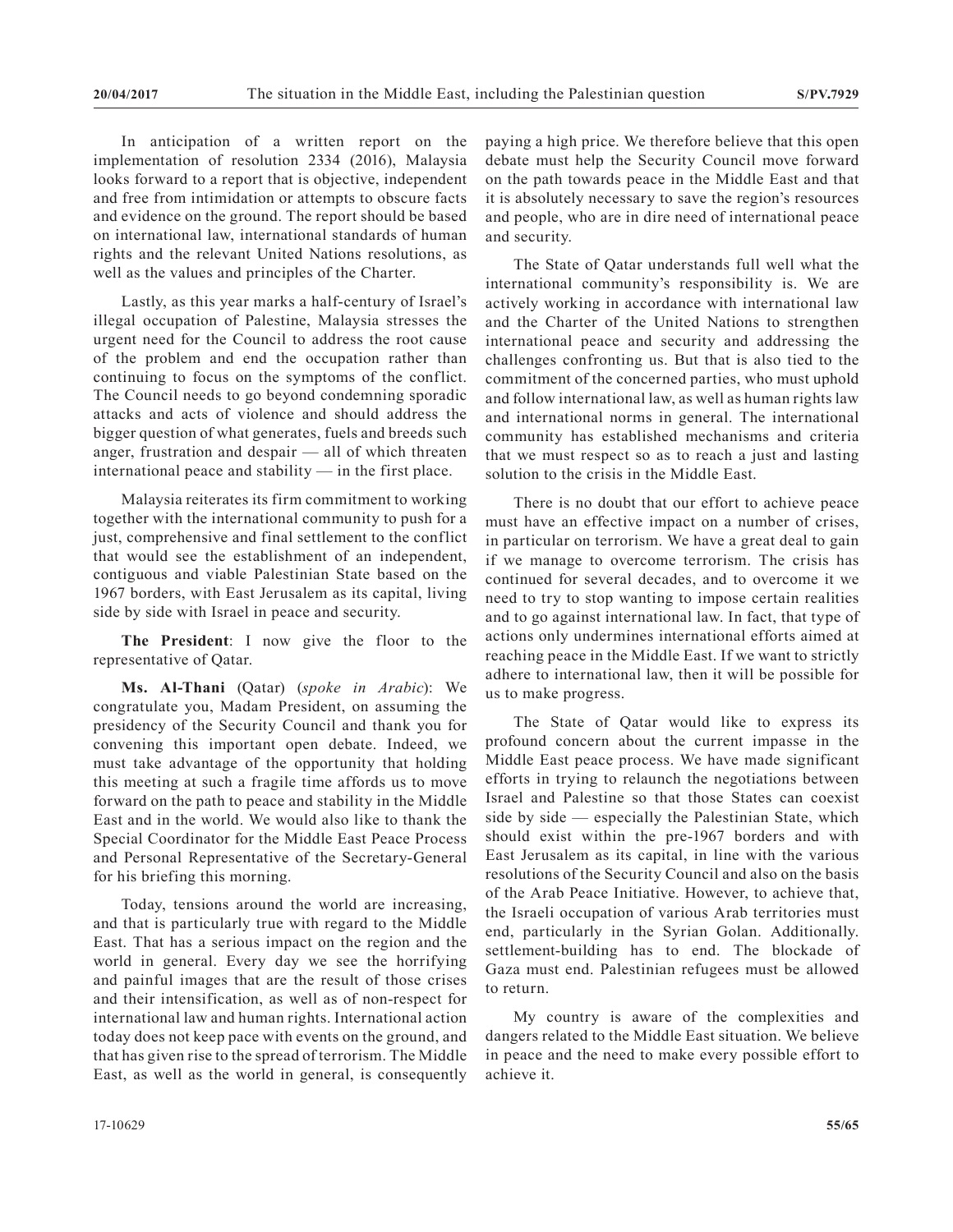In anticipation of a written report on the implementation of resolution 2334 (2016), Malaysia looks forward to a report that is objective, independent and free from intimidation or attempts to obscure facts and evidence on the ground. The report should be based on international law, international standards of human rights and the relevant United Nations resolutions, as well as the values and principles of the Charter.

Lastly, as this year marks a half-century of Israel's illegal occupation of Palestine, Malaysia stresses the urgent need for the Council to address the root cause of the problem and end the occupation rather than continuing to focus on the symptoms of the conflict. The Council needs to go beyond condemning sporadic attacks and acts of violence and should address the bigger question of what generates, fuels and breeds such anger, frustration and despair — all of which threaten international peace and stability — in the first place.

Malaysia reiterates its firm commitment to working together with the international community to push for a just, comprehensive and final settlement to the conflict that would see the establishment of an independent, contiguous and viable Palestinian State based on the 1967 borders, with East Jerusalem as its capital, living side by side with Israel in peace and security.

**The President**: I now give the floor to the representative of Qatar.

**Ms. Al-Thani** (Qatar) (*spoke in Arabic*): We congratulate you, Madam President, on assuming the presidency of the Security Council and thank you for convening this important open debate. Indeed, we must take advantage of the opportunity that holding this meeting at such a fragile time affords us to move forward on the path to peace and stability in the Middle East and in the world. We would also like to thank the Special Coordinator for the Middle East Peace Process and Personal Representative of the Secretary-General for his briefing this morning.

Today, tensions around the world are increasing, and that is particularly true with regard to the Middle East. That has a serious impact on the region and the world in general. Every day we see the horrifying and painful images that are the result of those crises and their intensification, as well as of non-respect for international law and human rights. International action today does not keep pace with events on the ground, and that has given rise to the spread of terrorism. The Middle East, as well as the world in general, is consequently paying a high price. We therefore believe that this open debate must help the Security Council move forward on the path towards peace in the Middle East and that it is absolutely necessary to save the region's resources and people, who are in dire need of international peace and security.

The State of Qatar understands full well what the international community's responsibility is. We are actively working in accordance with international law and the Charter of the United Nations to strengthen international peace and security and addressing the challenges confronting us. But that is also tied to the commitment of the concerned parties, who must uphold and follow international law, as well as human rights law and international norms in general. The international community has established mechanisms and criteria that we must respect so as to reach a just and lasting solution to the crisis in the Middle East.

There is no doubt that our effort to achieve peace must have an effective impact on a number of crises, in particular on terrorism. We have a great deal to gain if we manage to overcome terrorism. The crisis has continued for several decades, and to overcome it we need to try to stop wanting to impose certain realities and to go against international law. In fact, that type of actions only undermines international efforts aimed at reaching peace in the Middle East. If we want to strictly adhere to international law, then it will be possible for us to make progress.

The State of Qatar would like to express its profound concern about the current impasse in the Middle East peace process. We have made significant efforts in trying to relaunch the negotiations between Israel and Palestine so that those States can coexist side by side — especially the Palestinian State, which should exist within the pre-1967 borders and with East Jerusalem as its capital, in line with the various resolutions of the Security Council and also on the basis of the Arab Peace Initiative. However, to achieve that, the Israeli occupation of various Arab territories must end, particularly in the Syrian Golan. Additionally. settlement-building has to end. The blockade of Gaza must end. Palestinian refugees must be allowed to return.

My country is aware of the complexities and dangers related to the Middle East situation. We believe in peace and the need to make every possible effort to achieve it.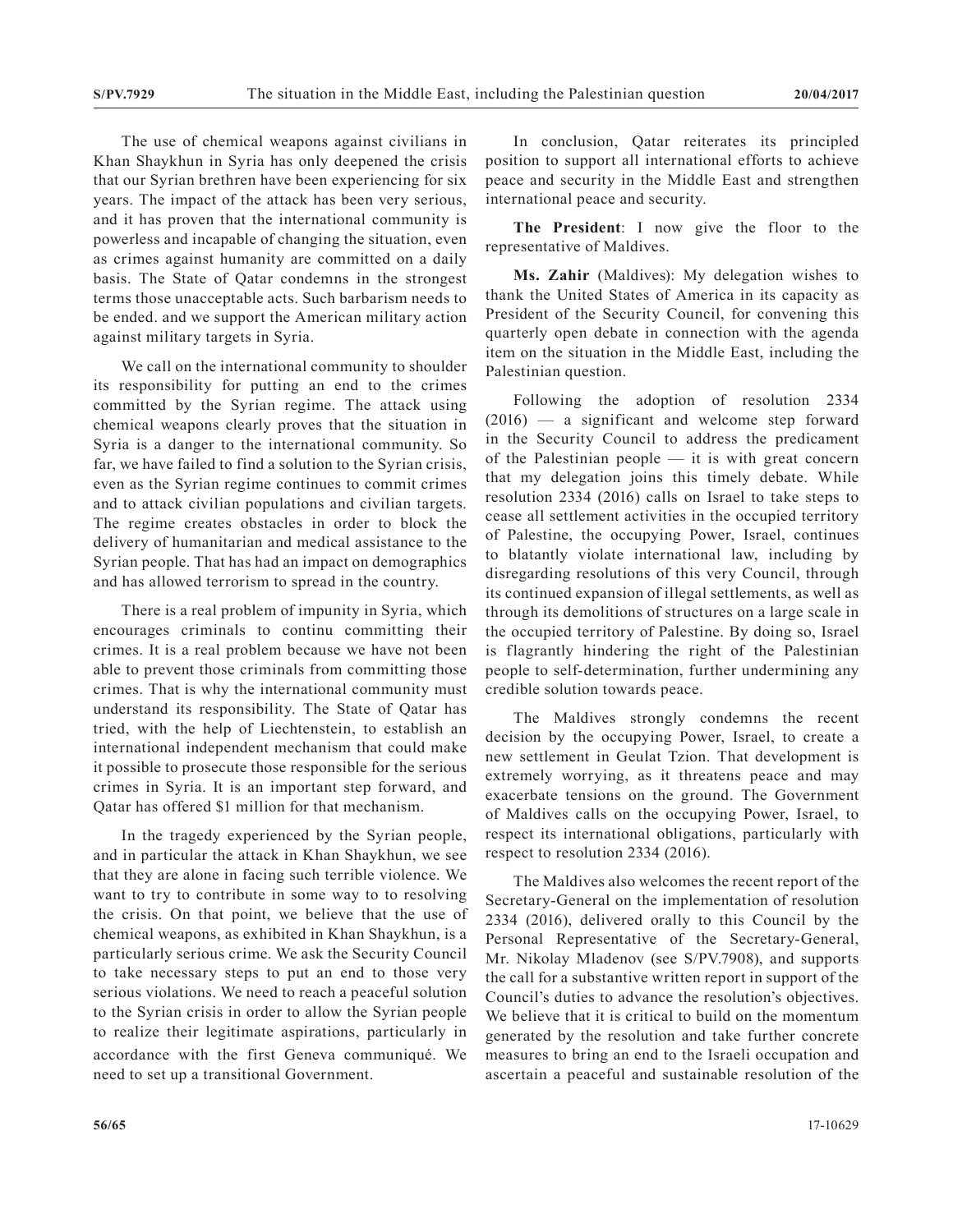The use of chemical weapons against civilians in Khan Shaykhun in Syria has only deepened the crisis that our Syrian brethren have been experiencing for six years. The impact of the attack has been very serious, and it has proven that the international community is powerless and incapable of changing the situation, even as crimes against humanity are committed on a daily basis. The State of Qatar condemns in the strongest terms those unacceptable acts. Such barbarism needs to be ended. and we support the American military action against military targets in Syria.

We call on the international community to shoulder its responsibility for putting an end to the crimes committed by the Syrian regime. The attack using chemical weapons clearly proves that the situation in Syria is a danger to the international community. So far, we have failed to find a solution to the Syrian crisis, even as the Syrian regime continues to commit crimes and to attack civilian populations and civilian targets. The regime creates obstacles in order to block the delivery of humanitarian and medical assistance to the Syrian people. That has had an impact on demographics and has allowed terrorism to spread in the country.

There is a real problem of impunity in Syria, which encourages criminals to continu committing their crimes. It is a real problem because we have not been able to prevent those criminals from committing those crimes. That is why the international community must understand its responsibility. The State of Qatar has tried, with the help of Liechtenstein, to establish an international independent mechanism that could make it possible to prosecute those responsible for the serious crimes in Syria. It is an important step forward, and Qatar has offered \$1 million for that mechanism.

In the tragedy experienced by the Syrian people, and in particular the attack in Khan Shaykhun, we see that they are alone in facing such terrible violence. We want to try to contribute in some way to to resolving the crisis. On that point, we believe that the use of chemical weapons, as exhibited in Khan Shaykhun, is a particularly serious crime. We ask the Security Council to take necessary steps to put an end to those very serious violations. We need to reach a peaceful solution to the Syrian crisis in order to allow the Syrian people to realize their legitimate aspirations, particularly in accordance with the first Geneva communiqué. We need to set up a transitional Government.

In conclusion, Qatar reiterates its principled position to support all international efforts to achieve peace and security in the Middle East and strengthen international peace and security.

**The President**: I now give the floor to the representative of Maldives.

**Ms. Zahir** (Maldives): My delegation wishes to thank the United States of America in its capacity as President of the Security Council, for convening this quarterly open debate in connection with the agenda item on the situation in the Middle East, including the Palestinian question.

Following the adoption of resolution 2334 (2016) — a significant and welcome step forward in the Security Council to address the predicament of the Palestinian people — it is with great concern that my delegation joins this timely debate. While resolution 2334 (2016) calls on Israel to take steps to cease all settlement activities in the occupied territory of Palestine, the occupying Power, Israel, continues to blatantly violate international law, including by disregarding resolutions of this very Council, through its continued expansion of illegal settlements, as well as through its demolitions of structures on a large scale in the occupied territory of Palestine. By doing so, Israel is flagrantly hindering the right of the Palestinian people to self-determination, further undermining any credible solution towards peace.

The Maldives strongly condemns the recent decision by the occupying Power, Israel, to create a new settlement in Geulat Tzion. That development is extremely worrying, as it threatens peace and may exacerbate tensions on the ground. The Government of Maldives calls on the occupying Power, Israel, to respect its international obligations, particularly with respect to resolution 2334 (2016).

The Maldives also welcomes the recent report of the Secretary-General on the implementation of resolution 2334 (2016), delivered orally to this Council by the Personal Representative of the Secretary-General, Mr. Nikolay Mladenov (see S/PV.7908), and supports the call for a substantive written report in support of the Council's duties to advance the resolution's objectives. We believe that it is critical to build on the momentum generated by the resolution and take further concrete measures to bring an end to the Israeli occupation and ascertain a peaceful and sustainable resolution of the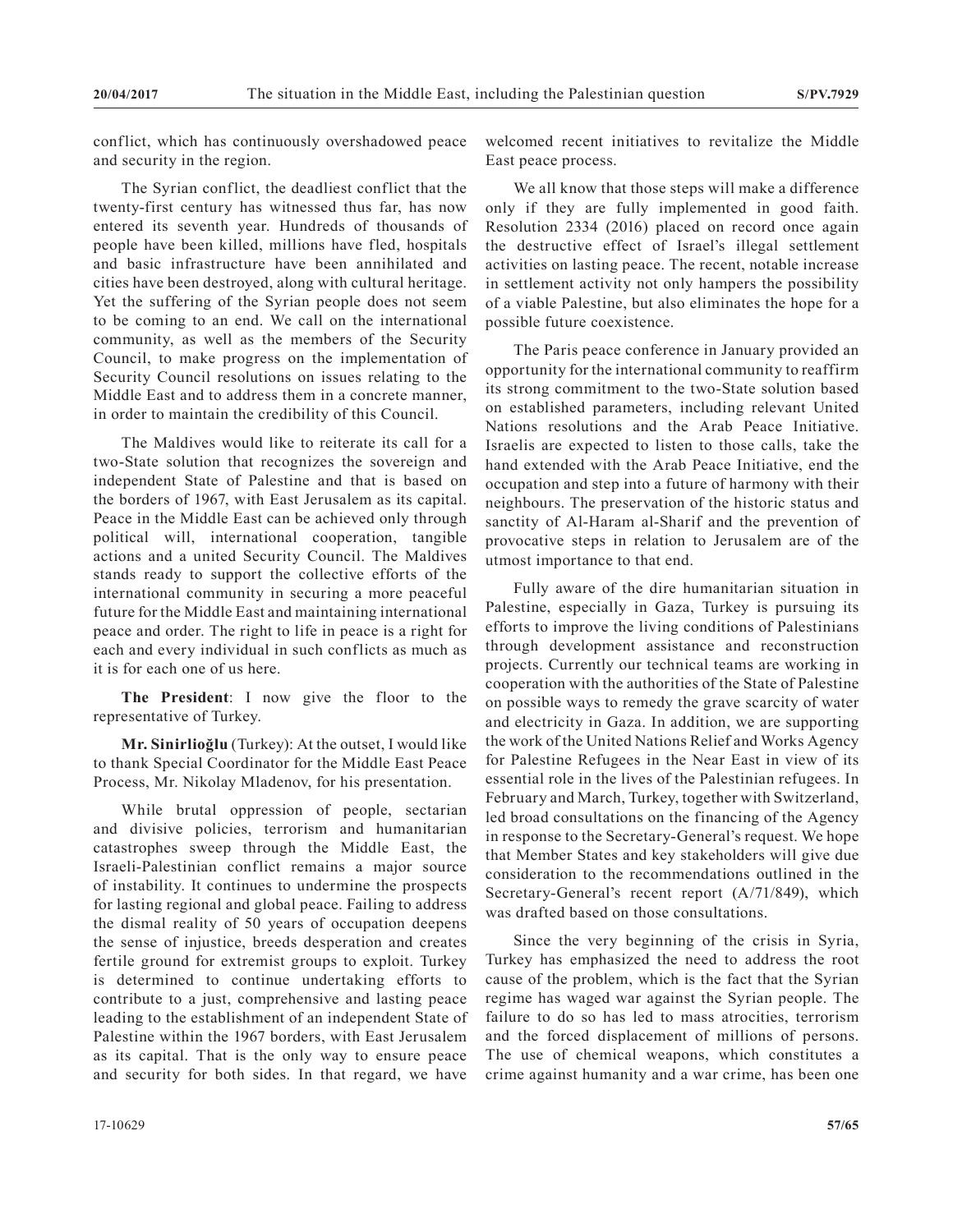conflict, which has continuously overshadowed peace and security in the region.

The Syrian conflict, the deadliest conflict that the twenty-first century has witnessed thus far, has now entered its seventh year. Hundreds of thousands of people have been killed, millions have fled, hospitals and basic infrastructure have been annihilated and cities have been destroyed, along with cultural heritage. Yet the suffering of the Syrian people does not seem to be coming to an end. We call on the international community, as well as the members of the Security Council, to make progress on the implementation of Security Council resolutions on issues relating to the Middle East and to address them in a concrete manner, in order to maintain the credibility of this Council.

The Maldives would like to reiterate its call for a two-State solution that recognizes the sovereign and independent State of Palestine and that is based on the borders of 1967, with East Jerusalem as its capital. Peace in the Middle East can be achieved only through political will, international cooperation, tangible actions and a united Security Council. The Maldives stands ready to support the collective efforts of the international community in securing a more peaceful future for the Middle East and maintaining international peace and order. The right to life in peace is a right for each and every individual in such conflicts as much as it is for each one of us here.

**The President**: I now give the floor to the representative of Turkey.

**Mr. Sinirlioğlu** (Turkey): At the outset, I would like to thank Special Coordinator for the Middle East Peace Process, Mr. Nikolay Mladenov, for his presentation.

While brutal oppression of people, sectarian and divisive policies, terrorism and humanitarian catastrophes sweep through the Middle East, the Israeli-Palestinian conflict remains a major source of instability. It continues to undermine the prospects for lasting regional and global peace. Failing to address the dismal reality of 50 years of occupation deepens the sense of injustice, breeds desperation and creates fertile ground for extremist groups to exploit. Turkey is determined to continue undertaking efforts to contribute to a just, comprehensive and lasting peace leading to the establishment of an independent State of Palestine within the 1967 borders, with East Jerusalem as its capital. That is the only way to ensure peace and security for both sides. In that regard, we have

We all know that those steps will make a difference only if they are fully implemented in good faith. Resolution 2334 (2016) placed on record once again the destructive effect of Israel's illegal settlement activities on lasting peace. The recent, notable increase in settlement activity not only hampers the possibility of a viable Palestine, but also eliminates the hope for a possible future coexistence.

The Paris peace conference in January provided an opportunity for the international community to reaffirm its strong commitment to the two-State solution based on established parameters, including relevant United Nations resolutions and the Arab Peace Initiative. Israelis are expected to listen to those calls, take the hand extended with the Arab Peace Initiative, end the occupation and step into a future of harmony with their neighbours. The preservation of the historic status and sanctity of Al-Haram al-Sharif and the prevention of provocative steps in relation to Jerusalem are of the utmost importance to that end.

Fully aware of the dire humanitarian situation in Palestine, especially in Gaza, Turkey is pursuing its efforts to improve the living conditions of Palestinians through development assistance and reconstruction projects. Currently our technical teams are working in cooperation with the authorities of the State of Palestine on possible ways to remedy the grave scarcity of water and electricity in Gaza. In addition, we are supporting the work of the United Nations Relief and Works Agency for Palestine Refugees in the Near East in view of its essential role in the lives of the Palestinian refugees. In February and March, Turkey, together with Switzerland, led broad consultations on the financing of the Agency in response to the Secretary-General's request. We hope that Member States and key stakeholders will give due consideration to the recommendations outlined in the Secretary-General's recent report (A/71/849), which was drafted based on those consultations.

Since the very beginning of the crisis in Syria, Turkey has emphasized the need to address the root cause of the problem, which is the fact that the Syrian regime has waged war against the Syrian people. The failure to do so has led to mass atrocities, terrorism and the forced displacement of millions of persons. The use of chemical weapons, which constitutes a crime against humanity and a war crime, has been one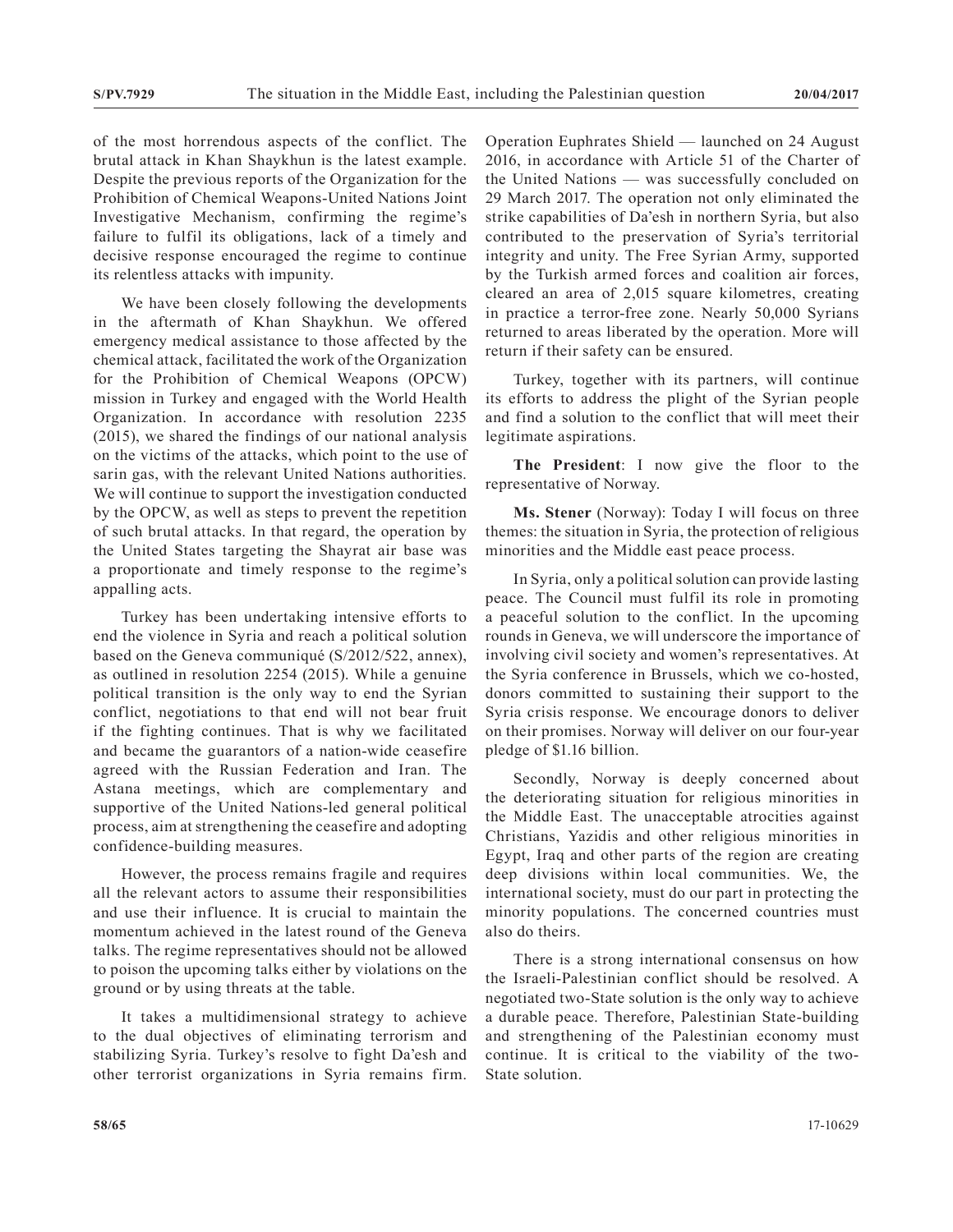of the most horrendous aspects of the conflict. The brutal attack in Khan Shaykhun is the latest example. Despite the previous reports of the Organization for the Prohibition of Chemical Weapons-United Nations Joint Investigative Mechanism, confirming the regime's failure to fulfil its obligations, lack of a timely and decisive response encouraged the regime to continue its relentless attacks with impunity.

We have been closely following the developments in the aftermath of Khan Shaykhun. We offered emergency medical assistance to those affected by the chemical attack, facilitated the work of the Organization for the Prohibition of Chemical Weapons (OPCW) mission in Turkey and engaged with the World Health Organization. In accordance with resolution 2235 (2015), we shared the findings of our national analysis on the victims of the attacks, which point to the use of sarin gas, with the relevant United Nations authorities. We will continue to support the investigation conducted by the OPCW, as well as steps to prevent the repetition of such brutal attacks. In that regard, the operation by the United States targeting the Shayrat air base was a proportionate and timely response to the regime's appalling acts.

Turkey has been undertaking intensive efforts to end the violence in Syria and reach a political solution based on the Geneva communiqué (S/2012/522, annex), as outlined in resolution 2254 (2015). While a genuine political transition is the only way to end the Syrian conflict, negotiations to that end will not bear fruit if the fighting continues. That is why we facilitated and became the guarantors of a nation-wide ceasefire agreed with the Russian Federation and Iran. The Astana meetings, which are complementary and supportive of the United Nations-led general political process, aim at strengthening the ceasefire and adopting confidence-building measures.

However, the process remains fragile and requires all the relevant actors to assume their responsibilities and use their influence. It is crucial to maintain the momentum achieved in the latest round of the Geneva talks. The regime representatives should not be allowed to poison the upcoming talks either by violations on the ground or by using threats at the table.

It takes a multidimensional strategy to achieve to the dual objectives of eliminating terrorism and stabilizing Syria. Turkey's resolve to fight Da'esh and other terrorist organizations in Syria remains firm. Operation Euphrates Shield — launched on 24 August 2016, in accordance with Article 51 of the Charter of the United Nations — was successfully concluded on 29 March 2017. The operation not only eliminated the strike capabilities of Da'esh in northern Syria, but also contributed to the preservation of Syria's territorial integrity and unity. The Free Syrian Army, supported by the Turkish armed forces and coalition air forces, cleared an area of 2,015 square kilometres, creating in practice a terror-free zone. Nearly 50,000 Syrians returned to areas liberated by the operation. More will return if their safety can be ensured.

Turkey, together with its partners, will continue its efforts to address the plight of the Syrian people and find a solution to the conflict that will meet their legitimate aspirations.

**The President**: I now give the floor to the representative of Norway.

**Ms. Stener** (Norway): Today I will focus on three themes: the situation in Syria, the protection of religious minorities and the Middle east peace process.

In Syria, only a political solution can provide lasting peace. The Council must fulfil its role in promoting a peaceful solution to the conflict. In the upcoming rounds in Geneva, we will underscore the importance of involving civil society and women's representatives. At the Syria conference in Brussels, which we co-hosted, donors committed to sustaining their support to the Syria crisis response. We encourage donors to deliver on their promises. Norway will deliver on our four-year pledge of \$1.16 billion.

Secondly, Norway is deeply concerned about the deteriorating situation for religious minorities in the Middle East. The unacceptable atrocities against Christians, Yazidis and other religious minorities in Egypt, Iraq and other parts of the region are creating deep divisions within local communities. We, the international society, must do our part in protecting the minority populations. The concerned countries must also do theirs.

There is a strong international consensus on how the Israeli-Palestinian conflict should be resolved. A negotiated two-State solution is the only way to achieve a durable peace. Therefore, Palestinian State-building and strengthening of the Palestinian economy must continue. It is critical to the viability of the two-State solution.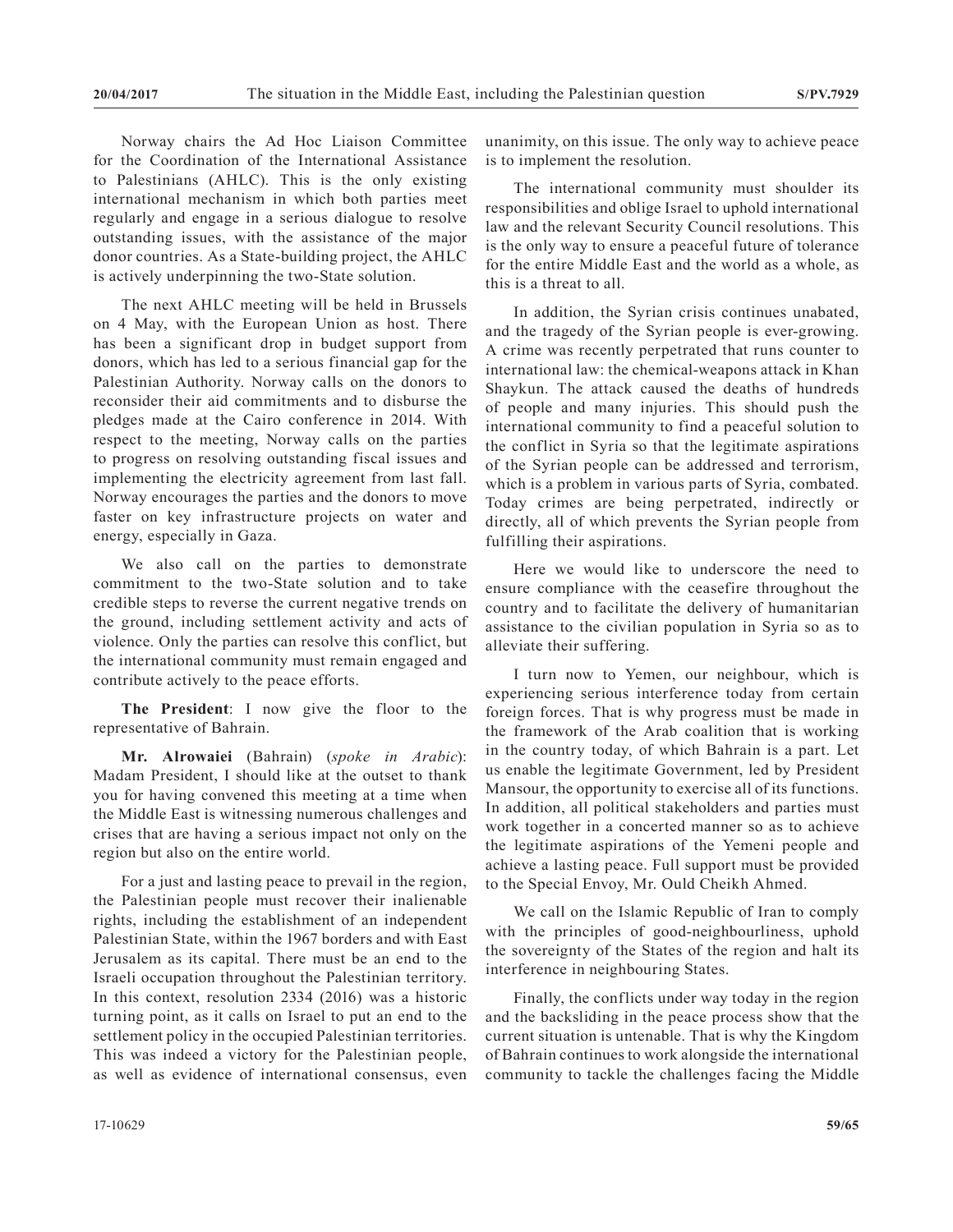Norway chairs the Ad Hoc Liaison Committee for the Coordination of the International Assistance to Palestinians (AHLC). This is the only existing international mechanism in which both parties meet regularly and engage in a serious dialogue to resolve outstanding issues, with the assistance of the major donor countries. As a State-building project, the AHLC is actively underpinning the two-State solution.

The next AHLC meeting will be held in Brussels on 4 May, with the European Union as host. There has been a significant drop in budget support from donors, which has led to a serious financial gap for the Palestinian Authority. Norway calls on the donors to reconsider their aid commitments and to disburse the pledges made at the Cairo conference in 2014. With respect to the meeting, Norway calls on the parties to progress on resolving outstanding fiscal issues and implementing the electricity agreement from last fall. Norway encourages the parties and the donors to move faster on key infrastructure projects on water and energy, especially in Gaza.

We also call on the parties to demonstrate commitment to the two-State solution and to take credible steps to reverse the current negative trends on the ground, including settlement activity and acts of violence. Only the parties can resolve this conflict, but the international community must remain engaged and contribute actively to the peace efforts.

**The President**: I now give the floor to the representative of Bahrain.

**Mr. Alrowaiei** (Bahrain) (*spoke in Arabic*): Madam President, I should like at the outset to thank you for having convened this meeting at a time when the Middle East is witnessing numerous challenges and crises that are having a serious impact not only on the region but also on the entire world.

For a just and lasting peace to prevail in the region, the Palestinian people must recover their inalienable rights, including the establishment of an independent Palestinian State, within the 1967 borders and with East Jerusalem as its capital. There must be an end to the Israeli occupation throughout the Palestinian territory. In this context, resolution 2334 (2016) was a historic turning point, as it calls on Israel to put an end to the settlement policy in the occupied Palestinian territories. This was indeed a victory for the Palestinian people, as well as evidence of international consensus, even

unanimity, on this issue. The only way to achieve peace is to implement the resolution.

The international community must shoulder its responsibilities and oblige Israel to uphold international law and the relevant Security Council resolutions. This is the only way to ensure a peaceful future of tolerance for the entire Middle East and the world as a whole, as this is a threat to all.

In addition, the Syrian crisis continues unabated, and the tragedy of the Syrian people is ever-growing. A crime was recently perpetrated that runs counter to international law: the chemical-weapons attack in Khan Shaykun. The attack caused the deaths of hundreds of people and many injuries. This should push the international community to find a peaceful solution to the conflict in Syria so that the legitimate aspirations of the Syrian people can be addressed and terrorism, which is a problem in various parts of Syria, combated. Today crimes are being perpetrated, indirectly or directly, all of which prevents the Syrian people from fulfilling their aspirations.

Here we would like to underscore the need to ensure compliance with the ceasefire throughout the country and to facilitate the delivery of humanitarian assistance to the civilian population in Syria so as to alleviate their suffering.

I turn now to Yemen, our neighbour, which is experiencing serious interference today from certain foreign forces. That is why progress must be made in the framework of the Arab coalition that is working in the country today, of which Bahrain is a part. Let us enable the legitimate Government, led by President Mansour, the opportunity to exercise all of its functions. In addition, all political stakeholders and parties must work together in a concerted manner so as to achieve the legitimate aspirations of the Yemeni people and achieve a lasting peace. Full support must be provided to the Special Envoy, Mr. Ould Cheikh Ahmed.

We call on the Islamic Republic of Iran to comply with the principles of good-neighbourliness, uphold the sovereignty of the States of the region and halt its interference in neighbouring States.

Finally, the conflicts under way today in the region and the backsliding in the peace process show that the current situation is untenable. That is why the Kingdom of Bahrain continues to work alongside the international community to tackle the challenges facing the Middle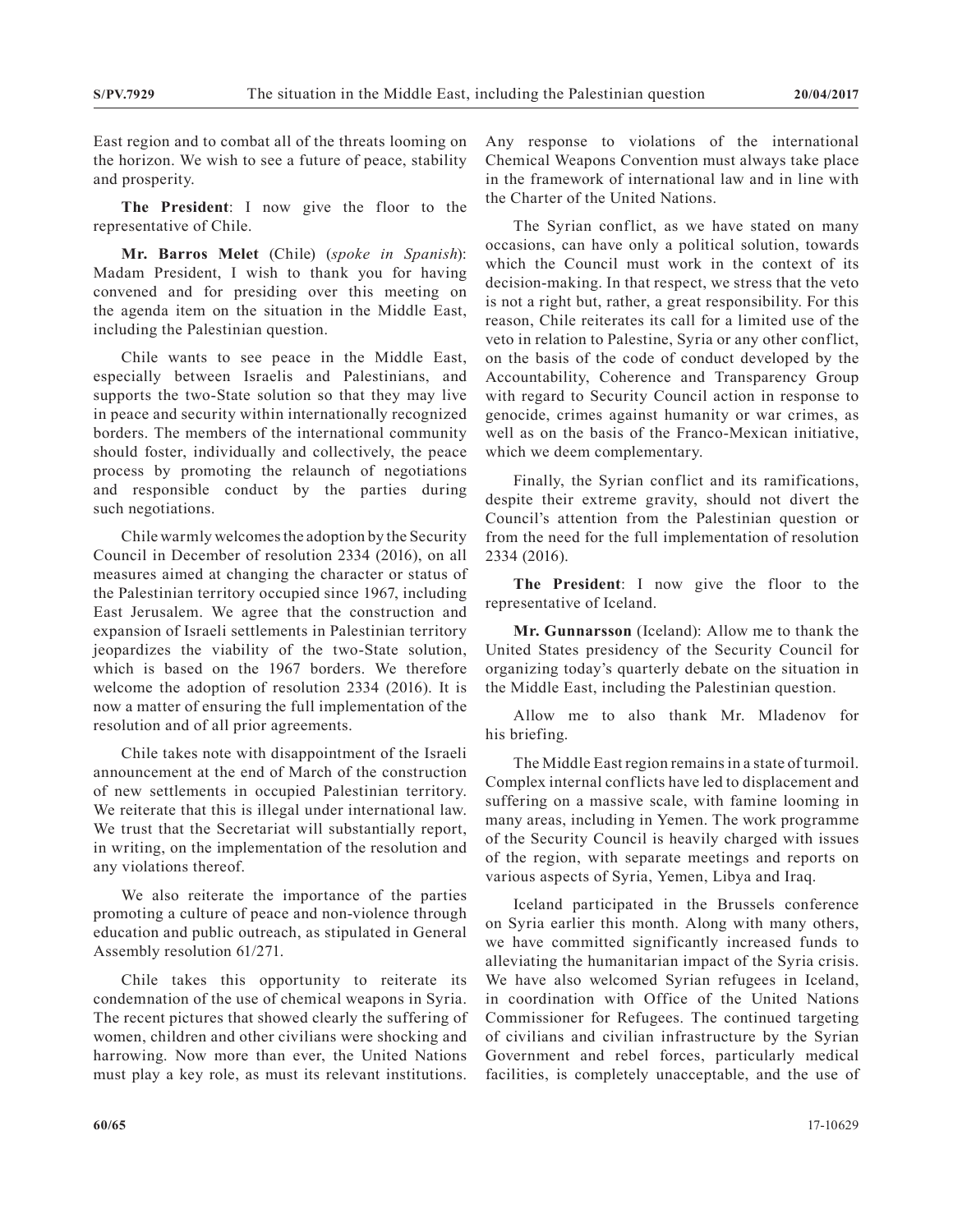East region and to combat all of the threats looming on the horizon. We wish to see a future of peace, stability and prosperity.

**The President**: I now give the floor to the representative of Chile.

**Mr. Barros Melet** (Chile) (*spoke in Spanish*): Madam President, I wish to thank you for having convened and for presiding over this meeting on the agenda item on the situation in the Middle East, including the Palestinian question.

Chile wants to see peace in the Middle East, especially between Israelis and Palestinians, and supports the two-State solution so that they may live in peace and security within internationally recognized borders. The members of the international community should foster, individually and collectively, the peace process by promoting the relaunch of negotiations and responsible conduct by the parties during such negotiations.

Chile warmly welcomes the adoption by the Security Council in December of resolution 2334 (2016), on all measures aimed at changing the character or status of the Palestinian territory occupied since 1967, including East Jerusalem. We agree that the construction and expansion of Israeli settlements in Palestinian territory jeopardizes the viability of the two-State solution, which is based on the 1967 borders. We therefore welcome the adoption of resolution 2334 (2016). It is now a matter of ensuring the full implementation of the resolution and of all prior agreements.

Chile takes note with disappointment of the Israeli announcement at the end of March of the construction of new settlements in occupied Palestinian territory. We reiterate that this is illegal under international law. We trust that the Secretariat will substantially report, in writing, on the implementation of the resolution and any violations thereof.

We also reiterate the importance of the parties promoting a culture of peace and non-violence through education and public outreach, as stipulated in General Assembly resolution 61/271.

Chile takes this opportunity to reiterate its condemnation of the use of chemical weapons in Syria. The recent pictures that showed clearly the suffering of women, children and other civilians were shocking and harrowing. Now more than ever, the United Nations must play a key role, as must its relevant institutions.

Any response to violations of the international Chemical Weapons Convention must always take place in the framework of international law and in line with the Charter of the United Nations.

The Syrian conflict, as we have stated on many occasions, can have only a political solution, towards which the Council must work in the context of its decision-making. In that respect, we stress that the veto is not a right but, rather, a great responsibility. For this reason, Chile reiterates its call for a limited use of the veto in relation to Palestine, Syria or any other conflict, on the basis of the code of conduct developed by the Accountability, Coherence and Transparency Group with regard to Security Council action in response to genocide, crimes against humanity or war crimes, as well as on the basis of the Franco-Mexican initiative, which we deem complementary.

Finally, the Syrian conflict and its ramifications, despite their extreme gravity, should not divert the Council's attention from the Palestinian question or from the need for the full implementation of resolution 2334 (2016).

**The President**: I now give the floor to the representative of Iceland.

**Mr. Gunnarsson** (Iceland): Allow me to thank the United States presidency of the Security Council for organizing today's quarterly debate on the situation in the Middle East, including the Palestinian question.

Allow me to also thank Mr. Mladenov for his briefing.

The Middle East region remains in a state of turmoil. Complex internal conflicts have led to displacement and suffering on a massive scale, with famine looming in many areas, including in Yemen. The work programme of the Security Council is heavily charged with issues of the region, with separate meetings and reports on various aspects of Syria, Yemen, Libya and Iraq.

Iceland participated in the Brussels conference on Syria earlier this month. Along with many others, we have committed significantly increased funds to alleviating the humanitarian impact of the Syria crisis. We have also welcomed Syrian refugees in Iceland, in coordination with Office of the United Nations Commissioner for Refugees. The continued targeting of civilians and civilian infrastructure by the Syrian Government and rebel forces, particularly medical facilities, is completely unacceptable, and the use of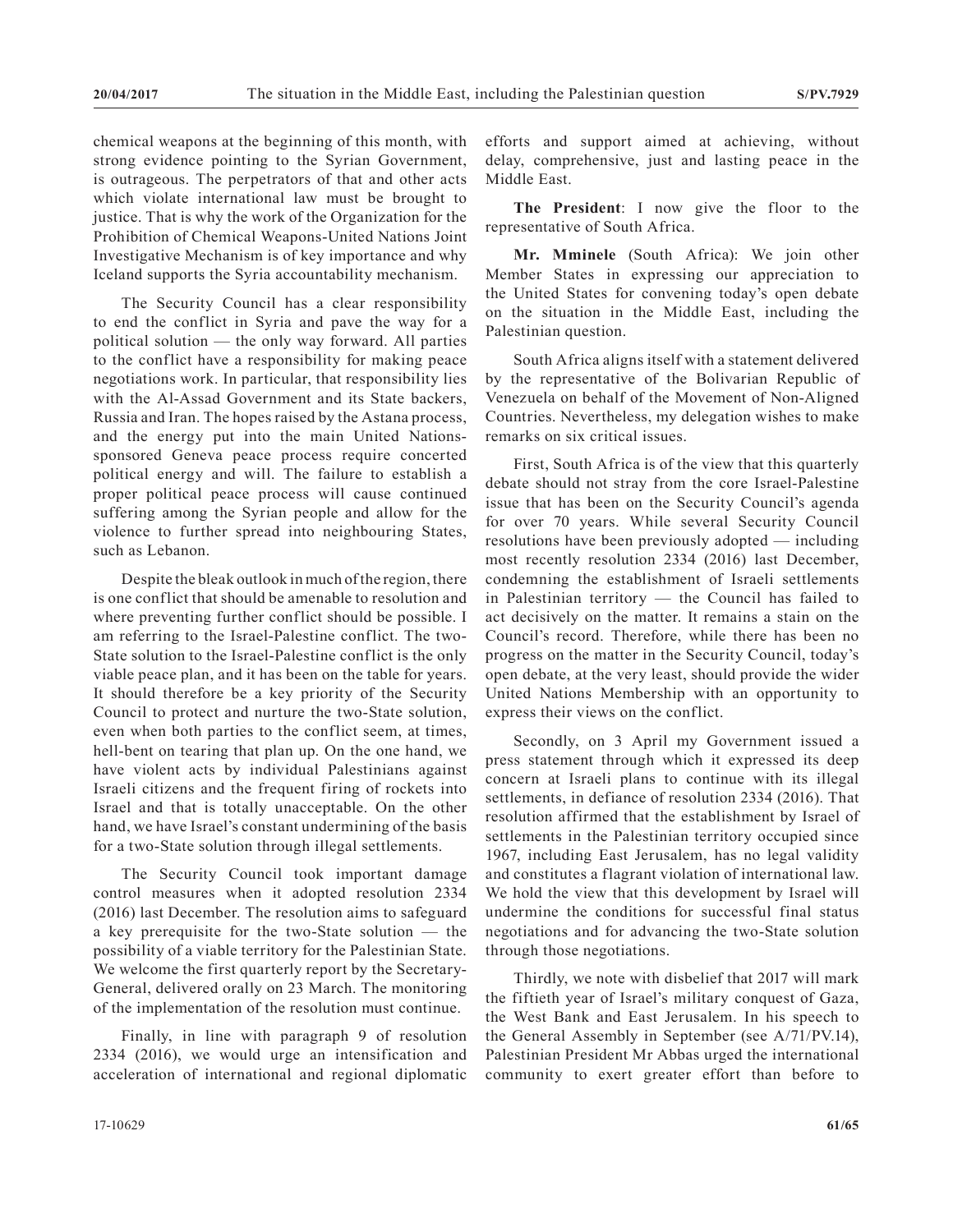chemical weapons at the beginning of this month, with strong evidence pointing to the Syrian Government, is outrageous. The perpetrators of that and other acts which violate international law must be brought to justice. That is why the work of the Organization for the Prohibition of Chemical Weapons-United Nations Joint Investigative Mechanism is of key importance and why Iceland supports the Syria accountability mechanism.

The Security Council has a clear responsibility to end the conflict in Syria and pave the way for a political solution — the only way forward. All parties to the conflict have a responsibility for making peace negotiations work. In particular, that responsibility lies with the Al-Assad Government and its State backers, Russia and Iran. The hopes raised by the Astana process, and the energy put into the main United Nationssponsored Geneva peace process require concerted political energy and will. The failure to establish a proper political peace process will cause continued suffering among the Syrian people and allow for the violence to further spread into neighbouring States, such as Lebanon.

Despite the bleak outlook in much of the region, there is one conflict that should be amenable to resolution and where preventing further conflict should be possible. I am referring to the Israel-Palestine conflict. The two-State solution to the Israel-Palestine conflict is the only viable peace plan, and it has been on the table for years. It should therefore be a key priority of the Security Council to protect and nurture the two-State solution, even when both parties to the conflict seem, at times, hell-bent on tearing that plan up. On the one hand, we have violent acts by individual Palestinians against Israeli citizens and the frequent firing of rockets into Israel and that is totally unacceptable. On the other hand, we have Israel's constant undermining of the basis for a two-State solution through illegal settlements.

The Security Council took important damage control measures when it adopted resolution 2334 (2016) last December. The resolution aims to safeguard a key prerequisite for the two-State solution — the possibility of a viable territory for the Palestinian State. We welcome the first quarterly report by the Secretary-General, delivered orally on 23 March. The monitoring of the implementation of the resolution must continue.

Finally, in line with paragraph 9 of resolution 2334 (2016), we would urge an intensification and acceleration of international and regional diplomatic efforts and support aimed at achieving, without delay, comprehensive, just and lasting peace in the Middle East.

**The President**: I now give the floor to the representative of South Africa.

**Mr. Mminele** (South Africa): We join other Member States in expressing our appreciation to the United States for convening today's open debate on the situation in the Middle East, including the Palestinian question.

South Africa aligns itself with a statement delivered by the representative of the Bolivarian Republic of Venezuela on behalf of the Movement of Non-Aligned Countries. Nevertheless, my delegation wishes to make remarks on six critical issues.

First, South Africa is of the view that this quarterly debate should not stray from the core Israel-Palestine issue that has been on the Security Council's agenda for over 70 years. While several Security Council resolutions have been previously adopted — including most recently resolution 2334 (2016) last December, condemning the establishment of Israeli settlements in Palestinian territory — the Council has failed to act decisively on the matter. It remains a stain on the Council's record. Therefore, while there has been no progress on the matter in the Security Council, today's open debate, at the very least, should provide the wider United Nations Membership with an opportunity to express their views on the conflict.

Secondly, on 3 April my Government issued a press statement through which it expressed its deep concern at Israeli plans to continue with its illegal settlements, in defiance of resolution 2334 (2016). That resolution affirmed that the establishment by Israel of settlements in the Palestinian territory occupied since 1967, including East Jerusalem, has no legal validity and constitutes a flagrant violation of international law. We hold the view that this development by Israel will undermine the conditions for successful final status negotiations and for advancing the two-State solution through those negotiations.

Thirdly, we note with disbelief that 2017 will mark the fiftieth year of Israel's military conquest of Gaza, the West Bank and East Jerusalem. In his speech to the General Assembly in September (see A/71/PV.14), Palestinian President Mr Abbas urged the international community to exert greater effort than before to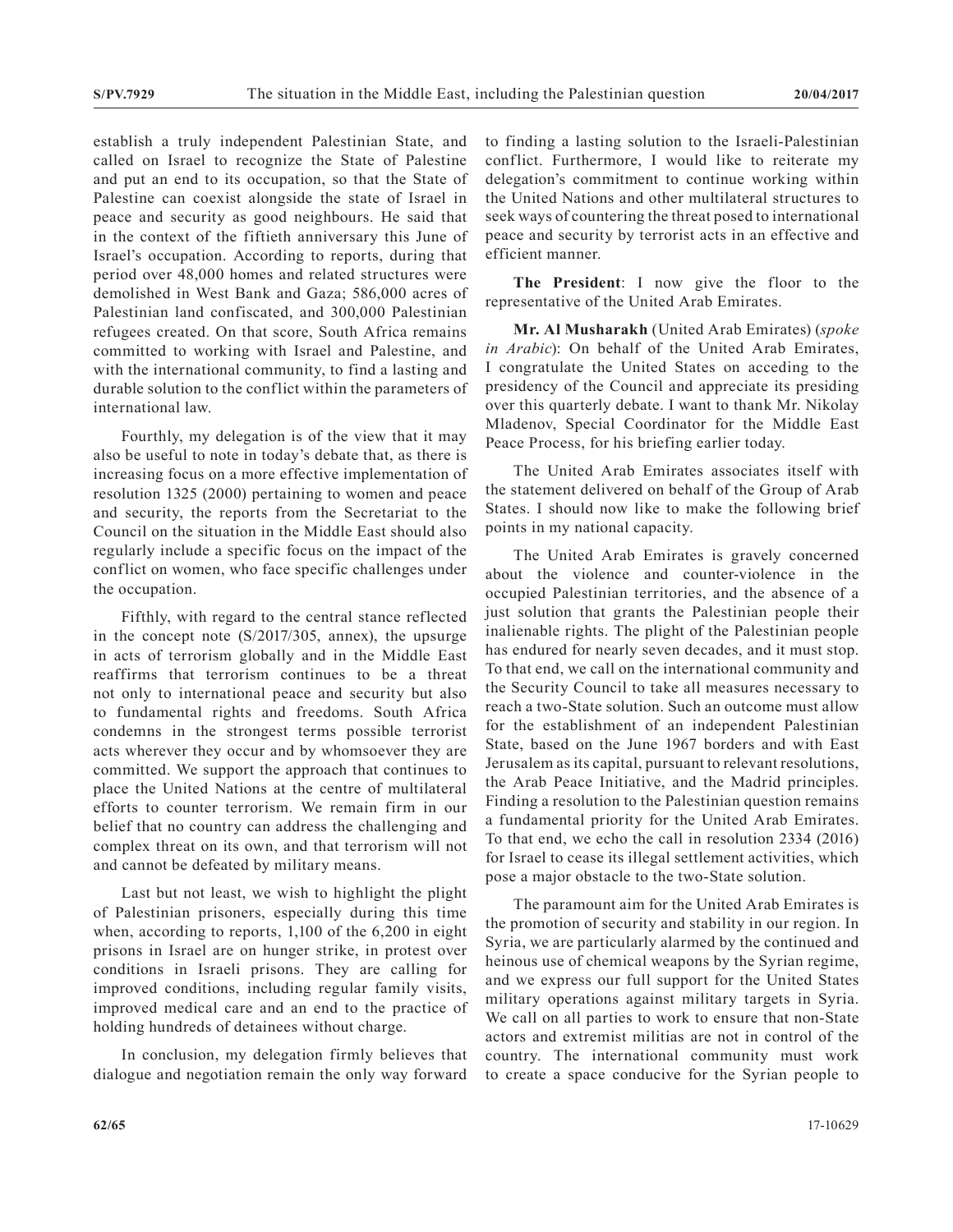establish a truly independent Palestinian State, and called on Israel to recognize the State of Palestine and put an end to its occupation, so that the State of Palestine can coexist alongside the state of Israel in peace and security as good neighbours. He said that in the context of the fiftieth anniversary this June of Israel's occupation. According to reports, during that period over 48,000 homes and related structures were demolished in West Bank and Gaza; 586,000 acres of Palestinian land confiscated, and 300,000 Palestinian refugees created. On that score, South Africa remains committed to working with Israel and Palestine, and with the international community, to find a lasting and durable solution to the conflict within the parameters of international law.

Fourthly, my delegation is of the view that it may also be useful to note in today's debate that, as there is increasing focus on a more effective implementation of resolution 1325 (2000) pertaining to women and peace and security, the reports from the Secretariat to the Council on the situation in the Middle East should also regularly include a specific focus on the impact of the conflict on women, who face specific challenges under the occupation.

Fifthly, with regard to the central stance reflected in the concept note (S/2017/305, annex), the upsurge in acts of terrorism globally and in the Middle East reaffirms that terrorism continues to be a threat not only to international peace and security but also to fundamental rights and freedoms. South Africa condemns in the strongest terms possible terrorist acts wherever they occur and by whomsoever they are committed. We support the approach that continues to place the United Nations at the centre of multilateral efforts to counter terrorism. We remain firm in our belief that no country can address the challenging and complex threat on its own, and that terrorism will not and cannot be defeated by military means.

Last but not least, we wish to highlight the plight of Palestinian prisoners, especially during this time when, according to reports, 1,100 of the 6,200 in eight prisons in Israel are on hunger strike, in protest over conditions in Israeli prisons. They are calling for improved conditions, including regular family visits, improved medical care and an end to the practice of holding hundreds of detainees without charge.

In conclusion, my delegation firmly believes that dialogue and negotiation remain the only way forward

to finding a lasting solution to the Israeli-Palestinian conflict. Furthermore, I would like to reiterate my delegation's commitment to continue working within the United Nations and other multilateral structures to seek ways of countering the threat posed to international peace and security by terrorist acts in an effective and efficient manner.

**The President**: I now give the floor to the representative of the United Arab Emirates.

**Mr. Al Musharakh** (United Arab Emirates) (*spoke in Arabic*): On behalf of the United Arab Emirates, I congratulate the United States on acceding to the presidency of the Council and appreciate its presiding over this quarterly debate. I want to thank Mr. Nikolay Mladenov, Special Coordinator for the Middle East Peace Process, for his briefing earlier today.

The United Arab Emirates associates itself with the statement delivered on behalf of the Group of Arab States. I should now like to make the following brief points in my national capacity.

The United Arab Emirates is gravely concerned about the violence and counter-violence in the occupied Palestinian territories, and the absence of a just solution that grants the Palestinian people their inalienable rights. The plight of the Palestinian people has endured for nearly seven decades, and it must stop. To that end, we call on the international community and the Security Council to take all measures necessary to reach a two-State solution. Such an outcome must allow for the establishment of an independent Palestinian State, based on the June 1967 borders and with East Jerusalem as its capital, pursuant to relevant resolutions, the Arab Peace Initiative, and the Madrid principles. Finding a resolution to the Palestinian question remains a fundamental priority for the United Arab Emirates. To that end, we echo the call in resolution 2334 (2016) for Israel to cease its illegal settlement activities, which pose a major obstacle to the two-State solution.

The paramount aim for the United Arab Emirates is the promotion of security and stability in our region. In Syria, we are particularly alarmed by the continued and heinous use of chemical weapons by the Syrian regime, and we express our full support for the United States military operations against military targets in Syria. We call on all parties to work to ensure that non-State actors and extremist militias are not in control of the country. The international community must work to create a space conducive for the Syrian people to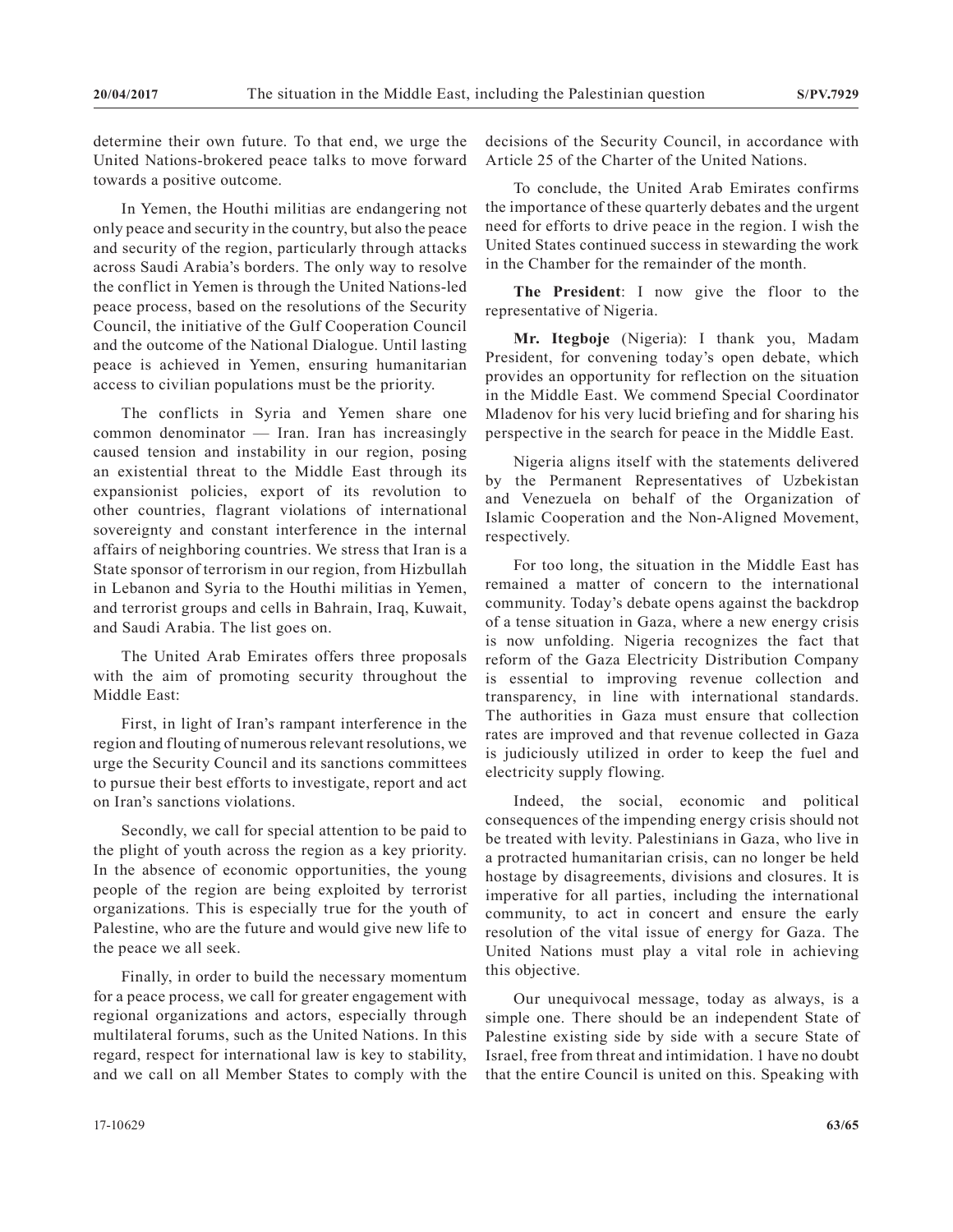determine their own future. To that end, we urge the United Nations-brokered peace talks to move forward towards a positive outcome.

In Yemen, the Houthi militias are endangering not only peace and security in the country, but also the peace and security of the region, particularly through attacks across Saudi Arabia's borders. The only way to resolve the conflict in Yemen is through the United Nations-led peace process, based on the resolutions of the Security Council, the initiative of the Gulf Cooperation Council and the outcome of the National Dialogue. Until lasting peace is achieved in Yemen, ensuring humanitarian access to civilian populations must be the priority.

The conflicts in Syria and Yemen share one common denominator — Iran. Iran has increasingly caused tension and instability in our region, posing an existential threat to the Middle East through its expansionist policies, export of its revolution to other countries, flagrant violations of international sovereignty and constant interference in the internal affairs of neighboring countries. We stress that Iran is a State sponsor of terrorism in our region, from Hizbullah in Lebanon and Syria to the Houthi militias in Yemen, and terrorist groups and cells in Bahrain, Iraq, Kuwait, and Saudi Arabia. The list goes on.

The United Arab Emirates offers three proposals with the aim of promoting security throughout the Middle East:

First, in light of Iran's rampant interference in the region and flouting of numerous relevant resolutions, we urge the Security Council and its sanctions committees to pursue their best efforts to investigate, report and act on Iran's sanctions violations.

Secondly, we call for special attention to be paid to the plight of youth across the region as a key priority. In the absence of economic opportunities, the young people of the region are being exploited by terrorist organizations. This is especially true for the youth of Palestine, who are the future and would give new life to the peace we all seek.

Finally, in order to build the necessary momentum for a peace process, we call for greater engagement with regional organizations and actors, especially through multilateral forums, such as the United Nations. In this regard, respect for international law is key to stability, and we call on all Member States to comply with the decisions of the Security Council, in accordance with Article 25 of the Charter of the United Nations.

To conclude, the United Arab Emirates confirms the importance of these quarterly debates and the urgent need for efforts to drive peace in the region. I wish the United States continued success in stewarding the work in the Chamber for the remainder of the month.

**The President**: I now give the floor to the representative of Nigeria.

**Mr. Itegboje** (Nigeria): I thank you, Madam President, for convening today's open debate, which provides an opportunity for reflection on the situation in the Middle East. We commend Special Coordinator Mladenov for his very lucid briefing and for sharing his perspective in the search for peace in the Middle East.

Nigeria aligns itself with the statements delivered by the Permanent Representatives of Uzbekistan and Venezuela on behalf of the Organization of Islamic Cooperation and the Non-Aligned Movement, respectively.

For too long, the situation in the Middle East has remained a matter of concern to the international community. Today's debate opens against the backdrop of a tense situation in Gaza, where a new energy crisis is now unfolding. Nigeria recognizes the fact that reform of the Gaza Electricity Distribution Company is essential to improving revenue collection and transparency, in line with international standards. The authorities in Gaza must ensure that collection rates are improved and that revenue collected in Gaza is judiciously utilized in order to keep the fuel and electricity supply flowing.

Indeed, the social, economic and political consequences of the impending energy crisis should not be treated with levity. Palestinians in Gaza, who live in a protracted humanitarian crisis, can no longer be held hostage by disagreements, divisions and closures. It is imperative for all parties, including the international community, to act in concert and ensure the early resolution of the vital issue of energy for Gaza. The United Nations must play a vital role in achieving this objective.

Our unequivocal message, today as always, is a simple one. There should be an independent State of Palestine existing side by side with a secure State of Israel, free from threat and intimidation. 1 have no doubt that the entire Council is united on this. Speaking with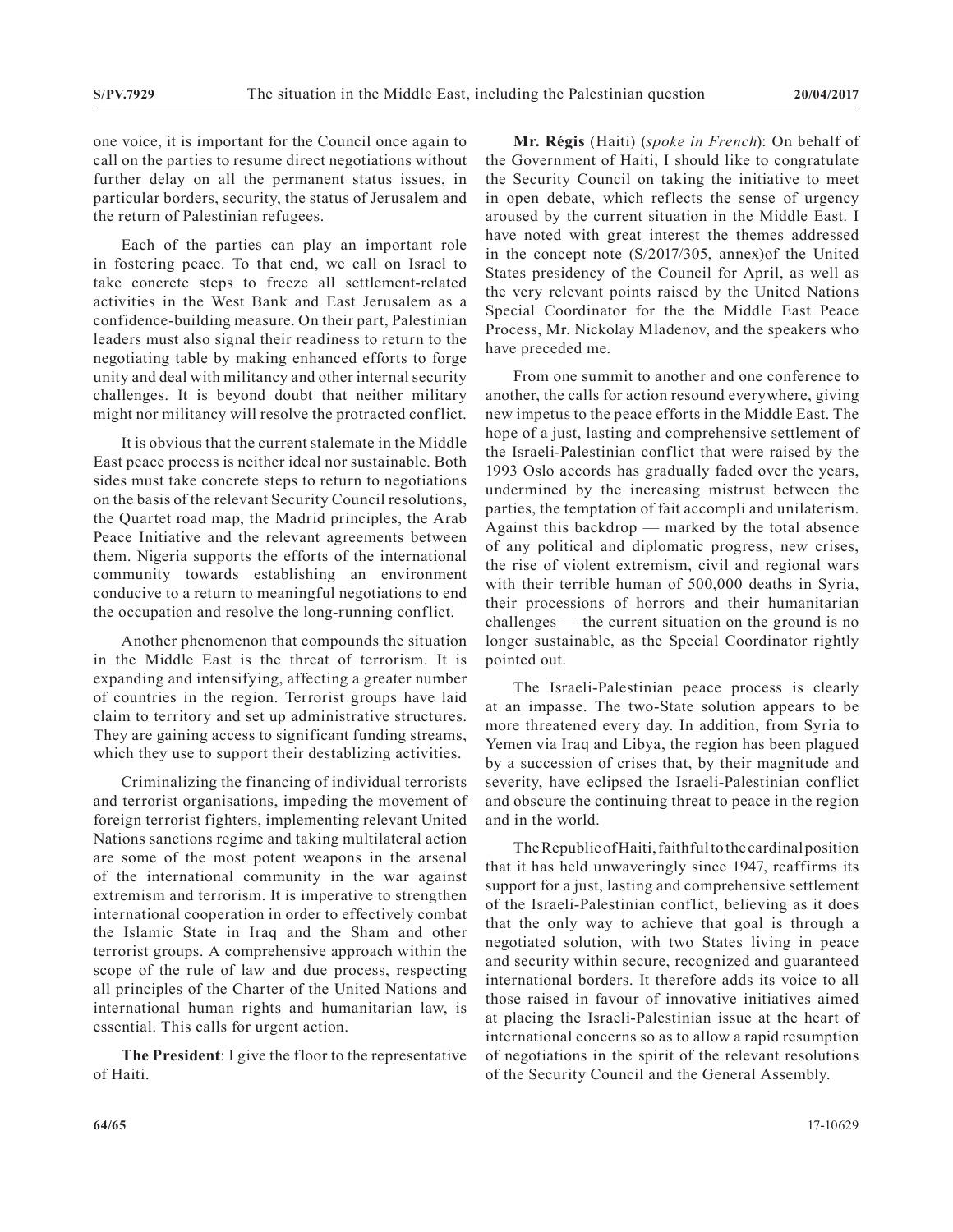one voice, it is important for the Council once again to call on the parties to resume direct negotiations without further delay on all the permanent status issues, in particular borders, security, the status of Jerusalem and the return of Palestinian refugees.

Each of the parties can play an important role in fostering peace. To that end, we call on Israel to take concrete steps to freeze all settlement-related activities in the West Bank and East Jerusalem as a confidence-building measure. On their part, Palestinian leaders must also signal their readiness to return to the negotiating table by making enhanced efforts to forge unity and deal with militancy and other internal security challenges. It is beyond doubt that neither military might nor militancy will resolve the protracted conflict.

It is obvious that the current stalemate in the Middle East peace process is neither ideal nor sustainable. Both sides must take concrete steps to return to negotiations on the basis of the relevant Security Council resolutions, the Quartet road map, the Madrid principles, the Arab Peace Initiative and the relevant agreements between them. Nigeria supports the efforts of the international community towards establishing an environment conducive to a return to meaningful negotiations to end the occupation and resolve the long-running conflict.

Another phenomenon that compounds the situation in the Middle East is the threat of terrorism. It is expanding and intensifying, affecting a greater number of countries in the region. Terrorist groups have laid claim to territory and set up administrative structures. They are gaining access to significant funding streams, which they use to support their destablizing activities.

Criminalizing the financing of individual terrorists and terrorist organisations, impeding the movement of foreign terrorist fighters, implementing relevant United Nations sanctions regime and taking multilateral action are some of the most potent weapons in the arsenal of the international community in the war against extremism and terrorism. It is imperative to strengthen international cooperation in order to effectively combat the Islamic State in Iraq and the Sham and other terrorist groups. A comprehensive approach within the scope of the rule of law and due process, respecting all principles of the Charter of the United Nations and international human rights and humanitarian law, is essential. This calls for urgent action.

**The President**: I give the floor to the representative of Haiti.

**Mr. Régis** (Haiti) (*spoke in French*): On behalf of the Government of Haiti, I should like to congratulate the Security Council on taking the initiative to meet in open debate, which reflects the sense of urgency aroused by the current situation in the Middle East. I have noted with great interest the themes addressed in the concept note (S/2017/305, annex)of the United States presidency of the Council for April, as well as the very relevant points raised by the United Nations Special Coordinator for the the Middle East Peace Process, Mr. Nickolay Mladenov, and the speakers who have preceded me.

From one summit to another and one conference to another, the calls for action resound everywhere, giving new impetus to the peace efforts in the Middle East. The hope of a just, lasting and comprehensive settlement of the Israeli-Palestinian conflict that were raised by the 1993 Oslo accords has gradually faded over the years, undermined by the increasing mistrust between the parties, the temptation of fait accompli and unilaterism. Against this backdrop — marked by the total absence of any political and diplomatic progress, new crises, the rise of violent extremism, civil and regional wars with their terrible human of 500,000 deaths in Syria, their processions of horrors and their humanitarian challenges — the current situation on the ground is no longer sustainable, as the Special Coordinator rightly pointed out.

The Israeli-Palestinian peace process is clearly at an impasse. The two-State solution appears to be more threatened every day. In addition, from Syria to Yemen via Iraq and Libya, the region has been plagued by a succession of crises that, by their magnitude and severity, have eclipsed the Israeli-Palestinian conflict and obscure the continuing threat to peace in the region and in the world.

The Republic of Haiti, faithful to the cardinal position that it has held unwaveringly since 1947, reaffirms its support for a just, lasting and comprehensive settlement of the Israeli-Palestinian conflict, believing as it does that the only way to achieve that goal is through a negotiated solution, with two States living in peace and security within secure, recognized and guaranteed international borders. It therefore adds its voice to all those raised in favour of innovative initiatives aimed at placing the Israeli-Palestinian issue at the heart of international concerns so as to allow a rapid resumption of negotiations in the spirit of the relevant resolutions of the Security Council and the General Assembly.